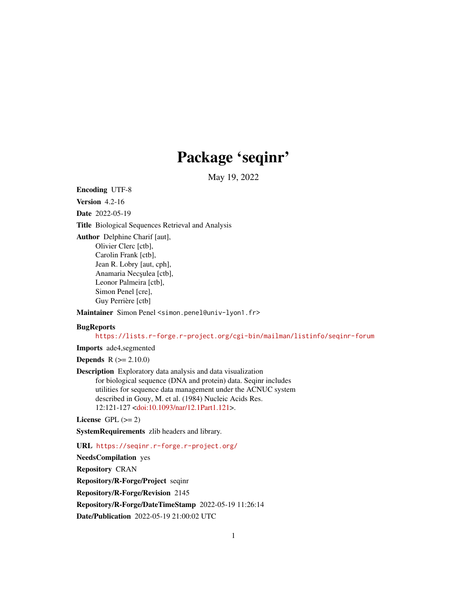# Package 'seqinr'

May 19, 2022

<span id="page-0-0"></span>Encoding UTF-8

Version 4.2-16

Date 2022-05-19

Title Biological Sequences Retrieval and Analysis

Author Delphine Charif [aut], Olivier Clerc [ctb], Carolin Frank [ctb], Jean R. Lobry [aut, cph], Anamaria Necsulea [ctb], Leonor Palmeira [ctb], Simon Penel [cre], Guy Perrière [ctb]

Maintainer Simon Penel <simon.penel@univ-lyon1.fr>

## **BugReports**

<https://lists.r-forge.r-project.org/cgi-bin/mailman/listinfo/seqinr-forum>

Imports ade4,segmented

**Depends**  $R (= 2.10.0)$ 

Description Exploratory data analysis and data visualization for biological sequence (DNA and protein) data. Seqinr includes utilities for sequence data management under the ACNUC system described in Gouy, M. et al. (1984) Nucleic Acids Res. 12:121-127 [<doi:10.1093/nar/12.1Part1.121>](https://doi.org/10.1093/nar/12.1Part1.121).

License GPL  $(>= 2)$ 

SystemRequirements zlib headers and library.

URL <https://seqinr.r-forge.r-project.org/>

NeedsCompilation yes

Repository CRAN

Repository/R-Forge/Project seqinr

Repository/R-Forge/Revision 2145

Repository/R-Forge/DateTimeStamp 2022-05-19 11:26:14

Date/Publication 2022-05-19 21:00:02 UTC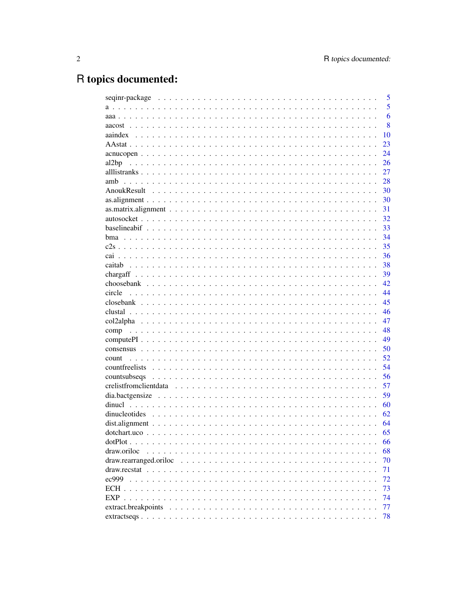# R topics documented:

|               | 5  |
|---------------|----|
|               | 5  |
|               | 6  |
|               | 8  |
|               | 10 |
|               | 23 |
|               | 24 |
| al2bp         | 26 |
|               | 27 |
| amb           | 28 |
|               | 30 |
|               | 30 |
|               | 31 |
|               | 32 |
|               | 33 |
|               | 34 |
|               | 35 |
|               | 36 |
|               | 38 |
|               | 39 |
|               | 42 |
| circle        | 44 |
|               | 45 |
|               | 46 |
|               | 47 |
|               | 48 |
|               | 49 |
|               | 50 |
| count         | 52 |
|               | 54 |
| countsubseqs  | 56 |
|               | 57 |
|               | 59 |
|               | 60 |
| dinucleotides | 62 |
|               | 64 |
|               | 65 |
|               | 66 |
| draw.oriloc   | 68 |
|               | 70 |
|               | 71 |
| ec999         | 72 |
|               | 73 |
|               | 74 |
|               | 77 |
|               | 78 |
|               |    |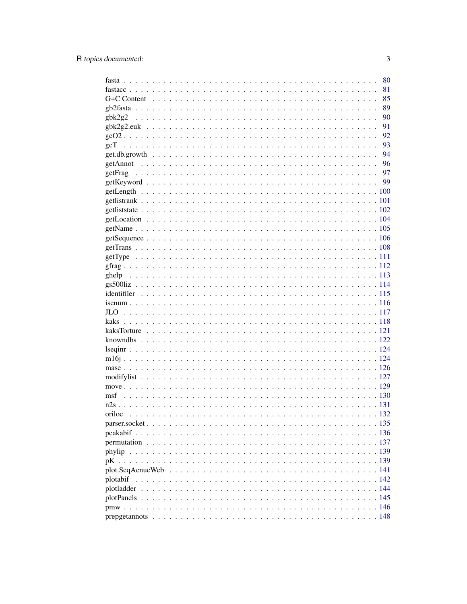|               | 80   |
|---------------|------|
|               | 81   |
|               | 85   |
|               | 89   |
| $g$ bk2 $g$ 2 | 90   |
|               | 91   |
|               | 92   |
|               | 93   |
|               | - 94 |
|               |      |
|               |      |
|               |      |
|               |      |
|               |      |
|               |      |
|               |      |
|               |      |
|               |      |
|               |      |
|               |      |
|               |      |
|               |      |
|               |      |
|               |      |
|               |      |
|               |      |
|               |      |
|               |      |
|               |      |
|               |      |
|               |      |
|               |      |
|               |      |
|               |      |
|               |      |
|               |      |
|               |      |
| oriloc        |      |
|               |      |
|               |      |
|               |      |
| phylip        |      |
|               |      |
|               |      |
|               |      |
|               |      |
|               |      |
|               |      |
|               |      |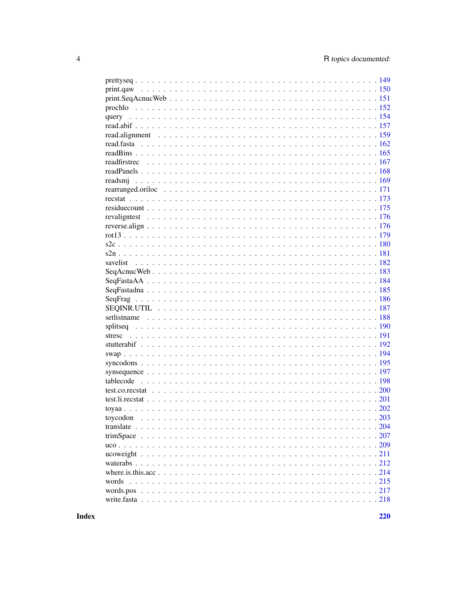| $\ldots$ 203 |  |
|--------------|--|
|              |  |
|              |  |
|              |  |
|              |  |
|              |  |
|              |  |
| words        |  |
| words.pos    |  |
|              |  |
|              |  |

**Index**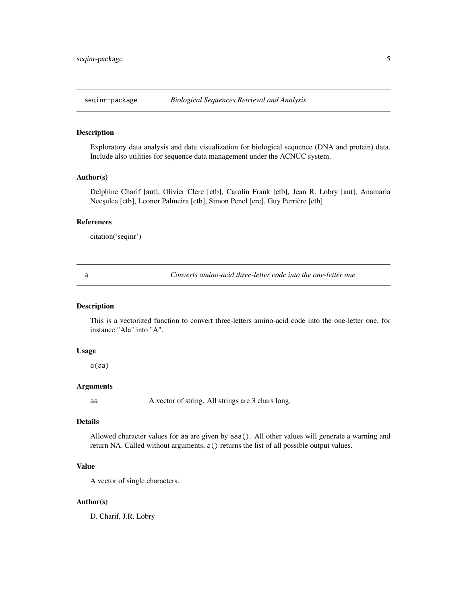## <span id="page-4-0"></span>Description

Exploratory data analysis and data visualization for biological sequence (DNA and protein) data. Include also utilities for sequence data management under the ACNUC system.

#### Author(s)

Delphine Charif [aut], Olivier Clerc [ctb], Carolin Frank [ctb], Jean R. Lobry [aut], Anamaria Necșulea [ctb], Leonor Palmeira [ctb], Simon Penel [cre], Guy Perrière [ctb]

# References

citation('seqinr')

<span id="page-4-1"></span>

a *Converts amino-acid three-letter code into the one-letter one*

## Description

This is a vectorized function to convert three-letters amino-acid code into the one-letter one, for instance "Ala" into "A".

#### Usage

a(aa)

# Arguments

aa A vector of string. All strings are 3 chars long.

## Details

Allowed character values for aa are given by aaa(). All other values will generate a warning and return NA. Called without arguments, a() returns the list of all possible output values.

## Value

A vector of single characters.

## Author(s)

D. Charif, J.R. Lobry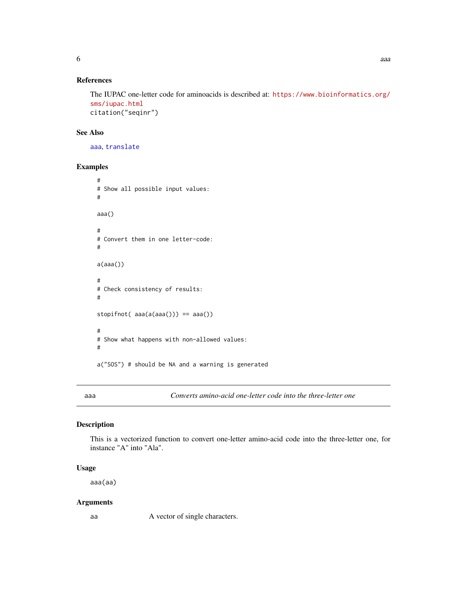# <span id="page-5-0"></span>References

The IUPAC one-letter code for aminoacids is described at: [https://www.bioinformatics.org/](https://www.bioinformatics.org/sms/iupac.html) [sms/iupac.html](https://www.bioinformatics.org/sms/iupac.html) citation("seqinr")

#### See Also

[aaa](#page-5-1), [translate](#page-203-1)

## Examples

```
#
# Show all possible input values:
#
aaa()
#
# Convert them in one letter-code:
#
a(aaa())
#
# Check consistency of results:
#
stopifnot( aaa(a(aaa())) == aaa())
#
# Show what happens with non-allowed values:
#
a("SOS") # should be NA and a warning is generated
```
<span id="page-5-1"></span>aaa *Converts amino-acid one-letter code into the three-letter one*

## Description

This is a vectorized function to convert one-letter amino-acid code into the three-letter one, for instance "A" into "Ala".

# Usage

aaa(aa)

# Arguments

aa A vector of single characters.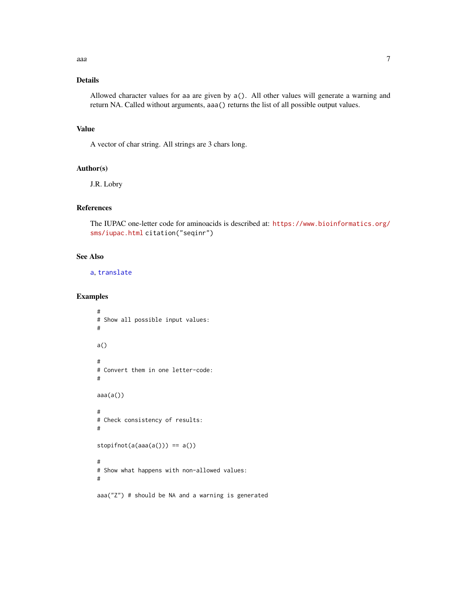# Details

Allowed character values for aa are given by a(). All other values will generate a warning and return NA. Called without arguments, aaa() returns the list of all possible output values.

## Value

A vector of char string. All strings are 3 chars long.

## Author(s)

J.R. Lobry

# References

The IUPAC one-letter code for aminoacids is described at: [https://www.bioinformatics.org/](https://www.bioinformatics.org/sms/iupac.html) [sms/iupac.html](https://www.bioinformatics.org/sms/iupac.html) citation("seqinr")

# See Also

[a](#page-4-1), [translate](#page-203-1)

# Examples

```
#
# Show all possible input values:
#
a()
#
# Convert them in one letter-code:
#
aaa(a())
#
# Check consistency of results:
#
stopifnot(a(aaa(a))) == a()#
# Show what happens with non-allowed values:
#
aaa("Z") # should be NA and a warning is generated
```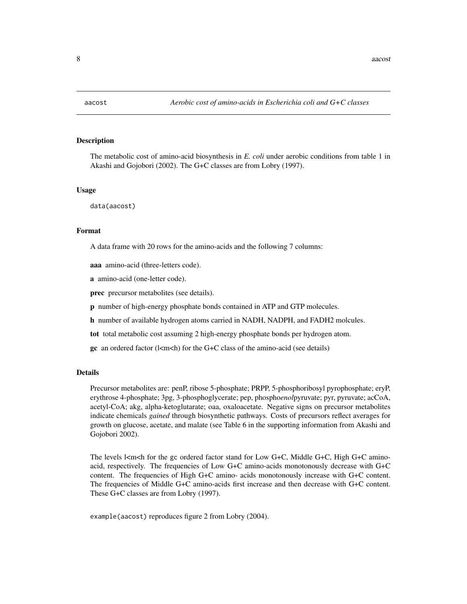<span id="page-7-0"></span>

## **Description**

The metabolic cost of amino-acid biosynthesis in *E. coli* under aerobic conditions from table 1 in Akashi and Gojobori (2002). The G+C classes are from Lobry (1997).

#### Usage

data(aacost)

# Format

A data frame with 20 rows for the amino-acids and the following 7 columns:

aaa amino-acid (three-letters code).

a amino-acid (one-letter code).

prec precursor metabolites (see details).

p number of high-energy phosphate bonds contained in ATP and GTP molecules.

h number of available hydrogen atoms carried in NADH, NADPH, and FADH2 molcules.

tot total metabolic cost assuming 2 high-energy phosphate bonds per hydrogen atom.

gc an ordered factor ( $l$ <m<h) for the G+C class of the amino-acid (see details)

## Details

Precursor metabolites are: penP, ribose 5-phosphate; PRPP, 5-phosphoribosyl pyrophosphate; eryP, erythrose 4-phosphate; 3pg, 3-phosphoglycerate; pep, phospho*enol*pyruvate; pyr, pyruvate; acCoA, acetyl-CoA; akg, alpha-ketoglutarate; oaa, oxaloacetate. Negative signs on precursor metabolites indicate chemicals *gained* through biosynthetic pathways. Costs of precursors reflect averages for growth on glucose, acetate, and malate (see Table 6 in the supporting information from Akashi and Gojobori 2002).

The levels  $\vert$ <m</h> for the gc ordered factor stand for Low G+C, Middle G+C, High G+C aminoacid, respectively. The frequencies of Low G+C amino-acids monotonously decrease with G+C content. The frequencies of High G+C amino- acids monotonously increase with G+C content. The frequencies of Middle G+C amino-acids first increase and then decrease with G+C content. These G+C classes are from Lobry (1997).

example(aacost) reproduces figure 2 from Lobry (2004).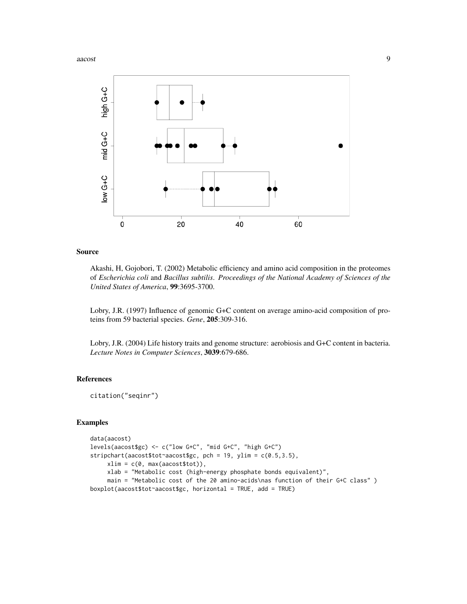

## Source

Akashi, H, Gojobori, T. (2002) Metabolic efficiency and amino acid composition in the proteomes of *Escherichia coli* and *Bacillus subtilis*. *Proceedings of the National Academy of Sciences of the United States of America*, 99:3695-3700.

Lobry, J.R. (1997) Influence of genomic G+C content on average amino-acid composition of proteins from 59 bacterial species. *Gene*, 205:309-316.

Lobry, J.R. (2004) Life history traits and genome structure: aerobiosis and G+C content in bacteria. *Lecture Notes in Computer Sciences*, 3039:679-686.

## References

citation("seqinr")

#### Examples

```
data(aacost)
levels(aacost$gc) <- c("low G+C", "mid G+C", "high G+C")
stripchart(aacost$tot~aacost$gc, pch = 19, ylim = c(0.5,3.5),
    xlim = c(0, max(aacost$tot)),xlab = "Metabolic cost (high-energy phosphate bonds equivalent)",
     main = "Metabolic cost of the 20 amino-acids\nas function of their G+C class" )
boxplot(aacost$tot~aacost$gc, horizontal = TRUE, add = TRUE)
```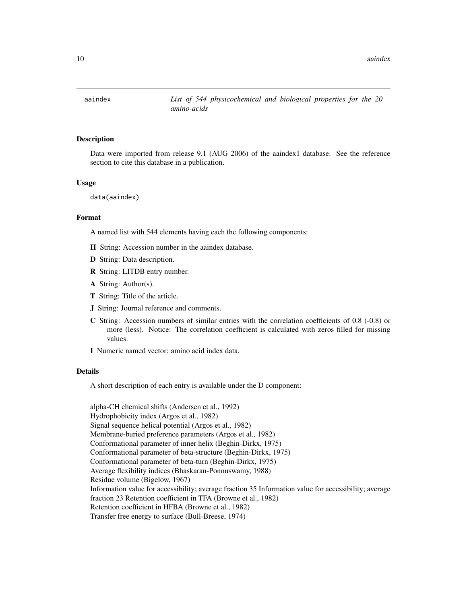<span id="page-9-0"></span>

## Description

Data were imported from release 9.1 (AUG 2006) of the aaindex1 database. See the reference section to cite this database in a publication.

#### Usage

data(aaindex)

# Format

A named list with 544 elements having each the following components:

- H String: Accession number in the aaindex database.
- D String: Data description.
- R String: LITDB entry number.
- A String: Author(s).
- T String: Title of the article.
- J String: Journal reference and comments.
- C String: Accession numbers of similar entries with the correlation coefficients of 0.8 (-0.8) or more (less). Notice: The correlation coefficient is calculated with zeros filled for missing values.
- I Numeric named vector: amino acid index data.

#### Details

A short description of each entry is available under the D component:

alpha-CH chemical shifts (Andersen et al., 1992) Hydrophobicity index (Argos et al., 1982) Signal sequence helical potential (Argos et al., 1982) Membrane-buried preference parameters (Argos et al., 1982) Conformational parameter of inner helix (Beghin-Dirkx, 1975) Conformational parameter of beta-structure (Beghin-Dirkx, 1975) Conformational parameter of beta-turn (Beghin-Dirkx, 1975) Average flexibility indices (Bhaskaran-Ponnuswamy, 1988) Residue volume (Bigelow, 1967) Information value for accessibility; average fraction 35 Information value for accessibility; average fraction 23 Retention coefficient in TFA (Browne et al., 1982) Retention coefficient in HFBA (Browne et al., 1982) Transfer free energy to surface (Bull-Breese, 1974)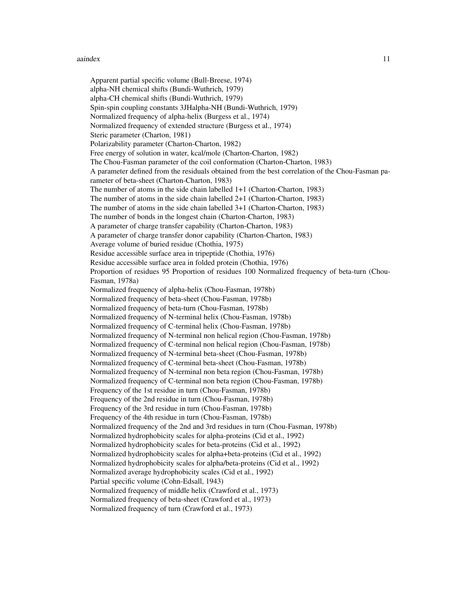#### aaindex 11

Apparent partial specific volume (Bull-Breese, 1974) alpha-NH chemical shifts (Bundi-Wuthrich, 1979) alpha-CH chemical shifts (Bundi-Wuthrich, 1979) Spin-spin coupling constants 3JHalpha-NH (Bundi-Wuthrich, 1979) Normalized frequency of alpha-helix (Burgess et al., 1974) Normalized frequency of extended structure (Burgess et al., 1974) Steric parameter (Charton, 1981) Polarizability parameter (Charton-Charton, 1982) Free energy of solution in water, kcal/mole (Charton-Charton, 1982) The Chou-Fasman parameter of the coil conformation (Charton-Charton, 1983) A parameter defined from the residuals obtained from the best correlation of the Chou-Fasman parameter of beta-sheet (Charton-Charton, 1983) The number of atoms in the side chain labelled 1+1 (Charton-Charton, 1983) The number of atoms in the side chain labelled 2+1 (Charton-Charton, 1983) The number of atoms in the side chain labelled 3+1 (Charton-Charton, 1983) The number of bonds in the longest chain (Charton-Charton, 1983) A parameter of charge transfer capability (Charton-Charton, 1983) A parameter of charge transfer donor capability (Charton-Charton, 1983) Average volume of buried residue (Chothia, 1975) Residue accessible surface area in tripeptide (Chothia, 1976) Residue accessible surface area in folded protein (Chothia, 1976) Proportion of residues 95 Proportion of residues 100 Normalized frequency of beta-turn (Chou-Fasman, 1978a) Normalized frequency of alpha-helix (Chou-Fasman, 1978b) Normalized frequency of beta-sheet (Chou-Fasman, 1978b) Normalized frequency of beta-turn (Chou-Fasman, 1978b) Normalized frequency of N-terminal helix (Chou-Fasman, 1978b) Normalized frequency of C-terminal helix (Chou-Fasman, 1978b) Normalized frequency of N-terminal non helical region (Chou-Fasman, 1978b) Normalized frequency of C-terminal non helical region (Chou-Fasman, 1978b) Normalized frequency of N-terminal beta-sheet (Chou-Fasman, 1978b) Normalized frequency of C-terminal beta-sheet (Chou-Fasman, 1978b) Normalized frequency of N-terminal non beta region (Chou-Fasman, 1978b) Normalized frequency of C-terminal non beta region (Chou-Fasman, 1978b) Frequency of the 1st residue in turn (Chou-Fasman, 1978b) Frequency of the 2nd residue in turn (Chou-Fasman, 1978b) Frequency of the 3rd residue in turn (Chou-Fasman, 1978b) Frequency of the 4th residue in turn (Chou-Fasman, 1978b) Normalized frequency of the 2nd and 3rd residues in turn (Chou-Fasman, 1978b) Normalized hydrophobicity scales for alpha-proteins (Cid et al., 1992) Normalized hydrophobicity scales for beta-proteins (Cid et al., 1992) Normalized hydrophobicity scales for alpha+beta-proteins (Cid et al., 1992) Normalized hydrophobicity scales for alpha/beta-proteins (Cid et al., 1992) Normalized average hydrophobicity scales (Cid et al., 1992) Partial specific volume (Cohn-Edsall, 1943) Normalized frequency of middle helix (Crawford et al., 1973) Normalized frequency of beta-sheet (Crawford et al., 1973) Normalized frequency of turn (Crawford et al., 1973)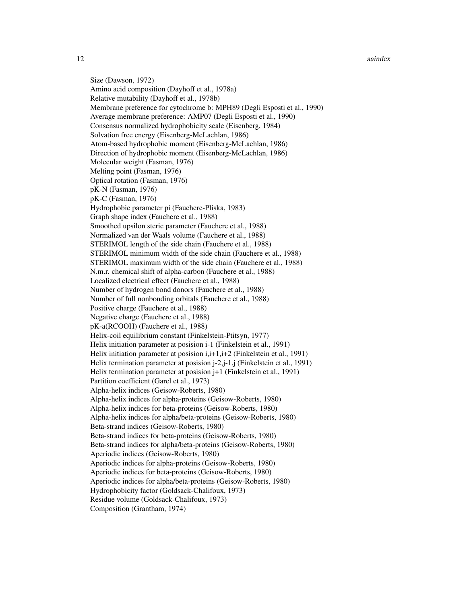12 aaindex aandex aandex aandex aandex aandex aandex aandex aandex aandex aandex aandex aandex aandex aandex aandex aandex aandex aandex aandex aandex aandex aandex aandex aandex aandex aandex aandex aandex aandex aandex a

Size (Dawson, 1972) Amino acid composition (Dayhoff et al., 1978a) Relative mutability (Dayhoff et al., 1978b) Membrane preference for cytochrome b: MPH89 (Degli Esposti et al., 1990) Average membrane preference: AMP07 (Degli Esposti et al., 1990) Consensus normalized hydrophobicity scale (Eisenberg, 1984) Solvation free energy (Eisenberg-McLachlan, 1986) Atom-based hydrophobic moment (Eisenberg-McLachlan, 1986) Direction of hydrophobic moment (Eisenberg-McLachlan, 1986) Molecular weight (Fasman, 1976) Melting point (Fasman, 1976) Optical rotation (Fasman, 1976) pK-N (Fasman, 1976) pK-C (Fasman, 1976) Hydrophobic parameter pi (Fauchere-Pliska, 1983) Graph shape index (Fauchere et al., 1988) Smoothed upsilon steric parameter (Fauchere et al., 1988) Normalized van der Waals volume (Fauchere et al., 1988) STERIMOL length of the side chain (Fauchere et al., 1988) STERIMOL minimum width of the side chain (Fauchere et al., 1988) STERIMOL maximum width of the side chain (Fauchere et al., 1988) N.m.r. chemical shift of alpha-carbon (Fauchere et al., 1988) Localized electrical effect (Fauchere et al., 1988) Number of hydrogen bond donors (Fauchere et al., 1988) Number of full nonbonding orbitals (Fauchere et al., 1988) Positive charge (Fauchere et al., 1988) Negative charge (Fauchere et al., 1988) pK-a(RCOOH) (Fauchere et al., 1988) Helix-coil equilibrium constant (Finkelstein-Ptitsyn, 1977) Helix initiation parameter at posision i-1 (Finkelstein et al., 1991) Helix initiation parameter at posision i, i+1, i+2 (Finkelstein et al., 1991) Helix termination parameter at posision j-2,j-1,j (Finkelstein et al., 1991) Helix termination parameter at posision j+1 (Finkelstein et al., 1991) Partition coefficient (Garel et al., 1973) Alpha-helix indices (Geisow-Roberts, 1980) Alpha-helix indices for alpha-proteins (Geisow-Roberts, 1980) Alpha-helix indices for beta-proteins (Geisow-Roberts, 1980) Alpha-helix indices for alpha/beta-proteins (Geisow-Roberts, 1980) Beta-strand indices (Geisow-Roberts, 1980) Beta-strand indices for beta-proteins (Geisow-Roberts, 1980) Beta-strand indices for alpha/beta-proteins (Geisow-Roberts, 1980) Aperiodic indices (Geisow-Roberts, 1980) Aperiodic indices for alpha-proteins (Geisow-Roberts, 1980) Aperiodic indices for beta-proteins (Geisow-Roberts, 1980) Aperiodic indices for alpha/beta-proteins (Geisow-Roberts, 1980) Hydrophobicity factor (Goldsack-Chalifoux, 1973) Residue volume (Goldsack-Chalifoux, 1973) Composition (Grantham, 1974)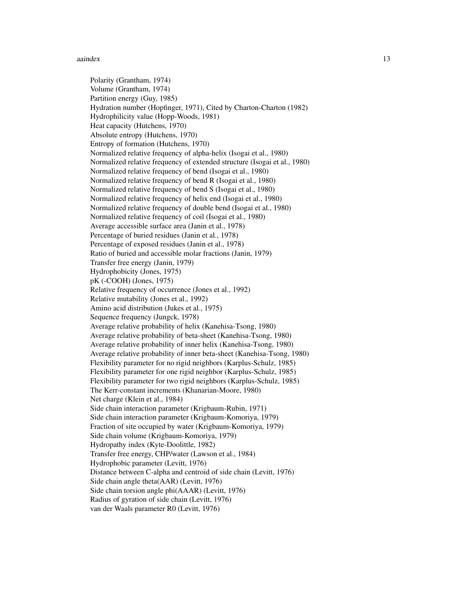#### aaindex 13

Polarity (Grantham, 1974) Volume (Grantham, 1974) Partition energy (Guy, 1985) Hydration number (Hopfinger, 1971), Cited by Charton-Charton (1982) Hydrophilicity value (Hopp-Woods, 1981) Heat capacity (Hutchens, 1970) Absolute entropy (Hutchens, 1970) Entropy of formation (Hutchens, 1970) Normalized relative frequency of alpha-helix (Isogai et al., 1980) Normalized relative frequency of extended structure (Isogai et al., 1980) Normalized relative frequency of bend (Isogai et al., 1980) Normalized relative frequency of bend R (Isogai et al., 1980) Normalized relative frequency of bend S (Isogai et al., 1980) Normalized relative frequency of helix end (Isogai et al., 1980) Normalized relative frequency of double bend (Isogai et al., 1980) Normalized relative frequency of coil (Isogai et al., 1980) Average accessible surface area (Janin et al., 1978) Percentage of buried residues (Janin et al., 1978) Percentage of exposed residues (Janin et al., 1978) Ratio of buried and accessible molar fractions (Janin, 1979) Transfer free energy (Janin, 1979) Hydrophobicity (Jones, 1975) pK (-COOH) (Jones, 1975) Relative frequency of occurrence (Jones et al., 1992) Relative mutability (Jones et al., 1992) Amino acid distribution (Jukes et al., 1975) Sequence frequency (Jungck, 1978) Average relative probability of helix (Kanehisa-Tsong, 1980) Average relative probability of beta-sheet (Kanehisa-Tsong, 1980) Average relative probability of inner helix (Kanehisa-Tsong, 1980) Average relative probability of inner beta-sheet (Kanehisa-Tsong, 1980) Flexibility parameter for no rigid neighbors (Karplus-Schulz, 1985) Flexibility parameter for one rigid neighbor (Karplus-Schulz, 1985) Flexibility parameter for two rigid neighbors (Karplus-Schulz, 1985) The Kerr-constant increments (Khanarian-Moore, 1980) Net charge (Klein et al., 1984) Side chain interaction parameter (Krigbaum-Rubin, 1971) Side chain interaction parameter (Krigbaum-Komoriya, 1979) Fraction of site occupied by water (Krigbaum-Komoriya, 1979) Side chain volume (Krigbaum-Komoriya, 1979) Hydropathy index (Kyte-Doolittle, 1982) Transfer free energy, CHP/water (Lawson et al., 1984) Hydrophobic parameter (Levitt, 1976) Distance between C-alpha and centroid of side chain (Levitt, 1976) Side chain angle theta(AAR) (Levitt, 1976) Side chain torsion angle phi(AAAR) (Levitt, 1976) Radius of gyration of side chain (Levitt, 1976)

van der Waals parameter R0 (Levitt, 1976)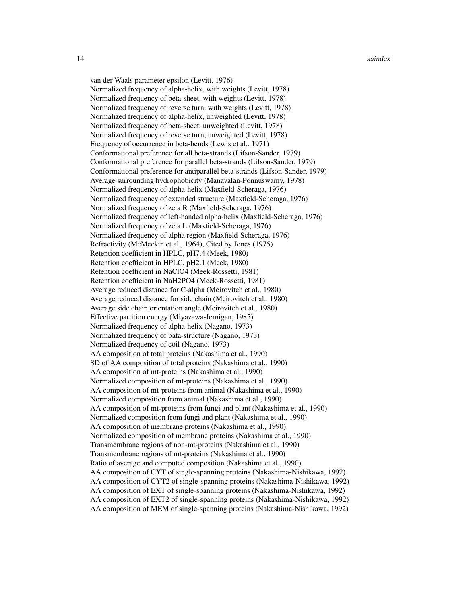van der Waals parameter epsilon (Levitt, 1976) Normalized frequency of alpha-helix, with weights (Levitt, 1978) Normalized frequency of beta-sheet, with weights (Levitt, 1978) Normalized frequency of reverse turn, with weights (Levitt, 1978) Normalized frequency of alpha-helix, unweighted (Levitt, 1978) Normalized frequency of beta-sheet, unweighted (Levitt, 1978) Normalized frequency of reverse turn, unweighted (Levitt, 1978) Frequency of occurrence in beta-bends (Lewis et al., 1971) Conformational preference for all beta-strands (Lifson-Sander, 1979) Conformational preference for parallel beta-strands (Lifson-Sander, 1979) Conformational preference for antiparallel beta-strands (Lifson-Sander, 1979) Average surrounding hydrophobicity (Manavalan-Ponnuswamy, 1978) Normalized frequency of alpha-helix (Maxfield-Scheraga, 1976) Normalized frequency of extended structure (Maxfield-Scheraga, 1976) Normalized frequency of zeta R (Maxfield-Scheraga, 1976) Normalized frequency of left-handed alpha-helix (Maxfield-Scheraga, 1976) Normalized frequency of zeta L (Maxfield-Scheraga, 1976) Normalized frequency of alpha region (Maxfield-Scheraga, 1976) Refractivity (McMeekin et al., 1964), Cited by Jones (1975) Retention coefficient in HPLC, pH7.4 (Meek, 1980) Retention coefficient in HPLC, pH2.1 (Meek, 1980) Retention coefficient in NaClO4 (Meek-Rossetti, 1981) Retention coefficient in NaH2PO4 (Meek-Rossetti, 1981) Average reduced distance for C-alpha (Meirovitch et al., 1980) Average reduced distance for side chain (Meirovitch et al., 1980) Average side chain orientation angle (Meirovitch et al., 1980) Effective partition energy (Miyazawa-Jernigan, 1985) Normalized frequency of alpha-helix (Nagano, 1973) Normalized frequency of bata-structure (Nagano, 1973) Normalized frequency of coil (Nagano, 1973) AA composition of total proteins (Nakashima et al., 1990) SD of AA composition of total proteins (Nakashima et al., 1990) AA composition of mt-proteins (Nakashima et al., 1990) Normalized composition of mt-proteins (Nakashima et al., 1990) AA composition of mt-proteins from animal (Nakashima et al., 1990) Normalized composition from animal (Nakashima et al., 1990) AA composition of mt-proteins from fungi and plant (Nakashima et al., 1990) Normalized composition from fungi and plant (Nakashima et al., 1990) AA composition of membrane proteins (Nakashima et al., 1990) Normalized composition of membrane proteins (Nakashima et al., 1990) Transmembrane regions of non-mt-proteins (Nakashima et al., 1990) Transmembrane regions of mt-proteins (Nakashima et al., 1990) Ratio of average and computed composition (Nakashima et al., 1990) AA composition of CYT of single-spanning proteins (Nakashima-Nishikawa, 1992) AA composition of CYT2 of single-spanning proteins (Nakashima-Nishikawa, 1992) AA composition of EXT of single-spanning proteins (Nakashima-Nishikawa, 1992) AA composition of EXT2 of single-spanning proteins (Nakashima-Nishikawa, 1992) AA composition of MEM of single-spanning proteins (Nakashima-Nishikawa, 1992)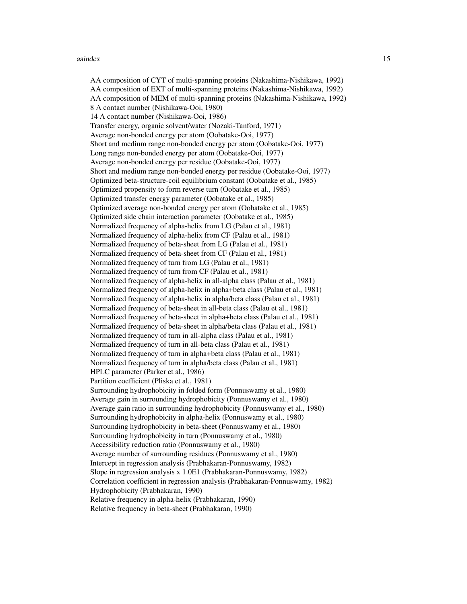#### aaindex 15

AA composition of CYT of multi-spanning proteins (Nakashima-Nishikawa, 1992) AA composition of EXT of multi-spanning proteins (Nakashima-Nishikawa, 1992) AA composition of MEM of multi-spanning proteins (Nakashima-Nishikawa, 1992) 8 A contact number (Nishikawa-Ooi, 1980) 14 A contact number (Nishikawa-Ooi, 1986) Transfer energy, organic solvent/water (Nozaki-Tanford, 1971) Average non-bonded energy per atom (Oobatake-Ooi, 1977) Short and medium range non-bonded energy per atom (Oobatake-Ooi, 1977) Long range non-bonded energy per atom (Oobatake-Ooi, 1977) Average non-bonded energy per residue (Oobatake-Ooi, 1977) Short and medium range non-bonded energy per residue (Oobatake-Ooi, 1977) Optimized beta-structure-coil equilibrium constant (Oobatake et al., 1985) Optimized propensity to form reverse turn (Oobatake et al., 1985) Optimized transfer energy parameter (Oobatake et al., 1985) Optimized average non-bonded energy per atom (Oobatake et al., 1985) Optimized side chain interaction parameter (Oobatake et al., 1985) Normalized frequency of alpha-helix from LG (Palau et al., 1981) Normalized frequency of alpha-helix from CF (Palau et al., 1981) Normalized frequency of beta-sheet from LG (Palau et al., 1981) Normalized frequency of beta-sheet from CF (Palau et al., 1981) Normalized frequency of turn from LG (Palau et al., 1981) Normalized frequency of turn from CF (Palau et al., 1981) Normalized frequency of alpha-helix in all-alpha class (Palau et al., 1981) Normalized frequency of alpha-helix in alpha+beta class (Palau et al., 1981) Normalized frequency of alpha-helix in alpha/beta class (Palau et al., 1981) Normalized frequency of beta-sheet in all-beta class (Palau et al., 1981) Normalized frequency of beta-sheet in alpha+beta class (Palau et al., 1981) Normalized frequency of beta-sheet in alpha/beta class (Palau et al., 1981) Normalized frequency of turn in all-alpha class (Palau et al., 1981) Normalized frequency of turn in all-beta class (Palau et al., 1981) Normalized frequency of turn in alpha+beta class (Palau et al., 1981) Normalized frequency of turn in alpha/beta class (Palau et al., 1981) HPLC parameter (Parker et al., 1986) Partition coefficient (Pliska et al., 1981) Surrounding hydrophobicity in folded form (Ponnuswamy et al., 1980) Average gain in surrounding hydrophobicity (Ponnuswamy et al., 1980) Average gain ratio in surrounding hydrophobicity (Ponnuswamy et al., 1980) Surrounding hydrophobicity in alpha-helix (Ponnuswamy et al., 1980) Surrounding hydrophobicity in beta-sheet (Ponnuswamy et al., 1980) Surrounding hydrophobicity in turn (Ponnuswamy et al., 1980) Accessibility reduction ratio (Ponnuswamy et al., 1980) Average number of surrounding residues (Ponnuswamy et al., 1980) Intercept in regression analysis (Prabhakaran-Ponnuswamy, 1982) Slope in regression analysis x 1.0E1 (Prabhakaran-Ponnuswamy, 1982) Correlation coefficient in regression analysis (Prabhakaran-Ponnuswamy, 1982) Hydrophobicity (Prabhakaran, 1990) Relative frequency in alpha-helix (Prabhakaran, 1990) Relative frequency in beta-sheet (Prabhakaran, 1990)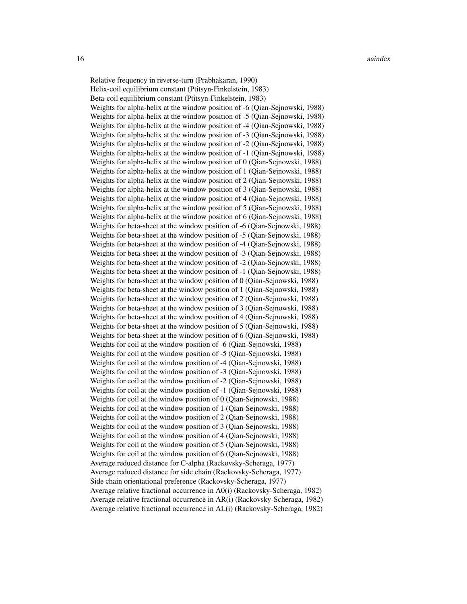Relative frequency in reverse-turn (Prabhakaran, 1990) Helix-coil equilibrium constant (Ptitsyn-Finkelstein, 1983) Beta-coil equilibrium constant (Ptitsyn-Finkelstein, 1983) Weights for alpha-helix at the window position of -6 (Qian-Sejnowski, 1988) Weights for alpha-helix at the window position of -5 (Qian-Sejnowski, 1988) Weights for alpha-helix at the window position of -4 (Qian-Sejnowski, 1988) Weights for alpha-helix at the window position of -3 (Qian-Sejnowski, 1988) Weights for alpha-helix at the window position of -2 (Qian-Sejnowski, 1988) Weights for alpha-helix at the window position of -1 (Qian-Sejnowski, 1988) Weights for alpha-helix at the window position of 0 (Qian-Sejnowski, 1988) Weights for alpha-helix at the window position of 1 (Qian-Sejnowski, 1988) Weights for alpha-helix at the window position of 2 (Qian-Sejnowski, 1988) Weights for alpha-helix at the window position of 3 (Qian-Sejnowski, 1988) Weights for alpha-helix at the window position of 4 (Qian-Sejnowski, 1988) Weights for alpha-helix at the window position of 5 (Qian-Sejnowski, 1988) Weights for alpha-helix at the window position of 6 (Qian-Sejnowski, 1988) Weights for beta-sheet at the window position of -6 (Qian-Sejnowski, 1988) Weights for beta-sheet at the window position of -5 (Qian-Sejnowski, 1988) Weights for beta-sheet at the window position of -4 (Qian-Sejnowski, 1988) Weights for beta-sheet at the window position of -3 (Qian-Sejnowski, 1988) Weights for beta-sheet at the window position of -2 (Qian-Sejnowski, 1988) Weights for beta-sheet at the window position of -1 (Qian-Sejnowski, 1988) Weights for beta-sheet at the window position of 0 (Qian-Sejnowski, 1988) Weights for beta-sheet at the window position of 1 (Qian-Sejnowski, 1988) Weights for beta-sheet at the window position of 2 (Qian-Sejnowski, 1988) Weights for beta-sheet at the window position of 3 (Qian-Sejnowski, 1988) Weights for beta-sheet at the window position of 4 (Qian-Sejnowski, 1988) Weights for beta-sheet at the window position of 5 (Qian-Sejnowski, 1988) Weights for beta-sheet at the window position of 6 (Qian-Sejnowski, 1988) Weights for coil at the window position of -6 (Qian-Sejnowski, 1988) Weights for coil at the window position of -5 (Qian-Sejnowski, 1988) Weights for coil at the window position of -4 (Qian-Sejnowski, 1988) Weights for coil at the window position of -3 (Qian-Sejnowski, 1988) Weights for coil at the window position of -2 (Qian-Sejnowski, 1988) Weights for coil at the window position of -1 (Qian-Sejnowski, 1988) Weights for coil at the window position of 0 (Qian-Sejnowski, 1988) Weights for coil at the window position of 1 (Qian-Sejnowski, 1988) Weights for coil at the window position of 2 (Qian-Sejnowski, 1988) Weights for coil at the window position of 3 (Qian-Sejnowski, 1988) Weights for coil at the window position of 4 (Qian-Sejnowski, 1988) Weights for coil at the window position of 5 (Qian-Sejnowski, 1988) Weights for coil at the window position of 6 (Qian-Sejnowski, 1988) Average reduced distance for C-alpha (Rackovsky-Scheraga, 1977) Average reduced distance for side chain (Rackovsky-Scheraga, 1977) Side chain orientational preference (Rackovsky-Scheraga, 1977) Average relative fractional occurrence in A0(i) (Rackovsky-Scheraga, 1982) Average relative fractional occurrence in AR(i) (Rackovsky-Scheraga, 1982) Average relative fractional occurrence in AL(i) (Rackovsky-Scheraga, 1982)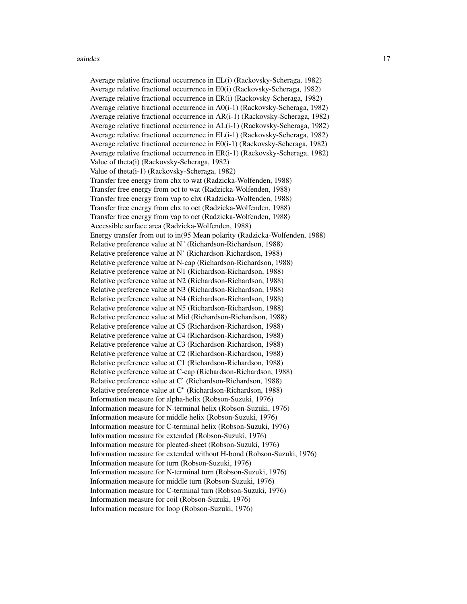#### aaindex 17

Average relative fractional occurrence in EL(i) (Rackovsky-Scheraga, 1982) Average relative fractional occurrence in E0(i) (Rackovsky-Scheraga, 1982) Average relative fractional occurrence in ER(i) (Rackovsky-Scheraga, 1982) Average relative fractional occurrence in A0(i-1) (Rackovsky-Scheraga, 1982) Average relative fractional occurrence in AR(i-1) (Rackovsky-Scheraga, 1982) Average relative fractional occurrence in AL(i-1) (Rackovsky-Scheraga, 1982) Average relative fractional occurrence in EL(i-1) (Rackovsky-Scheraga, 1982) Average relative fractional occurrence in E0(i-1) (Rackovsky-Scheraga, 1982) Average relative fractional occurrence in ER(i-1) (Rackovsky-Scheraga, 1982) Value of theta(i) (Rackovsky-Scheraga, 1982) Value of theta(i-1) (Rackovsky-Scheraga, 1982) Transfer free energy from chx to wat (Radzicka-Wolfenden, 1988) Transfer free energy from oct to wat (Radzicka-Wolfenden, 1988) Transfer free energy from vap to chx (Radzicka-Wolfenden, 1988) Transfer free energy from chx to oct (Radzicka-Wolfenden, 1988) Transfer free energy from vap to oct (Radzicka-Wolfenden, 1988) Accessible surface area (Radzicka-Wolfenden, 1988) Energy transfer from out to in(95 Mean polarity (Radzicka-Wolfenden, 1988) Relative preference value at N" (Richardson-Richardson, 1988) Relative preference value at N' (Richardson-Richardson, 1988) Relative preference value at N-cap (Richardson-Richardson, 1988) Relative preference value at N1 (Richardson-Richardson, 1988) Relative preference value at N2 (Richardson-Richardson, 1988) Relative preference value at N3 (Richardson-Richardson, 1988) Relative preference value at N4 (Richardson-Richardson, 1988) Relative preference value at N5 (Richardson-Richardson, 1988) Relative preference value at Mid (Richardson-Richardson, 1988) Relative preference value at C5 (Richardson-Richardson, 1988) Relative preference value at C4 (Richardson-Richardson, 1988) Relative preference value at C3 (Richardson-Richardson, 1988) Relative preference value at C2 (Richardson-Richardson, 1988) Relative preference value at C1 (Richardson-Richardson, 1988) Relative preference value at C-cap (Richardson-Richardson, 1988) Relative preference value at C' (Richardson-Richardson, 1988) Relative preference value at C" (Richardson-Richardson, 1988) Information measure for alpha-helix (Robson-Suzuki, 1976) Information measure for N-terminal helix (Robson-Suzuki, 1976) Information measure for middle helix (Robson-Suzuki, 1976) Information measure for C-terminal helix (Robson-Suzuki, 1976) Information measure for extended (Robson-Suzuki, 1976) Information measure for pleated-sheet (Robson-Suzuki, 1976) Information measure for extended without H-bond (Robson-Suzuki, 1976) Information measure for turn (Robson-Suzuki, 1976) Information measure for N-terminal turn (Robson-Suzuki, 1976) Information measure for middle turn (Robson-Suzuki, 1976) Information measure for C-terminal turn (Robson-Suzuki, 1976) Information measure for coil (Robson-Suzuki, 1976) Information measure for loop (Robson-Suzuki, 1976)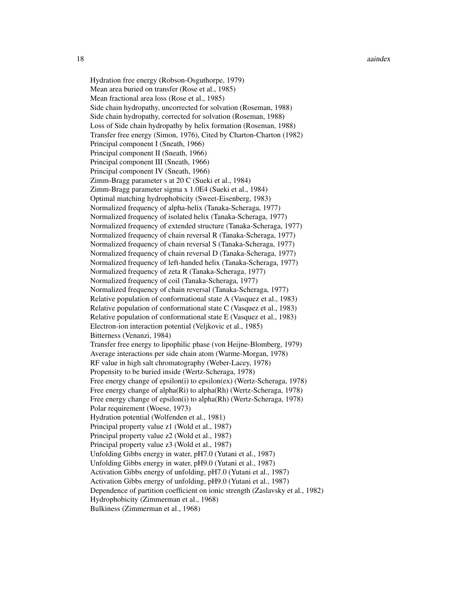18 aaindex aan de gewone van de gewone van de gewone van de gewone van de gewone van de gewone van de gewone v

Hydration free energy (Robson-Osguthorpe, 1979) Mean area buried on transfer (Rose et al., 1985) Mean fractional area loss (Rose et al., 1985) Side chain hydropathy, uncorrected for solvation (Roseman, 1988) Side chain hydropathy, corrected for solvation (Roseman, 1988) Loss of Side chain hydropathy by helix formation (Roseman, 1988) Transfer free energy (Simon, 1976), Cited by Charton-Charton (1982) Principal component I (Sneath, 1966) Principal component II (Sneath, 1966) Principal component III (Sneath, 1966) Principal component IV (Sneath, 1966) Zimm-Bragg parameter s at 20 C (Sueki et al., 1984) Zimm-Bragg parameter sigma x 1.0E4 (Sueki et al., 1984) Optimal matching hydrophobicity (Sweet-Eisenberg, 1983) Normalized frequency of alpha-helix (Tanaka-Scheraga, 1977) Normalized frequency of isolated helix (Tanaka-Scheraga, 1977) Normalized frequency of extended structure (Tanaka-Scheraga, 1977) Normalized frequency of chain reversal R (Tanaka-Scheraga, 1977) Normalized frequency of chain reversal S (Tanaka-Scheraga, 1977) Normalized frequency of chain reversal D (Tanaka-Scheraga, 1977) Normalized frequency of left-handed helix (Tanaka-Scheraga, 1977) Normalized frequency of zeta R (Tanaka-Scheraga, 1977) Normalized frequency of coil (Tanaka-Scheraga, 1977) Normalized frequency of chain reversal (Tanaka-Scheraga, 1977) Relative population of conformational state A (Vasquez et al., 1983) Relative population of conformational state C (Vasquez et al., 1983) Relative population of conformational state E (Vasquez et al., 1983) Electron-ion interaction potential (Veljkovic et al., 1985) Bitterness (Venanzi, 1984) Transfer free energy to lipophilic phase (von Heijne-Blomberg, 1979) Average interactions per side chain atom (Warme-Morgan, 1978) RF value in high salt chromatography (Weber-Lacey, 1978) Propensity to be buried inside (Wertz-Scheraga, 1978) Free energy change of epsilon(i) to epsilon(ex) (Wertz-Scheraga, 1978) Free energy change of alpha(Ri) to alpha(Rh) (Wertz-Scheraga, 1978) Free energy change of epsilon(i) to alpha(Rh) (Wertz-Scheraga, 1978) Polar requirement (Woese, 1973) Hydration potential (Wolfenden et al., 1981) Principal property value z1 (Wold et al., 1987) Principal property value z2 (Wold et al., 1987) Principal property value z3 (Wold et al., 1987) Unfolding Gibbs energy in water, pH7.0 (Yutani et al., 1987) Unfolding Gibbs energy in water, pH9.0 (Yutani et al., 1987) Activation Gibbs energy of unfolding, pH7.0 (Yutani et al., 1987) Activation Gibbs energy of unfolding, pH9.0 (Yutani et al., 1987) Dependence of partition coefficient on ionic strength (Zaslavsky et al., 1982) Hydrophobicity (Zimmerman et al., 1968) Bulkiness (Zimmerman et al., 1968)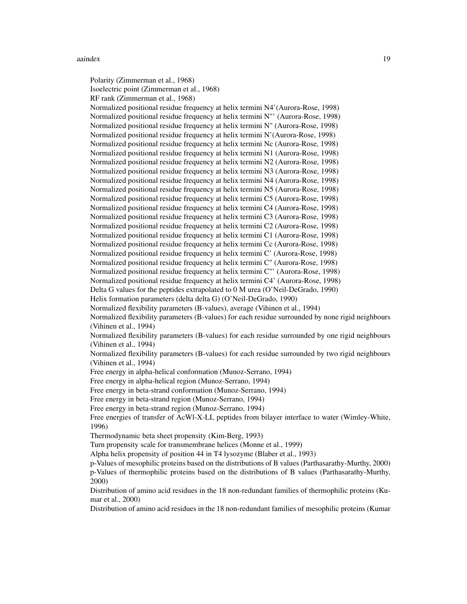#### aaindex 19

Polarity (Zimmerman et al., 1968) Isoelectric point (Zimmerman et al., 1968) RF rank (Zimmerman et al., 1968) Normalized positional residue frequency at helix termini N4'(Aurora-Rose, 1998) Normalized positional residue frequency at helix termini N"' (Aurora-Rose, 1998) Normalized positional residue frequency at helix termini N" (Aurora-Rose, 1998) Normalized positional residue frequency at helix termini N'(Aurora-Rose, 1998) Normalized positional residue frequency at helix termini Nc (Aurora-Rose, 1998) Normalized positional residue frequency at helix termini N1 (Aurora-Rose, 1998) Normalized positional residue frequency at helix termini N2 (Aurora-Rose, 1998) Normalized positional residue frequency at helix termini N3 (Aurora-Rose, 1998) Normalized positional residue frequency at helix termini N4 (Aurora-Rose, 1998) Normalized positional residue frequency at helix termini N5 (Aurora-Rose, 1998) Normalized positional residue frequency at helix termini C5 (Aurora-Rose, 1998) Normalized positional residue frequency at helix termini C4 (Aurora-Rose, 1998) Normalized positional residue frequency at helix termini C3 (Aurora-Rose, 1998) Normalized positional residue frequency at helix termini C2 (Aurora-Rose, 1998) Normalized positional residue frequency at helix termini C1 (Aurora-Rose, 1998) Normalized positional residue frequency at helix termini Cc (Aurora-Rose, 1998) Normalized positional residue frequency at helix termini C' (Aurora-Rose, 1998) Normalized positional residue frequency at helix termini C" (Aurora-Rose, 1998) Normalized positional residue frequency at helix termini C"' (Aurora-Rose, 1998) Normalized positional residue frequency at helix termini C4' (Aurora-Rose, 1998) Delta G values for the peptides extrapolated to 0 M urea (O'Neil-DeGrado, 1990) Helix formation parameters (delta delta G) (O'Neil-DeGrado, 1990) Normalized flexibility parameters (B-values), average (Vihinen et al., 1994) Normalized flexibility parameters (B-values) for each residue surrounded by none rigid neighbours (Vihinen et al., 1994) Normalized flexibility parameters (B-values) for each residue surrounded by one rigid neighbours (Vihinen et al., 1994) Normalized flexibility parameters (B-values) for each residue surrounded by two rigid neighbours (Vihinen et al., 1994) Free energy in alpha-helical conformation (Munoz-Serrano, 1994) Free energy in alpha-helical region (Munoz-Serrano, 1994) Free energy in beta-strand conformation (Munoz-Serrano, 1994) Free energy in beta-strand region (Munoz-Serrano, 1994) Free energy in beta-strand region (Munoz-Serrano, 1994) Free energies of transfer of AcWl-X-LL peptides from bilayer interface to water (Wimley-White, 1996) Thermodynamic beta sheet propensity (Kim-Berg, 1993) Turn propensity scale for transmembrane helices (Monne et al., 1999) Alpha helix propensity of position 44 in T4 lysozyme (Blaber et al., 1993) p-Values of mesophilic proteins based on the distributions of B values (Parthasarathy-Murthy, 2000) p-Values of thermophilic proteins based on the distributions of B values (Parthasarathy-Murthy, 2000) Distribution of amino acid residues in the 18 non-redundant families of thermophilic proteins (Kumar et al., 2000) Distribution of amino acid residues in the 18 non-redundant families of mesophilic proteins (Kumar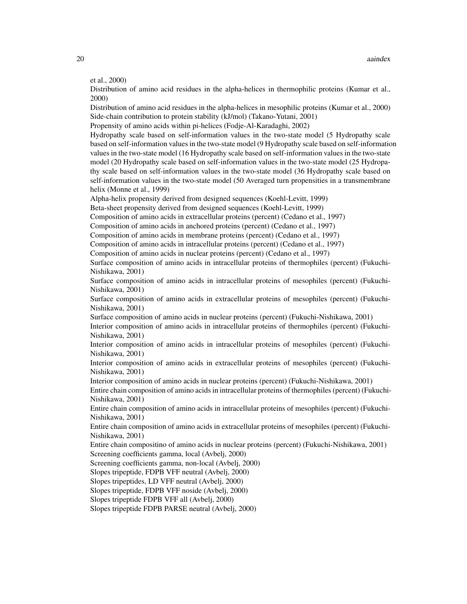et al., 2000)

Distribution of amino acid residues in the alpha-helices in thermophilic proteins (Kumar et al., 2000)

Distribution of amino acid residues in the alpha-helices in mesophilic proteins (Kumar et al., 2000) Side-chain contribution to protein stability (kJ/mol) (Takano-Yutani, 2001)

Propensity of amino acids within pi-helices (Fodje-Al-Karadaghi, 2002)

Hydropathy scale based on self-information values in the two-state model (5 Hydropathy scale based on self-information values in the two-state model (9 Hydropathy scale based on self-information values in the two-state model (16 Hydropathy scale based on self-information values in the two-state model (20 Hydropathy scale based on self-information values in the two-state model (25 Hydropathy scale based on self-information values in the two-state model (36 Hydropathy scale based on self-information values in the two-state model (50 Averaged turn propensities in a transmembrane helix (Monne et al., 1999)

Alpha-helix propensity derived from designed sequences (Koehl-Levitt, 1999)

Beta-sheet propensity derived from designed sequences (Koehl-Levitt, 1999)

Composition of amino acids in extracellular proteins (percent) (Cedano et al., 1997)

Composition of amino acids in anchored proteins (percent) (Cedano et al., 1997)

Composition of amino acids in membrane proteins (percent) (Cedano et al., 1997)

Composition of amino acids in intracellular proteins (percent) (Cedano et al., 1997)

Composition of amino acids in nuclear proteins (percent) (Cedano et al., 1997)

Surface composition of amino acids in intracellular proteins of thermophiles (percent) (Fukuchi-Nishikawa, 2001)

Surface composition of amino acids in intracellular proteins of mesophiles (percent) (Fukuchi-Nishikawa, 2001)

Surface composition of amino acids in extracellular proteins of mesophiles (percent) (Fukuchi-Nishikawa, 2001)

Surface composition of amino acids in nuclear proteins (percent) (Fukuchi-Nishikawa, 2001)

Interior composition of amino acids in intracellular proteins of thermophiles (percent) (Fukuchi-Nishikawa, 2001)

Interior composition of amino acids in intracellular proteins of mesophiles (percent) (Fukuchi-Nishikawa, 2001)

Interior composition of amino acids in extracellular proteins of mesophiles (percent) (Fukuchi-Nishikawa, 2001)

Interior composition of amino acids in nuclear proteins (percent) (Fukuchi-Nishikawa, 2001)

Entire chain composition of amino acids in intracellular proteins of thermophiles (percent) (Fukuchi-Nishikawa, 2001)

Entire chain composition of amino acids in intracellular proteins of mesophiles (percent) (Fukuchi-Nishikawa, 2001)

Entire chain composition of amino acids in extracellular proteins of mesophiles (percent) (Fukuchi-Nishikawa, 2001)

Entire chain compositino of amino acids in nuclear proteins (percent) (Fukuchi-Nishikawa, 2001) Screening coefficients gamma, local (Avbelj, 2000)

Screening coefficients gamma, non-local (Avbelj, 2000)

Slopes tripeptide, FDPB VFF neutral (Avbelj, 2000)

Slopes tripeptides, LD VFF neutral (Avbelj, 2000)

Slopes tripeptide, FDPB VFF noside (Avbelj, 2000)

Slopes tripeptide FDPB VFF all (Avbelj, 2000)

Slopes tripeptide FDPB PARSE neutral (Avbelj, 2000)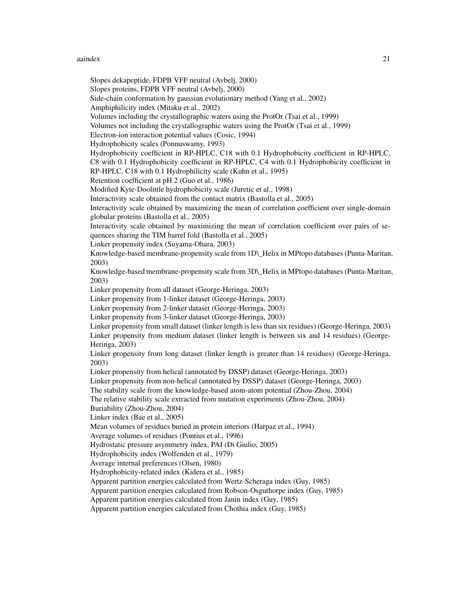#### aaindex 21

Slopes dekapeptide, FDPB VFF neutral (Avbelj, 2000) Slopes proteins, FDPB VFF neutral (Avbelj, 2000) Side-chain conformation by gaussian evolutionary method (Yang et al., 2002) Amphiphilicity index (Mitaku et al., 2002) Volumes including the crystallographic waters using the ProtOr (Tsai et al., 1999) Volumes not including the crystallographic waters using the ProtOr (Tsai et al., 1999) Electron-ion interaction potential values (Cosic, 1994) Hydrophobicity scales (Ponnuswamy, 1993) Hydrophobicity coefficient in RP-HPLC, C18 with 0.1 Hydrophobicity coefficient in RP-HPLC, C8 with 0.1 Hydrophobicity coefficient in RP-HPLC, C4 with 0.1 Hydrophobicity coefficient in RP-HPLC, C18 with 0.1 Hydrophilicity scale (Kuhn et al., 1995) Retention coefficient at pH 2 (Guo et al., 1986) Modified Kyte-Doolittle hydrophobicity scale (Juretic et al., 1998) Interactivity scale obtained from the contact matrix (Bastolla et al., 2005) Interactivity scale obtained by maximizing the mean of correlation coefficient over single-domain globular proteins (Bastolla et al., 2005) Interactivity scale obtained by maximizing the mean of correlation coefficient over pairs of sequences sharing the TIM barrel fold (Bastolla et al., 2005) Linker propensity index (Suyama-Ohara, 2003) Knowledge-based membrane-propensity scale from 1D\ Helix in MPtopo databases (Punta-Maritan, 2003) Knowledge-based membrane-propensity scale from 3D\\_Helix in MPtopo databases (Punta-Maritan, 2003) Linker propensity from all dataset (George-Heringa, 2003) Linker propensity from 1-linker dataset (George-Heringa, 2003) Linker propensity from 2-linker dataset (George-Heringa, 2003) Linker propensity from 3-linker dataset (George-Heringa, 2003) Linker propensity from small dataset (linker length is less than six residues) (George-Heringa, 2003) Linker propensity from medium dataset (linker length is between six and 14 residues) (George-Heringa, 2003) Linker propensity from long dataset (linker length is greater than 14 residues) (George-Heringa, 2003) Linker propensity from helical (annotated by DSSP) dataset (George-Heringa, 2003) Linker propensity from non-helical (annotated by DSSP) dataset (George-Heringa, 2003) The stability scale from the knowledge-based atom-atom potential (Zhou-Zhou, 2004) The relative stability scale extracted from mutation experiments (Zhou-Zhou, 2004) Buriability (Zhou-Zhou, 2004) Linker index (Bae et al., 2005) Mean volumes of residues buried in protein interiors (Harpaz et al., 1994) Average volumes of residues (Pontius et al., 1996) Hydrostatic pressure asymmetry index, PAI (Di Giulio, 2005) Hydrophobicity index (Wolfenden et al., 1979) Average internal preferences (Olsen, 1980) Hydrophobicity-related index (Kidera et al., 1985) Apparent partition energies calculated from Wertz-Scheraga index (Guy, 1985) Apparent partition energies calculated from Robson-Osguthorpe index (Guy, 1985) Apparent partition energies calculated from Janin index (Guy, 1985) Apparent partition energies calculated from Chothia index (Guy, 1985)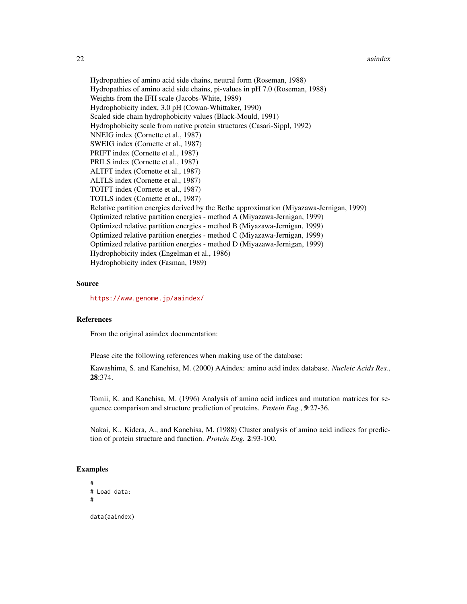#### 22 aaindex aandex aandex aandex aandex aandex aandex aandex aandex aandex aandex aandex aandex aandex aandex a

Hydropathies of amino acid side chains, neutral form (Roseman, 1988) Hydropathies of amino acid side chains, pi-values in pH 7.0 (Roseman, 1988) Weights from the IFH scale (Jacobs-White, 1989) Hydrophobicity index, 3.0 pH (Cowan-Whittaker, 1990) Scaled side chain hydrophobicity values (Black-Mould, 1991) Hydrophobicity scale from native protein structures (Casari-Sippl, 1992) NNEIG index (Cornette et al., 1987) SWEIG index (Cornette et al., 1987) PRIFT index (Cornette et al., 1987) PRILS index (Cornette et al., 1987) ALTFT index (Cornette et al., 1987) ALTLS index (Cornette et al., 1987) TOTFT index (Cornette et al., 1987) TOTLS index (Cornette et al., 1987) Relative partition energies derived by the Bethe approximation (Miyazawa-Jernigan, 1999) Optimized relative partition energies - method A (Miyazawa-Jernigan, 1999) Optimized relative partition energies - method B (Miyazawa-Jernigan, 1999) Optimized relative partition energies - method C (Miyazawa-Jernigan, 1999) Optimized relative partition energies - method D (Miyazawa-Jernigan, 1999) Hydrophobicity index (Engelman et al., 1986) Hydrophobicity index (Fasman, 1989)

#### Source

<https://www.genome.jp/aaindex/>

## References

From the original aaindex documentation:

Please cite the following references when making use of the database:

Kawashima, S. and Kanehisa, M. (2000) AAindex: amino acid index database. *Nucleic Acids Res.*, 28:374.

Tomii, K. and Kanehisa, M. (1996) Analysis of amino acid indices and mutation matrices for sequence comparison and structure prediction of proteins. *Protein Eng.*, 9:27-36.

Nakai, K., Kidera, A., and Kanehisa, M. (1988) Cluster analysis of amino acid indices for prediction of protein structure and function. *Protein Eng.* 2:93-100.

#### Examples

```
#
# Load data:
#
data(aaindex)
```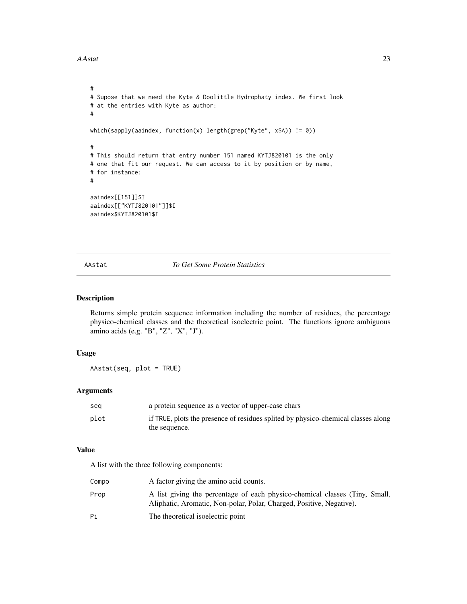```
#
# Supose that we need the Kyte & Doolittle Hydrophaty index. We first look
# at the entries with Kyte as author:
#
which(sapply(aaindex, function(x) length(grep("Kyte", x$A)) != 0))
#
# This should return that entry number 151 named KYTJ820101 is the only
# one that fit our request. We can access to it by position or by name,
# for instance:
#
aaindex[[151]]$I
aaindex[["KYTJ820101"]]$I
aaindex$KYTJ820101$I
```
AAstat *To Get Some Protein Statistics*

# Description

Returns simple protein sequence information including the number of residues, the percentage physico-chemical classes and the theoretical isoelectric point. The functions ignore ambiguous amino acids (e.g. "B", "Z", "X", "J").

# Usage

AAstat(seq, plot = TRUE)

## Arguments

| sea  | a protein sequence as a vector of upper-case chars                                |
|------|-----------------------------------------------------------------------------------|
| plot | if TRUE, plots the presence of residues splited by physico-chemical classes along |
|      | the sequence.                                                                     |

## Value

A list with the three following components:

| Compo | A factor giving the amino acid counts.                                                                                                              |
|-------|-----------------------------------------------------------------------------------------------------------------------------------------------------|
| Prop  | A list giving the percentage of each physico-chemical classes (Tiny, Small,<br>Aliphatic, Aromatic, Non-polar, Polar, Charged, Positive, Negative). |
| Рi    | The theoretical isoelectric point                                                                                                                   |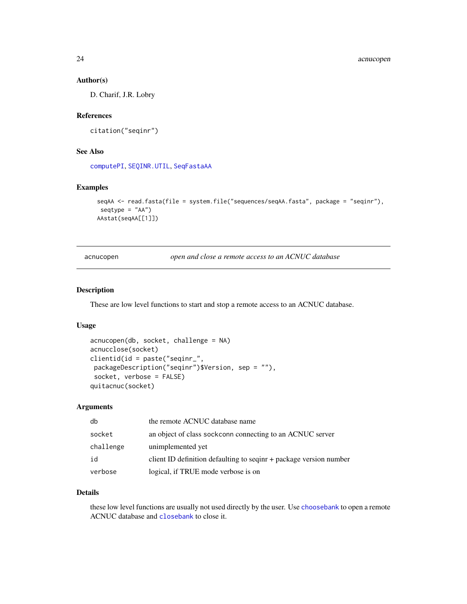# Author(s)

D. Charif, J.R. Lobry

# References

citation("seqinr")

# See Also

[computePI](#page-48-1), [SEQINR.UTIL](#page-186-1), [SeqFastaAA](#page-183-1)

## Examples

```
seqAA <- read.fasta(file = system.file("sequences/seqAA.fasta", package = "seqinr"),
seqtype = "AA")
AAstat(seqAA[[1]])
```
acnucopen *open and close a remote access to an ACNUC database*

# Description

These are low level functions to start and stop a remote access to an ACNUC database.

#### Usage

```
acnucopen(db, socket, challenge = NA)
acnucclose(socket)
clientid(id = paste("seqinr_",
packageDescription("seqinr")$Version, sep = ""),
socket, verbose = FALSE)
quitacnuc(socket)
```
# Arguments

| db        | the remote ACNUC database name                                     |
|-----------|--------------------------------------------------------------------|
| socket    | an object of class sockconn connecting to an ACNUC server          |
| challenge | unimplemented yet                                                  |
| id        | client ID definition defaulting to seqinr + package version number |
| verbose   | logical, if TRUE mode verbose is on                                |

## Details

these low level functions are usually not used directly by the user. Use [choosebank](#page-41-1) to open a remote ACNUC database and [closebank](#page-44-1) to close it.

<span id="page-23-0"></span>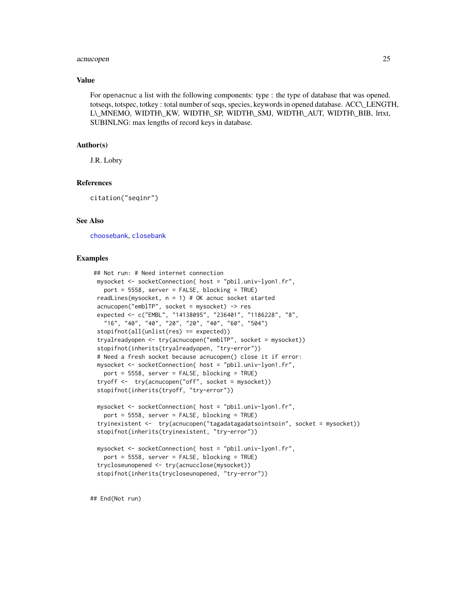#### acnucopen 25

## Value

For openacnuc a list with the following components: type : the type of database that was opened. totseqs, totspec, totkey : total number of seqs, species, keywords in opened database. ACC\\_LENGTH, L\\_MNEMO, WIDTH\\_KW, WIDTH\\_SP, WIDTH\\_SMJ, WIDTH\\_AUT, WIDTH\\_BIB, lrtxt, SUBINLNG: max lengths of record keys in database.

## Author(s)

J.R. Lobry

#### References

citation("seqinr")

## See Also

[choosebank](#page-41-1), [closebank](#page-44-1)

## Examples

```
## Not run: # Need internet connection
mysocket <- socketConnection( host = "pbil.univ-lyon1.fr",
  port = 5558, server = FALSE, blocking = TRUE)
readLines(mysocket, n = 1) # OK acnuc socket started
acnucopen("emblTP", socket = mysocket) -> res
expected <- c("EMBL", "14138095", "236401", "1186228", "8",
   "16", "40", "40", "20", "20", "40", "60", "504")
stopifnot(all(unlist(res) == expected))
tryalreadyopen <- try(acnucopen("emblTP", socket = mysocket))
stopifnot(inherits(tryalreadyopen, "try-error"))
# Need a fresh socket because acnucopen() close it if error:
mysocket <- socketConnection( host = "pbil.univ-lyon1.fr",
  port = 5558, server = FALSE, blocking = TRUE)
tryoff <- try(acnucopen("off", socket = mysocket))
 stopifnot(inherits(tryoff, "try-error"))
mysocket <- socketConnection( host = "pbil.univ-lyon1.fr",
  port = 5558, server = FALSE, blocking = TRUE)
tryinexistent <- try(acnucopen("tagadatagadatsointsoin", socket = mysocket))
stopifnot(inherits(tryinexistent, "try-error"))
mysocket <- socketConnection( host = "pbil.univ-lyon1.fr",
  port = 5558, server = FALSE, blocking = TRUE)
 trycloseunopened <- try(acnucclose(mysocket))
stopifnot(inherits(trycloseunopened, "try-error"))
```
## End(Not run)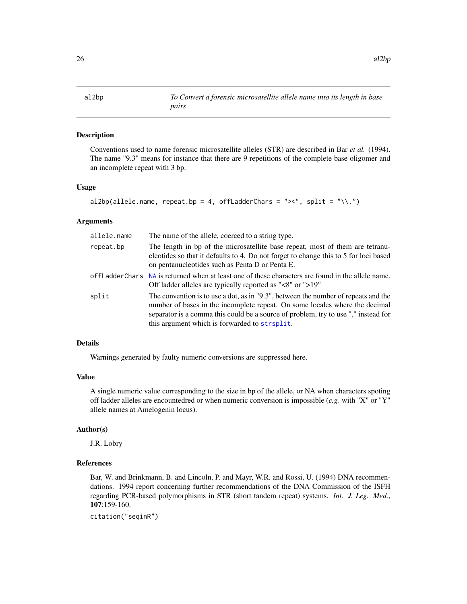<span id="page-25-0"></span>

## Description

Conventions used to name forensic microsatellite alleles (STR) are described in Bar *et al.* (1994). The name "9.3" means for instance that there are 9 repetitions of the complete base oligomer and an incomplete repeat with 3 bp.

### Usage

```
al2bp(allele.name, repeat.bp = 4, offLadderChars = "\times", split = "\\.")
```
## Arguments

| allele.name | The name of the allele, coerced to a string type.                                                                                                                                                                                                                                                        |
|-------------|----------------------------------------------------------------------------------------------------------------------------------------------------------------------------------------------------------------------------------------------------------------------------------------------------------|
| repeat.bp   | The length in bp of the microsatellite base repeat, most of them are tetranu-<br>cleotides so that it defaults to 4. Do not forget to change this to 5 for loci based<br>on pentanucleotides such as Penta D or Penta E.                                                                                 |
|             | offLadderChars NA is returned when at least one of these characters are found in the allele name.<br>Off ladder alleles are typically reported as "<8" or ">19"                                                                                                                                          |
| split       | The convention is to use a dot, as in "9.3", between the number of repeats and the<br>number of bases in the incomplete repeat. On some locales where the decimal<br>separator is a comma this could be a source of problem, try to use "," instead for<br>this argument which is forwarded to strsplit. |

# Details

Warnings generated by faulty numeric conversions are suppressed here.

## Value

A single numeric value corresponding to the size in bp of the allele, or NA when characters spoting off ladder alleles are encountedred or when numeric conversion is impossible (*e.g.* with "X" or "Y" allele names at Amelogenin locus).

#### Author(s)

J.R. Lobry

## References

Bar, W. and Brinkmann, B. and Lincoln, P. and Mayr, W.R. and Rossi, U. (1994) DNA recommendations. 1994 report concerning further recommendations of the DNA Commission of the ISFH regarding PCR-based polymorphisms in STR (short tandem repeat) systems. *Int. J. Leg. Med.*, 107:159-160.

citation("seqinR")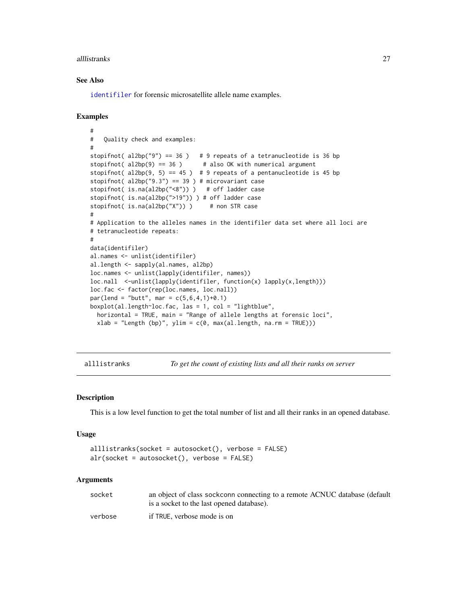#### <span id="page-26-0"></span>alllistranks 27

## See Also

[identifiler](#page-114-1) for forensic microsatellite allele name examples.

#### Examples

```
#
# Quality check and examples:
#
stopifnot( al2bp("9") == 36 ) # 9 repeats of a tetranucleotide is 36 bp
stopifnot(al2bp(9) == 36) # also OK with numerical argument
stopifnot( al2bp(9, 5) == 45 ) # 9 repeats of a pentanucleotide is 45 bp
stopifnot( al2bp("9.3") == 39 ) # microvariant case
stopifnot( is.na(al2bp("<8")) ) # off ladder case
stopifnot( is.na(al2bp(">19")) ) # off ladder case
stopifnot( is.na(al2bp("X")) ) # non STR case
#
# Application to the alleles names in the identifiler data set where all loci are
# tetranucleotide repeats:
#
data(identifiler)
al.names <- unlist(identifiler)
al.length <- sapply(al.names, al2bp)
loc.names <- unlist(lapply(identifiler, names))
loc.nall <-unlist(lapply(identifiler, function(x) lapply(x,length)))
loc.fac <- factor(rep(loc.names, loc.nall))
par(lend = "butt", mar = c(5, 6, 4, 1)+0.1)boxplot(al.length~loc.fac, las = 1, col = "lightblue",
  horizontal = TRUE, main = "Range of allele lengths at forensic loci",
  xlab = "Length (bp)", ylim = c(0, max(al.length, na.rm = TRUE)))
```
alllistranks *To get the count of existing lists and all their ranks on server*

#### Description

This is a low level function to get the total number of list and all their ranks in an opened database.

#### Usage

```
alllistranks(socket = autosocket(), verbose = FALSE)
alr(socket = autosocket(), verbose = FALSE)
```
### Arguments

| socket  | an object of class sockconn connecting to a remote ACNUC database (default |
|---------|----------------------------------------------------------------------------|
|         | is a socket to the last opened database).                                  |
| verbose | if TRUE, verbose mode is on                                                |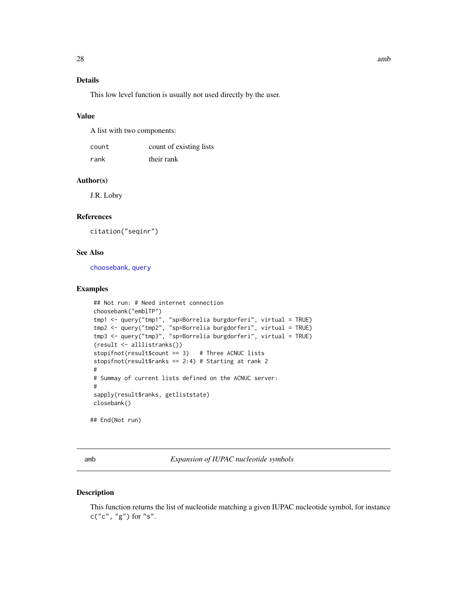# <span id="page-27-0"></span>Details

This low level function is usually not used directly by the user.

## Value

A list with two components:

| count | count of existing lists |
|-------|-------------------------|
| rank  | their rank              |

## Author(s)

J.R. Lobry

# References

citation("seqinr")

## See Also

[choosebank](#page-41-1), [query](#page-153-1)

# Examples

```
## Not run: # Need internet connection
choosebank("emblTP")
tmp1 <- query("tmp1", "sp=Borrelia burgdorferi", virtual = TRUE)
tmp2 <- query("tmp2", "sp=Borrelia burgdorferi", virtual = TRUE)
tmp3 <- query("tmp3", "sp=Borrelia burgdorferi", virtual = TRUE)
(result <- alllistranks())
stopifnot(result$count == 3) # Three ACNUC lists
stopifnot(result$ranks == 2:4) # Starting at rank 2
#
# Summay of current lists defined on the ACNUC server:
#
sapply(result$ranks, getliststate)
closebank()
```
## End(Not run)

<span id="page-27-1"></span>amb *Expansion of IUPAC nucleotide symbols*

#### Description

This function returns the list of nucleotide matching a given IUPAC nucleotide symbol, for instance  $c("c", "g")$  for "s".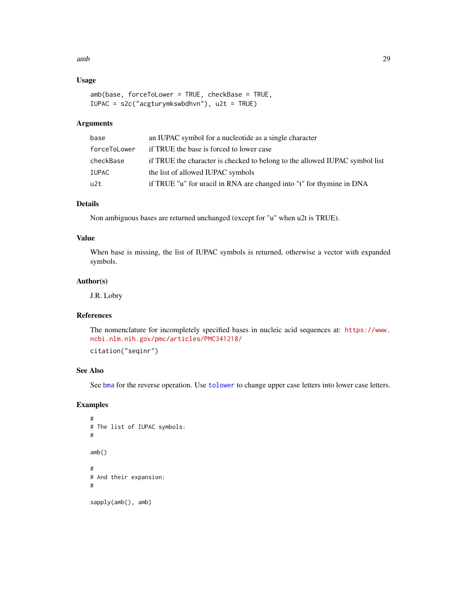#### amb 29

# Usage

```
amb(base, forceToLower = TRUE, checkBase = TRUE,
IUPAC = s2c("acgturymkswbdhvn"), u2t = TRUE)
```
# Arguments

| base         | an IUPAC symbol for a nucleotide as a single character                      |
|--------------|-----------------------------------------------------------------------------|
| forceToLower | if TRUE the base is forced to lower case                                    |
| checkBase    | if TRUE the character is checked to belong to the allowed IUPAC symbol list |
| IUPAC        | the list of allowed IUPAC symbols                                           |
| u2t          | if TRUE "u" for uracil in RNA are changed into "t" for thymine in DNA       |

# Details

Non ambiguous bases are returned unchanged (except for "u" when u2t is TRUE).

## Value

When base is missing, the list of IUPAC symbols is returned, otherwise a vector with expanded symbols.

# Author(s)

J.R. Lobry

## References

The nomenclature for incompletely specified bases in nucleic acid sequences at: [https://www.](https://www.ncbi.nlm.nih.gov/pmc/articles/PMC341218/) [ncbi.nlm.nih.gov/pmc/articles/PMC341218/](https://www.ncbi.nlm.nih.gov/pmc/articles/PMC341218/)

citation("seqinr")

## See Also

See [bma](#page-33-1) for the reverse operation. Use [tolower](#page-0-0) to change upper case letters into lower case letters.

## Examples

```
#
# The list of IUPAC symbols:
#
amb()
#
# And their expansion:
#
sapply(amb(), amb)
```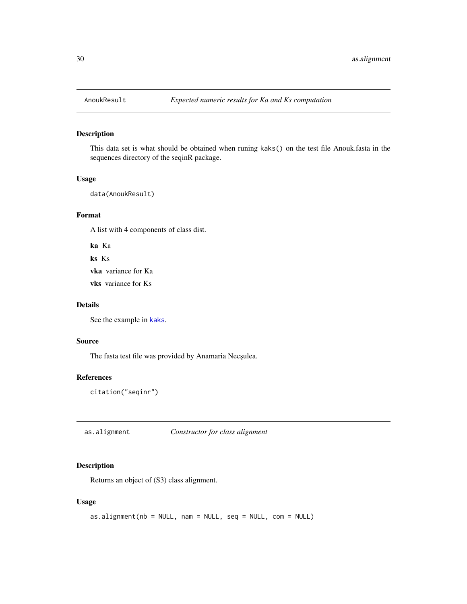<span id="page-29-0"></span>

# Description

This data set is what should be obtained when runing kaks() on the test file Anouk.fasta in the sequences directory of the seqinR package.

#### Usage

data(AnoukResult)

## Format

A list with 4 components of class dist.

ka Ka ks Ks

vka variance for Ka

vks variance for Ks

## Details

See the example in [kaks](#page-117-1).

## Source

The fasta test file was provided by Anamaria Necşulea.

# References

citation("seqinr")

as.alignment *Constructor for class alignment*

# Description

Returns an object of (S3) class alignment.

## Usage

```
as.alignment(nb = NULL, nam = NULL, seq = NULL, com = NULL)
```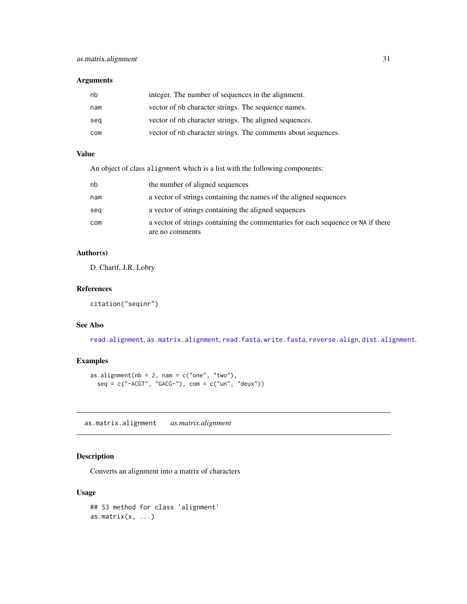## <span id="page-30-0"></span>Arguments

| nb  | integer. The number of sequences in the alignment.            |
|-----|---------------------------------------------------------------|
| nam | vector of nb character strings. The sequence names.           |
| seg | vector of nb character strings. The aligned sequences.        |
| com | vector of nb character strings. The comments about sequences. |

# Value

An object of class alignment which is a list with the following components:

| nb  | the number of aligned sequences                                                                     |
|-----|-----------------------------------------------------------------------------------------------------|
| nam | a vector of strings containing the names of the aligned sequences                                   |
| seg | a vector of strings containing the aligned sequences                                                |
| com | a vector of strings containing the commentaries for each sequence or NA if there<br>are no comments |

# Author(s)

D. Charif, J.R. Lobry

# References

citation("seqinr")

# See Also

[read.alignment](#page-158-1), [as.matrix.alignment](#page-30-1), [read.fasta](#page-161-1), [write.fasta](#page-217-1), [reverse.align](#page-175-1), [dist.alignment](#page-63-1).

# Examples

```
as.alignment(nb = 2, nam = c("one", "two"),
  seq = c("-ACGT", "GACG-"), com = c("un", "deux"))
```
<span id="page-30-1"></span>as.matrix.alignment *as.matrix.alignment*

# Description

Converts an alignment into a matrix of characters

#### Usage

```
## S3 method for class 'alignment'
as.matrix(x, \ldots)
```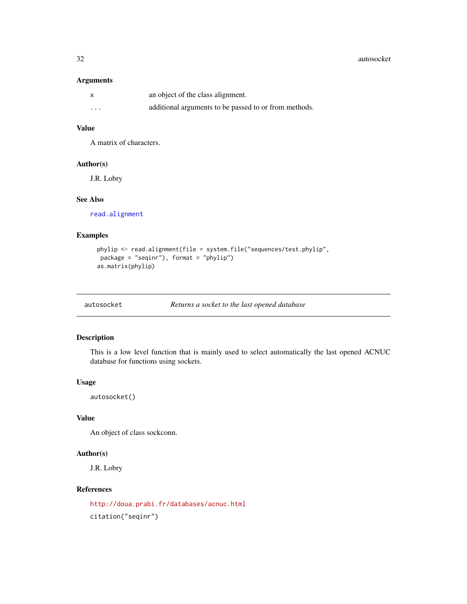32 autosocket autosocket autosocket autosocket autosocket autosocket autosocket autosocket autosocket autosocket autosocket autosocket autosocket autosocket autosocket autosocket autosocket autosocket autosocket autosocket

## Arguments

|          | an object of the class alignment.                     |
|----------|-------------------------------------------------------|
| $\cdots$ | additional arguments to be passed to or from methods. |

## Value

A matrix of characters.

## Author(s)

J.R. Lobry

# See Also

[read.alignment](#page-158-1)

# Examples

```
phylip <- read.alignment(file = system.file("sequences/test.phylip",
package = "seqinr"), format = "phylip")
as.matrix(phylip)
```
# Description

This is a low level function that is mainly used to select automatically the last opened ACNUC database for functions using sockets.

# Usage

autosocket()

# Value

An object of class sockconn.

## Author(s)

J.R. Lobry

# References

<http://doua.prabi.fr/databases/acnuc.html> citation("seqinr")

<span id="page-31-0"></span>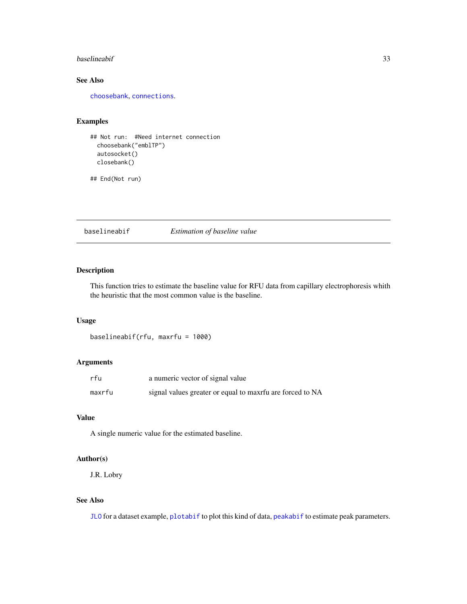#### <span id="page-32-0"></span>baselineabif 33

# See Also

[choosebank](#page-41-1), [connections](#page-0-0).

# Examples

```
## Not run: #Need internet connection
 choosebank("emblTP")
 autosocket()
 closebank()
```
## End(Not run)

baselineabif *Estimation of baseline value*

## Description

This function tries to estimate the baseline value for RFU data from capillary electrophoresis whith the heuristic that the most common value is the baseline.

## Usage

baselineabif(rfu, maxrfu = 1000)

## Arguments

| rfu    | a numeric vector of signal value                          |
|--------|-----------------------------------------------------------|
| maxrfu | signal values greater or equal to maxrfu are forced to NA |

# Value

A single numeric value for the estimated baseline.

#### Author(s)

J.R. Lobry

# See Also

[JLO](#page-116-1) for a dataset example, [plotabif](#page-141-1) to plot this kind of data, [peakabif](#page-135-1) to estimate peak parameters.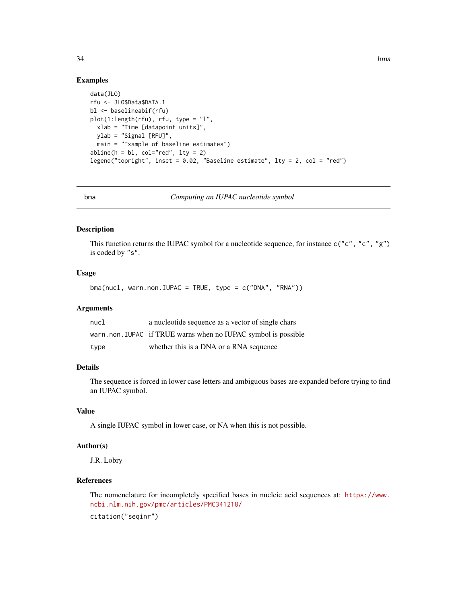## Examples

```
data(JLO)
rfu <- JLO$Data$DATA.1
bl <- baselineabif(rfu)
plot(1:length(rfu), rfu, type = "l",
  xlab = "Time [datapoint units]",
  ylab = "Signal [RFU]",
  main = "Example of baseline estimates")
abline(h = bl, col="red", lty = 2)legend("topright", inset = 0.02, "Baseline estimate", lty = 2, col = "red")
```
<span id="page-33-1"></span>bma *Computing an IUPAC nucleotide symbol*

## Description

This function returns the IUPAC symbol for a nucleotide sequence, for instance  $c("c", "c", "g")$ is coded by "s".

## Usage

 $b$ ma(nucl, warn.non.IUPAC = TRUE, type = c("DNA", "RNA"))

## Arguments

| nucl | a nucleotide sequence as a vector of single chars             |
|------|---------------------------------------------------------------|
|      | warn.non.IUPAC if TRUE warns when no IUPAC symbol is possible |
| type | whether this is a DNA or a RNA sequence                       |

## Details

The sequence is forced in lower case letters and ambiguous bases are expanded before trying to find an IUPAC symbol.

# Value

A single IUPAC symbol in lower case, or NA when this is not possible.

## Author(s)

J.R. Lobry

## References

The nomenclature for incompletely specified bases in nucleic acid sequences at: [https://www.](https://www.ncbi.nlm.nih.gov/pmc/articles/PMC341218/) [ncbi.nlm.nih.gov/pmc/articles/PMC341218/](https://www.ncbi.nlm.nih.gov/pmc/articles/PMC341218/)

citation("seqinr")

<span id="page-33-0"></span>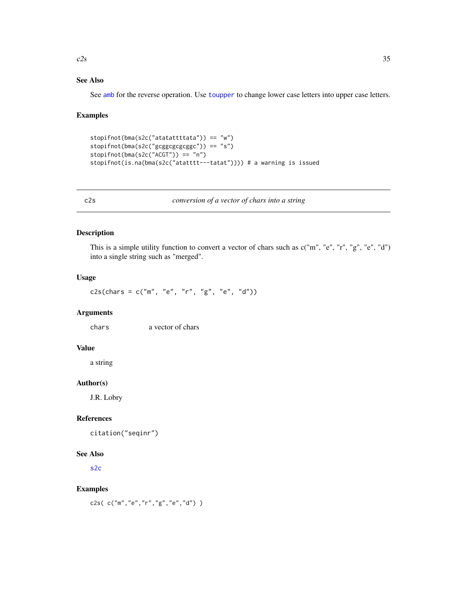#### <span id="page-34-0"></span> $czss$  35

# See Also

See [amb](#page-27-1) for the reverse operation. Use [toupper](#page-0-0) to change lower case letters into upper case letters.

## Examples

```
stopifnot(bma(s2c("atatattttata")) == "w")
stopifnot(bma(s2c("gcggcgcgcggc")) == "s")
stopifnot(bma(s2c("ACGT")) == "n")
stopifnot(is.na(bma(s2c("atatttt---tatat")))) # a warning is issued
```
c2s *conversion of a vector of chars into a string*

# Description

This is a simple utility function to convert a vector of chars such as  $c("m", "e", "r", "g", "e", "d")$ into a single string such as "merged".

# Usage

c2s(chars = c("m", "e", "r", "g", "e", "d"))

# Arguments

chars a vector of chars

# Value

a string

## Author(s)

J.R. Lobry

## References

citation("seqinr")

## See Also

[s2c](#page-179-1)

#### Examples

```
c2s( c("m","e","r","g","e","d") )
```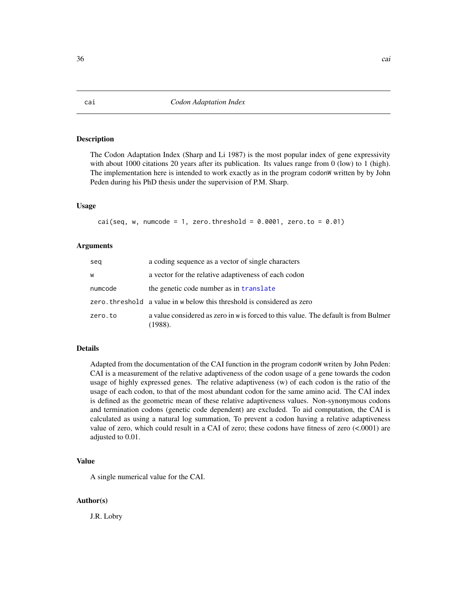## Description

The Codon Adaptation Index (Sharp and Li 1987) is the most popular index of gene expressivity with about 1000 citations 20 years after its publication. Its values range from 0 (low) to 1 (high). The implementation here is intended to work exactly as in the program codonW written by by John Peden during his PhD thesis under the supervision of P.M. Sharp.

## Usage

 $cai(seq, w, numcode = 1, zero.threshold = 0.0001, zero.to = 0.01)$ 

## Arguments

| seg     | a coding sequence as a vector of single characters                                             |
|---------|------------------------------------------------------------------------------------------------|
| W       | a vector for the relative adaptiveness of each codon                                           |
| numcode | the genetic code number as in translate                                                        |
|         | zero. threshold a value in w below this threshold is considered as zero                        |
| zero.to | a value considered as zero in w is forced to this value. The default is from Bulmer<br>(1988). |

# Details

Adapted from the documentation of the CAI function in the program codonW writen by John Peden: CAI is a measurement of the relative adaptiveness of the codon usage of a gene towards the codon usage of highly expressed genes. The relative adaptiveness (w) of each codon is the ratio of the usage of each codon, to that of the most abundant codon for the same amino acid. The CAI index is defined as the geometric mean of these relative adaptiveness values. Non-synonymous codons and termination codons (genetic code dependent) are excluded. To aid computation, the CAI is calculated as using a natural log summation, To prevent a codon having a relative adaptiveness value of zero, which could result in a CAI of zero; these codons have fitness of zero (<.0001) are adjusted to 0.01.

## Value

A single numerical value for the CAI.

#### Author(s)

J.R. Lobry

<span id="page-35-0"></span>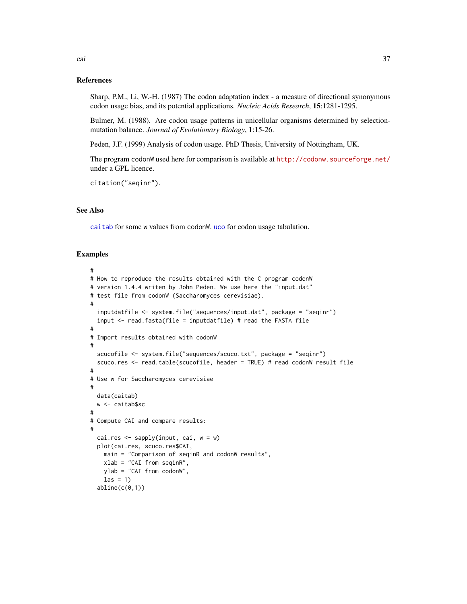#### References

Sharp, P.M., Li, W.-H. (1987) The codon adaptation index - a measure of directional synonymous codon usage bias, and its potential applications. *Nucleic Acids Research*, 15:1281-1295.

Bulmer, M. (1988). Are codon usage patterns in unicellular organisms determined by selectionmutation balance. *Journal of Evolutionary Biology*, 1:15-26.

Peden, J.F. (1999) Analysis of codon usage. PhD Thesis, University of Nottingham, UK.

The program codonW used here for comparison is available at <http://codonw.sourceforge.net/> under a GPL licence.

citation("seqinr").

# See Also

[caitab](#page-37-0) for some w values from codonW. [uco](#page-208-0) for codon usage tabulation.

```
#
# How to reproduce the results obtained with the C program codonW
# version 1.4.4 writen by John Peden. We use here the "input.dat"
# test file from codonW (Saccharomyces cerevisiae).
#
  inputdatfile <- system.file("sequences/input.dat", package = "seqinr")
  input \leq read.fasta(file = inputdatfile) # read the FASTA file
#
# Import results obtained with codonW
#
  scucofile <- system.file("sequences/scuco.txt", package = "seqinr")
  scuco.res <- read.table(scucofile, header = TRUE) # read codonW result file
#
# Use w for Saccharomyces cerevisiae
#
  data(caitab)
  w <- caitab$sc
#
# Compute CAI and compare results:
#
  cai.res \leq sapply(input, cai, w = w)
  plot(cai.res, scuco.res$CAI,
    main = "Comparison of seqinR and codonW results",
    xlab = "CAI from seqinR",
   ylab = "CAI from codonW",
   \text{las} = 1abline(c(0,1))
```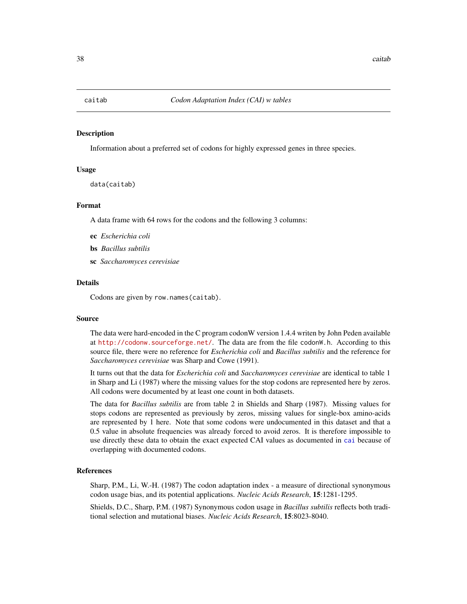<span id="page-37-0"></span>

# **Description**

Information about a preferred set of codons for highly expressed genes in three species.

#### Usage

data(caitab)

# Format

A data frame with 64 rows for the codons and the following 3 columns:

- ec *Escherichia coli*
- bs *Bacillus subtilis*
- sc *Saccharomyces cerevisiae*

#### Details

Codons are given by row.names(caitab).

### Source

The data were hard-encoded in the C program codonW version 1.4.4 writen by John Peden available at <http://codonw.sourceforge.net/>. The data are from the file codonW.h. According to this source file, there were no reference for *Escherichia coli* and *Bacillus subtilis* and the reference for *Saccharomyces cerevisiae* was Sharp and Cowe (1991).

It turns out that the data for *Escherichia coli* and *Saccharomyces cerevisiae* are identical to table 1 in Sharp and Li (1987) where the missing values for the stop codons are represented here by zeros. All codons were documented by at least one count in both datasets.

The data for *Bacillus subtilis* are from table 2 in Shields and Sharp (1987). Missing values for stops codons are represented as previously by zeros, missing values for single-box amino-acids are represented by 1 here. Note that some codons were undocumented in this dataset and that a 0.5 value in absolute frequencies was already forced to avoid zeros. It is therefore impossible to use directly these data to obtain the exact expected CAI values as documented in [cai](#page-35-0) because of overlapping with documented codons.

### References

Sharp, P.M., Li, W.-H. (1987) The codon adaptation index - a measure of directional synonymous codon usage bias, and its potential applications. *Nucleic Acids Research*, 15:1281-1295.

Shields, D.C., Sharp, P.M. (1987) Synonymous codon usage in *Bacillus subtilis* reflects both traditional selection and mutational biases. *Nucleic Acids Research*, 15:8023-8040.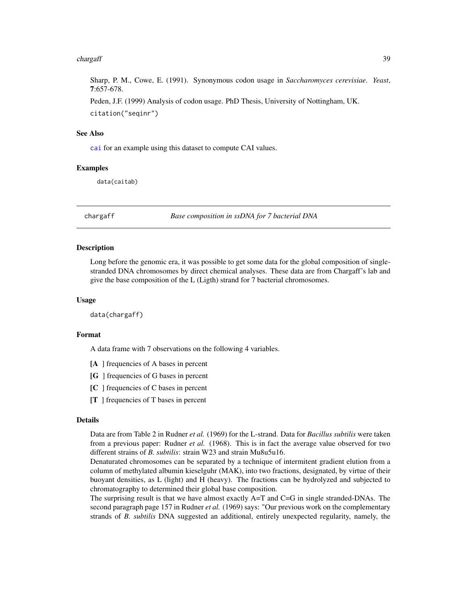#### chargaff 39

Sharp, P. M., Cowe, E. (1991). Synonymous codon usage in *Saccharomyces cerevisiae*. *Yeast*, 7:657-678.

Peden, J.F. (1999) Analysis of codon usage. PhD Thesis, University of Nottingham, UK. citation("seqinr")

### See Also

[cai](#page-35-0) for an example using this dataset to compute CAI values.

## Examples

data(caitab)

chargaff *Base composition in ssDNA for 7 bacterial DNA*

## Description

Long before the genomic era, it was possible to get some data for the global composition of singlestranded DNA chromosomes by direct chemical analyses. These data are from Chargaff's lab and give the base composition of the L (Ligth) strand for 7 bacterial chromosomes.

### Usage

data(chargaff)

#### Format

A data frame with 7 observations on the following 4 variables.

- [A ] frequencies of A bases in percent
- [G ] frequencies of G bases in percent
- [C ] frequencies of C bases in percent
- [T ] frequencies of T bases in percent

#### Details

Data are from Table 2 in Rudner *et al.* (1969) for the L-strand. Data for *Bacillus subtilis* were taken from a previous paper: Rudner *et al.* (1968). This is in fact the average value observed for two different strains of *B. subtilis*: strain W23 and strain Mu8u5u16.

Denaturated chromosomes can be separated by a technique of intermitent gradient elution from a column of methylated albumin kieselguhr (MAK), into two fractions, designated, by virtue of their buoyant densities, as L (light) and H (heavy). The fractions can be hydrolyzed and subjected to chromatography to determined their global base composition.

The surprising result is that we have almost exactly A=T and C=G in single stranded-DNAs. The second paragraph page 157 in Rudner *et al.* (1969) says: "Our previous work on the complementary strands of *B. subtilis* DNA suggested an additional, entirely unexpected regularity, namely, the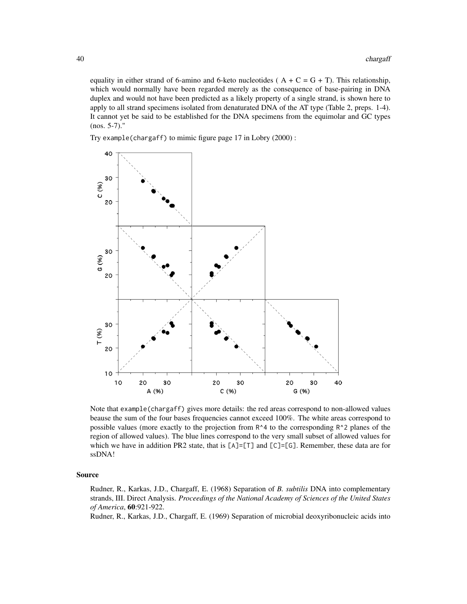equality in either strand of 6-amino and 6-keto nucleotides ( $A + C = G + T$ ). This relationship, which would normally have been regarded merely as the consequence of base-pairing in DNA duplex and would not have been predicted as a likely property of a single strand, is shown here to apply to all strand specimens isolated from denaturated DNA of the AT type (Table 2, preps. 1-4). It cannot yet be said to be established for the DNA specimens from the equimolar and GC types (nos. 5-7)."

Try example(chargaff) to mimic figure page 17 in Lobry (2000) :



Note that example(chargaff) gives more details: the red areas correspond to non-allowed values beause the sum of the four bases frequencies cannot exceed 100%. The white areas correspond to possible values (more exactly to the projection from R^4 to the corresponding R^2 planes of the region of allowed values). The blue lines correspond to the very small subset of allowed values for which we have in addition PR2 state, that is [A]=[T] and [C]=[G]. Remember, these data are for ssDNA!

#### Source

Rudner, R., Karkas, J.D., Chargaff, E. (1968) Separation of *B. subtilis* DNA into complementary strands, III. Direct Analysis. *Proceedings of the National Academy of Sciences of the United States of America*, 60:921-922.

Rudner, R., Karkas, J.D., Chargaff, E. (1969) Separation of microbial deoxyribonucleic acids into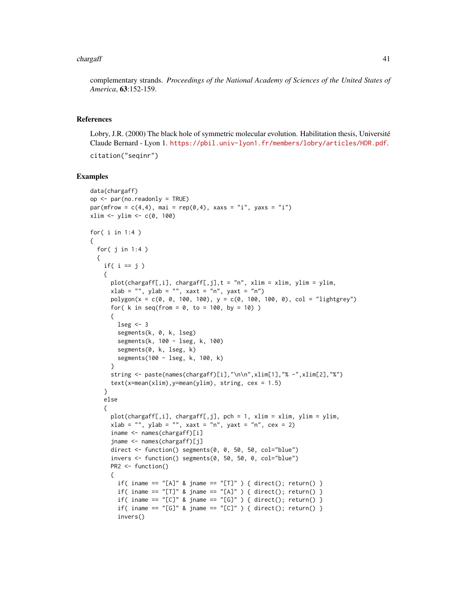#### chargaff 41

complementary strands. *Proceedings of the National Academy of Sciences of the United States of America*, 63:152-159.

## References

Lobry, J.R. (2000) The black hole of symmetric molecular evolution. Habilitation thesis, Université Claude Bernard - Lyon 1. <https://pbil.univ-lyon1.fr/members/lobry/articles/HDR.pdf>. citation("seqinr")

```
data(chargaff)
op <- par(no.readonly = TRUE)
par(mfrow = c(4, 4), mai = rep(0, 4), xaxs = "i", yaxs = "i")
xlim \leftarrow ylim \leftarrow c(0, 100)for( i in 1:4 )
{
  for( j in 1:4 )
  {
   if( i == j )
   {
      plot(chargaff[,i], chargaff[,j],t = "n", xlim = xlim, ylim = ylim,
      xlab = "", ylab = "", xaxt = "n", yaxt = "n")polygon(x = c(0, 0, 100, 100), y = c(0, 100, 100, 0), col = "lightgrey")for( k in seq(from = 0, to = 100, by = 10) )
      {
       lseg \leftarrow 3segments(k, 0, k, lseg)
        segments(k, 100 - lseg, k, 100)
        segments(0, k, lseg, k)
        segments(100 - lseg, k, 100, k)
      }
      string <- paste(names(chargaff)[i],"\n\n",xlim[1],"% -",xlim[2],"%")
      text(x=mean(xlim), y=mean(ylim), string, cex = 1.5)}
    else
    {
      plot(chargaff[,i], chargaff[,j], pch = 1, xlim = xlim, ylim = ylim,xlab = "", ylab = "", xaxt = "n", yaxt = "n", cex = 2)iname <- names(chargaff)[i]
      jname <- names(chargaff)[j]
      direct <- function() segments(0, 0, 50, 50, col="blue")
      invers <- function() segments(0, 50, 50, 0, col="blue")
      PR2 <- function()
      {
        if( iname == "[A]' & jname == "[T]" ) { direct(); return() }
        if( iname == "[T]" & jname == "[A]" ) { direct(); return() }
        if( iname == "[C]'' & jname == "[G]'' ) { direct(); return() }
        if( iname == "[G]' & jname == "[C]' ) { direct(); return() }
        invers()
```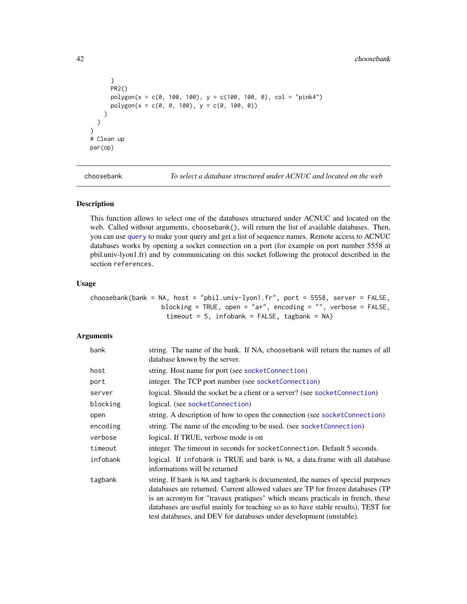#### 42 choosebank

```
}
     PR2()
     polygon(x = c(0, 100, 100), y = c(100, 100, 0), col = "pink4")
     polygon(x = c(0, 0, 100), y = c(0, 100, 0))}
 }
}
# Clean up
par(op)
```
<span id="page-41-0"></span>choosebank *To select a database structured under ACNUC and located on the web*

## Description

This function allows to select one of the databases structured under ACNUC and located on the web. Called without arguments, choosebank(), will return the list of available databases. Then, you can use [query](#page-153-0) to make your query and get a list of sequence names. Remote access to ACNUC databases works by opening a socket connection on a port (for example on port number 5558 at pbil.univ-lyon1.fr) and by communicating on this socket following the protocol described in the section references.

#### Usage

```
choosebank(bank = NA, host = "pbil.univ-lyon1.fr", port = 5558, server = FALSE,
                  blocking = TRUE, open = "a+", encoding = "", verbose = FALSE,
                    timeout = 5, infobank = FALSE, tagbank = NA)
```
## Arguments

| bank     | string. The name of the bank. If NA, choosebank will return the names of all<br>database known by the server.                                                                                                                                                                                                                                                                                                |
|----------|--------------------------------------------------------------------------------------------------------------------------------------------------------------------------------------------------------------------------------------------------------------------------------------------------------------------------------------------------------------------------------------------------------------|
| host     | string. Host name for port (see socket Connection)                                                                                                                                                                                                                                                                                                                                                           |
| port     | integer. The TCP port number (see socketConnection)                                                                                                                                                                                                                                                                                                                                                          |
| server   | logical. Should the socket be a client or a server? (see socketConnection)                                                                                                                                                                                                                                                                                                                                   |
| blocking | logical. (see socketConnection)                                                                                                                                                                                                                                                                                                                                                                              |
| open     | string. A description of how to open the connection (see socket Connection)                                                                                                                                                                                                                                                                                                                                  |
| encoding | string. The name of the encoding to be used. (see socket Connection)                                                                                                                                                                                                                                                                                                                                         |
| verbose  | logical. If TRUE, verbose mode is on                                                                                                                                                                                                                                                                                                                                                                         |
| timeout  | integer. The timeout in seconds for socket Connection. Default 5 seconds.                                                                                                                                                                                                                                                                                                                                    |
| infobank | logical. If infobank is TRUE and bank is NA, a data. frame with all database<br>informations will be returned                                                                                                                                                                                                                                                                                                |
| tagbank  | string. If bank is NA and tagbank is documented, the names of special purposes<br>databases are returned. Current allowed values are TP for frozen databases (TP<br>is an acronym for "travaux pratiques" which means practicals in french, these<br>databases are useful mainly for teaching so as to have stable results), TEST for<br>test databases, and DEV for databases under development (unstable). |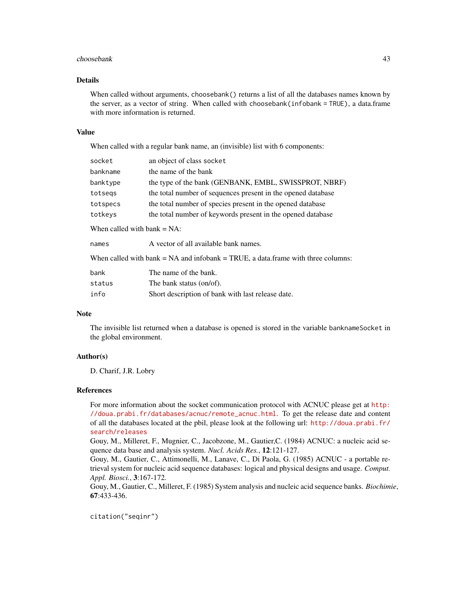#### choosebank 43

## Details

When called without arguments, choosebank() returns a list of all the databases names known by the server, as a vector of string. When called with choosebank(infobank = TRUE), a data.frame with more information is returned.

### Value

When called with a regular bank name, an (invisible) list with 6 components:

| socket                         | an object of class socket                                                             |
|--------------------------------|---------------------------------------------------------------------------------------|
| bankname                       | the name of the bank                                                                  |
| banktype                       | the type of the bank (GENBANK, EMBL, SWISSPROT, NBRF)                                 |
| totsegs                        | the total number of sequences present in the opened database                          |
| totspecs                       | the total number of species present in the opened database                            |
| totkeys                        | the total number of keywords present in the opened database                           |
| When called with bank $= NA$ : |                                                                                       |
| names                          | A vector of all available bank names.                                                 |
|                                | When called with bank $= NA$ and infobank $= TRUE$ , a data frame with three columns: |
| bank                           | The name of the bank.                                                                 |
| status                         | The bank status (on/of).                                                              |
| info                           | Short description of bank with last release date.                                     |

### Note

The invisible list returned when a database is opened is stored in the variable banknameSocket in the global environment.

## Author(s)

D. Charif, J.R. Lobry

### References

For more information about the socket communication protocol with ACNUC please get at [http:](http://doua.prabi.fr/databases/acnuc/remote_acnuc.html) [//doua.prabi.fr/databases/acnuc/remote\\_acnuc.html](http://doua.prabi.fr/databases/acnuc/remote_acnuc.html). To get the release date and content of all the databases located at the pbil, please look at the following url: [http://doua.prabi.fr/](http://doua.prabi.fr/search/releases) [search/releases](http://doua.prabi.fr/search/releases)

Gouy, M., Milleret, F., Mugnier, C., Jacobzone, M., Gautier,C. (1984) ACNUC: a nucleic acid sequence data base and analysis system. *Nucl. Acids Res.*, 12:121-127.

Gouy, M., Gautier, C., Attimonelli, M., Lanave, C., Di Paola, G. (1985) ACNUC - a portable retrieval system for nucleic acid sequence databases: logical and physical designs and usage. *Comput. Appl. Biosci.*, 3:167-172.

Gouy, M., Gautier, C., Milleret, F. (1985) System analysis and nucleic acid sequence banks. *Biochimie*, 67:433-436.

citation("seqinr")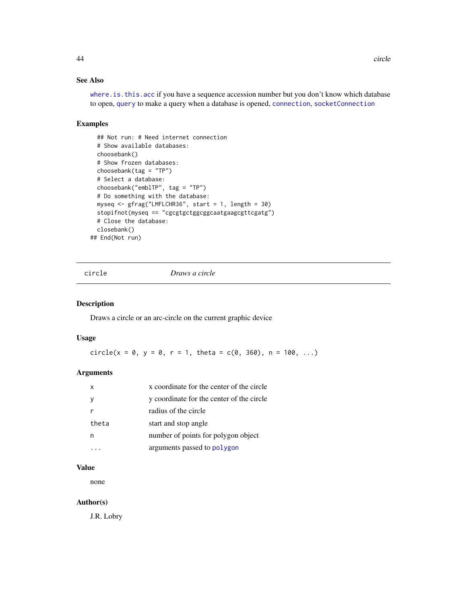# See Also

where. is. this. acc if you have a sequence accession number but you don't know which database to open, [query](#page-153-0) to make a query when a database is opened, [connection](#page-0-0), [socketConnection](#page-0-0)

## Examples

```
## Not run: # Need internet connection
 # Show available databases:
 choosebank()
 # Show frozen databases:
 choosebank(tag = "TP")
 # Select a database:
 choosebank("emblTP", tag = "TP")
 # Do something with the database:
 myseq <- gfrag("LMFLCHR36", start = 1, length = 30)
 stopifnot(myseq == "cgcgtgctggcggcaatgaagcgttcgatg")
 # Close the database:
 closebank()
## End(Not run)
```
circle *Draws a circle*

## Description

Draws a circle or an arc-circle on the current graphic device

### Usage

circle(x = 0, y = 0, r = 1, theta =  $c(0, 360)$ , n = 100, ...)

# Arguments

| X     | x coordinate for the center of the circle |
|-------|-------------------------------------------|
|       | y coordinate for the center of the circle |
|       | radius of the circle                      |
| theta | start and stop angle                      |
|       | number of points for polygon object       |
|       | arguments passed to polygon               |

# Value

none

# Author(s)

J.R. Lobry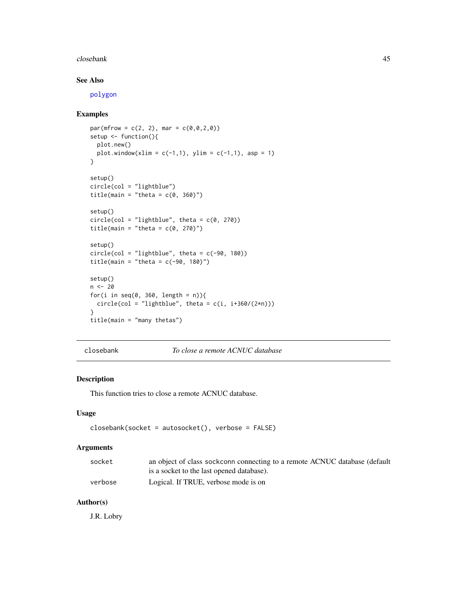#### closebank 45

# See Also

[polygon](#page-0-0)

## Examples

```
par(mfrow = c(2, 2), mar = c(0, 0, 2, 0))setup <- function(){
  plot.new()
 plot.window(xlim = c(-1,1), ylim = c(-1,1), asp = 1)}
setup()
circle(col = "lightblue")
title(main = "theta = c(0, 360)")
setup()
circle(col = "lightblue", theta = c(0, 270))title(main = "theta = c(0, 270)")
setup()
circle(col = "lightblue", theta = c(-90, 180))title(main = "theta = c(-90, 180)")
setup()
n < - 20for(i in seq(0, 360, length = n)){
  circle(col = "lightblue", theta = c(i, i+360/(2*n)))}
title(main = "many thetas")
```
closebank *To close a remote ACNUC database*

# Description

This function tries to close a remote ACNUC database.

## Usage

```
closebank(socket = autosocket(), verbose = FALSE)
```
## Arguments

| socket  | an object of class sockconn connecting to a remote ACNUC database (default |
|---------|----------------------------------------------------------------------------|
|         | is a socket to the last opened database).                                  |
| verbose | Logical. If TRUE, verbose mode is on                                       |

## Author(s)

J.R. Lobry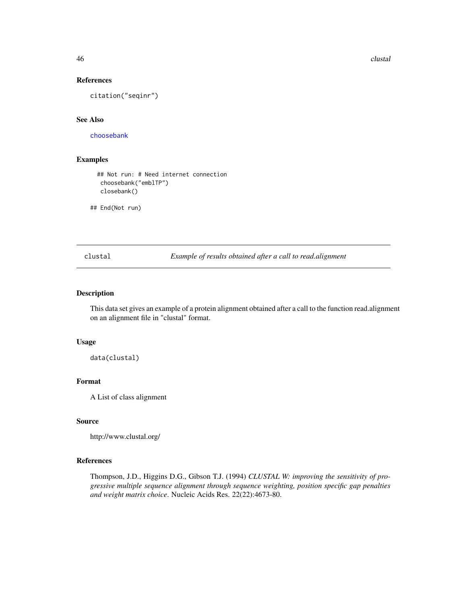46 clustal and the contract of the contract of the contract of the contract of the contract of the contract of the contract of the contract of the contract of the contract of the contract of the contract of the contract of

## References

citation("seqinr")

## See Also

[choosebank](#page-41-0)

# Examples

```
## Not run: # Need internet connection
 choosebank("emblTP")
 closebank()
```
## End(Not run)

clustal *Example of results obtained after a call to read.alignment*

# Description

This data set gives an example of a protein alignment obtained after a call to the function read.alignment on an alignment file in "clustal" format.

#### Usage

data(clustal)

# Format

A List of class alignment

## Source

```
http://www.clustal.org/
```
## References

Thompson, J.D., Higgins D.G., Gibson T.J. (1994) *CLUSTAL W: improving the sensitivity of progressive multiple sequence alignment through sequence weighting, position specific gap penalties and weight matrix choice*. Nucleic Acids Res. 22(22):4673-80.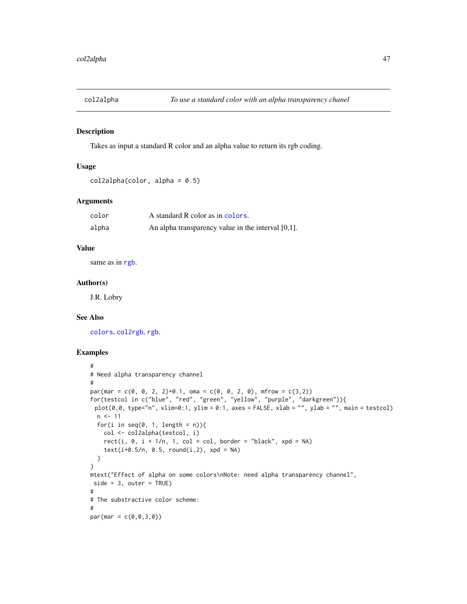## Description

Takes as input a standard R color and an alpha value to return its rgb coding.

## Usage

```
col2alpha(color, alpha = 0.5)
```
# Arguments

| color | A standard R color as in colors.                      |
|-------|-------------------------------------------------------|
| alpha | An alpha transparency value in the interval $[0,1]$ . |

# Value

same as in [rgb](#page-0-0).

### Author(s)

J.R. Lobry

## See Also

[colors](#page-0-0), [col2rgb](#page-0-0), [rgb](#page-0-0).

```
#
# Need alpha transparency channel
#
par(max = c(0, 0, 2, 2)+0.1, oma = c(0, 0, 2, 0), mfrom = c(3,2))for(testcol in c("blue", "red", "green", "yellow", "purple", "darkgreen")){
 plot(0,0, type="n", xlim=0:1, ylim = 0:1, axes = FALSE, xlab = "", ylab = "", main = testcol)n < -11for(i in seq(0, 1, length = n)){
   col <- col2alpha(testcol, i)
   rect(i, 0, i + 1/n, 1, col = col, border = "black", xpd = NA)text(i+0.5/n, 0.5, round(i,2), xpd = NA)}
}
mtext("Effect of alpha on some colors\nNote: need alpha transparency channel",
side = 3, outer = TRUE)
#
# The substractive color scheme:
#
par(max = c(0, 0, 3, 0))
```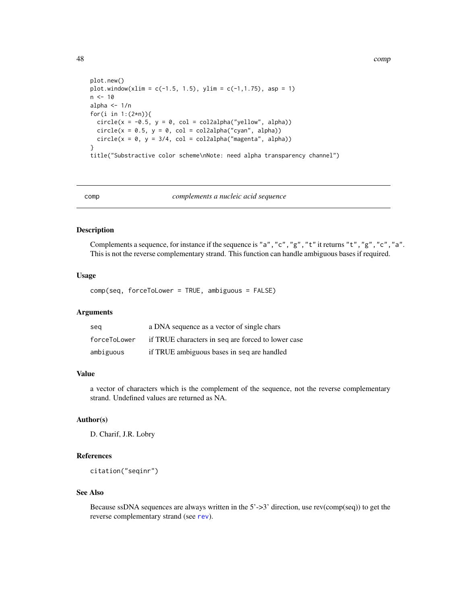48 comp

```
plot.new()
plot.window(xlim = c(-1.5, 1.5), ylim = c(-1, 1.75), asp = 1)
n < -10alpha <-1/nfor(i in 1:(2*n)){
  circle(x = -0.5, y = 0, col = col2alpha("yellow", alpha))circle(x = 0.5, y = 0, col = col2alpha("cyan", alpha))circle(x = 0, y = 3/4, col = col2alpha("magenta", alpha))}
title("Substractive color scheme\nNote: need alpha transparency channel")
```
comp *complements a nucleic acid sequence*

#### Description

Complements a sequence, for instance if the sequence is "a","c","g","t" it returns "t","g","c","a". This is not the reverse complementary strand. This function can handle ambiguous bases if required.

### Usage

comp(seq, forceToLower = TRUE, ambiguous = FALSE)

#### Arguments

| sea          | a DNA sequence as a vector of single chars         |
|--------------|----------------------------------------------------|
| forceToLower | if TRUE characters in seq are forced to lower case |
| ambiguous    | if TRUE ambiguous bases in seq are handled         |

## Value

a vector of characters which is the complement of the sequence, not the reverse complementary strand. Undefined values are returned as NA.

# Author(s)

D. Charif, J.R. Lobry

# References

citation("seqinr")

### See Also

Because ssDNA sequences are always written in the 5'->3' direction, use rev(comp(seq)) to get the reverse complementary strand (see [rev](#page-0-0)).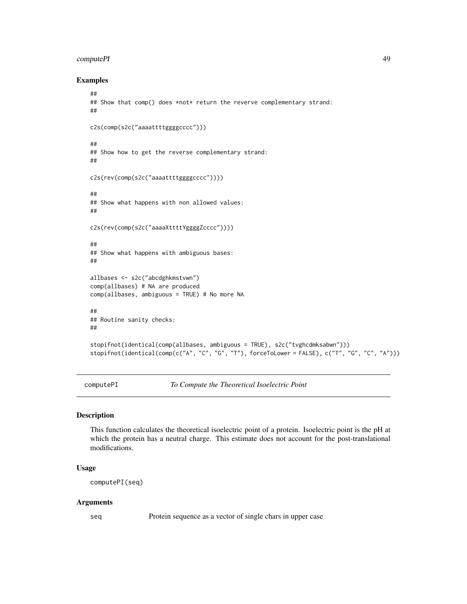#### computePI 49

## Examples

```
##
## Show that comp() does *not* return the reverve complementary strand:
##
c2s(comp(s2c("aaaattttggggcccc")))
##
## Show how to get the reverse complementary strand:
##
c2s(rev(comp(s2c("aaaattttggggcccc"))))
##
## Show what happens with non allowed values:
##
c2s(rev(comp(s2c("aaaaXttttYggggZcccc"))))
##
## Show what happens with ambiguous bases:
##
allbases <- s2c("abcdghkmstvwn")
comp(allbases) # NA are produced
comp(allbases, ambiguous = TRUE) # No more NA
##
## Routine sanity checks:
##
stopifnot(identical(comp(allbases, ambiguous = TRUE), s2c("tvghcdmksabwn")))
stopifnot(identical(comp(c("A", "C", "G", "T"), forceToLower = FALSE), c("T", "G", "C", "A")))
```
computePI *To Compute the Theoretical Isoelectric Point*

# Description

This function calculates the theoretical isoelectric point of a protein. Isoelectric point is the pH at which the protein has a neutral charge. This estimate does not account for the post-translational modifications.

## Usage

computePI(seq)

#### Arguments

seq Protein sequence as a vector of single chars in upper case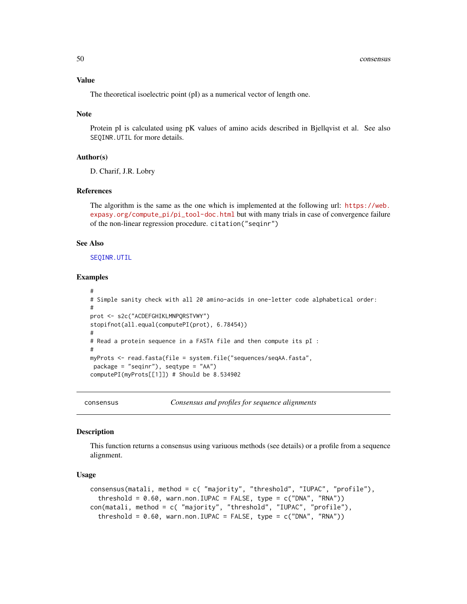#### Value

The theoretical isoelectric point (pI) as a numerical vector of length one.

### Note

Protein pI is calculated using pK values of amino acids described in Bjellqvist et al. See also SEQINR.UTIL for more details.

### Author(s)

D. Charif, J.R. Lobry

## References

The algorithm is the same as the one which is implemented at the following url: [https://web.](https://web.expasy.org/compute_pi/pi_tool-doc.html) [expasy.org/compute\\_pi/pi\\_tool-doc.html](https://web.expasy.org/compute_pi/pi_tool-doc.html) but with many trials in case of convergence failure of the non-linear regression procedure. citation("seqinr")

### See Also

[SEQINR.UTIL](#page-186-0)

#### Examples

```
#
# Simple sanity check with all 20 amino-acids in one-letter code alphabetical order:
#
prot <- s2c("ACDEFGHIKLMNPQRSTVWY")
stopifnot(all.equal(computePI(prot), 6.78454))
#
# Read a protein sequence in a FASTA file and then compute its pI :
#
myProts <- read.fasta(file = system.file("sequences/seqAA.fasta",
 package = "seqinr"), seqtype = "AA")
computePI(myProts[[1]]) # Should be 8.534902
```
consensus *Consensus and profiles for sequence alignments*

## Description

This function returns a consensus using variuous methods (see details) or a profile from a sequence alignment.

### Usage

```
consensus(matali, method = c( "majority", "threshold", "IUPAC", "profile"),
  threshold = 0.60, warn.non.IUPAC = FALSE, type = c("DNA", "RNA"))
con(matali, method = c( "majority", "threshold", "IUPAC", "profile"),
  threshold = 0.60, warn.non.IUPAC = FALSE, type = c("DNA", "RNA"))
```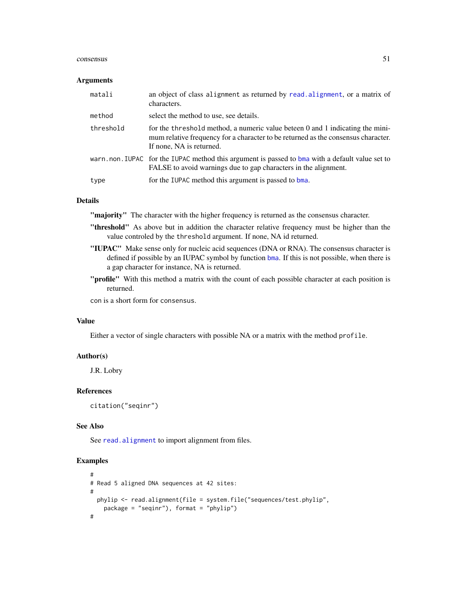#### consensus 51

#### **Arguments**

| matali    | an object of class alignment as returned by read. alignment, or a matrix of<br>characters.                                                                                                     |
|-----------|------------------------------------------------------------------------------------------------------------------------------------------------------------------------------------------------|
| method    | select the method to use, see details.                                                                                                                                                         |
| threshold | for the threshold method, a numeric value beteen 0 and 1 indicating the mini-<br>mum relative frequency for a character to be returned as the consensus character.<br>If none, NA is returned. |
|           | warn.non.IUPAC for the IUPAC method this argument is passed to bma with a default value set to<br>FALSE to avoid warnings due to gap characters in the alignment.                              |
| type      | for the IUPAC method this argument is passed to bma.                                                                                                                                           |

## Details

"majority" The character with the higher frequency is returned as the consensus character.

- "threshold" As above but in addition the character relative frequency must be higher than the value controled by the threshold argument. If none, NA id returned.
- "IUPAC" Make sense only for nucleic acid sequences (DNA or RNA). The consensus character is defined if possible by an IUPAC symbol by function [bma](#page-33-0). If this is not possible, when there is a gap character for instance, NA is returned.
- "profile" With this method a matrix with the count of each possible character at each position is returned.

con is a short form for consensus.

# Value

Either a vector of single characters with possible NA or a matrix with the method profile.

## Author(s)

J.R. Lobry

# References

citation("seqinr")

# See Also

See [read.alignment](#page-158-0) to import alignment from files.

```
#
# Read 5 aligned DNA sequences at 42 sites:
#
 phylip <- read.alignment(file = system.file("sequences/test.phylip",
   package = "seqinr"), format = "phylip")
#
```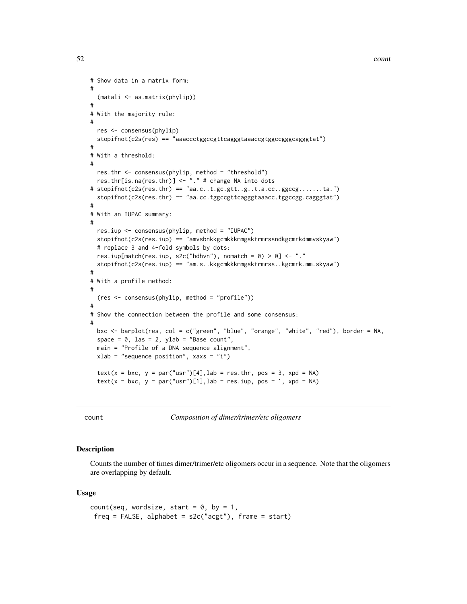$52$  count

```
# Show data in a matrix form:
#
  (matali <- as.matrix(phylip))
#
# With the majority rule:
#
 res <- consensus(phylip)
 stopifnot(c2s(res) == "aaaccctggccgttcagggtaaaccgtggccgggcagggtat")
#
# With a threshold:
#
 res.thr <- consensus(phylip, method = "threshold")
 res.thr[is.na(res.thr)] <- "." # change NA into dots
# stopifnot(c2s(res.thr) == "aa.c..t.gc.gtt..g..t.a.cc..ggccg.......ta.")
  stopifnot(c2s(res.thr) == "aa.cc.tggccgttcagggtaaacc.tggccgg.cagggtat")
#
# With an IUPAC summary:
#
 res.iup <- consensus(phylip, method = "IUPAC")
 stopifnot(c2s(res.iup) == "amvsbnkkgcmkkkmmgsktrmrssndkgcmrkdmmvskyaw")
 # replace 3 and 4-fold symbols by dots:
 res.iup[match(res.iup, s2c("bdhvn"), nomatch = 0) > 0] <- "."
 stopifnot(c2s(res.iup) == "am.s..kkgcmkkkmmgsktrmrss..kgcmrk.mm.skyaw")
#
# With a profile method:
#
  (res <- consensus(phylip, method = "profile"))
#
# Show the connection between the profile and some consensus:
#
 bxc <- barplot(res, col = c("green", "blue", "orange", "white", "red"), border = NA,
 space = 0, las = 2, ylab = "Base count",
 main = "Profile of a DNA sequence alignment",
 xlab = "sequence position", xaxs = "i")text(x = bxc, y = par("usr")[4], lab = res.thr, pos = 3, xpd = NA)
 text(x = bxc, y = par("usr")[1], lab = res.iup, pos = 1, xpd = NA)
```
count *Composition of dimer/trimer/etc oligomers*

#### Description

Counts the number of times dimer/trimer/etc oligomers occur in a sequence. Note that the oligomers are overlapping by default.

#### Usage

```
count(seq, wordsize, start = 0, by = 1,
freq = FALSE, alphabet = s2c("acgt"), frame = start)
```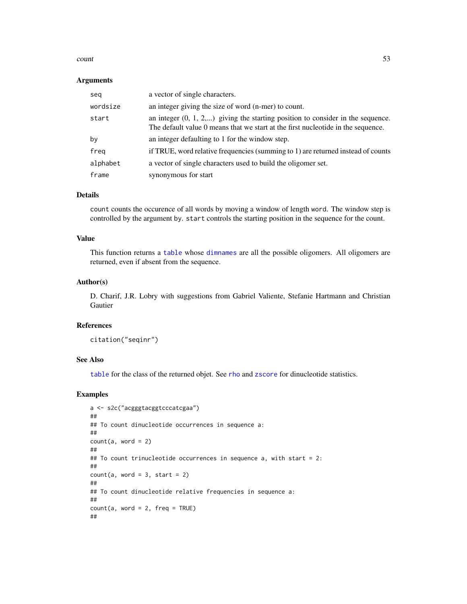#### count 53

### Arguments

| seg      | a vector of single characters.                                                                                                                                        |
|----------|-----------------------------------------------------------------------------------------------------------------------------------------------------------------------|
| wordsize | an integer giving the size of word (n-mer) to count.                                                                                                                  |
| start    | an integer $(0, 1, 2,)$ giving the starting position to consider in the sequence.<br>The default value 0 means that we start at the first nucleotide in the sequence. |
| by       | an integer defaulting to 1 for the window step.                                                                                                                       |
| freq     | if TRUE, word relative frequencies (summing to 1) are returned instead of counts                                                                                      |
| alphabet | a vector of single characters used to build the oligomer set.                                                                                                         |
| frame    | synonymous for start                                                                                                                                                  |

#### Details

count counts the occurence of all words by moving a window of length word. The window step is controlled by the argument by. start controls the starting position in the sequence for the count.

## Value

This function returns a [table](#page-0-0) whose [dimnames](#page-0-0) are all the possible oligomers. All oligomers are returned, even if absent from the sequence.

### Author(s)

D. Charif, J.R. Lobry with suggestions from Gabriel Valiente, Stefanie Hartmann and Christian Gautier

# References

```
citation("seqinr")
```
# See Also

[table](#page-0-0) for the class of the returned objet. See [rho](#page-61-0) and [zscore](#page-61-0) for dinucleotide statistics.

```
a <- s2c("acgggtacggtcccatcgaa")
##
## To count dinucleotide occurrences in sequence a:
##
count(a, word = 2)##
## To count trinucleotide occurrences in sequence a, with start = 2:
##
count(a, word = 3, start = 2)##
## To count dinucleotide relative frequencies in sequence a:
##
count(a, word = 2, freq = TRUE)##
```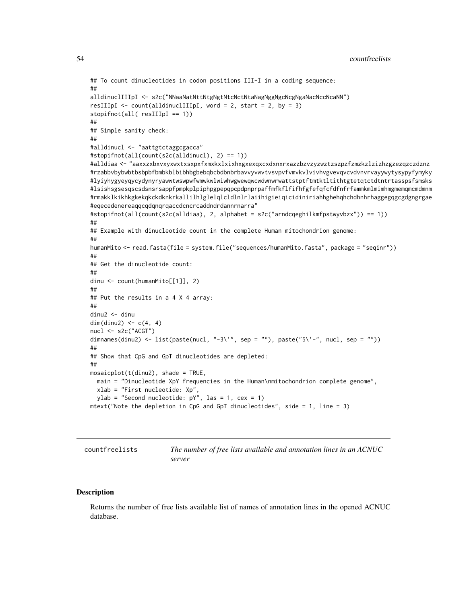```
## To count dinucleotides in codon positions III-I in a coding sequence:
##
alldinuclIIIpI <- s2c("NNaaNatNttNtgNgtNtcNctNtaNagNggNgcNcgNgaNacNccNcaNN")
resIIIpI \le count(alldinuclIIIpI, word = 2, start = 2, by = 3)
stopifnot(all( resIIIpI == 1))
##
## Simple sanity check:
##
#alldinucl <- "aattgtctaggcgacca"
#stopifnot(all(count(s2c(alldinucl), 2) == 1))
#alldiaa <- "aaxxzxbxvxyxwxtxsxpxfxmxkxlxixhxgxexqxcxdxnxrxazzbzvzyzwztzszpzfzmzkzlzizhzgzezqzczdznz
#rzabbvbybwbtbsbpbfbmbkblbibhbgbebqbcbdbnbrbavvyvwvtvsvpvfvmvkvlvivhvgvevqvcvdvnvrvayywytysypyfymyky
#lyiyhygyeyqycydynyryawwtwswpwfwmwkwlwiwhwgwewqwcwdwnwrwattstptftmtktltithtgtetqtctdtntrtasspsfsmsks
#lsishsgsesqscsdsnsrsappfpmpkplpiphpgpepqpcpdpnprpaffmfkflfifhfgfefqfcfdfnfrfammkmlmimhmgmemqmcmdmnm
#rmakklkikhkgkekqkckdknkrkallilhlglelqlcldlnlrlaiihigieiqicidiniriahhghehqhchdhnhrhaggegqgcgdgngrgae
#eqecedenereaqqcqdqnqrqaccdcncrcaddndrdannrnarra"
#stopifnot(all(count(s2c(alldiaa), 2, alphabet = s2c("arndcqeghilkmfpstwyvbzx")) == 1))
##
## Example with dinucleotide count in the complete Human mitochondrion genome:
##
humanMito <- read.fasta(file = system.file("sequences/humanMito.fasta", package = "seqinr"))
##
## Get the dinucleotide count:
##
dinu <- count(humanMito[[1]], 2)
##
## Put the results in a 4 X 4 array:
##
dinu2 <- dinu
dim(dinu2) \leq c(4, 4)
nucl <- s2c("ACGT")
dimnames(dinu2) <- list(paste(nucl, "-3\'", sep = ""), paste("5\'-", nucl, sep = ""))
##
## Show that CpG and GpT dinucleotides are depleted:
##
mosaicplot(t(dinu2), shade = TRUE,
 main = "Dinucleotide XpY frequencies in the Human\nmitochondrion complete genome",
 xlab = "First nucleotide: Xp",
 ylab = "Second nucleotide: pY", las = 1, cex = 1)
mtext("Note the depletion in CpG and GpT dinucleotides", side = 1, line = 3)
```
countfreelists *The number of free lists available and annotation lines in an ACNUC server*

#### **Description**

Returns the number of free lists available list of names of annotation lines in the opened ACNUC database.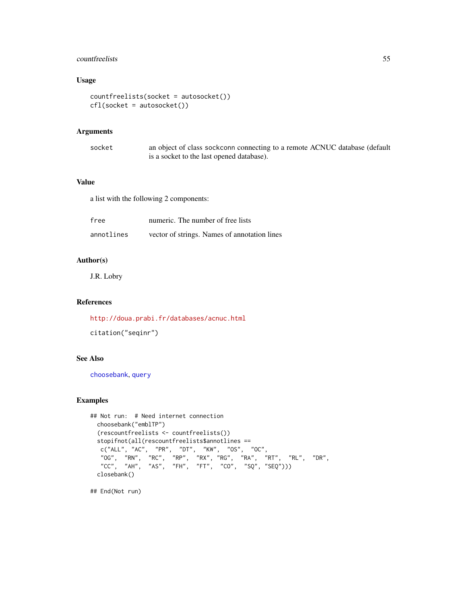# countfreelists 55

# Usage

```
countfreelists(socket = autosocket())
cfl(socket = autosocket())
```
# Arguments

| socket | an object of class sockconn connecting to a remote ACNUC database (default |
|--------|----------------------------------------------------------------------------|
|        | is a socket to the last opened database).                                  |

# Value

a list with the following 2 components:

| free       | numeric. The number of free lists            |
|------------|----------------------------------------------|
| annotlines | vector of strings. Names of annotation lines |

# Author(s)

J.R. Lobry

# References

<http://doua.prabi.fr/databases/acnuc.html>

```
citation("seqinr")
```
# See Also

[choosebank](#page-41-0), [query](#page-153-0)

## Examples

```
## Not run: # Need internet connection
 choosebank("emblTP")
 (rescountfreelists <- countfreelists())
 stopifnot(all(rescountfreelists$annotlines ==
   c("ALL", "AC", "PR", "DT", "KW", "OS", "OC",
   "OG", "RN", "RC", "RP", "RX", "RG", "RA", "RT", "RL", "DR",
   "CC", "AH", "AS", "FH", "FT", "CO", "SQ", "SEQ")))
 closebank()
```
## End(Not run)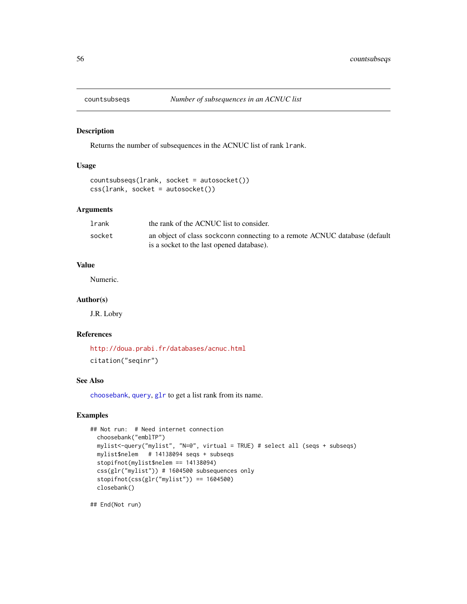## Description

Returns the number of subsequences in the ACNUC list of rank lrank.

#### Usage

```
countsubseqs(lrank, socket = autosocket())
css(lrank, socket = autosocket())
```
## Arguments

| lrank  | the rank of the ACNUC list to consider.                                    |
|--------|----------------------------------------------------------------------------|
| socket | an object of class sockconn connecting to a remote ACNUC database (default |
|        | is a socket to the last opened database).                                  |

# Value

Numeric.

## Author(s)

J.R. Lobry

## References

<http://doua.prabi.fr/databases/acnuc.html> citation("seqinr")

### See Also

[choosebank](#page-41-0), [query](#page-153-0), [glr](#page-100-0) to get a list rank from its name.

# Examples

```
## Not run: # Need internet connection
 choosebank("emblTP")
 mylist<-query("mylist", "N=@", virtual = TRUE) # select all (seqs + subseqs)
 mylist$nelem # 14138094 seqs + subseqs
 stopifnot(mylist$nelem == 14138094)
 css(glr("mylist")) # 1604500 subsequences only
 stopifnot(css(glr("mylist")) == 1604500)
 closebank()
```
## End(Not run)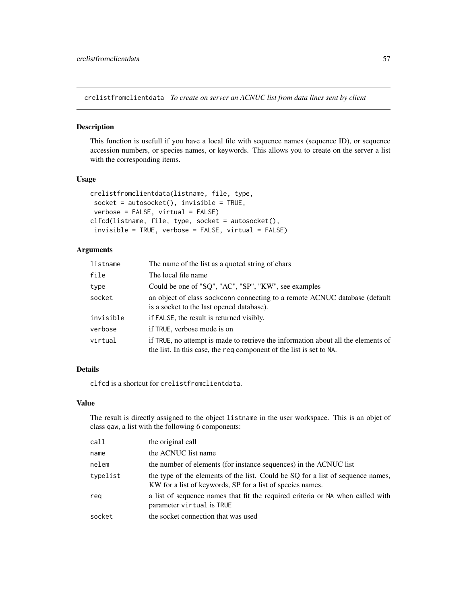crelistfromclientdata *To create on server an ACNUC list from data lines sent by client*

# Description

This function is usefull if you have a local file with sequence names (sequence ID), or sequence accession numbers, or species names, or keywords. This allows you to create on the server a list with the corresponding items.

# Usage

```
crelistfromclientdata(listname, file, type,
socket = autosockets(), invisible = TRUE,
verbose = FALSE, virtual = FALSE)
clfcd(listname, file, type, socket = autosocket(),
 invisible = TRUE, verbose = FALSE, virtual = FALSE)
```
# Arguments

| listname  | The name of the list as a quoted string of chars                                                                                                         |
|-----------|----------------------------------------------------------------------------------------------------------------------------------------------------------|
| file      | The local file name                                                                                                                                      |
| type      | Could be one of "SQ", "AC", "SP", "KW", see examples                                                                                                     |
| socket    | an object of class sockconn connecting to a remote ACNUC database (default<br>is a socket to the last opened database).                                  |
| invisible | if FALSE, the result is returned visibly.                                                                                                                |
| verbose   | if TRUE, verbose mode is on                                                                                                                              |
| virtual   | if TRUE, no attempt is made to retrieve the information about all the elements of<br>the list. In this case, the req component of the list is set to NA. |

# Details

clfcd is a shortcut for crelistfromclientdata.

## Value

The result is directly assigned to the object listname in the user workspace. This is an objet of class qaw, a list with the following 6 components:

| call     | the original call                                                                                                                             |
|----------|-----------------------------------------------------------------------------------------------------------------------------------------------|
| name     | the ACNUC list name                                                                                                                           |
| nelem    | the number of elements (for instance sequences) in the ACNUC list                                                                             |
| typelist | the type of the elements of the list. Could be SQ for a list of sequence names,<br>KW for a list of keywords, SP for a list of species names. |
| rea      | a list of sequence names that fit the required criteria or NA when called with<br>parameter virtual is TRUE                                   |
| socket   | the socket connection that was used                                                                                                           |
|          |                                                                                                                                               |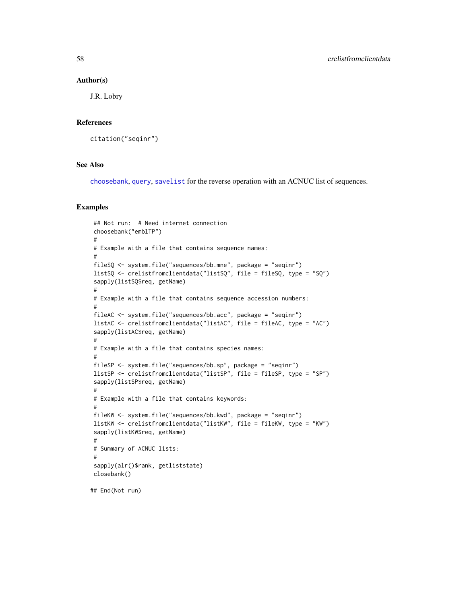#### Author(s)

J.R. Lobry

#### References

citation("seqinr")

## See Also

[choosebank](#page-41-0), [query](#page-153-0), [savelist](#page-181-0) for the reverse operation with an ACNUC list of sequences.

#### Examples

```
## Not run: # Need internet connection
choosebank("emblTP")
#
# Example with a file that contains sequence names:
#
fileSQ <- system.file("sequences/bb.mne", package = "seqinr")
listSQ <- crelistfromclientdata("listSQ", file = fileSQ, type = "SQ")
sapply(listSQ$req, getName)
#
# Example with a file that contains sequence accession numbers:
#
fileAC <- system.file("sequences/bb.acc", package = "seqinr")
listAC <- crelistfromclientdata("listAC", file = fileAC, type = "AC")
sapply(listAC$req, getName)
#
# Example with a file that contains species names:
#
fileSP <- system.file("sequences/bb.sp", package = "seqinr")
listSP <- crelistfromclientdata("listSP", file = fileSP, type = "SP")
sapply(listSP$req, getName)
#
# Example with a file that contains keywords:
#
fileKW <- system.file("sequences/bb.kwd", package = "seqinr")
listKW <- crelistfromclientdata("listKW", file = fileKW, type = "KW")
sapply(listKW$req, getName)
#
# Summary of ACNUC lists:
#
sapply(alr()$rank, getliststate)
closebank()
```
## End(Not run)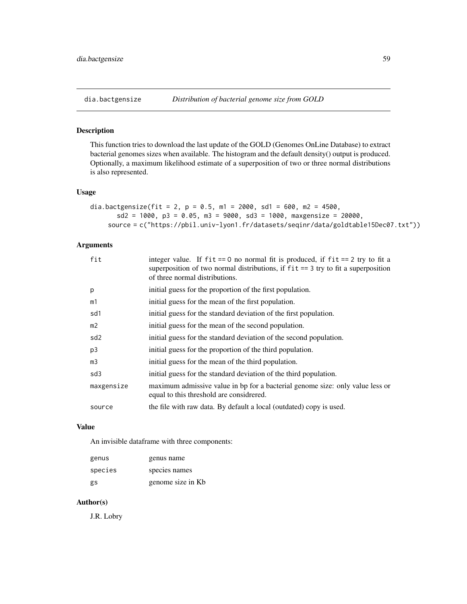# Description

This function tries to download the last update of the GOLD (Genomes OnLine Database) to extract bacterial genomes sizes when available. The histogram and the default density() output is produced. Optionally, a maximum likelihood estimate of a superposition of two or three normal distributions is also represented.

## Usage

```
dia.bactgensize(fit = 2, p = 0.5, m1 = 2000, sd1 = 600, m2 = 4500,
       sd2 = 1000, p3 = 0.05, m3 = 9000, sd3 = 1000, maxgensize = 20000,
    source = c("https://pbil.univ-lyon1.fr/datasets/seqinr/data/goldtable15Dec07.txt"))
```
## Arguments

| fit             | integer value. If $fit == 0$ no normal fit is produced, if $fit == 2$ try to fit a<br>superposition of two normal distributions, if $fit == 3$ try to fit a superposition<br>of three normal distributions. |
|-----------------|-------------------------------------------------------------------------------------------------------------------------------------------------------------------------------------------------------------|
| p               | initial guess for the proportion of the first population.                                                                                                                                                   |
| m1              | initial guess for the mean of the first population.                                                                                                                                                         |
| sd1             | initial guess for the standard deviation of the first population.                                                                                                                                           |
| m2              | initial guess for the mean of the second population.                                                                                                                                                        |
| sd <sub>2</sub> | initial guess for the standard deviation of the second population.                                                                                                                                          |
| p3              | initial guess for the proportion of the third population.                                                                                                                                                   |
| mЗ              | initial guess for the mean of the third population.                                                                                                                                                         |
| sd3             | initial guess for the standard deviation of the third population.                                                                                                                                           |
| maxgensize      | maximum admissive value in bp for a bacterial genome size: only value less or<br>equal to this threshold are considered.                                                                                    |
| source          | the file with raw data. By default a local (outdated) copy is used.                                                                                                                                         |

## Value

An invisible dataframe with three components:

| genus   | genus name        |
|---------|-------------------|
| species | species names     |
| gs      | genome size in Kb |

# Author(s)

J.R. Lobry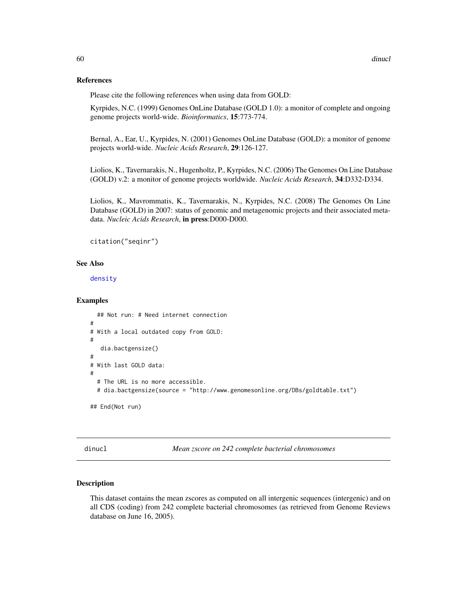## References

Please cite the following references when using data from GOLD:

Kyrpides, N.C. (1999) Genomes OnLine Database (GOLD 1.0): a monitor of complete and ongoing genome projects world-wide. *Bioinformatics*, 15:773-774.

Bernal, A., Ear, U., Kyrpides, N. (2001) Genomes OnLine Database (GOLD): a monitor of genome projects world-wide. *Nucleic Acids Research*, 29:126-127.

Liolios, K., Tavernarakis, N., Hugenholtz, P., Kyrpides, N.C. (2006) The Genomes On Line Database (GOLD) v.2: a monitor of genome projects worldwide. *Nucleic Acids Research*, 34:D332-D334.

Liolios, K., Mavrommatis, K., Tavernarakis, N., Kyrpides, N.C. (2008) The Genomes On Line Database (GOLD) in 2007: status of genomic and metagenomic projects and their associated metadata. *Nucleic Acids Research*, in press:D000-D000.

```
citation("seqinr")
```
### See Also

[density](#page-0-0)

### Examples

```
## Not run: # Need internet connection
#
# With a local outdated copy from GOLD:
#
  dia.bactgensize()
#
# With last GOLD data:
#
 # The URL is no more accessible.
 # dia.bactgensize(source = "http://www.genomesonline.org/DBs/goldtable.txt")
## End(Not run)
```
dinucl *Mean zscore on 242 complete bacterial chromosomes*

### **Description**

This dataset contains the mean zscores as computed on all intergenic sequences (intergenic) and on all CDS (coding) from 242 complete bacterial chromosomes (as retrieved from Genome Reviews database on June 16, 2005).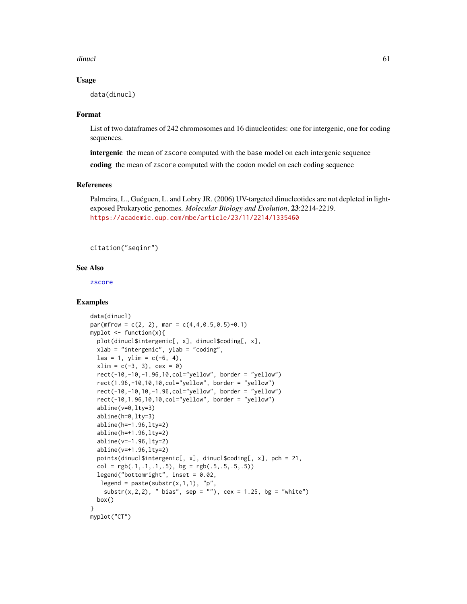dinucles and the contract of the contract of the contract of the contract of the contract of the contract of the contract of the contract of the contract of the contract of the contract of the contract of the contract of t

## Usage

data(dinucl)

## Format

List of two dataframes of 242 chromosomes and 16 dinucleotides: one for intergenic, one for coding sequences.

intergenic the mean of zscore computed with the base model on each intergenic sequence

coding the mean of zscore computed with the codon model on each coding sequence

## References

Palmeira, L., Guéguen, L. and Lobry JR. (2006) UV-targeted dinucleotides are not depleted in lightexposed Prokaryotic genomes. *Molecular Biology and Evolution*, 23:2214-2219. <https://academic.oup.com/mbe/article/23/11/2214/1335460>

citation("seqinr")

# See Also

[zscore](#page-61-0)

```
data(dinucl)
par(mfrow = c(2, 2), mar = c(4, 4, 0.5, 0.5)+0.1)myplot \leq function(x){
 plot(dinucl$intergenic[, x], dinucl$coding[, x],
 xlab = "intergenic", ylab = "coding",
 \text{las} = 1, \text{ylim} = c(-6, 4),
 xlim = c(-3, 3), cex = 0rect(-10,-10,-1.96,10,col="yellow", border = "yellow")
 rect(1.96,-10,10,10,col="yellow", border = "yellow")
 rect(-10,-10,10,-1.96,col="yellow", border = "yellow")
 rect(-10, 1.96, 10, 10, col='yellow", border = "yellow")abline(v=0,lty=3)
 abline(h=0,lty=3)
 abline(h=-1.96,lty=2)
 abline(h=+1.96,lty=2)
 abline(v=-1.96,lty=2)
 abline(v=+1.96,lty=2)
 points(dinucl$intergenic[, x], dinucl$coding[, x], pch = 21,
 col = rgb(.1,.1,.1,.5), bg = rgb(.5,.5,.5,.5))legend("bottomright", inset = 0.02,
  legend = paste(substr(x,1,1), "p",
    {\sf substr}(x,2,2), " bias", sep = ""), cex = 1.25, bg = "white")
 box()
}
myplot("CT")
```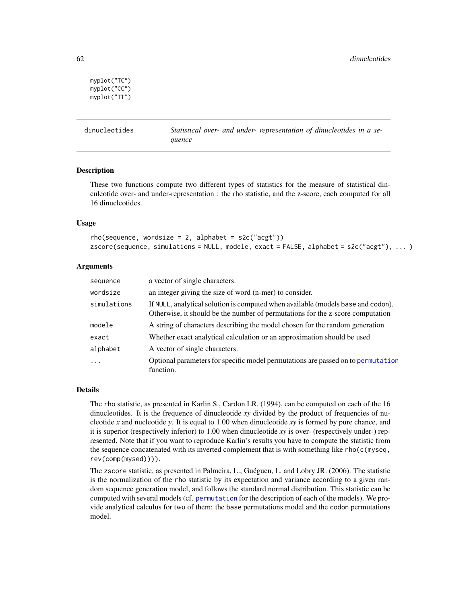```
myplot("TC")
myplot("CC")
myplot("TT")
```
dinucleotides *Statistical over- and under- representation of dinucleotides in a sequence*

### <span id="page-61-0"></span>Description

These two functions compute two different types of statistics for the measure of statistical dinculeotide over- and under-representation : the rho statistic, and the z-score, each computed for all 16 dinucleotides.

## Usage

```
rho(s)equence, wordsize = 2, alphabet = s2c("acgt"))
zscore(sequence, simulations = NULL, modele, exact = FALSE, alphabet = s2c("acgt"), ... )
```
## Arguments

| sequence    | a vector of single characters.                                                                                                                                     |
|-------------|--------------------------------------------------------------------------------------------------------------------------------------------------------------------|
| wordsize    | an integer giving the size of word (n-mer) to consider.                                                                                                            |
| simulations | If NULL, analytical solution is computed when available (models base and codon).<br>Otherwise, it should be the number of permutations for the z-score computation |
| modele      | A string of characters describing the model chosen for the random generation                                                                                       |
| exact       | Whether exact analytical calculation or an approximation should be used                                                                                            |
| alphabet    | A vector of single characters.                                                                                                                                     |
| .           | Optional parameters for specific model permutations are passed on to permutation<br>function.                                                                      |

## Details

The rho statistic, as presented in Karlin S., Cardon LR. (1994), can be computed on each of the 16 dinucleotides. It is the frequence of dinucleotide *xy* divided by the product of frequencies of nucleotide *x* and nucleotide *y*. It is equal to 1.00 when dinucleotide *xy* is formed by pure chance, and it is superior (respectively inferior) to 1.00 when dinucleotide *xy* is over- (respectively under-) represented. Note that if you want to reproduce Karlin's results you have to compute the statistic from the sequence concatenated with its inverted complement that is with something like rho(c(myseq, rev(comp(mysed)))).

The zscore statistic, as presented in Palmeira, L., Guéguen, L. and Lobry JR. (2006). The statistic is the normalization of the rho statistic by its expectation and variance according to a given random sequence generation model, and follows the standard normal distribution. This statistic can be computed with several models (cf. [permutation](#page-136-0) for the description of each of the models). We provide analytical calculus for two of them: the base permutations model and the codon permutations model.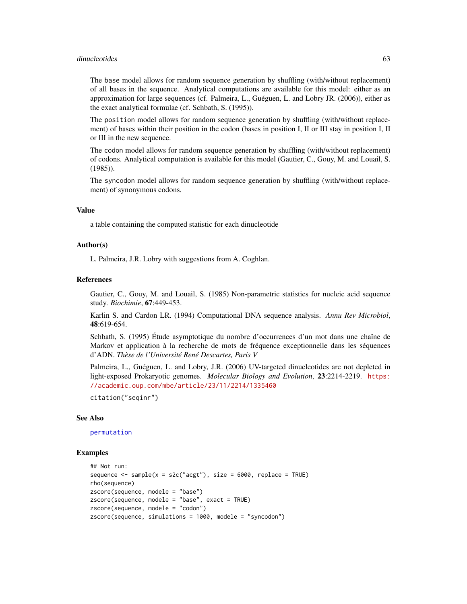#### dinucleotides 63

The base model allows for random sequence generation by shuffling (with/without replacement) of all bases in the sequence. Analytical computations are available for this model: either as an approximation for large sequences (cf. Palmeira, L., Guéguen, L. and Lobry JR. (2006)), either as the exact analytical formulae (cf. Schbath, S. (1995)).

The position model allows for random sequence generation by shuffling (with/without replacement) of bases within their position in the codon (bases in position I, II or III stay in position I, II or III in the new sequence.

The codon model allows for random sequence generation by shuffling (with/without replacement) of codons. Analytical computation is available for this model (Gautier, C., Gouy, M. and Louail, S. (1985)).

The syncodon model allows for random sequence generation by shuffling (with/without replacement) of synonymous codons.

# Value

a table containing the computed statistic for each dinucleotide

## Author(s)

L. Palmeira, J.R. Lobry with suggestions from A. Coghlan.

#### References

Gautier, C., Gouy, M. and Louail, S. (1985) Non-parametric statistics for nucleic acid sequence study. *Biochimie*, 67:449-453.

Karlin S. and Cardon LR. (1994) Computational DNA sequence analysis. *Annu Rev Microbiol*, 48:619-654.

Schbath, S. (1995) Étude asymptotique du nombre d'occurrences d'un mot dans une chaîne de Markov et application à la recherche de mots de fréquence exceptionnelle dans les séquences d'ADN. *Thèse de l'Université René Descartes, Paris V*

Palmeira, L., Guéguen, L. and Lobry, J.R. (2006) UV-targeted dinucleotides are not depleted in light-exposed Prokaryotic genomes. *Molecular Biology and Evolution*, 23:2214-2219. [https:](https://academic.oup.com/mbe/article/23/11/2214/1335460) [//academic.oup.com/mbe/article/23/11/2214/1335460](https://academic.oup.com/mbe/article/23/11/2214/1335460)

citation("seqinr")

### See Also

[permutation](#page-136-0)

```
## Not run:
sequence \leq sample(x = s2c("acgt"), size = 6000, replace = TRUE)
rho(sequence)
zscore(sequence, modele = "base")
zscore(sequence, modele = "base", exact = TRUE)
zscore(sequence, modele = "codon")
zscore(sequence, simulations = 1000, modele = "syncodon")
```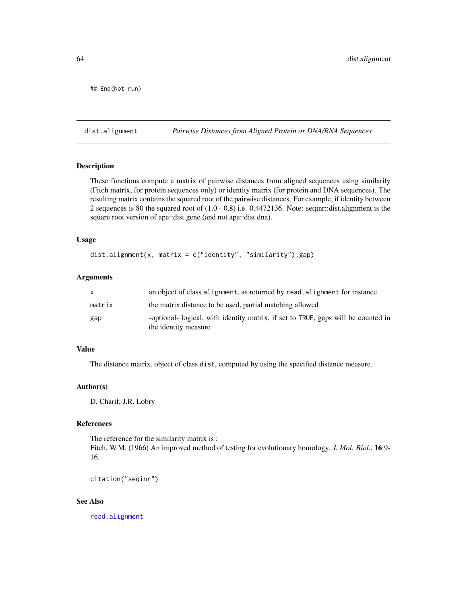## End(Not run)

dist.alignment *Pairwise Distances from Aligned Protein or DNA/RNA Sequences*

## Description

These functions compute a matrix of pairwise distances from aligned sequences using similarity (Fitch matrix, for protein sequences only) or identity matrix (for protein and DNA sequences). The resulting matrix contains the squared root of the pairwise distances. For example, if identity between 2 sequences is 80 the squared root of (1.0 - 0.8) i.e. 0.4472136. Note: seqinr::dist.alignment is the square root version of ape::dist.gene (and not ape::dist.dna).

### Usage

```
dist.alignment(x, matrix = c("identity", "similarity"),gap)
```
### Arguments

| X      | an object of class alignment, as returned by read, alignment for instance                                 |
|--------|-----------------------------------------------------------------------------------------------------------|
| matrix | the matrix distance to be used, partial matching allowed                                                  |
| gap    | -optional- logical, with identity matrix, if set to TRUE, gaps will be counted in<br>the identity measure |

# Value

The distance matrix, object of class dist, computed by using the specified distance measure.

## Author(s)

D. Charif, J.R. Lobry

# References

The reference for the similarity matrix is : Fitch, W.M. (1966) An improved method of testing for evolutionary homology. *J. Mol. Biol.*, 16:9- 16.

```
citation("seqinr")
```
### See Also

[read.alignment](#page-158-0)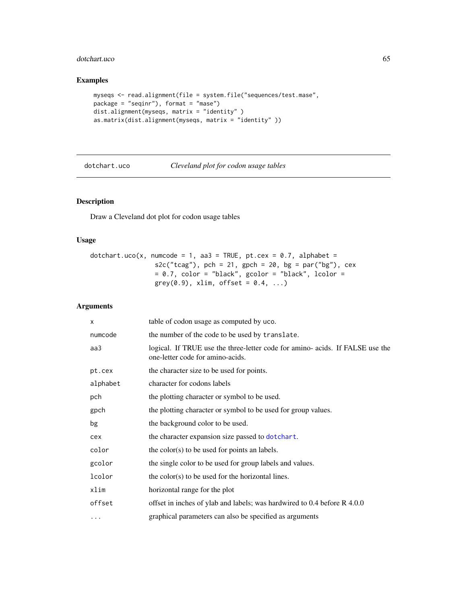# dotchart.uco 65

# Examples

```
myseqs <- read.alignment(file = system.file("sequences/test.mase",
package = "seqinr"), format = "mase")
dist.alignment(myseqs, matrix = "identity" )
as.matrix(dist.alignment(myseqs, matrix = "identity" ))
```

| dotchart.ucc |  |
|--------------|--|
|--------------|--|

dotchart.uco *Cleveland plot for codon usage tables*

# Description

Draw a Cleveland dot plot for codon usage tables

# Usage

dotchart.uco(x, numcode = 1, aa3 = TRUE, pt.cex = 0.7, alphabet =  $s2c("tcag"),$  pch = 21, gpch = 20, bg = par("bg"), cex  $= 0.7$ , color = "black", gcolor = "black", lcolor =  $grey(0.9)$ , xlim, offset =  $0.4$ , ...)

# Arguments

| X        | table of codon usage as computed by uco.                                                                          |
|----------|-------------------------------------------------------------------------------------------------------------------|
| numcode  | the number of the code to be used by translate.                                                                   |
| aa3      | logical. If TRUE use the three-letter code for amino- acids. If FALSE use the<br>one-letter code for amino-acids. |
| pt.cex   | the character size to be used for points.                                                                         |
| alphabet | character for codons labels                                                                                       |
| pch      | the plotting character or symbol to be used.                                                                      |
| gpch     | the plotting character or symbol to be used for group values.                                                     |
| bg       | the background color to be used.                                                                                  |
| cex      | the character expansion size passed to dot chart.                                                                 |
| color    | the color(s) to be used for points an labels.                                                                     |
| gcolor   | the single color to be used for group labels and values.                                                          |
| lcolor   | the color(s) to be used for the horizontal lines.                                                                 |
| xlim     | horizontal range for the plot                                                                                     |
| offset   | offset in inches of ylab and labels; was hardwired to 0.4 before R 4.0.0                                          |
| .        | graphical parameters can also be specified as arguments                                                           |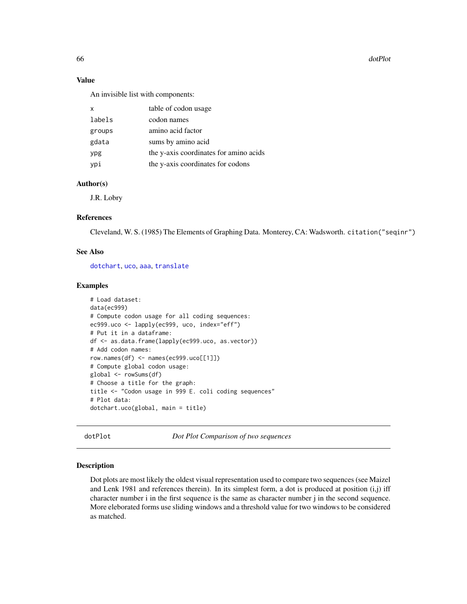66 doct that the contract of the contract of the contract of the contract of the contract of the contract of the contract of the contract of the contract of the contract of the contract of the contract of the contract of t

## Value

An invisible list with components:

| x      | table of codon usage                   |
|--------|----------------------------------------|
| labels | codon names                            |
| groups | amino acid factor                      |
| gdata  | sums by amino acid                     |
| ypg    | the y-axis coordinates for amino acids |
| ypi    | the y-axis coordinates for codons      |

## Author(s)

J.R. Lobry

# References

Cleveland, W. S. (1985) The Elements of Graphing Data. Monterey, CA: Wadsworth. citation("seqinr")

## See Also

[dotchart](#page-0-0), [uco](#page-208-0), [aaa](#page-5-0), [translate](#page-203-0)

### Examples

```
# Load dataset:
data(ec999)
# Compute codon usage for all coding sequences:
ec999.uco <- lapply(ec999, uco, index="eff")
# Put it in a dataframe:
df <- as.data.frame(lapply(ec999.uco, as.vector))
# Add codon names:
row.names(df) <- names(ec999.uco[[1]])
# Compute global codon usage:
global <- rowSums(df)
# Choose a title for the graph:
title <- "Codon usage in 999 E. coli coding sequences"
# Plot data:
dotchart.uco(global, main = title)
```
dotPlot *Dot Plot Comparison of two sequences*

# Description

Dot plots are most likely the oldest visual representation used to compare two sequences (see Maizel and Lenk 1981 and references therein). In its simplest form, a dot is produced at position  $(i,j)$  iff character number i in the first sequence is the same as character number j in the second sequence. More eleborated forms use sliding windows and a threshold value for two windows to be considered as matched.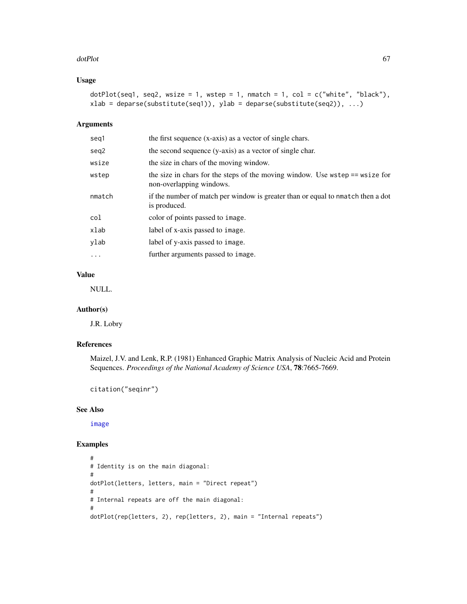#### dotPlot 67

# Usage

```
dot(Seq1, seq2, wsize = 1, wstep = 1, nmatch = 1, col = c("white", "black"),
xlab = deparse(substitute(seq1)), ylab = deparse(substitute(seq2)), ...)
```
### Arguments

| seq1     | the first sequence (x-axis) as a vector of single chars.                                                 |
|----------|----------------------------------------------------------------------------------------------------------|
| seq2     | the second sequence (y-axis) as a vector of single char.                                                 |
| wsize    | the size in chars of the moving window.                                                                  |
| wstep    | the size in chars for the steps of the moving window. Use wstep == wsize for<br>non-overlapping windows. |
| nmatch   | if the number of match per window is greater than or equal to nmatch then a dot<br>is produced.          |
| col      | color of points passed to image.                                                                         |
| xlab     | label of x-axis passed to image.                                                                         |
| ylab     | label of y-axis passed to image.                                                                         |
| $\cdots$ | further arguments passed to image.                                                                       |

# Value

NULL.

# Author(s)

J.R. Lobry

# References

Maizel, J.V. and Lenk, R.P. (1981) Enhanced Graphic Matrix Analysis of Nucleic Acid and Protein Sequences. *Proceedings of the National Academy of Science USA*, 78:7665-7669.

citation("seqinr")

# See Also

[image](#page-0-0)

```
#
# Identity is on the main diagonal:
#
dotPlot(letters, letters, main = "Direct repeat")
#
# Internal repeats are off the main diagonal:
#
dotPlot(rep(letters, 2), rep(letters, 2), main = "Internal repeats")
```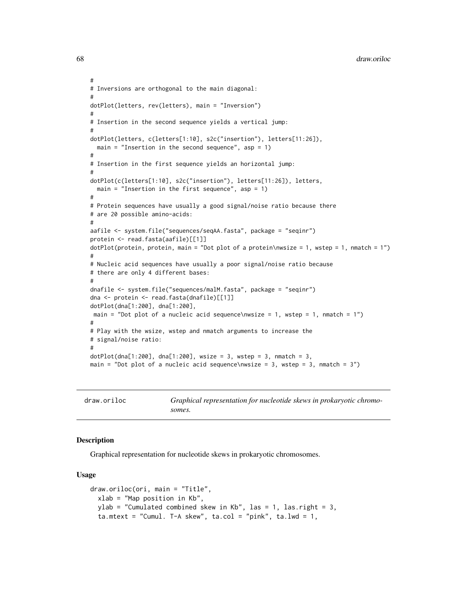```
#
# Inversions are orthogonal to the main diagonal:
#
dotPlot(letters, rev(letters), main = "Inversion")
#
# Insertion in the second sequence yields a vertical jump:
#
dotPlot(letters, c(letters[1:10], s2c("insertion"), letters[11:26]),
  main = "Insertion in the second sequence", asp = 1)
#
# Insertion in the first sequence yields an horizontal jump:
#
dotPlot(c(letters[1:10], s2c("insertion"), letters[11:26]), letters,
  main = "Insertion in the first sequence", asp = 1)
#
# Protein sequences have usually a good signal/noise ratio because there
# are 20 possible amino-acids:
#
aafile <- system.file("sequences/seqAA.fasta", package = "seqinr")
protein <- read.fasta(aafile)[[1]]
dotP( protein, protein, main = "Dot plot of a protein\nwsize = 1, wstep = 1, nmatch = 1")
#
# Nucleic acid sequences have usually a poor signal/noise ratio because
# there are only 4 different bases:
#
dnafile <- system.file("sequences/malM.fasta", package = "seqinr")
dna <- protein <- read.fasta(dnafile)[[1]]
dotPlot(dna[1:200], dna[1:200],
main = "Dot plot of a nucleic acid sequence\nwsize = 1, wstep = 1, nmatch = 1")
#
# Play with the wsize, wstep and nmatch arguments to increase the
# signal/noise ratio:
#
dot[1:200], dna[1:200], wsize = 3, wstep = 3, nmatch = 3,
main = "Dot plot of a nucleic acid sequence\nwsize = 3, wstep = 3, nmatch = 3")
```
draw.oriloc *Graphical representation for nucleotide skews in prokaryotic chromosomes.*

## Description

Graphical representation for nucleotide skews in prokaryotic chromosomes.

## Usage

```
draw.oriloc(ori, main = "Title",
 xlab = "Map position in Kb",
 ylab = "Cumulated combined skew in Kb", las = 1, las.right = 3,
  ta.mtext = "Cumul. T-A skew", ta.col = "pink", ta.lwd = 1,
```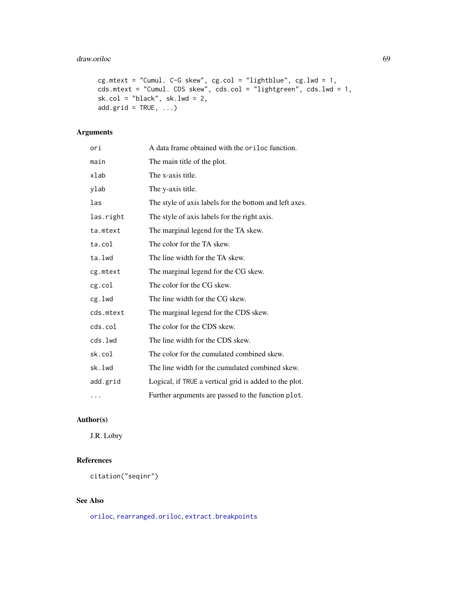#### draw.oriloc 69 and 200 and 200 and 200 and 200 and 200 and 200 and 200 and 200 and 200 and 200 and 200 and 200

```
cg.mtext = "Cumul. C-G skew", cg.col = "lightblue", cg.lwd = 1,
cds.mtext = "Cumul. CDS skew", cds.col = "lightgreen", cds.lwd = 1,
sk.col = "black", sk.lwd = 2,
add.grid = TRUE, ...)
```
# Arguments

| ori       | A data frame obtained with the oriloc function.        |
|-----------|--------------------------------------------------------|
| main      | The main title of the plot.                            |
| xlab      | The x-axis title.                                      |
| ylab      | The y-axis title.                                      |
| las       | The style of axis labels for the bottom and left axes. |
| las.right | The style of axis labels for the right axis.           |
| ta.mtext  | The marginal legend for the TA skew.                   |
| ta.col    | The color for the TA skew.                             |
| ta.lwd    | The line width for the TA skew.                        |
| cg.mtext  | The marginal legend for the CG skew.                   |
| cg.col    | The color for the CG skew.                             |
| cg.lwd    | The line width for the CG skew.                        |
| cds.mtext | The marginal legend for the CDS skew.                  |
| cds.col   | The color for the CDS skew.                            |
| cds.lwd   | The line width for the CDS skew.                       |
| sk.col    | The color for the cumulated combined skew.             |
| sk.lwd    | The line width for the cumulated combined skew.        |
| add.grid  | Logical, if TRUE a vertical grid is added to the plot. |
| $\cdots$  | Further arguments are passed to the function plot.     |

# Author(s)

J.R. Lobry

# References

citation("seqinr")

# See Also

[oriloc](#page-131-0), [rearranged.oriloc](#page-170-0), [extract.breakpoints](#page-76-0)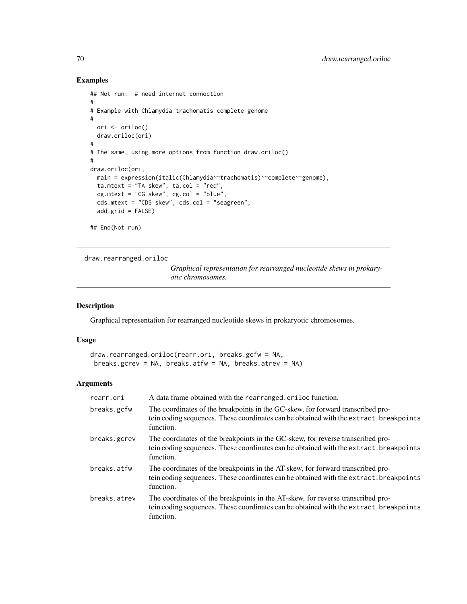# Examples

```
## Not run: # need internet connection
#
# Example with Chlamydia trachomatis complete genome
#
 ori <- oriloc()
 draw.oriloc(ori)
#
# The same, using more options from function draw.oriloc()
#
draw.oriloc(ori,
 main = expression(italic(Chlamydia~~trachomatis)~~complete~~genome),
  ta.mtext = "TA skew", ta.col = "red",
  cg.mtext = "CG skew", cg.col = "blue",
  cds.mtext = "CDS skew", cds.col = "seagreen",
  add.grid = FALSE)
## End(Not run)
```
draw.rearranged.oriloc

*Graphical representation for rearranged nucleotide skews in prokaryotic chromosomes.*

## Description

Graphical representation for rearranged nucleotide skews in prokaryotic chromosomes.

## Usage

```
draw.rearranged.oriloc(rearr.ori, breaks.gcfw = NA,
breaks.gcrev = NA, breaks.atfw = NA, breaks.atrev = NA)
```
## Arguments

| rearr.ori    | A data frame obtained with the rearranged.oriloc function.                                                                                                                             |
|--------------|----------------------------------------------------------------------------------------------------------------------------------------------------------------------------------------|
| breaks.gcfw  | The coordinates of the breakpoints in the GC-skew, for forward transcribed pro-<br>tein coding sequences. These coordinates can be obtained with the extract. breakpoints<br>function. |
| breaks.gcrev | The coordinates of the breakpoints in the GC-skew, for reverse transcribed pro-<br>tein coding sequences. These coordinates can be obtained with the extract. breakpoints<br>function. |
| breaks.atfw  | The coordinates of the breakpoints in the AT-skew, for forward transcribed pro-<br>tein coding sequences. These coordinates can be obtained with the extract. breakpoints<br>function. |
| breaks.atrev | The coordinates of the breakpoints in the AT-skew, for reverse transcribed pro-<br>tein coding sequences. These coordinates can be obtained with the extract. breakpoints<br>function. |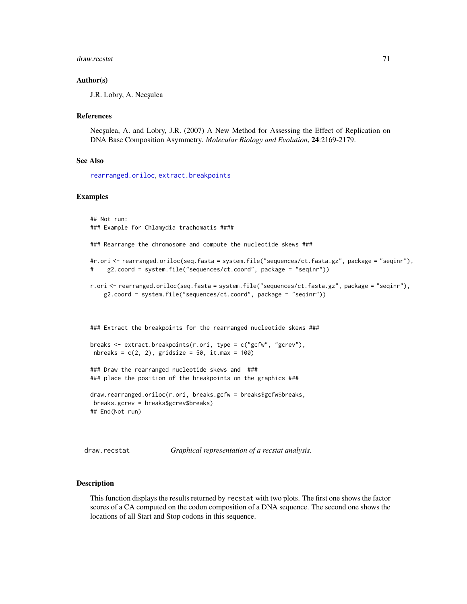#### draw.recstat 71

### Author(s)

J.R. Lobry, A. Necşulea

#### References

Nec<sub>sulea</sub>, A. and Lobry, J.R. (2007) A New Method for Assessing the Effect of Replication on DNA Base Composition Asymmetry. *Molecular Biology and Evolution*, 24:2169-2179.

#### See Also

[rearranged.oriloc](#page-170-0), [extract.breakpoints](#page-76-0)

### Examples

## Not run: ### Example for Chlamydia trachomatis ####

### Rearrange the chromosome and compute the nucleotide skews ###

```
#r.ori <- rearranged.oriloc(seq.fasta = system.file("sequences/ct.fasta.gz", package = "seqinr"),
# g2.coord = system.file("sequences/ct.coord", package = "seqinr"))
```

```
r.ori <- rearranged.oriloc(seq.fasta = system.file("sequences/ct.fasta.gz", package = "seqinr"),
    g2.coord = system.file("sequences/ct.coord", package = "seqinr"))
```
### Extract the breakpoints for the rearranged nucleotide skews ###

```
breaks <- extract.breakpoints(r.ori, type = c("gcfw", "gcrev"),
nbreaks = c(2, 2), gridsize = 50, it.max = 100)
```

```
### Draw the rearranged nucleotide skews and ###
### place the position of the breakpoints on the graphics ###
```

```
draw.rearranged.oriloc(r.ori, breaks.gcfw = breaks$gcfw$breaks,
breaks.gcrev = breaks$gcrev$breaks)
## End(Not run)
```
draw.recstat *Graphical representation of a recstat analysis.*

#### Description

This function displays the results returned by recstat with two plots. The first one shows the factor scores of a CA computed on the codon composition of a DNA sequence. The second one shows the locations of all Start and Stop codons in this sequence.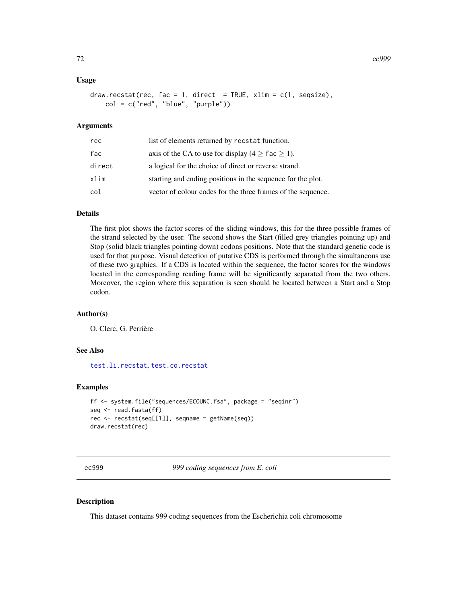### Usage

```
draw.rect = 1, direct = TRUE, xlim = c(1, seqsize),
   col = c("red", "blue", "purple"))
```
## **Arguments**

| rec    | list of elements returned by recstat function.               |
|--------|--------------------------------------------------------------|
| fac    | axis of the CA to use for display ( $4 \ge$ fac $\ge$ 1).    |
| direct | a logical for the choice of direct or reverse strand.        |
| xlim   | starting and ending positions in the sequence for the plot.  |
| col    | vector of colour codes for the three frames of the sequence. |

# Details

The first plot shows the factor scores of the sliding windows, this for the three possible frames of the strand selected by the user. The second shows the Start (filled grey triangles pointing up) and Stop (solid black triangles pointing down) codons positions. Note that the standard genetic code is used for that purpose. Visual detection of putative CDS is performed through the simultaneous use of these two graphics. If a CDS is located within the sequence, the factor scores for the windows located in the corresponding reading frame will be significantly separated from the two others. Moreover, the region where this separation is seen should be located between a Start and a Stop codon.

### Author(s)

O. Clerc, G. Perrière

#### See Also

[test.li.recstat](#page-200-0), [test.co.recstat](#page-199-0)

## Examples

```
ff <- system.file("sequences/ECOUNC.fsa", package = "seqinr")
seq <- read.fasta(ff)
rec <- recstat(seq[[1]], seqname = getName(seq))
draw.recstat(rec)
```
ec999 *999 coding sequences from E. coli*

### Description

This dataset contains 999 coding sequences from the Escherichia coli chromosome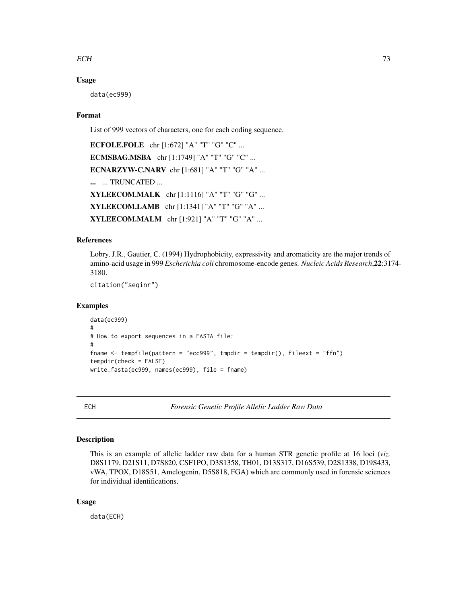# $ECH$  73

## Usage

data(ec999)

# Format

List of 999 vectors of characters, one for each coding sequence.

ECFOLE.FOLE chr [1:672] "A" "T" "G" "C" ... ECMSBAG.MSBA chr [1:1749] "A" "T" "G" "C" ... ECNARZYW-C.NARV chr [1:681] "A" "T" "G" "A" ... ... ... TRUNCATED ... XYLEECOM.MALK chr [1:1116] "A" "T" "G" "G" ... XYLEECOM.LAMB chr [1:1341] "A" "T" "G" "A" ... XYLEECOM.MALM chr [1:921] "A" "T" "G" "A" ...

# References

Lobry, J.R., Gautier, C. (1994) Hydrophobicity, expressivity and aromaticity are the major trends of amino-acid usage in 999 *Escherichia coli* chromosome-encode genes. *Nucleic Acids Research*,22:3174- 3180.

citation("seqinr")

#### Examples

```
data(ec999)
#
# How to export sequences in a FASTA file:
#
fname <- tempfile(pattern = "ecc999", tmpdir = tempdir(), fileext = "ffn")
tempdir(check = FALSE)
write.fasta(ec999, names(ec999), file = fname)
```
ECH *Forensic Genetic Profile Allelic Ladder Raw Data*

# Description

This is an example of allelic ladder raw data for a human STR genetic profile at 16 loci (*viz.* D8S1179, D21S11, D7S820, CSF1PO, D3S1358, TH01, D13S317, D16S539, D2S1338, D19S433, vWA, TPOX, D18S51, Amelogenin, D5S818, FGA) which are commonly used in forensic sciences for individual identifications.

# Usage

data(ECH)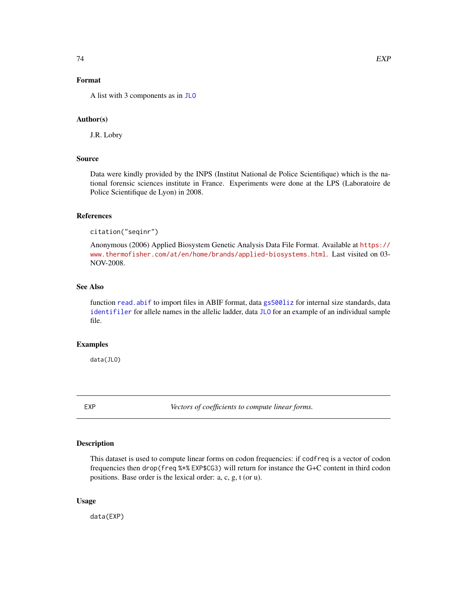# Format

A list with 3 components as in [JLO](#page-116-0)

#### Author(s)

J.R. Lobry

## Source

Data were kindly provided by the INPS (Institut National de Police Scientifique) which is the national forensic sciences institute in France. Experiments were done at the LPS (Laboratoire de Police Scientifique de Lyon) in 2008.

# References

citation("seqinr")

Anonymous (2006) Applied Biosystem Genetic Analysis Data File Format. Available at [https://](https://www.thermofisher.com/at/en/home/brands/applied-biosystems.html) [www.thermofisher.com/at/en/home/brands/applied-biosystems.html](https://www.thermofisher.com/at/en/home/brands/applied-biosystems.html). Last visited on 03- NOV-2008.

# See Also

function [read.abif](#page-156-0) to import files in ABIF format, data [gs500liz](#page-113-0) for internal size standards, data [identifiler](#page-114-0) for allele names in the allelic ladder, data [JLO](#page-116-0) for an example of an individual sample file.

# Examples

data(JLO)

EXP *Vectors of coefficients to compute linear forms.*

## Description

This dataset is used to compute linear forms on codon frequencies: if codfreq is a vector of codon frequencies then drop(freq %\*% EXP\$CG3) will return for instance the G+C content in third codon positions. Base order is the lexical order: a, c, g, t (or u).

## Usage

data(EXP)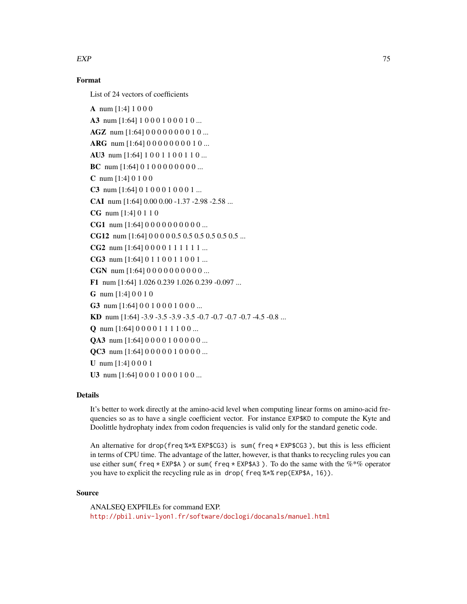# $EXP$  75

# Format

List of 24 vectors of coefficients

A num [1:4] 1 0 0 0 A3 num [1:64] 1 0 0 0 1 0 0 0 1 0 ... AGZ num [1:64] 0 0 0 0 0 0 0 0 1 0 ... ARG num [1:64] 0000000010... AU3 num [1:64] 1001100110... BC num [1:64] 0 1 0 0 0 0 0 0 0 0 ... C num [1:4] 0 1 0 0 C3 num [1:64] 0 1 0 0 0 1 0 0 0 1 ... CAI num [1:64] 0.00 0.00 -1.37 -2.98 -2.58 ... CG num [1:4] 0 1 1 0 CG1 num [1:64] 0 0 0 0 0 0 0 0 0 0 ... CG12 num [1:64] 0 0 0 0 0.5 0.5 0.5 0.5 0.5 0.5 ... CG2 num [1:64] 0 0 0 0 1 1 1 1 1 1 ... CG3 num [1:64] 0 1 1 0 0 1 1 0 0 1 ... CGN num [1:64] 0 0 0 0 0 0 0 0 0 0 ... F1 num [1:64] 1.026 0.239 1.026 0.239 -0.097 ... G num [1:4] 0 0 1 0 G3 num [1:64] 0 0 1 0 0 0 1 0 0 0 ... KD num [1:64] -3.9 -3.5 -3.9 -3.5 -0.7 -0.7 -0.7 -0.7 -4.5 -0.8 ... **Q** num  $[1:64] 0 0 0 0 1 1 1 1 0 0 ...$ QA3 num [1:64] 0 0 0 0 1 0 0 0 0 0 ... **QC3** num [1:64]  $0 0 0 0 0 1 0 0 0 0 ...$ U num [1:4] 0 0 0 1 U3 num [1:64] 0 0 0 1 0 0 0 1 0 0 ...

# Details

It's better to work directly at the amino-acid level when computing linear forms on amino-acid frequencies so as to have a single coefficient vector. For instance EXP\$KD to compute the Kyte and Doolittle hydrophaty index from codon frequencies is valid only for the standard genetic code.

An alternative for drop(freq  $%x$ % EXP\$CG3) is sum(freq  $*$  EXP\$CG3), but this is less efficient in terms of CPU time. The advantage of the latter, however, is that thanks to recycling rules you can use either sum( freq  $*$  EXP\$A) or sum( freq  $*$  EXP\$A3). To do the same with the  $%$  $*$ % operator you have to explicit the recycling rule as in drop( freq %\*% rep(EXP\$A, 16)).

#### Source

ANALSEQ EXPFILEs for command EXP. <http://pbil.univ-lyon1.fr/software/doclogi/docanals/manuel.html>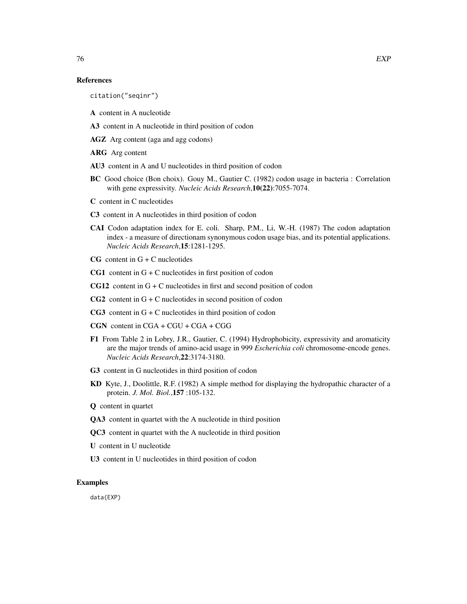## References

citation("seqinr")

A content in A nucleotide

A3 content in A nucleotide in third position of codon

AGZ Arg content (aga and agg codons)

ARG Arg content

AU3 content in A and U nucleotides in third position of codon

- BC Good choice (Bon choix). Gouy M., Gautier C. (1982) codon usage in bacteria : Correlation with gene expressivity. *Nucleic Acids Research*,10(22):7055-7074.
- C content in C nucleotides
- C3 content in A nucleotides in third position of codon
- CAI Codon adaptation index for E. coli. Sharp, P.M., Li, W.-H. (1987) The codon adaptation index - a measure of directionam synonymous codon usage bias, and its potential applications. *Nucleic Acids Research*,15:1281-1295.
- $CG$  content in  $G + C$  nucleotides
- CG1 content in  $G + C$  nucleotides in first position of codon
- CG12 content in  $G + C$  nucleotides in first and second position of codon
- $CG2$  content in  $G + C$  nucleotides in second position of codon
- $CG3$  content in  $G + C$  nucleotides in third position of codon
- CGN content in CGA + CGU + CGA + CGG
- F1 From Table 2 in Lobry, J.R., Gautier, C. (1994) Hydrophobicity, expressivity and aromaticity are the major trends of amino-acid usage in 999 *Escherichia coli* chromosome-encode genes. *Nucleic Acids Research*,22:3174-3180.
- G3 content in G nucleotides in third position of codon
- KD Kyte, J., Doolittle, R.F. (1982) A simple method for displaying the hydropathic character of a protein. *J. Mol. Biol.*,157 :105-132.
- Q content in quartet
- QA3 content in quartet with the A nucleotide in third position
- QC3 content in quartet with the A nucleotide in third position
- U content in U nucleotide
- U3 content in U nucleotides in third position of codon

# Examples

data(EXP)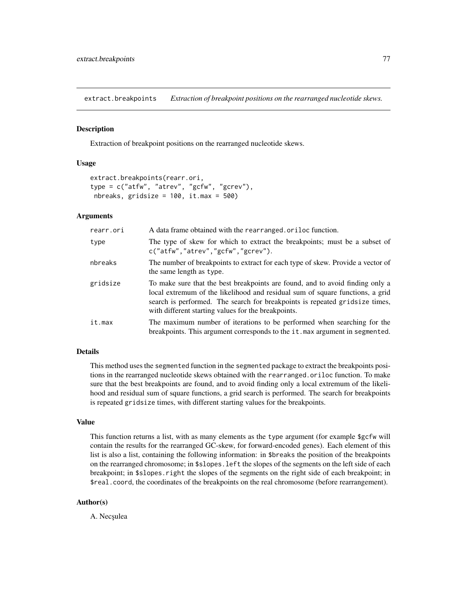extract.breakpoints *Extraction of breakpoint positions on the rearranged nucleotide skews.*

#### Description

Extraction of breakpoint positions on the rearranged nucleotide skews.

## Usage

```
extract.breakpoints(rearr.ori,
type = c("atfw", "atrev", "gcfw", "gcrev"),
nbreaks, gridsize = 100, it.max = 500)
```
## Arguments

| rearr.ori | A data frame obtained with the rearranged oriloc function.                                                                                                                                                                                                                                           |
|-----------|------------------------------------------------------------------------------------------------------------------------------------------------------------------------------------------------------------------------------------------------------------------------------------------------------|
| type      | The type of skew for which to extract the breakpoints; must be a subset of<br>c("atfw", "atrev", "gcfw", "gcrev").                                                                                                                                                                                   |
| nbreaks   | The number of breakpoints to extract for each type of skew. Provide a vector of<br>the same length as type.                                                                                                                                                                                          |
| gridsize  | To make sure that the best breakpoints are found, and to avoid finding only a<br>local extremum of the likelihood and residual sum of square functions, a grid<br>search is performed. The search for breakpoints is repeated gridsize times,<br>with different starting values for the breakpoints. |
| it.max    | The maximum number of iterations to be performed when searching for the<br>breakpoints. This argument corresponds to the it max argument in segmented.                                                                                                                                               |

# Details

This method uses the segmented function in the segmented package to extract the breakpoints positions in the rearranged nucleotide skews obtained with the rearranged.oriloc function. To make sure that the best breakpoints are found, and to avoid finding only a local extremum of the likelihood and residual sum of square functions, a grid search is performed. The search for breakpoints is repeated gridsize times, with different starting values for the breakpoints.

#### Value

This function returns a list, with as many elements as the type argument (for example \$gcfw will contain the results for the rearranged GC-skew, for forward-encoded genes). Each element of this list is also a list, containing the following information: in \$breaks the position of the breakpoints on the rearranged chromosome; in \$slopes.left the slopes of the segments on the left side of each breakpoint; in \$slopes.right the slopes of the segments on the right side of each breakpoint; in \$real.coord, the coordinates of the breakpoints on the real chromosome (before rearrangement).

# Author(s)

A. Necșulea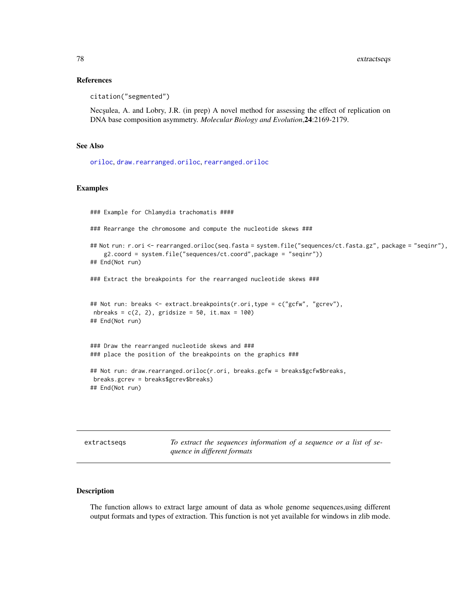## References

citation("segmented")

Nec<sub>s</sub>ulea, A. and Lobry, J.R. (in prep) A novel method for assessing the effect of replication on DNA base composition asymmetry. *Molecular Biology and Evolution*,24:2169-2179.

#### See Also

[oriloc](#page-131-0), [draw.rearranged.oriloc](#page-69-0), [rearranged.oriloc](#page-170-0)

# Examples

### Example for Chlamydia trachomatis ####

### Rearrange the chromosome and compute the nucleotide skews ###

```
## Not run: r.ori <- rearranged.oriloc(seq.fasta = system.file("sequences/ct.fasta.gz", package = "seqinr"),
    g2.coord = system.file("sequences/ct.coord",package = "seqinr"))
## End(Not run)
```
### Extract the breakpoints for the rearranged nucleotide skews ###

```
## Not run: breaks <- extract.breakpoints(r.ori,type = c("gcfw", "gcrev"),
nbreaks = c(2, 2), gridsize = 50, it.max = 100)
## End(Not run)
```
### Draw the rearranged nucleotide skews and ### ### place the position of the breakpoints on the graphics ###

```
## Not run: draw.rearranged.oriloc(r.ori, breaks.gcfw = breaks$gcfw$breaks,
breaks.gcrev = breaks$gcrev$breaks)
## End(Not run)
```
extractseqs *To extract the sequences information of a sequence or a list of sequence in different formats*

## Description

The function allows to extract large amount of data as whole genome sequences,using different output formats and types of extraction. This function is not yet available for windows in zlib mode.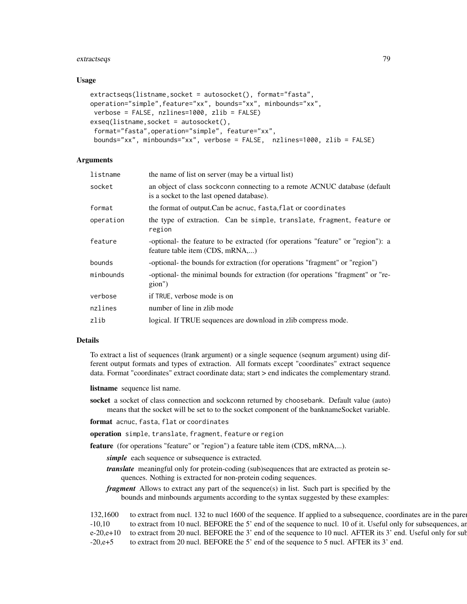#### extractseqs 79

## Usage

```
extractseqs(listname,socket = autosocket(), format="fasta",
operation="simple",feature="xx", bounds="xx", minbounds="xx",
verbose = FALSE, nzlines=1000, zlib = FALSE)
exseq(listname, socket = autosocket(),
format="fasta",operation="simple", feature="xx",
bounds="xx", minbounds="xx", verbose = FALSE, nzlines=1000, zlib = FALSE)
```
## **Arguments**

| listname  | the name of list on server (may be a virtual list)                                                                      |
|-----------|-------------------------------------------------------------------------------------------------------------------------|
| socket    | an object of class sockconn connecting to a remote ACNUC database (default<br>is a socket to the last opened database). |
| format    | the format of output. Can be acnuc, fasta, flat or coordinates                                                          |
| operation | the type of extraction. Can be simple, translate, fragment, feature or<br>region                                        |
| feature   | -optional- the feature to be extracted (for operations "feature" or "region"): a<br>feature table item (CDS, mRNA,)     |
| bounds    | -optional- the bounds for extraction (for operations "fragment" or "region")                                            |
| minbounds | -optional- the minimal bounds for extraction (for operations "fragment" or "re-<br>gion")                               |
| verbose   | if TRUE, verbose mode is on                                                                                             |
| nzlines   | number of line in zlib mode                                                                                             |
| zlib      | logical. If TRUE sequences are download in zlib compress mode.                                                          |
|           |                                                                                                                         |

# Details

To extract a list of sequences (lrank argument) or a single sequence (seqnum argument) using different output formats and types of extraction. All formats except "coordinates" extract sequence data. Format "coordinates" extract coordinate data; start > end indicates the complementary strand.

listname sequence list name.

socket a socket of class connection and sockconn returned by choosebank. Default value (auto) means that the socket will be set to to the socket component of the banknameSocket variable.

format acnuc, fasta, flat or coordinates

operation simple, translate, fragment, feature or region

feature (for operations "feature" or "region") a feature table item (CDS, mRNA,...).

*simple* each sequence or subsequence is extracted.

*translate* meaningful only for protein-coding (sub)sequences that are extracted as protein sequences. Nothing is extracted for non-protein coding sequences.

*fragment* Allows to extract any part of the sequence(s) in list. Such part is specified by the bounds and minbounds arguments according to the syntax suggested by these examples:

| 132,1600   | to extract from nucl. 132 to nucl 1600 of the sequence. If applied to a subsequence, coordinates are in the parel       |
|------------|-------------------------------------------------------------------------------------------------------------------------|
| $-10,10$   | to extract from 10 nucl. BEFORE the 5' end of the sequence to nucl. 10 of it. Useful only for subsequences, an          |
|            | e-20,e+10 to extract from 20 nucl. BEFORE the 3' end of the sequence to 10 nucl. AFTER its 3' end. Useful only for sub- |
| $-20, e+5$ | to extract from 20 nucl. BEFORE the 5' end of the sequence to 5 nucl. AFTER its 3' end.                                 |
|            |                                                                                                                         |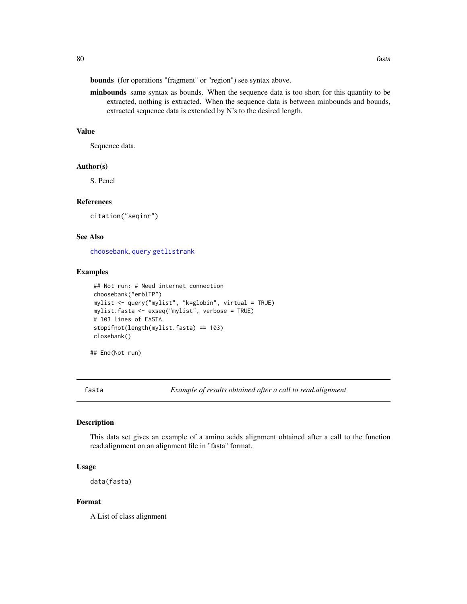bounds (for operations "fragment" or "region") see syntax above.

minbounds same syntax as bounds. When the sequence data is too short for this quantity to be extracted, nothing is extracted. When the sequence data is between minbounds and bounds, extracted sequence data is extended by N's to the desired length.

# Value

Sequence data.

#### Author(s)

S. Penel

# References

citation("seqinr")

## See Also

[choosebank](#page-41-0), [query](#page-153-0) [getlistrank](#page-100-0)

# Examples

```
## Not run: # Need internet connection
choosebank("emblTP")
mylist <- query("mylist", "k=globin", virtual = TRUE)
mylist.fasta <- exseq("mylist", verbose = TRUE)
# 103 lines of FASTA
stopifnot(length(mylist.fasta) == 103)
closebank()
```
## End(Not run)

fasta *Example of results obtained after a call to read.alignment*

#### Description

This data set gives an example of a amino acids alignment obtained after a call to the function read.alignment on an alignment file in "fasta" format.

## Usage

data(fasta)

# Format

A List of class alignment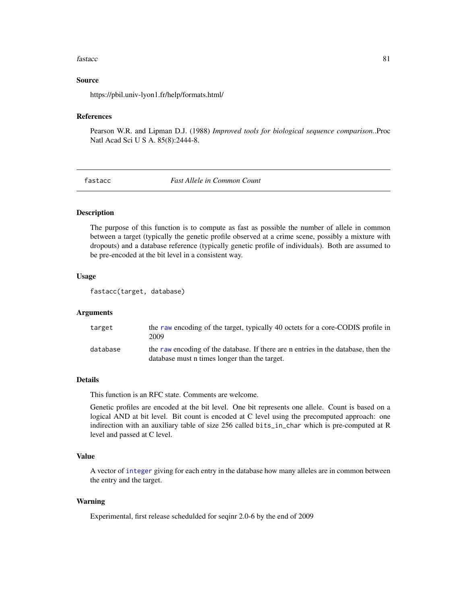#### fastacc 81

## Source

https://pbil.univ-lyon1.fr/help/formats.html/

## References

Pearson W.R. and Lipman D.J. (1988) *Improved tools for biological sequence comparison.*.Proc Natl Acad Sci U S A. 85(8):2444-8.

fastacc *Fast Allele in Common Count*

## Description

The purpose of this function is to compute as fast as possible the number of allele in common between a target (typically the genetic profile observed at a crime scene, possibly a mixture with dropouts) and a database reference (typically genetic profile of individuals). Both are assumed to be pre-encoded at the bit level in a consistent way.

# Usage

```
fastacc(target, database)
```
# Arguments

| target   | the raw encoding of the target, typically 40 octets for a core-CODIS profile in<br>2009                                             |
|----------|-------------------------------------------------------------------------------------------------------------------------------------|
| database | the raw encoding of the database. If there are n entries in the database, then the<br>database must n times longer than the target. |

#### Details

This function is an RFC state. Comments are welcome.

Genetic profiles are encoded at the bit level. One bit represents one allele. Count is based on a logical AND at bit level. Bit count is encoded at C level using the precomputed approach: one indirection with an auxiliary table of size 256 called bits\_in\_char which is pre-computed at R level and passed at C level.

# Value

A vector of [integer](#page-0-0) giving for each entry in the database how many alleles are in common between the entry and the target.

## Warning

Experimental, first release schedulded for seqinr 2.0-6 by the end of 2009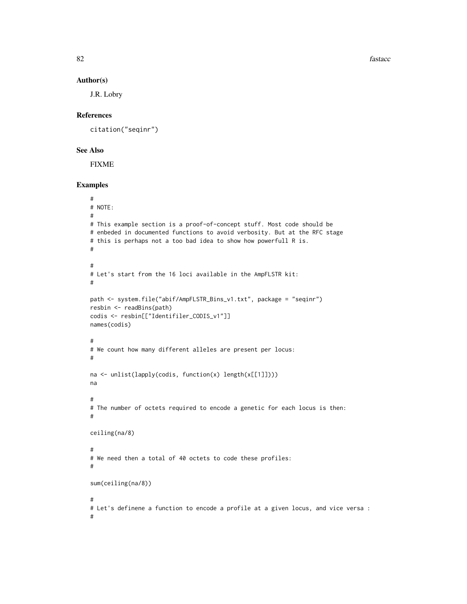82 fastacc

#### Author(s)

J.R. Lobry

# References

citation("seqinr")

# See Also

FIXME

# Examples

```
#
# NOTE:
#
# This example section is a proof-of-concept stuff. Most code should be
# enbeded in documented functions to avoid verbosity. But at the RFC stage
# this is perhaps not a too bad idea to show how powerfull R is.
#
#
# Let's start from the 16 loci available in the AmpFLSTR kit:
#
path <- system.file("abif/AmpFLSTR_Bins_v1.txt", package = "seqinr")
resbin <- readBins(path)
codis <- resbin[["Identifiler_CODIS_v1"]]
names(codis)
#
# We count how many different alleles are present per locus:
#
na <- unlist(lapply(codis, function(x) length(x[[1]])))
na
#
# The number of octets required to encode a genetic for each locus is then:
#
ceiling(na/8)
#
# We need then a total of 40 octets to code these profiles:
#
sum(ceiling(na/8))
#
# Let's definene a function to encode a profile at a given locus, and vice versa :
#
```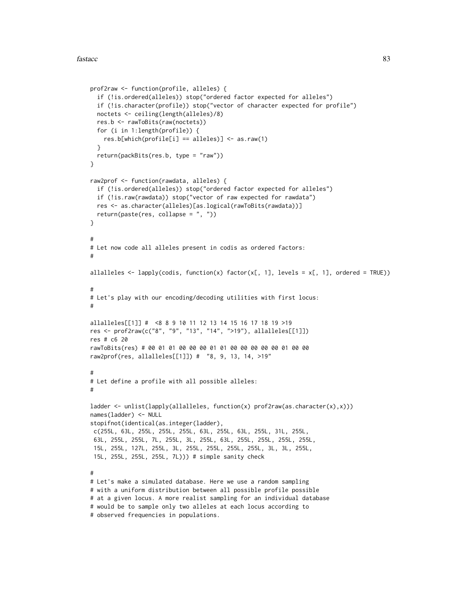```
prof2raw <- function(profile, alleles) {
 if (!is.ordered(alleles)) stop("ordered factor expected for alleles")
 if (!is.character(profile)) stop("vector of character expected for profile")
 noctets <- ceiling(length(alleles)/8)
 res.b <- rawToBits(raw(noctets))
 for (i in 1:length(profile)) {
    res.b[which(profile[i] == alleles)] < -asraw(1)}
 return(packBits(res.b, type = "raw"))
}
raw2prof <- function(rawdata, alleles) {
 if (!is.ordered(alleles)) stop("ordered factor expected for alleles")
 if (!is.raw(rawdata)) stop("vector of raw expected for rawdata")
 res <- as.character(alleles)[as.logical(rawToBits(rawdata))]
 return(paste(res, collapse = ", "))
}
#
# Let now code all alleles present in codis as ordered factors:
#
allalleles \leq lapply(codis, function(x) factor(x[, 1], levels = x[, 1], ordered = TRUE))
#
# Let's play with our encoding/decoding utilities with first locus:
#
allalleles[[1]] # <8 8 9 10 11 12 13 14 15 16 17 18 19 >19
res <- prof2raw(c("8", "9", "13", "14", ">19"), allalleles[[1]])
res # c6 20
rawToBits(res) # 00 01 01 00 00 00 01 01 00 00 00 00 00 01 00 00
raw2prof(res, allalleles[[1]]) # "8, 9, 13, 14, >19"
#
# Let define a profile with all possible alleles:
#
ladder <- unlist(lapply(allalleles, function(x) prof2raw(as.character(x),x)))
names(ladder) <- NULL
stopifnot(identical(as.integer(ladder),
c(255L, 63L, 255L, 255L, 255L, 63L, 255L, 63L, 255L, 31L, 255L,
63L, 255L, 255L, 7L, 255L, 3L, 255L, 63L, 255L, 255L, 255L, 255L,
15L, 255L, 127L, 255L, 3L, 255L, 255L, 255L, 255L, 3L, 3L, 255L,
15L, 255L, 255L, 255L, 7L))) # simple sanity check
#
# Let's make a simulated database. Here we use a random sampling
# with a uniform distribution between all possible profile possible
# at a given locus. A more realist sampling for an individual database
# would be to sample only two alleles at each locus according to
# observed frequencies in populations.
```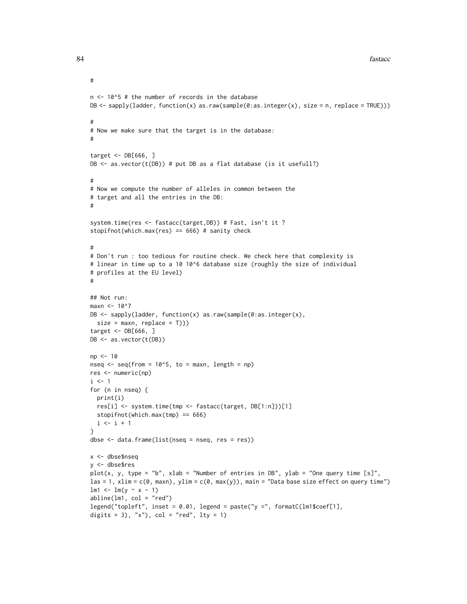```
n < -10^5 # the number of records in the database
DB <- sapply(ladder, function(x) as.raw(sample(0:as.integer(x), size = n, replace = TRUE)))
#
# Now we make sure that the target is in the database:
#
target <- DB[666, ]
DB \leq as. vector(t(DB)) # put DB as a flat database (is it usefull?)
#
# Now we compute the number of alleles in common between the
# target and all the entries in the DB:
#
system.time(res <- fastacc(target,DB)) # Fast, isn't it ?
stopifnot(which.max(res) == 666) # sanity check
#
# Don't run : too tedious for routine check. We check here that complexity is
# linear in time up to a 10 10^6 database size (roughly the size of individual
# profiles at the EU level)
#
## Not run:
maxn <- 10^7
DB <- sapply(ladder, function(x) as.raw(sample(0:as.integer(x),
 size = maxn, replace = T)))
target <- DB[666, ]
DB <- as.vector(t(DB))
np <- 10
nseq \leq seq(from = 10^5, to = maxn, length = np)
res <- numeric(np)
i \leq 1for (n in nseq) {
  print(i)
  res[i] <- system.time(tmp <- fastacc(target, DB[1:n]))[1]
  stopifnot(which.max(tmp) == 666)
 i \leftarrow i + 1}
dbse <- data.frame(list(nseq = nseq, res = res))
x <- dbse$nseq
y <- dbse$res
plot(x, y, type = "b", xlab = "Number of entries in DB", ylab = "One query time [s]",
las = 1, xlim = c(0, \text{max}), ylim = c(0, \text{max}(y)), main = "Data base size effect on query time")
lm1 < - lm(y \sim x - 1)abline(lm1, col = "red")legend("topleft", inset = 0.01, legend = paste("y =", formatC(lm1$coef[1],
digits = 3), "x"), col = "red", lty = 1)
```
#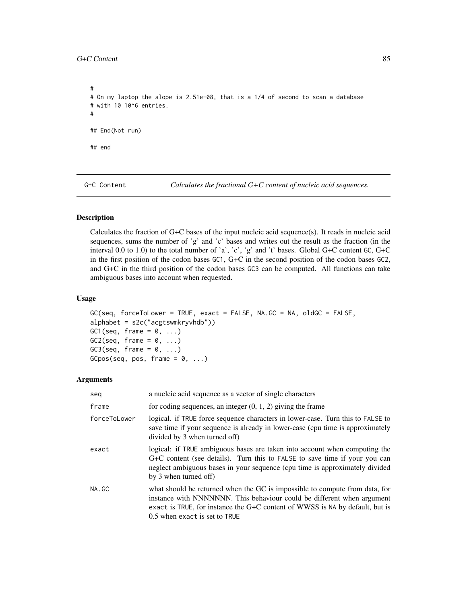# # On my laptop the slope is 2.51e-08, that is a 1/4 of second to scan a database # with 10 10^6 entries. # ## End(Not run) ## end

G+C Content *Calculates the fractional G+C content of nucleic acid sequences.* 

# Description

Calculates the fraction of G+C bases of the input nucleic acid sequence(s). It reads in nucleic acid sequences, sums the number of 'g' and 'c' bases and writes out the result as the fraction (in the interval 0.0 to 1.0) to the total number of 'a', 'c', 'g' and 't' bases. Global G+C content GC, G+C in the first position of the codon bases GC1, G+C in the second position of the codon bases GC2, and G+C in the third position of the codon bases GC3 can be computed. All functions can take ambiguous bases into account when requested.

# Usage

```
GC(seq, forceToLower = TRUE, exact = FALSE, NA.GC = NA, oldGC = FALSE,
alphabet = s2c("acgtswmkryvhdb"))
GC1(seq, frame = 0, ...)
GC2(seq, frame = 0, \ldots)
GC3(seq, frame = 0, ...)GCpos(seq, pos, frame = 0, ...)
```
#### Arguments

| seq          | a nucleic acid sequence as a vector of single characters                                                                                                                                                                                                               |
|--------------|------------------------------------------------------------------------------------------------------------------------------------------------------------------------------------------------------------------------------------------------------------------------|
| frame        | for coding sequences, an integer $(0, 1, 2)$ giving the frame                                                                                                                                                                                                          |
| forceToLower | logical. if TRUE force sequence characters in lower-case. Turn this to FALSE to<br>save time if your sequence is already in lower-case (cpu time is approximately<br>divided by 3 when turned off)                                                                     |
| exact        | logical: if TRUE ambiguous bases are taken into account when computing the<br>G+C content (see details). Turn this to FALSE to save time if your you can<br>neglect ambiguous bases in your sequence (cpu time is approximately divided<br>by 3 when turned off)       |
| NA.GC        | what should be returned when the GC is impossible to compute from data, for<br>instance with NNNNNNN. This behaviour could be different when argument<br>exact is TRUE, for instance the G+C content of WWSS is NA by default, but is<br>0.5 when exact is set to TRUE |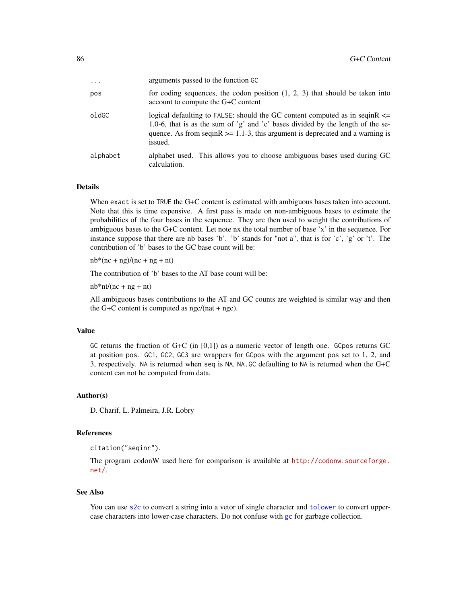| $\ddotsc$ | arguments passed to the function GC                                                                                                                                                                                                                                 |
|-----------|---------------------------------------------------------------------------------------------------------------------------------------------------------------------------------------------------------------------------------------------------------------------|
| pos       | for coding sequences, the codon position $(1, 2, 3)$ that should be taken into<br>account to compute the G+C content                                                                                                                                                |
| oldGC     | logical defaulting to FALSE: should the GC content computed as in seqin $R \le$<br>1.0-6, that is as the sum of 'g' and 'c' bases divided by the length of the se-<br>quence. As from seqin $R \ge 1.1$ -3, this argument is deprecated and a warning is<br>issued. |
| alphabet  | alphabet used. This allows you to choose ambiguous bases used during GC<br>calculation.                                                                                                                                                                             |

#### Details

When exact is set to TRUE the G+C content is estimated with ambiguous bases taken into account. Note that this is time expensive. A first pass is made on non-ambiguous bases to estimate the probabilities of the four bases in the sequence. They are then used to weight the contributions of ambiguous bases to the G+C content. Let note nx the total number of base 'x' in the sequence. For instance suppose that there are nb bases 'b'. 'b' stands for "not a", that is for 'c', 'g' or 't'. The contribution of 'b' bases to the GC base count will be:

 $nb*(nc + ng)/(nc + ng + nt)$ 

The contribution of 'b' bases to the AT base count will be:

 $nb*nt/(nc + ng + nt)$ 

All ambiguous bases contributions to the AT and GC counts are weighted is similar way and then the G+C content is computed as  $\frac{1}{2}$  ngc/(nat + ngc).

## Value

GC returns the fraction of G+C (in  $[0,1]$ ) as a numeric vector of length one. GCpos returns GC at position pos. GC1, GC2, GC3 are wrappers for GCpos with the argument pos set to 1, 2, and 3, respectively. NA is returned when seq is NA. NA.GC defaulting to NA is returned when the G+C content can not be computed from data.

#### Author(s)

D. Charif, L. Palmeira, J.R. Lobry

#### References

citation("seqinr").

The program codonW used here for comparison is available at [http://codonw.sourceforge.](http://codonw.sourceforge.net/) [net/](http://codonw.sourceforge.net/).

#### See Also

You can use [s2c](#page-179-0) to convert a string into a vetor of single character and [tolower](#page-0-0) to convert uppercase characters into lower-case characters. Do not confuse with [gc](#page-0-0) for garbage collection.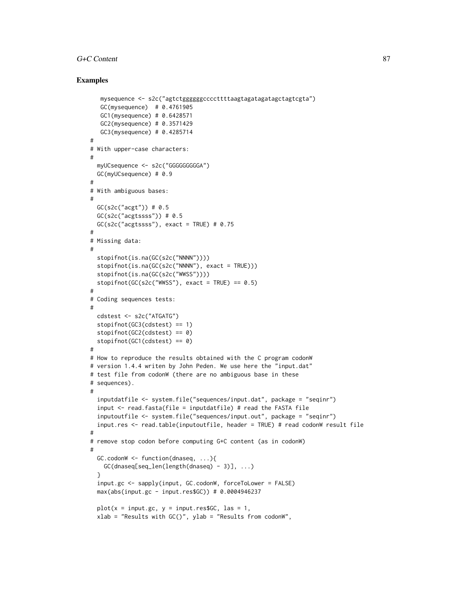## G+C Content 87

## Examples

```
mysequence <- s2c("agtctggggggccccttttaagtagatagatagctagtcgta")
  GC(mysequence) # 0.4761905
  GC1(mysequence) # 0.6428571
  GC2(mysequence) # 0.3571429
  GC3(mysequence) # 0.4285714
#
# With upper-case characters:
#
 myUCsequence <- s2c("GGGGGGGGGA")
 GC(myUCsequence) # 0.9
#
# With ambiguous bases:
#
 GC(s2c("acgt")) # 0.5
 GC(s2c("acgfssss")) # 0.5GC(s2c("acgtssss"), exact = TRUE) # 0.75
#
# Missing data:
#
 stopifnot(is.na(GC(s2c("NNNN"))))
 stopifnot(is.na(GC(s2c("NNNN"), exact = TRUE)))
 stopifnot(is.na(GC(s2c("WWSS"))))
 stopifnot(GC(s2c("WWSS"), exact = TRUE) == 0.5)#
# Coding sequences tests:
#
 cdstest <- s2c("ATGATG")
 stopifnot(GC3(cdstest) == 1)
 stopifnot(GC2(cdstest) == 0)
 stopifnot(GC1(cdstest) == 0)
#
# How to reproduce the results obtained with the C program codonW
# version 1.4.4 writen by John Peden. We use here the "input.dat"
# test file from codonW (there are no ambiguous base in these
# sequences).
#
 inputdatfile <- system.file("sequences/input.dat", package = "seqinr")
 input \leq read.fasta(file = inputdatfile) # read the FASTA file
 inputoutfile <- system.file("sequences/input.out", package = "seqinr")
 input.res <- read.table(inputoutfile, header = TRUE) # read codonW result file
#
# remove stop codon before computing G+C content (as in codonW)
#
 GC.codom \leq -function(dnaseq, ...)\{GC(dnaseq[seq_len(length(dnaseq) - 3)], ...)
  }
 input.gc <- sapply(input, GC.codonW, forceToLower = FALSE)
 max(abs(input.gc - input.res$GC)) # 0.0004946237
 plot(x = input.gc, y = input.res$GC, las = 1,
 xlab = "Results with GC()", ylab = "Results from codonW",
```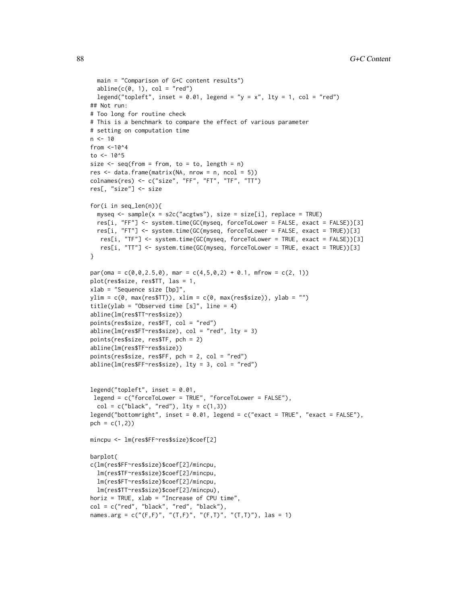```
main = "Comparison of G+C content results")
  abline(c(0, 1), col = "red")legend("topleft", inset = 0.01, legend = "y = x", lty = 1, col = "red")
## Not run:
# Too long for routine check
# This is a benchmark to compare the effect of various parameter
# setting on computation time
n < -10from <-10<sup>4</sup>to <-10.5size \leq seq(from = from, to = to, length = n)
res \leq data.frame(matrix(NA, nrow = n, ncol = 5))
colnames(res) <- c("size", "FF", "FT", "TF", "TT")
res[, "size"] <- size
for(i in seq_len(n)){
  myseq <- sample(x = s2c("acgtws"), size = size[i], replace = TRUE)
  res[i, "FF"] <- system.time(GC(myseq, forceToLower = FALSE, exact = FALSE))[3]
  res[i, "FT"] <- system.time(GC(myseq, forceToLower = FALSE, exact = TRUE))[3]
  res[i, "TF"] <- system.time(GC(myseq, forceToLower = TRUE, exact = FALSE))[3]
   res[i, "TT"] <- system.time(GC(myseq, forceToLower = TRUE, exact = TRUE))[3]
}
par(oma = c(0, 0, 2.5, 0), mar = c(4, 5, 0, 2) + 0.1, mfrow = c(2, 1))
plot(res$size, res$TT, las = 1,
xlab = "Sequence size [bp]",
ylim = c(0, max(resSTT)), xlim = c(0, max(resSsize)), ylab = "")title(ylab = "Observed time [s]", line = 4)
abline(lm(res$TT~res$size))
points(res$size, res$FT, col = "red")
abline(lm(res$FT~res$size), col = "red", lty = 3)
points(res$size, res$TF, pch = 2)
abline(lm(res$TF~res$size))
points(res$size, res$FF, pch = 2, col = "red")
abline(lm(res$FF~res$size), lty = 3, col = "red")
legend("topleft", inset = 0.01,
 legend = c("forceToLower = TRUE", "forceToLower = FALSE"),
  col = c("black", "red"), \; lty = c(1,3))legend("bottomright", inset = 0.01, legend = c("exact = TRUE", "exact = FALSE"),
pch = c(1,2)mincpu <- lm(res$FF~res$size)$coef[2]
barplot(
c(lm(res$FF~res$size)$coef[2]/mincpu,
  lm(res$TF~res$size)$coef[2]/mincpu,
  lm(res$FT~res$size)$coef[2]/mincpu,
  lm(res$TT~res$size)$coef[2]/mincpu),
horiz = TRUE, xlab = "Increase of CPU time",
col = c("red", "black", "red", "black"),
names.arg = c("(F,F)", "(T,F)", "(F,T)", "(T,T)"), las = 1)
```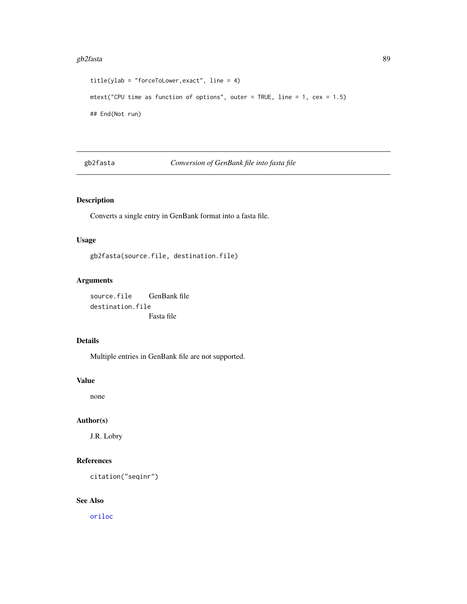#### gb2fasta 89

```
title(ylab = "forceToLower,exact", line = 4)
mtext("CPU time as function of options", outer = TRUE, line = 1, cex = 1.5)
## End(Not run)
```
gb2fasta *Conversion of GenBank file into fasta file*

# Description

Converts a single entry in GenBank format into a fasta file.

# Usage

gb2fasta(source.file, destination.file)

# Arguments

source.file GenBank file destination.file Fasta file

# Details

Multiple entries in GenBank file are not supported.

#### Value

none

# Author(s)

J.R. Lobry

# References

citation("seqinr")

# See Also

[oriloc](#page-131-0)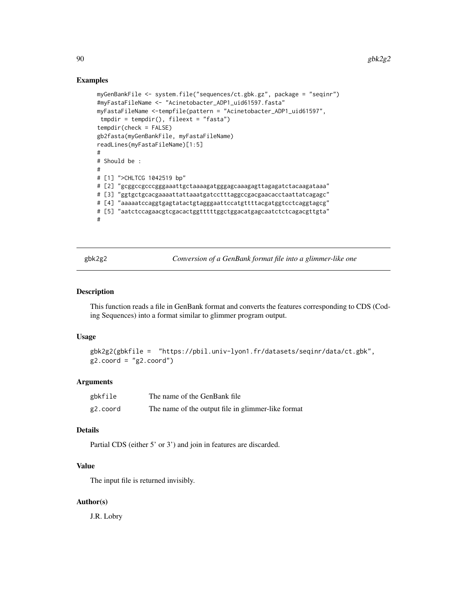## Examples

```
myGenBankFile <- system.file("sequences/ct.gbk.gz", package = "seqinr")
#myFastaFileName <- "Acinetobacter_ADP1_uid61597.fasta"
myFastaFileName <-tempfile(pattern = "Acinetobacter_ADP1_uid61597",
tmpdir = tempdir(), fileext = "fasta")
tempdir(check = FALSE)
gb2fasta(myGenBankFile, myFastaFileName)
readLines(myFastaFileName)[1:5]
#
# Should be :
#
# [1] ">CHLTCG 1042519 bp"
# [2] "gcggccgcccgggaaattgctaaaagatgggagcaaagagttagagatctacaagataaa"
# [3] "ggtgctgcacgaaaattattaaatgatcctttaggccgacgaacacctaattatcagagc"
# [4] "aaaaatccaggtgagtatactgtagggaattccatgttttacgatggtcctcaggtagcg"
# [5] "aatctccagaacgtcgacactggtttttggctggacatgagcaatctctcagacgttgta"
#
```
<span id="page-89-0"></span>gbk2g2 *Conversion of a GenBank format file into a glimmer-like one*

## Description

This function reads a file in GenBank format and converts the features corresponding to CDS (Coding Sequences) into a format similar to glimmer program output.

#### Usage

```
gbk2g2(gbkfile = "https://pbil.univ-lyon1.fr/datasets/seqinr/data/ct.gbk",
g2.coord = "g2.coord")
```
## Arguments

| gbkfile  | The name of the GenBank file                       |
|----------|----------------------------------------------------|
| g2.coord | The name of the output file in glimmer-like format |

## Details

Partial CDS (either 5' or 3') and join in features are discarded.

# Value

The input file is returned invisibly.

# Author(s)

J.R. Lobry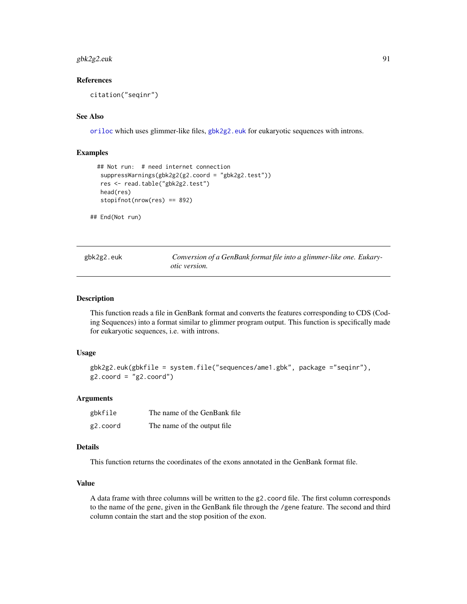# $gbk2g2.euk$  91

## References

citation("seqinr")

## See Also

[oriloc](#page-131-0) which uses glimmer-like files, [gbk2g2.euk](#page-90-0) for eukaryotic sequences with introns.

## Examples

```
## Not run: # need internet connection
 suppressWarnings(gbk2g2(g2.coord = "gbk2g2.test"))
 res <- read.table("gbk2g2.test")
 head(res)
 stopifnot(nrow(res) == 892)
```
## End(Not run)

<span id="page-90-0"></span>

| gbk2g2.euk | Conversion of a GenBank format file into a glimmer-like one. Eukary- |  |
|------------|----------------------------------------------------------------------|--|
|            | <i>otic</i> version.                                                 |  |

# Description

This function reads a file in GenBank format and converts the features corresponding to CDS (Coding Sequences) into a format similar to glimmer program output. This function is specifically made for eukaryotic sequences, i.e. with introns.

# Usage

```
gbk2g2.euk(gbkfile = system.file("sequences/ame1.gbk", package ="seqinr"),
g2.coord = "g2.coord")
```
## Arguments

| gbkfile  | The name of the GenBank file |
|----------|------------------------------|
| g2.coord | The name of the output file. |

## Details

This function returns the coordinates of the exons annotated in the GenBank format file.

# Value

A data frame with three columns will be written to the g2.coord file. The first column corresponds to the name of the gene, given in the GenBank file through the /gene feature. The second and third column contain the start and the stop position of the exon.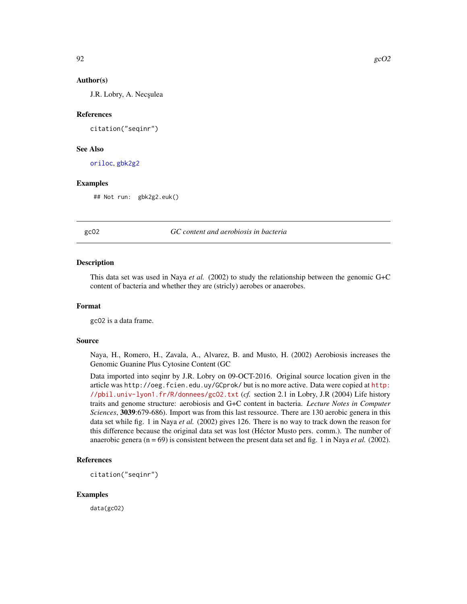J.R. Lobry, A. Necșulea

#### References

citation("seqinr")

## See Also

[oriloc](#page-131-0), [gbk2g2](#page-89-0)

#### Examples

## Not run: gbk2g2.euk()

## gcO2 *GC content and aerobiosis in bacteria*

#### Description

This data set was used in Naya *et al.* (2002) to study the relationship between the genomic G+C content of bacteria and whether they are (stricly) aerobes or anaerobes.

# Format

gcO2 is a data frame.

# Source

Naya, H., Romero, H., Zavala, A., Alvarez, B. and Musto, H. (2002) Aerobiosis increases the Genomic Guanine Plus Cytosine Content (GC

Data imported into seqinr by J.R. Lobry on 09-OCT-2016. Original source location given in the article was http://oeg.fcien.edu.uy/GCprok/ but is no more active. Data were copied at [http:](http://pbil.univ-lyon1.fr/R/donnees/gcO2.txt) [//pbil.univ-lyon1.fr/R/donnees/gcO2.txt](http://pbil.univ-lyon1.fr/R/donnees/gcO2.txt) (*cf.* section 2.1 in Lobry, J.R (2004) Life history traits and genome structure: aerobiosis and G+C content in bacteria. *Lecture Notes in Computer Sciences*, 3039:679-686). Import was from this last ressource. There are 130 aerobic genera in this data set while fig. 1 in Naya *et al.* (2002) gives 126. There is no way to track down the reason for this difference because the original data set was lost (Héctor Musto pers. comm.). The number of anaerobic genera (n = 69) is consistent between the present data set and fig. 1 in Naya *et al.* (2002).

## References

citation("seqinr")

## Examples

data(gcO2)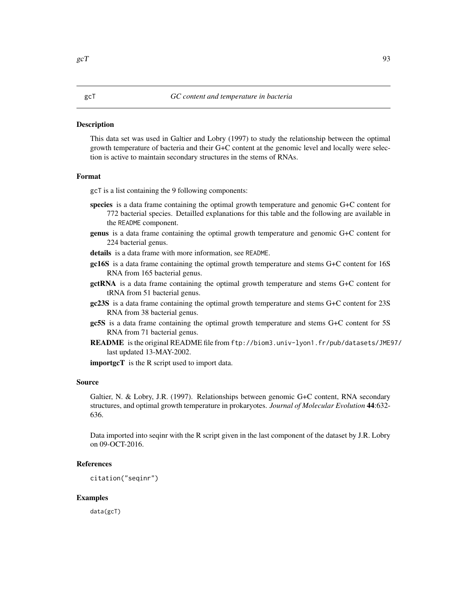## **Description**

This data set was used in Galtier and Lobry (1997) to study the relationship between the optimal growth temperature of bacteria and their G+C content at the genomic level and locally were selection is active to maintain secondary structures in the stems of RNAs.

#### Format

gcT is a list containing the 9 following components:

- species is a data frame containing the optimal growth temperature and genomic G+C content for 772 bacterial species. Detailled explanations for this table and the following are available in the README component.
- genus is a data frame containing the optimal growth temperature and genomic G+C content for 224 bacterial genus.
- details is a data frame with more information, see README.
- gc16S is a data frame containing the optimal growth temperature and stems G+C content for 16S RNA from 165 bacterial genus.
- **gctRNA** is a data frame containing the optimal growth temperature and stems G+C content for tRNA from 51 bacterial genus.
- gc23S is a data frame containing the optimal growth temperature and stems G+C content for 23S RNA from 38 bacterial genus.
- gc5S is a data frame containing the optimal growth temperature and stems G+C content for 5S RNA from 71 bacterial genus.
- README is the original README file from ftp://biom3.univ-lyon1.fr/pub/datasets/JME97/ last updated 13-MAY-2002.

importgcT is the R script used to import data.

#### Source

Galtier, N. & Lobry, J.R. (1997). Relationships between genomic G+C content, RNA secondary structures, and optimal growth temperature in prokaryotes. *Journal of Molecular Evolution* 44:632- 636.

Data imported into seqinr with the R script given in the last component of the dataset by J.R. Lobry on 09-OCT-2016.

# References

citation("seqinr")

## Examples

data(gcT)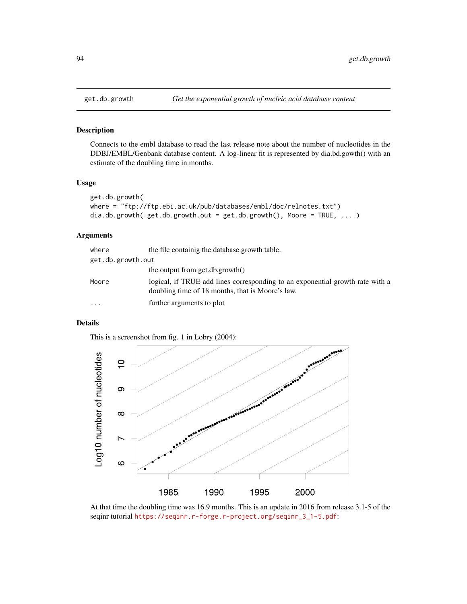# Description

Connects to the embl database to read the last release note about the number of nucleotides in the DDBJ/EMBL/Genbank database content. A log-linear fit is represented by dia.bd.gowth() with an estimate of the doubling time in months.

#### Usage

```
get.db.growth(
where = "ftp://ftp.ebi.ac.uk/pub/databases/embl/doc/relnotes.txt")
dia.db.growth( get.db.growth.out = get.db.growth(), Moore = TRUE, ... )
```
# Arguments

| where             | the file containig the database growth table.                                                                                     |
|-------------------|-----------------------------------------------------------------------------------------------------------------------------------|
| get.db.growth.out |                                                                                                                                   |
|                   | the output from get.db.growth $()$                                                                                                |
| Moore             | logical, if TRUE add lines corresponding to an exponential growth rate with a<br>doubling time of 18 months, that is Moore's law. |
| $\cdots$          | further arguments to plot                                                                                                         |

# Details

This is a screenshot from fig. 1 in Lobry (2004):



At that time the doubling time was 16.9 months. This is an update in 2016 from release 3.1-5 of the seqinr tutorial [https://seqinr.r-forge.r-project.org/seqinr\\_3\\_1-5.pdf](https://seqinr.r-forge.r-project.org/seqinr_3_1-5.pdf):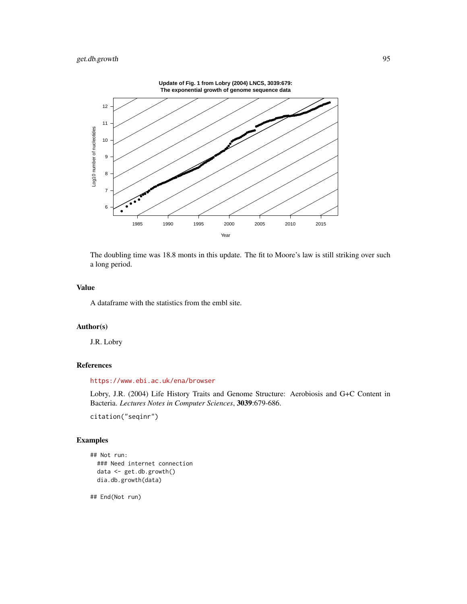

The doubling time was 18.8 monts in this update. The fit to Moore's law is still striking over such a long period.

## Value

A dataframe with the statistics from the embl site.

# Author(s)

J.R. Lobry

# References

<https://www.ebi.ac.uk/ena/browser>

Lobry, J.R. (2004) Life History Traits and Genome Structure: Aerobiosis and G+C Content in Bacteria. *Lectures Notes in Computer Sciences*, 3039:679-686.

citation("seqinr")

# Examples

```
## Not run:
 ### Need internet connection
 data <- get.db.growth()
 dia.db.growth(data)
```
## End(Not run)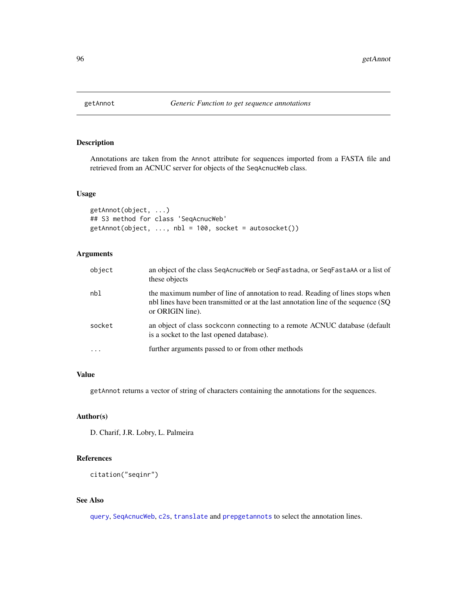# Description

Annotations are taken from the Annot attribute for sequences imported from a FASTA file and retrieved from an ACNUC server for objects of the SeqAcnucWeb class.

# Usage

```
getAnnot(object, ...)
## S3 method for class 'SeqAcnucWeb'
getAnnot(object, ..., nbl = 100, socket = autosocket())
```
# Arguments

| object | an object of the class SeqAcnucWeb or SeqFastadna, or SeqFastaAA or a list of<br>these objects                                                                                          |
|--------|-----------------------------------------------------------------------------------------------------------------------------------------------------------------------------------------|
| nbl    | the maximum number of line of annotation to read. Reading of lines stops when<br>nbl lines have been transmitted or at the last annotation line of the sequence (SQ<br>or ORIGIN line). |
| socket | an object of class sockconn connecting to a remote ACNUC database (default<br>is a socket to the last opened database).                                                                 |
|        | further arguments passed to or from other methods                                                                                                                                       |

# Value

getAnnot returns a vector of string of characters containing the annotations for the sequences.

# Author(s)

D. Charif, J.R. Lobry, L. Palmeira

# References

citation("seqinr")

# See Also

[query](#page-153-0), [SeqAcnucWeb](#page-182-0), [c2s](#page-34-0), [translate](#page-203-0) and [prepgetannots](#page-147-0) to select the annotation lines.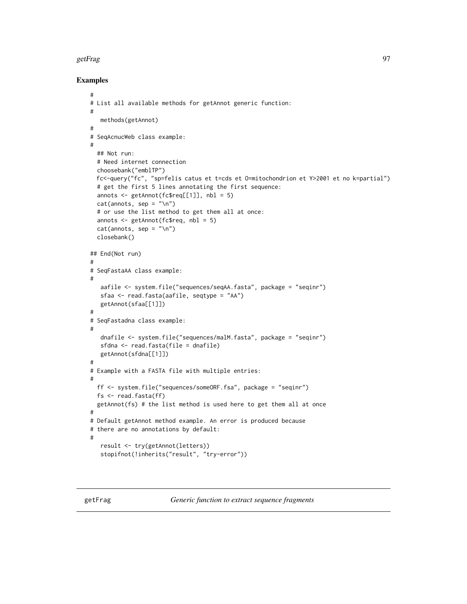## getFrag 97

## Examples

```
#
# List all available methods for getAnnot generic function:
#
   methods(getAnnot)
#
# SeqAcnucWeb class example:
#
  ## Not run:
  # Need internet connection
  choosebank("emblTP")
  fc<-query("fc", "sp=felis catus et t=cds et O=mitochondrion et Y>2001 et no k=partial")
  # get the first 5 lines annotating the first sequence:
  annots <- getAnnot(fc$req[[1]], nbl = 5)
  cat(annots, sep = "\\n")# or use the list method to get them all at once:
  annots <- getAnnot(fc$req, nbl = 5)
  cat(annots, sep = "\\n")closebank()
## End(Not run)
#
# SeqFastaAA class example:
#
   aafile <- system.file("sequences/seqAA.fasta", package = "seqinr")
   sfaa <- read.fasta(aafile, seqtype = "AA")
   getAnnot(sfaa[[1]])
#
# SeqFastadna class example:
#
   dnafile <- system.file("sequences/malM.fasta", package = "seqinr")
   sfdna <- read.fasta(file = dnafile)
   getAnnot(sfdna[[1]])
#
# Example with a FASTA file with multiple entries:
#
  ff <- system.file("sequences/someORF.fsa", package = "seqinr")
  fs <- read.fasta(ff)
  getAnnot(fs) # the list method is used here to get them all at once
#
# Default getAnnot method example. An error is produced because
# there are no annotations by default:
#
   result <- try(getAnnot(letters))
   stopifnot(!inherits("result", "try-error"))
```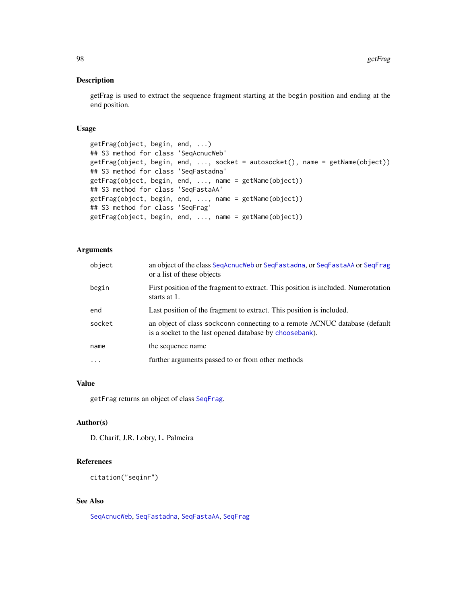## Description

getFrag is used to extract the sequence fragment starting at the begin position and ending at the end position.

# Usage

```
getFrag(object, begin, end, ...)
## S3 method for class 'SeqAcnucWeb'
getFrag(object, begin, end, ..., socket = autosocket(), name = getName(object))
## S3 method for class 'SeqFastadna'
getFrag(object, begin, end, ..., name = getName(object))
## S3 method for class 'SeqFastaAA'
getFrag(object, begin, end, ..., name = getName(object))
## S3 method for class 'SeqFrag'
getFrag(object, begin, end, ..., name = getName(object))
```
## Arguments

| object   | an object of the class SegAcnucWeb or SegFastadna, or SegFastaAA or SegFrag<br>or a list of these objects                             |
|----------|---------------------------------------------------------------------------------------------------------------------------------------|
| begin    | First position of the fragment to extract. This position is included. Numerotation<br>starts at 1.                                    |
| end      | Last position of the fragment to extract. This position is included.                                                                  |
| socket   | an object of class sockconn connecting to a remote ACNUC database (default<br>is a socket to the last opened database by choosebank). |
| name     | the sequence name                                                                                                                     |
| $\cdots$ | further arguments passed to or from other methods                                                                                     |

# Value

getFrag returns an object of class [SeqFrag](#page-185-0).

## Author(s)

D. Charif, J.R. Lobry, L. Palmeira

# References

citation("seqinr")

# See Also

[SeqAcnucWeb](#page-182-0), [SeqFastadna](#page-184-0), [SeqFastaAA](#page-183-0), [SeqFrag](#page-185-0)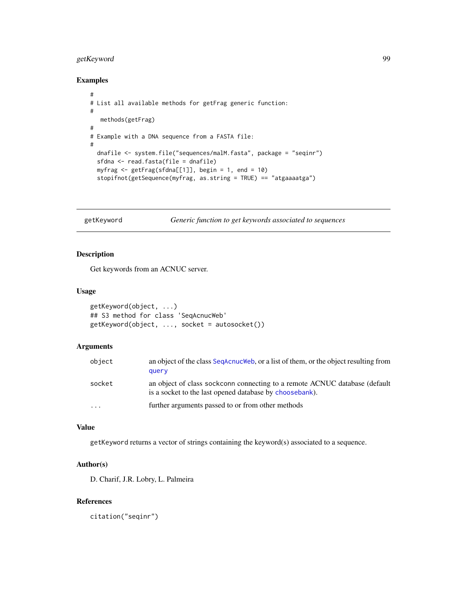# getKeyword 99

# Examples

```
#
# List all available methods for getFrag generic function:
#
  methods(getFrag)
#
# Example with a DNA sequence from a FASTA file:
#
  dnafile <- system.file("sequences/malM.fasta", package = "seqinr")
  sfdna <- read.fasta(file = dnafile)
  myfrag \leq getFrag(sfdna[[1]], begin = 1, end = 10)
  stopifnot(getSequence(myfrag, as.string = TRUE) == "atgaaaatga")
```
getKeyword *Generic function to get keywords associated to sequences*

# Description

Get keywords from an ACNUC server.

## Usage

```
getKeyword(object, ...)
## S3 method for class 'SeqAcnucWeb'
getKeyword(object, ..., socket = autosocket())
```
#### Arguments

| object  | an object of the class SegAcnucWeb, or a list of them, or the object resulting from<br>query                                          |
|---------|---------------------------------------------------------------------------------------------------------------------------------------|
| socket  | an object of class sockconn connecting to a remote ACNUC database (default<br>is a socket to the last opened database by choosebank). |
| $\cdot$ | further arguments passed to or from other methods                                                                                     |

# Value

getKeyword returns a vector of strings containing the keyword(s) associated to a sequence.

## Author(s)

D. Charif, J.R. Lobry, L. Palmeira

# References

citation("seqinr")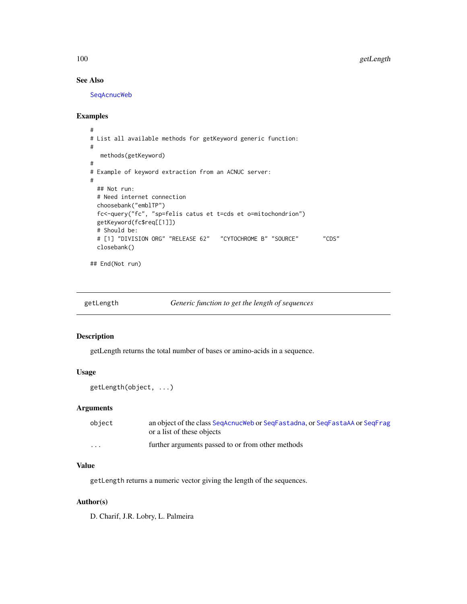# See Also

[SeqAcnucWeb](#page-182-0)

## Examples

```
#
# List all available methods for getKeyword generic function:
#
  methods(getKeyword)
#
# Example of keyword extraction from an ACNUC server:
#
 ## Not run:
 # Need internet connection
 choosebank("emblTP")
 fc<-query("fc", "sp=felis catus et t=cds et o=mitochondrion")
 getKeyword(fc$req[[1]])
 # Should be:
 # [1] "DIVISION ORG" "RELEASE 62" "CYTOCHROME B" "SOURCE" "CDS"
 closebank()
```
## End(Not run)

getLength *Generic function to get the length of sequences*

## Description

getLength returns the total number of bases or amino-acids in a sequence.

## Usage

getLength(object, ...)

# Arguments

| object   | an object of the class SegAcnucWeb or SegFastadna, or SegFastaAA or SegFrag |
|----------|-----------------------------------------------------------------------------|
|          | or a list of these objects                                                  |
| $\cdots$ | further arguments passed to or from other methods                           |

# Value

getLength returns a numeric vector giving the length of the sequences.

# Author(s)

D. Charif, J.R. Lobry, L. Palmeira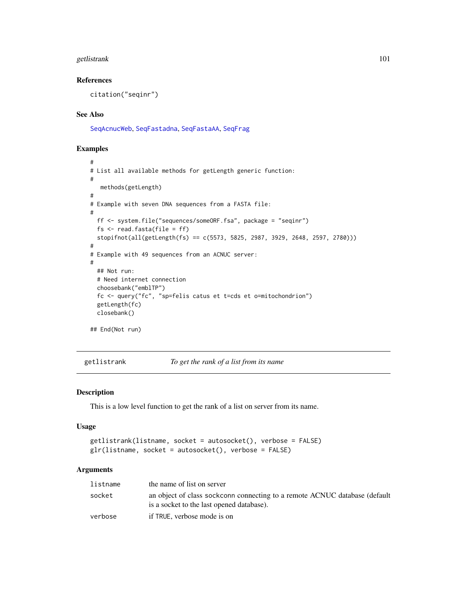# getlistrank 101

## References

citation("seqinr")

## See Also

[SeqAcnucWeb](#page-182-0), [SeqFastadna](#page-184-0), [SeqFastaAA](#page-183-0), [SeqFrag](#page-185-0)

## Examples

```
#
# List all available methods for getLength generic function:
#
  methods(getLength)
#
# Example with seven DNA sequences from a FASTA file:
#
 ff <- system.file("sequences/someORF.fsa", package = "seqinr")
 fs \le read.fasta(file = ff)
 stopifnot(all(getLength(fs) == c(5573, 5825, 2987, 3929, 2648, 2597, 2780)))
#
# Example with 49 sequences from an ACNUC server:
#
 ## Not run:
 # Need internet connection
 choosebank("emblTP")
 fc <- query("fc", "sp=felis catus et t=cds et o=mitochondrion")
 getLength(fc)
 closebank()
## End(Not run)
```
<span id="page-100-0"></span>getlistrank *To get the rank of a list from its name*

#### <span id="page-100-1"></span>Description

This is a low level function to get the rank of a list on server from its name.

## Usage

```
getlistrank(listname, socket = autosocket(), verbose = FALSE)
glr(listname, socket = autosocket(), verbose = FALSE)
```
# Arguments

| listname | the name of list on server                                                                                              |
|----------|-------------------------------------------------------------------------------------------------------------------------|
| socket   | an object of class sockconn connecting to a remote ACNUC database (default<br>is a socket to the last opened database). |
| verbose  | if TRUE, verbose mode is on                                                                                             |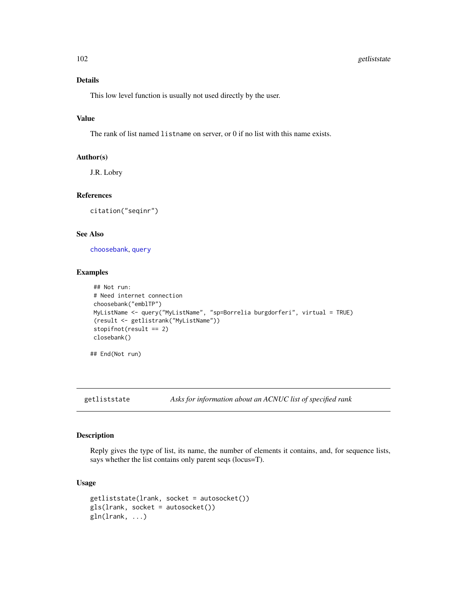# 102 getliststate

# Details

This low level function is usually not used directly by the user.

# Value

The rank of list named listname on server, or 0 if no list with this name exists.

#### Author(s)

J.R. Lobry

## References

citation("seqinr")

#### See Also

[choosebank](#page-41-0), [query](#page-153-0)

# Examples

```
## Not run:
# Need internet connection
choosebank("emblTP")
MyListName <- query("MyListName", "sp=Borrelia burgdorferi", virtual = TRUE)
(result <- getlistrank("MyListName"))
stopifnot(result == 2)
closebank()
```
## End(Not run)

getliststate *Asks for information about an ACNUC list of specified rank*

## Description

Reply gives the type of list, its name, the number of elements it contains, and, for sequence lists, says whether the list contains only parent seqs (locus=T).

# Usage

```
getliststate(lrank, socket = autosocket())
gls(lrank, socket = autosocket())
gln(lrank, ...)
```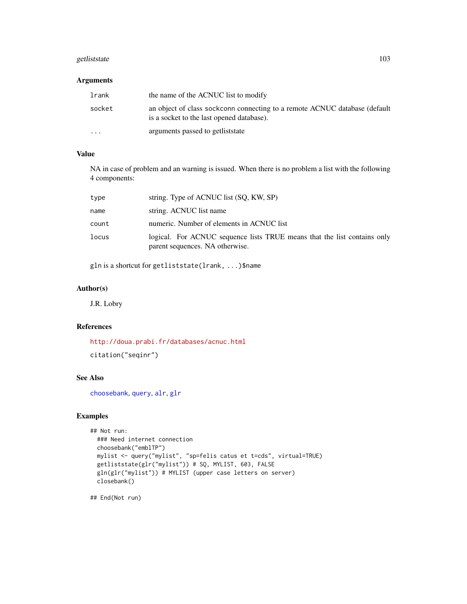# getliststate 103

# Arguments

| lrank    | the name of the ACNUC list to modify                                                                                    |
|----------|-------------------------------------------------------------------------------------------------------------------------|
| socket   | an object of class sockconn connecting to a remote ACNUC database (default<br>is a socket to the last opened database). |
| $\cdots$ | arguments passed to get list state                                                                                      |

# Value

NA in case of problem and an warning is issued. When there is no problem a list with the following 4 components:

| type  | string. Type of ACNUC list (SQ, KW, SP)                                                                     |
|-------|-------------------------------------------------------------------------------------------------------------|
| name  | string. ACNUC list name                                                                                     |
| count | numeric. Number of elements in ACNUC list                                                                   |
| locus | logical. For ACNUC sequence lists TRUE means that the list contains only<br>parent sequences. NA otherwise. |

gln is a shortcut for getliststate(lrank, ...)\$name

# Author(s)

J.R. Lobry

# References

<http://doua.prabi.fr/databases/acnuc.html>

citation("seqinr")

# See Also

[choosebank](#page-41-0), [query](#page-153-0), [alr](#page-26-0), [glr](#page-100-1)

# Examples

```
## Not run:
 ### Need internet connection
 choosebank("emblTP")
 mylist <- query("mylist", "sp=felis catus et t=cds", virtual=TRUE)
 getliststate(glr("mylist")) # SQ, MYLIST, 603, FALSE
 gln(glr("mylist")) # MYLIST (upper case letters on server)
 closebank()
```
## End(Not run)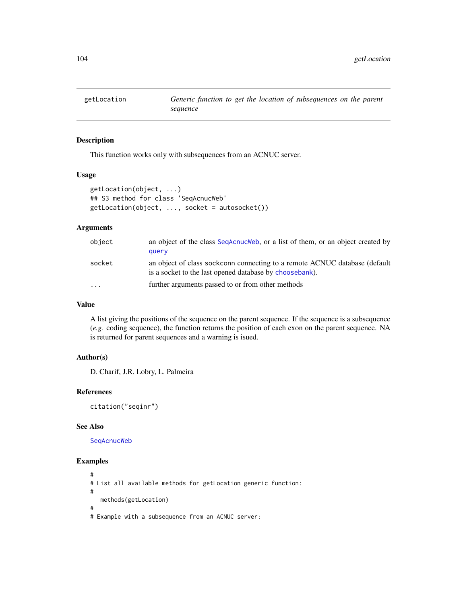## Description

This function works only with subsequences from an ACNUC server.

## Usage

```
getLocation(object, ...)
## S3 method for class 'SeqAcnucWeb'
getLocation(object, ..., socket = autosocket())
```
## Arguments

| object    | an object of the class SeqAcnucWeb, or a list of them, or an object created by<br>query                                               |
|-----------|---------------------------------------------------------------------------------------------------------------------------------------|
| socket    | an object of class sockconn connecting to a remote ACNUC database (default<br>is a socket to the last opened database by choosebank). |
| $\ddotsc$ | further arguments passed to or from other methods                                                                                     |

# Value

A list giving the positions of the sequence on the parent sequence. If the sequence is a subsequence (*e.g.* coding sequence), the function returns the position of each exon on the parent sequence. NA is returned for parent sequences and a warning is isued.

# Author(s)

D. Charif, J.R. Lobry, L. Palmeira

#### References

citation("seqinr")

#### See Also

[SeqAcnucWeb](#page-182-0)

# Examples

```
#
# List all available methods for getLocation generic function:
#
  methods(getLocation)
#
# Example with a subsequence from an ACNUC server:
```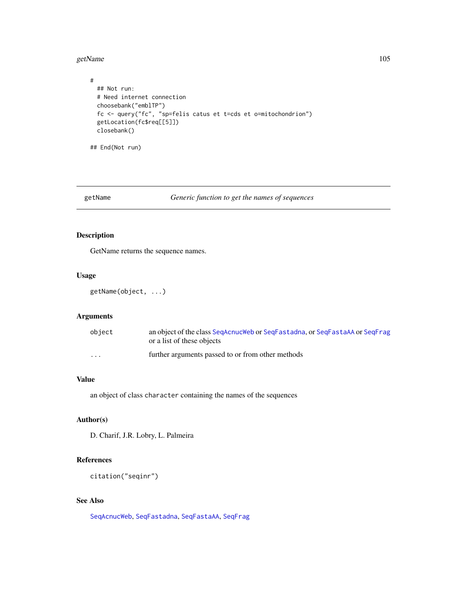getName 105

```
#
 ## Not run:
 # Need internet connection
 choosebank("emblTP")
 fc <- query("fc", "sp=felis catus et t=cds et o=mitochondrion")
 getLocation(fc$req[[5]])
 closebank()
```
## End(Not run)

# getName *Generic function to get the names of sequences*

# Description

GetName returns the sequence names.

## Usage

getName(object, ...)

## Arguments

| object                  | an object of the class SegAcnucWeb or SegFastadna, or SegFastaAA or SegFrag<br>or a list of these objects |
|-------------------------|-----------------------------------------------------------------------------------------------------------|
| $\cdot$ $\cdot$ $\cdot$ | further arguments passed to or from other methods                                                         |

# Value

an object of class character containing the names of the sequences

# Author(s)

D. Charif, J.R. Lobry, L. Palmeira

## References

citation("seqinr")

# See Also

[SeqAcnucWeb](#page-182-0), [SeqFastadna](#page-184-0), [SeqFastaAA](#page-183-0), [SeqFrag](#page-185-0)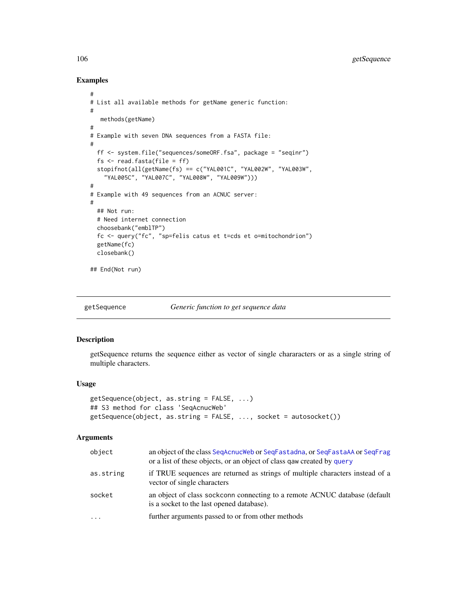# Examples

```
#
# List all available methods for getName generic function:
#
   methods(getName)
#
# Example with seven DNA sequences from a FASTA file:
#
  ff <- system.file("sequences/someORF.fsa", package = "seqinr")
  fs \leq read.fasta(file = ff)stopifnot(all(getName(fs) == c("YAL001C", "YAL002W", "YAL003W",
    "YAL005C", "YAL007C", "YAL008W", "YAL009W")))
#
# Example with 49 sequences from an ACNUC server:
#
  ## Not run:
  # Need internet connection
  choosebank("emblTP")
  fc <- query("fc", "sp=felis catus et t=cds et o=mitochondrion")
  getName(fc)
  closebank()
## End(Not run)
```
getSequence *Generic function to get sequence data*

# Description

getSequence returns the sequence either as vector of single chararacters or as a single string of multiple characters.

#### Usage

```
getSequence(object, as.string = FALSE, ...)
## S3 method for class 'SeqAcnucWeb'
getSequence(object, as.string = FALSE, ..., socket = autosocket())
```
## Arguments

| object    | an object of the class SeqAcnucWeb or SeqFastadna, or SeqFastaAA or SeqFrag<br>or a list of these objects, or an object of class gaw created by query |
|-----------|-------------------------------------------------------------------------------------------------------------------------------------------------------|
| as.string | if TRUE sequences are returned as strings of multiple characters instead of a<br>vector of single characters                                          |
| socket    | an object of class sockconn connecting to a remote ACNUC database (default<br>is a socket to the last opened database).                               |
| $\cdots$  | further arguments passed to or from other methods                                                                                                     |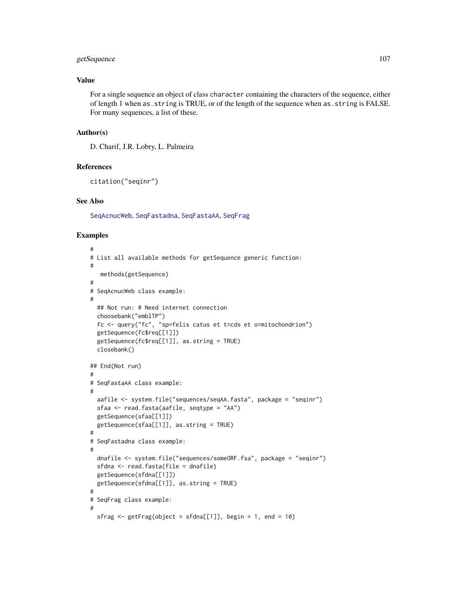# getSequence 107

# Value

For a single sequence an object of class character containing the characters of the sequence, either of length 1 when as.string is TRUE, or of the length of the sequence when as.string is FALSE. For many sequences, a list of these.

#### Author(s)

D. Charif, J.R. Lobry, L. Palmeira

#### References

```
citation("seqinr")
```
#### See Also

[SeqAcnucWeb](#page-182-0), [SeqFastadna](#page-184-0), [SeqFastaAA](#page-183-0), [SeqFrag](#page-185-0)

## Examples

```
#
# List all available methods for getSequence generic function:
#
   methods(getSequence)
#
# SeqAcnucWeb class example:
#
  ## Not run: # Need internet connection
  choosebank("emblTP")
  fc <- query("fc", "sp=felis catus et t=cds et o=mitochondrion")
  getSequence(fc$req[[1]])
  getSequence(fc$req[[1]], as.string = TRUE)
  closebank()
## End(Not run)
#
# SeqFastaAA class example:
#
  aafile <- system.file("sequences/seqAA.fasta", package = "seqinr")
  sfaa <- read.fasta(aafile, seqtype = "AA")
  getSequence(sfaa[[1]])
  getSequence(sfaa[[1]], as.string = TRUE)
#
# SeqFastadna class example:
#
  dnafile <- system.file("sequences/someORF.fsa", package = "seqinr")
  sfdna <- read.fasta(file = dnafile)
  getSequence(sfdna[[1]])
  getSequence(sfdna[[1]], as.string = TRUE)
#
# SeqFrag class example:
#
  sfrag \le getFrag(object = sfdna[[1]], begin = 1, end = 10)
```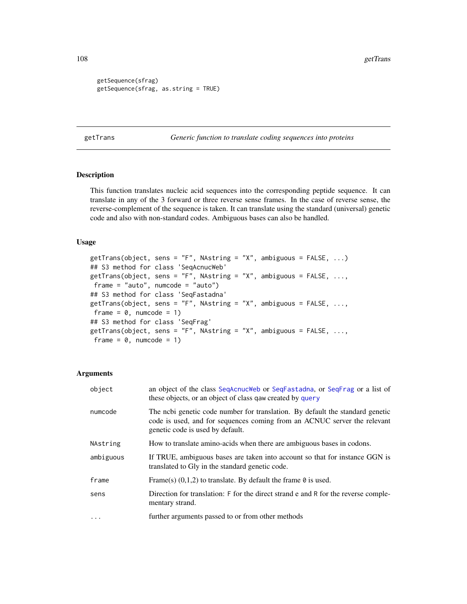```
getSequence(sfrag)
getSequence(sfrag, as.string = TRUE)
```
getTrans *Generic function to translate coding sequences into proteins*

# Description

This function translates nucleic acid sequences into the corresponding peptide sequence. It can translate in any of the 3 forward or three reverse sense frames. In the case of reverse sense, the reverse-complement of the sequence is taken. It can translate using the standard (universal) genetic code and also with non-standard codes. Ambiguous bases can also be handled.

## Usage

```
getTrans(object, sens = "F", NAstring = "X", ambiguous = FALSE, \ldots)
## S3 method for class 'SeqAcnucWeb'
getTrans(object, sens = "F", NAstring = "X", ambiguous = FALSE, ...,
frame = "auto", numcode = "auto")
## S3 method for class 'SeqFastadna'
getTrans(object, sens = "F", NAstring = "X", ambiguous = FALSE, \ldots,
frame = 0, numcode = 1)
## S3 method for class 'SeqFrag'
getTrans(object, sens = "F", NAstring = "X", ambiguous = FALSE, ...,
frame = 0, numcode = 1)
```
## Arguments

| object    | an object of the class SeqAcnucWeb or SeqFastadna, or SeqFrag or a list of<br>these objects, or an object of class gaw created by query                                                       |
|-----------|-----------------------------------------------------------------------------------------------------------------------------------------------------------------------------------------------|
| numcode   | The nobi genetic code number for translation. By default the standard genetic<br>code is used, and for sequences coming from an ACNUC server the relevant<br>genetic code is used by default. |
| NAstring  | How to translate amino-acids when there are ambiguous bases in codons.                                                                                                                        |
| ambiguous | If TRUE, ambiguous bases are taken into account so that for instance GGN is<br>translated to Gly in the standard genetic code.                                                                |
| frame     | Frame(s) $(0,1,2)$ to translate. By default the frame $\theta$ is used.                                                                                                                       |
| sens      | Direction for translation: F for the direct strand e and R for the reverse comple-<br>mentary strand.                                                                                         |
| $\cdots$  | further arguments passed to or from other methods                                                                                                                                             |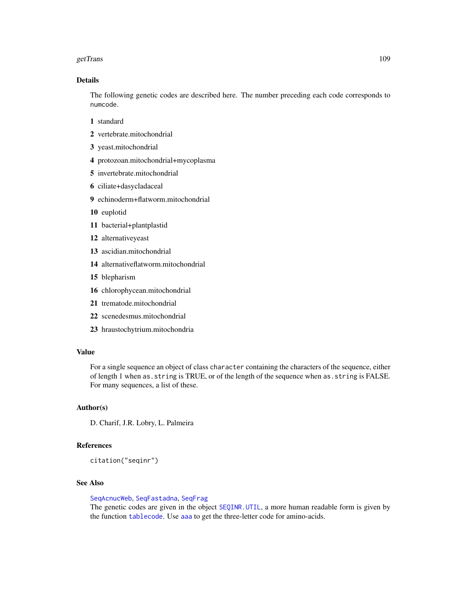#### getTrans 2009 and 2009 and 2009 and 2009 and 2009 and 2009 and 2009 and 2009 and 2009 and 2009 and 2009 and 200

### Details

The following genetic codes are described here. The number preceding each code corresponds to numcode.

- 1 standard
- 2 vertebrate.mitochondrial
- 3 yeast.mitochondrial
- 4 protozoan.mitochondrial+mycoplasma
- 5 invertebrate.mitochondrial
- 6 ciliate+dasycladaceal
- 9 echinoderm+flatworm.mitochondrial
- 10 euplotid
- 11 bacterial+plantplastid
- 12 alternativeyeast
- 13 ascidian.mitochondrial
- 14 alternativeflatworm.mitochondrial
- 15 blepharism
- 16 chlorophycean.mitochondrial
- 21 trematode.mitochondrial
- 22 scenedesmus.mitochondrial
- 23 hraustochytrium.mitochondria

#### Value

For a single sequence an object of class character containing the characters of the sequence, either of length 1 when as.string is TRUE, or of the length of the sequence when as.string is FALSE. For many sequences, a list of these.

### Author(s)

D. Charif, J.R. Lobry, L. Palmeira

### References

citation("seqinr")

#### See Also

[SeqAcnucWeb](#page-182-0), [SeqFastadna](#page-184-0), [SeqFrag](#page-185-0)

The genetic codes are given in the object [SEQINR.UTIL](#page-186-0), a more human readable form is given by the function [tablecode](#page-197-0). Use [aaa](#page-5-0) to get the three-letter code for amino-acids.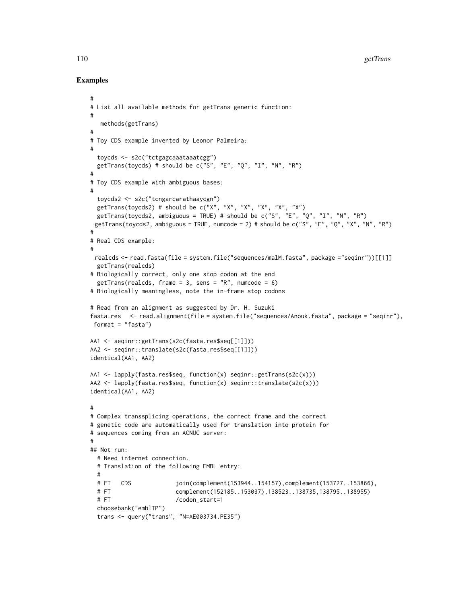### Examples

#

```
# List all available methods for getTrans generic function:
#
  methods(getTrans)
#
# Toy CDS example invented by Leonor Palmeira:
#
 toycds <- s2c("tctgagcaaataaatcgg")
 getTrans(toycds) # should be c("S", "E", "Q", "I", "N", "R")
#
# Toy CDS example with ambiguous bases:
#
 toycds2 <- s2c("tcngarcarathaaycgn")
 getTrans(toycds2) # should be c("X", "X", "X", "X", "X", "X")getTrans(toycds2, ambiguous = TRUE) # should be c("S", "E", "Q", "I", "N", "R")
 getTrans(toycds2, ambiguous = TRUE, numcode = 2) # should be c("S", "E", "Q", "X", "N", "R")#
# Real CDS example:
#
 realcds <- read.fasta(file = system.file("sequences/malM.fasta", package ="seqinr"))[[1]]
 getTrans(realcds)
# Biologically correct, only one stop codon at the end
 getTrans(realcds, frame = 3, sens = "R", numcode = 6)
# Biologically meaningless, note the in-frame stop codons
# Read from an alignment as suggested by Dr. H. Suzuki
fasta.res <- read.alignment(file = system.file("sequences/Anouk.fasta", package = "seqinr"),
format = "fasta")
AA1 <- seqinr::getTrans(s2c(fasta.res$seq[[1]]))
AA2 <- seqinr::translate(s2c(fasta.res$seq[[1]]))
identical(AA1, AA2)
AA1 <- lapply(fasta.res$seq, function(x) seqinr::getTrans(s2c(x)))
AA2 <- lapply(fasta.res$seq, function(x) seqinr::translate(s2c(x)))
identical(AA1, AA2)
#
# Complex transsplicing operations, the correct frame and the correct
# genetic code are automatically used for translation into protein for
# sequences coming from an ACNUC server:
#
## Not run:
 # Need internet connection.
 # Translation of the following EMBL entry:
 #
 # FT CDS join(complement(153944..154157),complement(153727..153866),
 # FT complement(152185..153037),138523..138735,138795..138955)
 # FT /codon_start=1
 choosebank("emblTP")
 trans <- query("trans", "N=AE003734.PE35")
```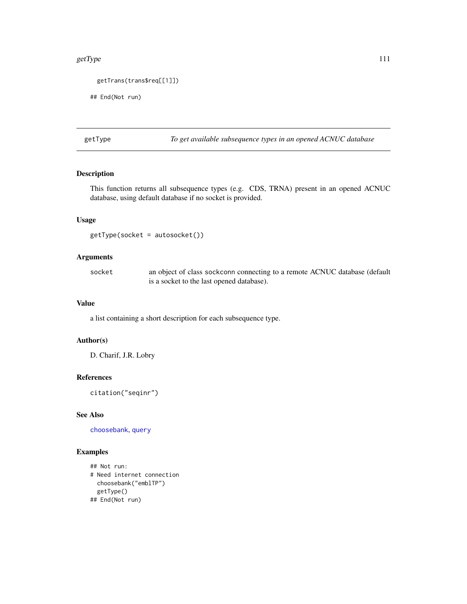#### getType and the state of the state of the state of the state of the state of the state of the state of the state of the state of the state of the state of the state of the state of the state of the state of the state of th

```
getTrans(trans$req[[1]])
```
## End(Not run)

<span id="page-110-0"></span>getType *To get available subsequence types in an opened ACNUC database*

### Description

This function returns all subsequence types (e.g. CDS, TRNA) present in an opened ACNUC database, using default database if no socket is provided.

## Usage

getType(socket = autosocket())

## Arguments

socket an object of class sockconn connecting to a remote ACNUC database (default is a socket to the last opened database).

### Value

a list containing a short description for each subsequence type.

### Author(s)

D. Charif, J.R. Lobry

# References

citation("seqinr")

# See Also

[choosebank](#page-41-0), [query](#page-153-0)

```
## Not run:
# Need internet connection
 choosebank("emblTP")
 getType()
## End(Not run)
```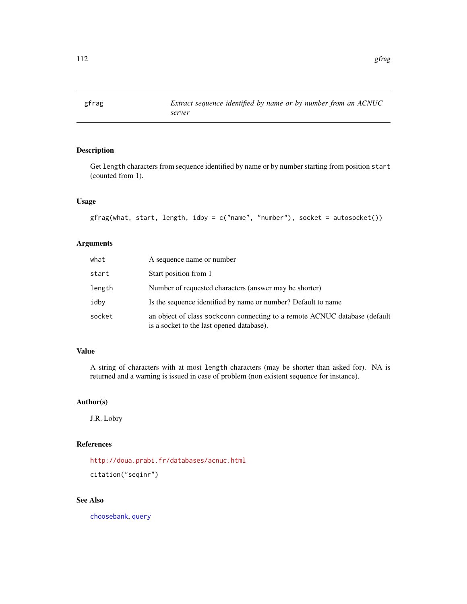## Description

Get length characters from sequence identified by name or by number starting from position start (counted from 1).

### Usage

gfrag(what, start, length, idby = c("name", "number"), socket = autosocket())

## Arguments

| what   | A sequence name or number                                                                                               |
|--------|-------------------------------------------------------------------------------------------------------------------------|
| start  | Start position from 1                                                                                                   |
| length | Number of requested characters (answer may be shorter)                                                                  |
| idby   | Is the sequence identified by name or number? Default to name                                                           |
| socket | an object of class sockconn connecting to a remote ACNUC database (default<br>is a socket to the last opened database). |

### Value

A string of characters with at most length characters (may be shorter than asked for). NA is returned and a warning is issued in case of problem (non existent sequence for instance).

# Author(s)

J.R. Lobry

### References

<http://doua.prabi.fr/databases/acnuc.html> citation("seqinr")

### See Also

[choosebank](#page-41-0), [query](#page-153-0)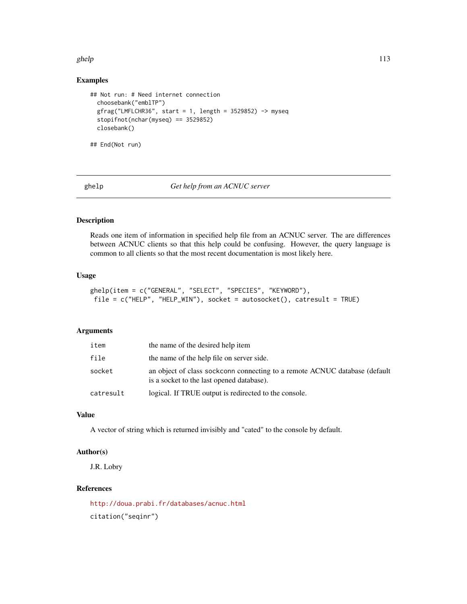#### ghelp 113

# Examples

```
## Not run: # Need internet connection
 choosebank("emblTP")
 gfrag("LMFLCHR36", start = 1, length = 3529852) -> myseq
 stopifnot(nchar(myseq) == 3529852)
 closebank()
## End(Not run)
```
ghelp *Get help from an ACNUC server*

### Description

Reads one item of information in specified help file from an ACNUC server. The are differences between ACNUC clients so that this help could be confusing. However, the query language is common to all clients so that the most recent documentation is most likely here.

### Usage

```
ghelp(item = c("GENERAL", "SELECT", "SPECIES", "KEYWORD"),
file = c("HELP", "HELP_WIN"), socket = autosocket(), catresult = TRUE)
```
### Arguments

| item      | the name of the desired help item                                                                                       |
|-----------|-------------------------------------------------------------------------------------------------------------------------|
| file      | the name of the help file on server side.                                                                               |
| socket    | an object of class sockconn connecting to a remote ACNUC database (default<br>is a socket to the last opened database). |
| catresult | logical. If TRUE output is redirected to the console.                                                                   |

### Value

A vector of string which is returned invisibly and "cated" to the console by default.

### Author(s)

J.R. Lobry

### References

<http://doua.prabi.fr/databases/acnuc.html> citation("seqinr")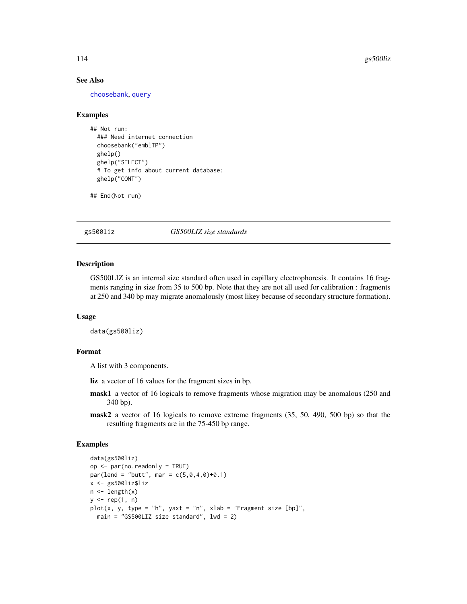#### See Also

[choosebank](#page-41-0), [query](#page-153-0)

#### Examples

```
## Not run:
 ### Need internet connection
 choosebank("emblTP")
 ghelp()
 ghelp("SELECT")
 # To get info about current database:
 ghelp("CONT")
```
## End(Not run)

<span id="page-113-0"></span>gs500liz *GS500LIZ size standards*

### Description

GS500LIZ is an internal size standard often used in capillary electrophoresis. It contains 16 fragments ranging in size from 35 to 500 bp. Note that they are not all used for calibration : fragments at 250 and 340 bp may migrate anomalously (most likey because of secondary structure formation).

#### Usage

```
data(gs500liz)
```
### Format

A list with 3 components.

liz a vector of 16 values for the fragment sizes in bp.

- mask1 a vector of 16 logicals to remove fragments whose migration may be anomalous (250 and 340 bp).
- mask2 a vector of 16 logicals to remove extreme fragments (35, 50, 490, 500 bp) so that the resulting fragments are in the 75-450 bp range.

```
data(gs500liz)
op <- par(no.readonly = TRUE)
par(lend = "butt", mar = c(5,0,4,0)+0.1)
x <- gs500liz$liz
n \leftarrow length(x)
y \leftarrow rep(1, n)plot(x, y, type = "h", yaxt = "n", xlab = "Fragment size [bp]",main = "GS500LIZ size standard", lwd = 2)
```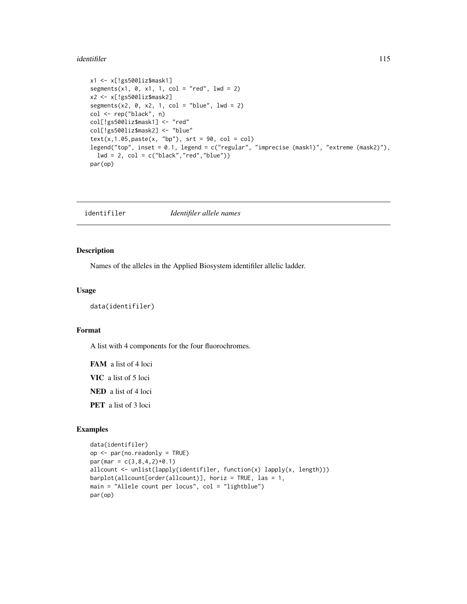#### identifiler the state of the state of the state of the state of the state of the state of the state of the state of the state of the state of the state of the state of the state of the state of the state of the state of th

```
x1 <- x[!gs500liz$mask1]
segments(x1, \theta, x1, 1, col = "red", 1wd = 2)x2 <- x[!gs500liz$mask2]
segments(x2, \theta, x2, 1, col = "blue", lwd = 2)
col <- rep("black", n)
col[!gs500liz$mask1] <- "red"
col[!gs500liz$mask2] <- "blue"
text(x, 1.05, paste(x, "bp"), srt = 90, col = col)legend("top", inset = 0.1, legend = c("regular", "imprecise (mask1)", "extreme (mask2)"),
  lwd = 2, col = c("black", "red", "blue"))par(op)
```
<span id="page-114-0"></span>identifiler *Identifiler allele names*

#### Description

Names of the alleles in the Applied Biosystem identifiler allelic ladder.

#### Usage

data(identifiler)

#### Format

A list with 4 components for the four fluorochromes.

FAM a list of 4 loci VIC a list of 5 loci NED a list of 4 loci PET a list of 3 loci

```
data(identifiler)
op <- par(no.readonly = TRUE)
par(max = c(3, 8, 4, 2)+0.1)allcount <- unlist(lapply(identifiler, function(x) lapply(x, length)))
barplot(allcount[order(allcount)], horiz = TRUE, las = 1,
main = "Allele count per locus", col = "lightblue")
par(op)
```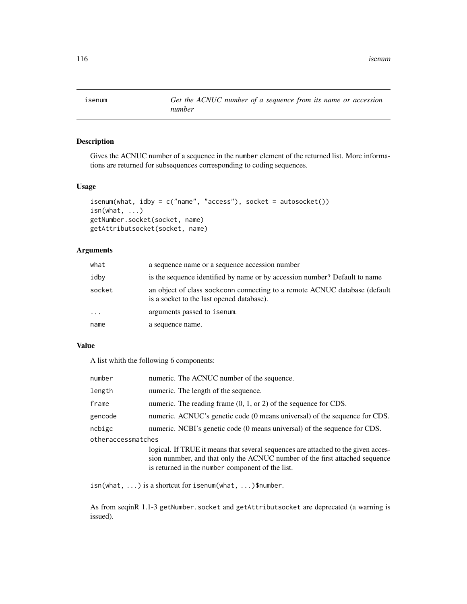isenum *Get the ACNUC number of a sequence from its name or accession number*

## Description

Gives the ACNUC number of a sequence in the number element of the returned list. More informations are returned for subsequences corresponding to coding sequences.

## Usage

```
isenum(what, idby = c("name", "access"), socket = autosocket())
isn(what, ...)
getNumber.socket(socket, name)
getAttributsocket(socket, name)
```
# Arguments

| what       | a sequence name or a sequence accession number                                                                          |
|------------|-------------------------------------------------------------------------------------------------------------------------|
| idby       | is the sequence identified by name or by accession number? Default to name                                              |
| socket     | an object of class sockconn connecting to a remote ACNUC database (default<br>is a socket to the last opened database). |
| $\ddots$ . | arguments passed to isenum.                                                                                             |
| name       | a sequence name.                                                                                                        |

## Value

A list whith the following 6 components:

| number             | numeric. The ACNUC number of the sequence.                                                                                                                                                                           |  |
|--------------------|----------------------------------------------------------------------------------------------------------------------------------------------------------------------------------------------------------------------|--|
| length             | numeric. The length of the sequence.                                                                                                                                                                                 |  |
| frame              | numeric. The reading frame $(0, 1, \text{or } 2)$ of the sequence for CDS.                                                                                                                                           |  |
| gencode            | numeric. ACNUC's genetic code (0 means universal) of the sequence for CDS.                                                                                                                                           |  |
| ncbigc             | numeric. NCBI's genetic code (0 means universal) of the sequence for CDS.                                                                                                                                            |  |
| otheraccessmatches |                                                                                                                                                                                                                      |  |
|                    | logical. If TRUE it means that several sequences are attached to the given acces-<br>sion nunmber, and that only the ACNUC number of the first attached sequence<br>is returned in the number component of the list. |  |

isn(what, ...) is a shortcut for isenum(what, ...)\$number.

As from seqinR 1.1-3 getNumber. socket and getAttributsocket are deprecated (a warning is issued).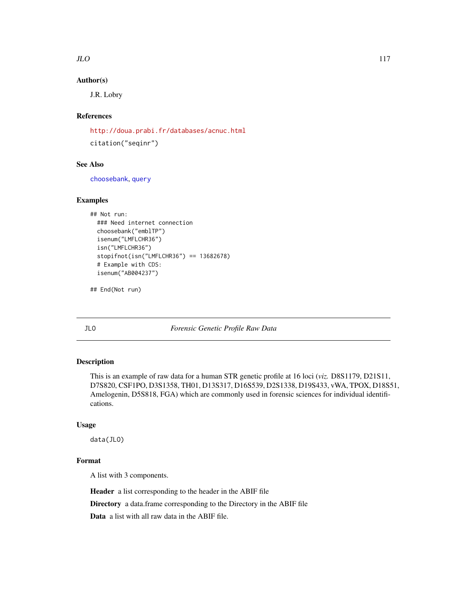## Author(s)

J.R. Lobry

# References

<http://doua.prabi.fr/databases/acnuc.html> citation("seqinr")

### See Also

[choosebank](#page-41-0), [query](#page-153-0)

## Examples

```
## Not run:
 ### Need internet connection
 choosebank("emblTP")
 isenum("LMFLCHR36")
 isn("LMFLCHR36")
 stopifnot(isn("LMFLCHR36") == 13682678)
 # Example with CDS:
 isenum("AB004237")
```
## End(Not run)

<span id="page-116-0"></span>JLO *Forensic Genetic Profile Raw Data*

### Description

This is an example of raw data for a human STR genetic profile at 16 loci (*viz.* D8S1179, D21S11, D7S820, CSF1PO, D3S1358, TH01, D13S317, D16S539, D2S1338, D19S433, vWA, TPOX, D18S51, Amelogenin, D5S818, FGA) which are commonly used in forensic sciences for individual identifications.

### Usage

data(JLO)

### Format

A list with 3 components.

Header a list corresponding to the header in the ABIF file

Directory a data.frame corresponding to the Directory in the ABIF file

Data a list with all raw data in the ABIF file.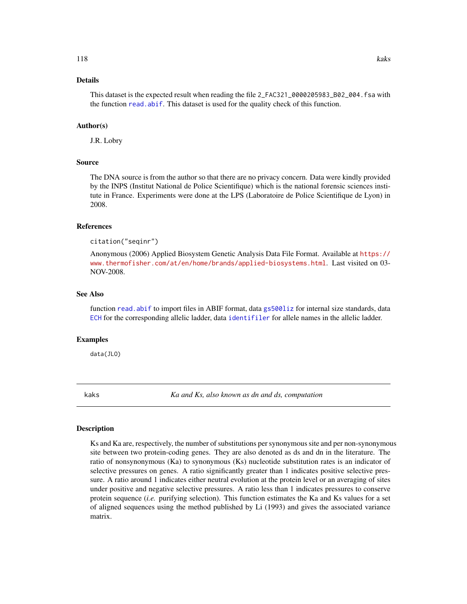### Details

This dataset is the expected result when reading the file 2\_FAC321\_0000205983\_B02\_004.fsa with the function [read.abif](#page-156-0). This dataset is used for the quality check of this function.

#### Author(s)

J.R. Lobry

### Source

The DNA source is from the author so that there are no privacy concern. Data were kindly provided by the INPS (Institut National de Police Scientifique) which is the national forensic sciences institute in France. Experiments were done at the LPS (Laboratoire de Police Scientifique de Lyon) in 2008.

### References

citation("seqinr")

Anonymous (2006) Applied Biosystem Genetic Analysis Data File Format. Available at [https://](https://www.thermofisher.com/at/en/home/brands/applied-biosystems.html) [www.thermofisher.com/at/en/home/brands/applied-biosystems.html](https://www.thermofisher.com/at/en/home/brands/applied-biosystems.html). Last visited on 03- NOV-2008.

#### See Also

function [read.abif](#page-156-0) to import files in ABIF format, data [gs500liz](#page-113-0) for internal size standards, data [ECH](#page-72-0) for the corresponding allelic ladder, data [identifiler](#page-114-0) for allele names in the allelic ladder.

#### Examples

data(JLO)

kaks *Ka and Ks, also known as dn and ds, computation*

### Description

Ks and Ka are, respectively, the number of substitutions per synonymous site and per non-synonymous site between two protein-coding genes. They are also denoted as ds and dn in the literature. The ratio of nonsynonymous (Ka) to synonymous (Ks) nucleotide substitution rates is an indicator of selective pressures on genes. A ratio significantly greater than 1 indicates positive selective pressure. A ratio around 1 indicates either neutral evolution at the protein level or an averaging of sites under positive and negative selective pressures. A ratio less than 1 indicates pressures to conserve protein sequence (*i.e.* purifying selection). This function estimates the Ka and Ks values for a set of aligned sequences using the method published by Li (1993) and gives the associated variance matrix.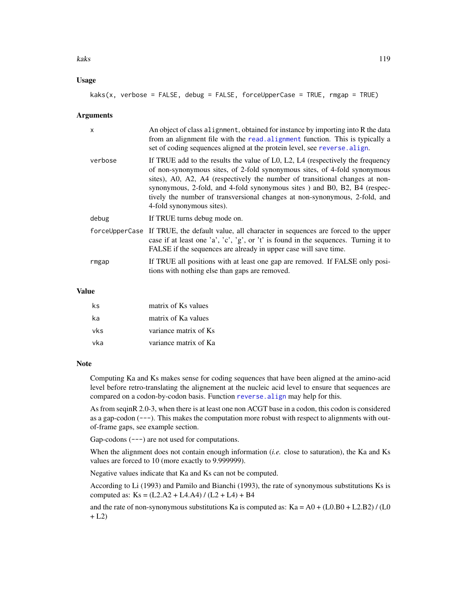#### kaks and the set of the set of the set of the set of the set of the set of the set of the set of the set of the set of the set of the set of the set of the set of the set of the set of the set of the set of the set of the

### Usage

```
kaks(x, verbose = FALSE, debug = FALSE, forceUpperCase = TRUE, rmgap = TRUE)
```
#### Arguments

| $\mathsf{x}$ | An object of class alignment, obtained for instance by importing into R the data<br>from an alignment file with the read. alignment function. This is typically a<br>set of coding sequences aligned at the protein level, see reverse. align.                                                                                                                                                                                     |
|--------------|------------------------------------------------------------------------------------------------------------------------------------------------------------------------------------------------------------------------------------------------------------------------------------------------------------------------------------------------------------------------------------------------------------------------------------|
| verbose      | If TRUE add to the results the value of L0, L2, L4 (respectively the frequency<br>of non-synonymous sites, of 2-fold synonymous sites, of 4-fold synonymous<br>sites), A0, A2, A4 (respectively the number of transitional changes at non-<br>synonymous, 2-fold, and 4-fold synonymous sites ) and B0, B2, B4 (respec-<br>tively the number of transversional changes at non-synonymous, 2-fold, and<br>4-fold synonymous sites). |
| debug        | If TRUE turns debug mode on.                                                                                                                                                                                                                                                                                                                                                                                                       |
|              | forceUpperCase If TRUE, the default value, all character in sequences are forced to the upper<br>case if at least one 'a', 'c', 'g', or 't' is found in the sequences. Turning it to<br>FALSE if the sequences are already in upper case will save time.                                                                                                                                                                           |
| rmgap        | If TRUE all positions with at least one gap are removed. If FALSE only posi-<br>tions with nothing else than gaps are removed.                                                                                                                                                                                                                                                                                                     |

### Value

| ks         | matrix of Ks values   |
|------------|-----------------------|
| ka         | matrix of Ka values   |
| <u>vks</u> | variance matrix of Ks |
| -vka       | variance matrix of Ka |

#### Note

Computing Ka and Ks makes sense for coding sequences that have been aligned at the amino-acid level before retro-translating the alignement at the nucleic acid level to ensure that sequences are compared on a codon-by-codon basis. Function [reverse.align](#page-175-0) may help for this.

As from seqinR 2.0-3, when there is at least one non ACGT base in a codon, this codon is considered as a gap-codon  $(--)$ . This makes the computation more robust with respect to alignments with outof-frame gaps, see example section.

Gap-codons  $(--)$  are not used for computations.

When the alignment does not contain enough information (*i.e.* close to saturation), the Ka and Ks values are forced to 10 (more exactly to 9.999999).

Negative values indicate that Ka and Ks can not be computed.

According to Li (1993) and Pamilo and Bianchi (1993), the rate of synonymous substitutions Ks is computed as:  $Ks = (L2.A2 + L4.A4) / (L2 + L4) + B4$ 

and the rate of non-synonymous substitutions Ka is computed as:  $Ka = A0 + (L0.B0 + L2.B2) / (L0)$  $+ L2)$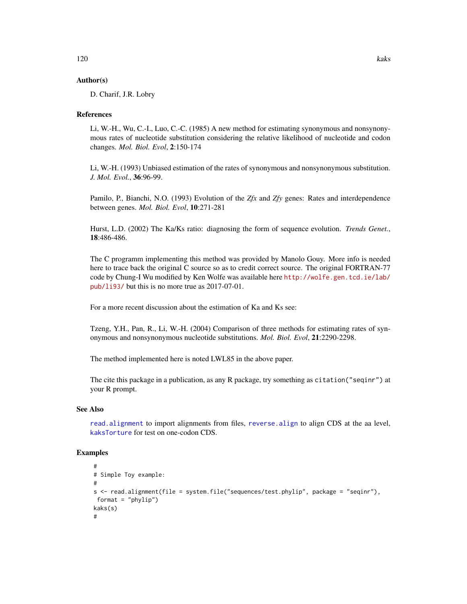### Author(s)

D. Charif, J.R. Lobry

### References

Li, W.-H., Wu, C.-I., Luo, C.-C. (1985) A new method for estimating synonymous and nonsynonymous rates of nucleotide substitution considering the relative likelihood of nucleotide and codon changes. *Mol. Biol. Evol*, 2:150-174

Li, W.-H. (1993) Unbiased estimation of the rates of synonymous and nonsynonymous substitution. *J. Mol. Evol.*, 36:96-99.

Pamilo, P., Bianchi, N.O. (1993) Evolution of the *Zfx* and *Zfy* genes: Rates and interdependence between genes. *Mol. Biol. Evol*, 10:271-281

Hurst, L.D. (2002) The Ka/Ks ratio: diagnosing the form of sequence evolution. *Trends Genet.*, 18:486-486.

The C programm implementing this method was provided by Manolo Gouy. More info is needed here to trace back the original C source so as to credit correct source. The original FORTRAN-77 code by Chung-I Wu modified by Ken Wolfe was available here [http://wolfe.gen.tcd.ie/lab/](http://wolfe.gen.tcd.ie/lab/pub/li93/) [pub/li93/](http://wolfe.gen.tcd.ie/lab/pub/li93/) but this is no more true as 2017-07-01.

For a more recent discussion about the estimation of Ka and Ks see:

Tzeng, Y.H., Pan, R., Li, W.-H. (2004) Comparison of three methods for estimating rates of synonymous and nonsynonymous nucleotide substitutions. *Mol. Biol. Evol*, 21:2290-2298.

The method implemented here is noted LWL85 in the above paper.

The cite this package in a publication, as any R package, try something as citation("seqinr") at your R prompt.

#### See Also

[read.alignment](#page-158-0) to import alignments from files, [reverse.align](#page-175-0) to align CDS at the aa level, [kaksTorture](#page-120-0) for test on one-codon CDS.

```
#
# Simple Toy example:
#
s <- read.alignment(file = system.file("sequences/test.phylip", package = "seqinr"),
format = "phylip")
kaks(s)
#
```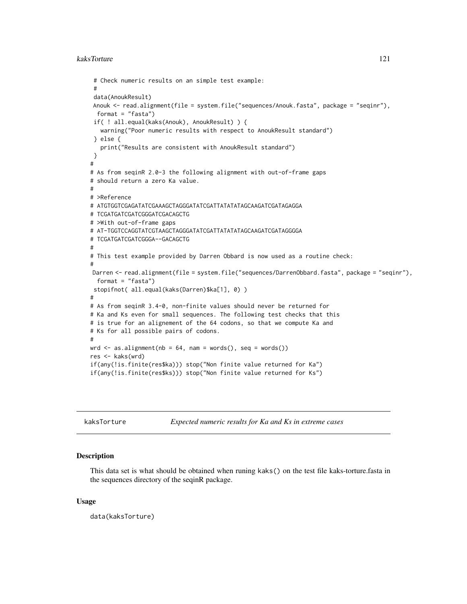```
# Check numeric results on an simple test example:
 #
 data(AnoukResult)
Anouk <- read.alignment(file = system.file("sequences/Anouk.fasta", package = "seqinr"),
  format = "fasta")
 if( ! all.equal(kaks(Anouk), AnoukResult) ) {
   warning("Poor numeric results with respect to AnoukResult standard")
 } else {
   print("Results are consistent with AnoukResult standard")
 }
#
# As from seqinR 2.0-3 the following alignment with out-of-frame gaps
# should return a zero Ka value.
#
# >Reference
# ATGTGGTCGAGATATCGAAAGCTAGGGATATCGATTATATATAGCAAGATCGATAGAGGA
# TCGATGATCGATCGGGATCGACAGCTG
# >With out-of-frame gaps
# AT-TGGTCCAGGTATCGTAAGCTAGGGATATCGATTATATATAGCAAGATCGATAGGGGA
# TCGATGATCGATCGGGA--GACAGCTG
#
# This test example provided by Darren Obbard is now used as a routine check:
#
Darren <- read.alignment(file = system.file("sequences/DarrenObbard.fasta", package = "seqinr"),
  format = "fasta")
 stopifnot( all.equal(kaks(Darren)$ka[1], 0) )
#
# As from seqinR 3.4-0, non-finite values should never be returned for
# Ka and Ks even for small sequences. The following test checks that this
# is true for an alignement of the 64 codons, so that we compute Ka and
# Ks for all possible pairs of codons.
#
wrd \leq as.alignment(nb = 64, nam = words(), seq = words())
res <- kaks(wrd)
if(any(!is.finite(res$ka))) stop("Non finite value returned for Ka")
if(any(!is.finite(res$ks))) stop("Non finite value returned for Ks")
```
<span id="page-120-0"></span>

kaksTorture *Expected numeric results for Ka and Ks in extreme cases*

#### Description

This data set is what should be obtained when runing kaks() on the test file kaks-torture.fasta in the sequences directory of the seqinR package.

#### Usage

data(kaksTorture)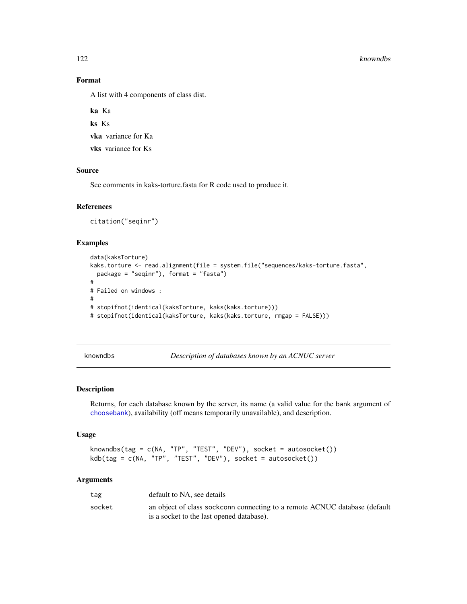#### 122 knowndbs

# Format

A list with 4 components of class dist.

ka Ka ks Ks vka variance for Ka

vks variance for Ks

### Source

See comments in kaks-torture.fasta for R code used to produce it.

#### References

citation("seqinr")

# Examples

```
data(kaksTorture)
kaks.torture <- read.alignment(file = system.file("sequences/kaks-torture.fasta",
  package = "seqinr"), format = "fasta")
#
# Failed on windows :
#
# stopifnot(identical(kaksTorture, kaks(kaks.torture)))
# stopifnot(identical(kaksTorture, kaks(kaks.torture, rmgap = FALSE)))
```
knowndbs *Description of databases known by an ACNUC server*

# Description

Returns, for each database known by the server, its name (a valid value for the bank argument of [choosebank](#page-41-0)), availability (off means temporarily unavailable), and description.

#### Usage

```
knowndbs(tag = c(NA, "TP", "TEST", "DEV"), socket = autosocket())
kdb(tag = c(NA, "TP", "TEST", "DEV"), socket = autosocket())
```
### Arguments

| tag    | default to NA, see details                                                 |
|--------|----------------------------------------------------------------------------|
| socket | an object of class sockconn connecting to a remote ACNUC database (default |
|        | is a socket to the last opened database).                                  |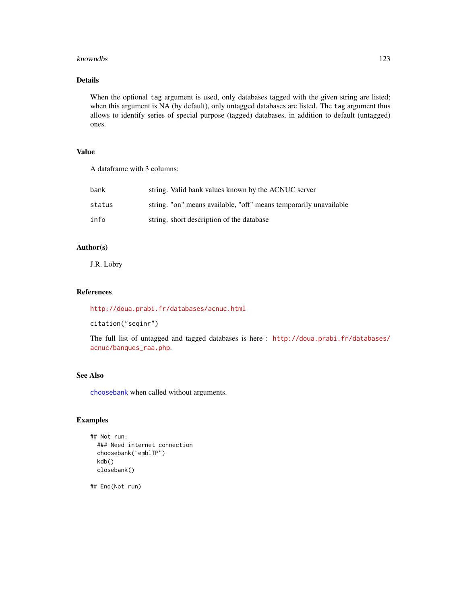### knowndbs 123

# Details

When the optional tag argument is used, only databases tagged with the given string are listed; when this argument is NA (by default), only untagged databases are listed. The tag argument thus allows to identify series of special purpose (tagged) databases, in addition to default (untagged) ones.

# Value

A dataframe with 3 columns:

| bank   | string. Valid bank values known by the ACNUC server               |
|--------|-------------------------------------------------------------------|
| status | string. "on" means available, "off" means temporarily unavailable |
| info   | string. short description of the database                         |

# Author(s)

J.R. Lobry

#### References

<http://doua.prabi.fr/databases/acnuc.html>

citation("seqinr")

The full list of untagged and tagged databases is here : [http://doua.prabi.fr/databases/](http://doua.prabi.fr/databases/acnuc/banques_raa.php) [acnuc/banques\\_raa.php](http://doua.prabi.fr/databases/acnuc/banques_raa.php).

# See Also

[choosebank](#page-41-0) when called without arguments.

## Examples

```
## Not run:
 ### Need internet connection
 choosebank("emblTP")
 kdb()
 closebank()
```
## End(Not run)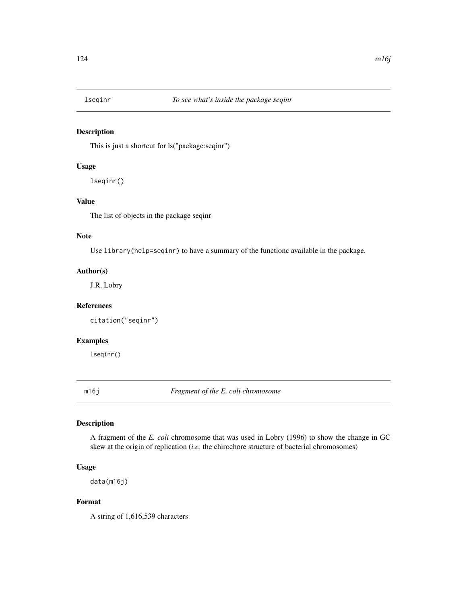# Description

This is just a shortcut for ls("package:seqinr")

# Usage

lseqinr()

## Value

The list of objects in the package seqinr

### Note

Use library(help=seqinr) to have a summary of the functionc available in the package.

### Author(s)

J.R. Lobry

## References

citation("seqinr")

# Examples

lseqinr()

m16j *Fragment of the E. coli chromosome*

# Description

A fragment of the *E. coli* chromosome that was used in Lobry (1996) to show the change in GC skew at the origin of replication (*i.e.* the chirochore structure of bacterial chromosomes)

### Usage

data(m16j)

# Format

A string of 1,616,539 characters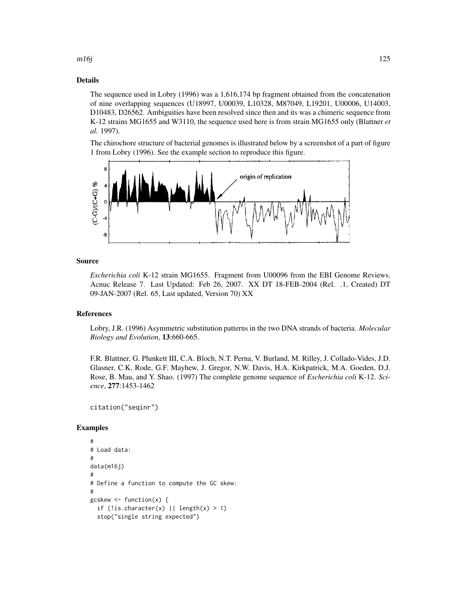# $m16j$  125

# Details

The sequence used in Lobry (1996) was a 1,616,174 bp fragment obtained from the concatenation of nine overlapping sequences (U18997, U00039, L10328, M87049, L19201, U00006, U14003, D10483, D26562. Ambiguities have been resolved since then and its was a chimeric sequence from K-12 strains MG1655 and W3110, the sequence used here is from strain MG1655 only (Blattner *et al.* 1997).

The chirochore structure of bacterial genomes is illustrated below by a screenshot of a part of figure 1 from Lobry (1996). See the example section to reproduce this figure.



#### Source

*Escherichia coli* K-12 strain MG1655. Fragment from U00096 from the EBI Genome Reviews. Acnuc Release 7. Last Updated: Feb 26, 2007. XX DT 18-FEB-2004 (Rel. .1, Created) DT 09-JAN-2007 (Rel. 65, Last updated, Version 70) XX

#### References

Lobry, J.R. (1996) Asymmetric substitution patterns in the two DNA strands of bacteria. *Molecular Biology and Evolution*, 13:660-665.

F.R. Blattner, G. Plunkett III, C.A. Bloch, N.T. Perna, V. Burland, M. Rilley, J. Collado-Vides, J.D. Glasner, C.K. Rode, G.F. Mayhew, J. Gregor, N.W. Davis, H.A. Kirkpatrick, M.A. Goeden, D.J. Rose, B. Mau, and Y. Shao. (1997) The complete genome sequence of *Escherichia coli* K-12. *Science*, 277:1453-1462

citation("seqinr")

```
#
# Load data:
#
data(m16j)
#
# Define a function to compute the GC skew:
#
gcskew <- function(x) {
 if (!is.character(x) || length(x) > 1)
 stop("single string expected")
```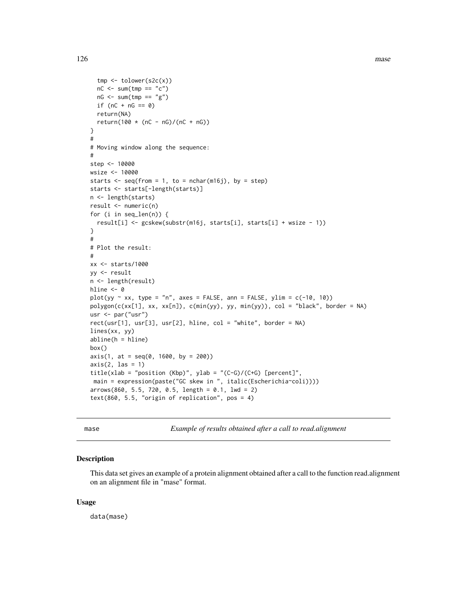```
tmp <- tolower(s2c(x))
  nC \le - \text{sum}(\text{tmp} == "c")nG \leq -sum(tmp == "g")if (nC + nG == 0)return(NA)
  return(100 * (nC - nG)/(nC + nG))
}
#
# Moving window along the sequence:
#
step <- 10000
wsize <- 10000
starts \leq seq(from = 1, to = nchar(m16j), by = step)
starts <- starts[-length(starts)]
n <- length(starts)
result <- numeric(n)
for (i in seq_len(n)) {
  result[i] <- gcskew(substr(m16j, starts[i], starts[i] + wsize - 1))
}
#
# Plot the result:
#
xx <- starts/1000
yy <- result
n <- length(result)
hline <- 0
plot(yy \sim xx, type = "n", axes = FALSE, ann = FALSE, ylim = c(-10, 10))
polygon(c(xx[1], xx, xx[n]), c(min(yy), yy, min(yy)), col = "black", border = NA)
usr <- par("usr")
rect(usr[1], usr[3], usr[2], hline, col = "white", border = NA)
lines(xx, yy)
abline(h = hline)
box()
axis(1, at = seq(0, 1600, by = 200))axis(2, las = 1)title(xlab = "position (Kbp)", ylab = "(C-G)/(C+G) [percent]",
main = expression(paste("GC skew in ", italic(Escherichia~coli))))
arrows(860, 5.5, 720, 0.5, length = 0.1, 1wd = 2)text(860, 5.5, "origin of replication", pos = 4)
```
mase *Example of results obtained after a call to read.alignment*

### Description

This data set gives an example of a protein alignment obtained after a call to the function read.alignment on an alignment file in "mase" format.

#### Usage

data(mase)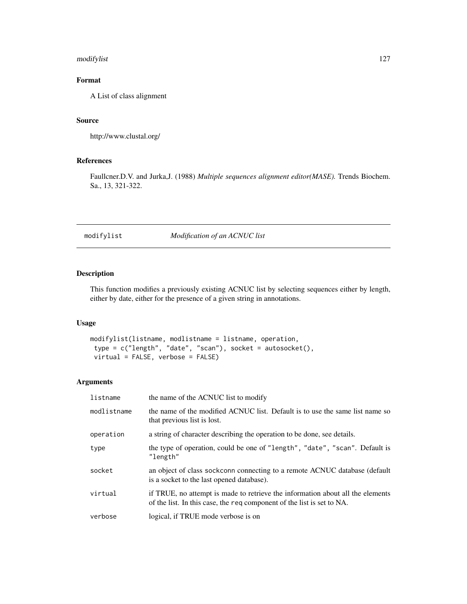## modifylist 127

# Format

A List of class alignment

#### Source

http://www.clustal.org/

## References

Faullcner.D.V. and Jurka,J. (1988) *Multiple sequences alignment editor(MASE).* Trends Biochem. Sa., 13, 321-322.

### modifylist *Modification of an ACNUC list*

### Description

This function modifies a previously existing ACNUC list by selecting sequences either by length, either by date, either for the presence of a given string in annotations.

## Usage

```
modifylist(listname, modlistname = listname, operation,
type = c("length", "date", "scan"), socket = autosocket(),
virtual = FALSE, verbose = FALSE)
```
### Arguments

| listname    | the name of the ACNUC list to modify                                                                                                                     |
|-------------|----------------------------------------------------------------------------------------------------------------------------------------------------------|
| modlistname | the name of the modified ACNUC list. Default is to use the same list name so<br>that previous list is lost.                                              |
| operation   | a string of character describing the operation to be done, see details.                                                                                  |
| type        | the type of operation, could be one of "length", "date", "scan". Default is<br>"length"                                                                  |
| socket      | an object of class sockconn connecting to a remote ACNUC database (default<br>is a socket to the last opened database).                                  |
| virtual     | if TRUE, no attempt is made to retrieve the information about all the elements<br>of the list. In this case, the req component of the list is set to NA. |
| verbose     | logical, if TRUE mode verbose is on                                                                                                                      |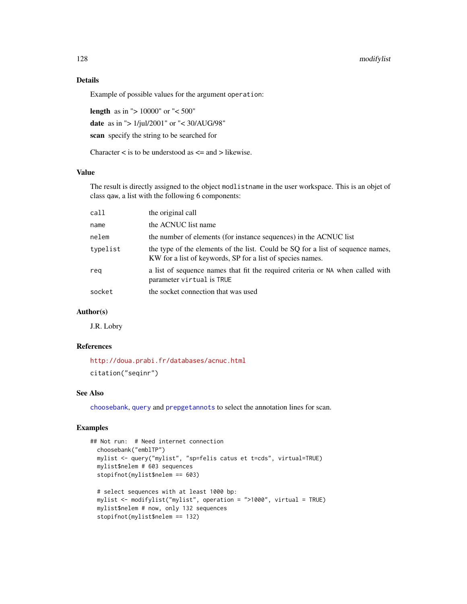## 128 modifylist

### Details

Example of possible values for the argument operation:

length as in "> 10000" or "< 500" date as in "> 1/jul/2001" or "< 30/AUG/98" scan specify the string to be searched for

Character  $\lt$  is to be understood as  $\lt$  = and  $\gt$  likewise.

# Value

The result is directly assigned to the object modlistname in the user workspace. This is an objet of class qaw, a list with the following 6 components:

| call     | the original call                                                                                                                             |
|----------|-----------------------------------------------------------------------------------------------------------------------------------------------|
| name     | the ACNUC list name                                                                                                                           |
| nelem    | the number of elements (for instance sequences) in the ACNUC list                                                                             |
| typelist | the type of the elements of the list. Could be SQ for a list of sequence names,<br>KW for a list of keywords, SP for a list of species names. |
| rea      | a list of sequence names that fit the required criteria or NA when called with<br>parameter virtual is TRUE                                   |
| socket   | the socket connection that was used                                                                                                           |
|          |                                                                                                                                               |

#### Author(s)

J.R. Lobry

### References

<http://doua.prabi.fr/databases/acnuc.html> citation("seqinr")

### See Also

[choosebank](#page-41-0), [query](#page-153-0) and [prepgetannots](#page-147-0) to select the annotation lines for scan.

```
## Not run: # Need internet connection
 choosebank("emblTP")
 mylist <- query("mylist", "sp=felis catus et t=cds", virtual=TRUE)
 mylist$nelem # 603 sequences
 stopifnot(mylist$nelem == 603)
 # select sequences with at least 1000 bp:
 mylist <- modifylist("mylist", operation = ">1000", virtual = TRUE)
 mylist$nelem # now, only 132 sequences
 stopifnot(mylist$nelem == 132)
```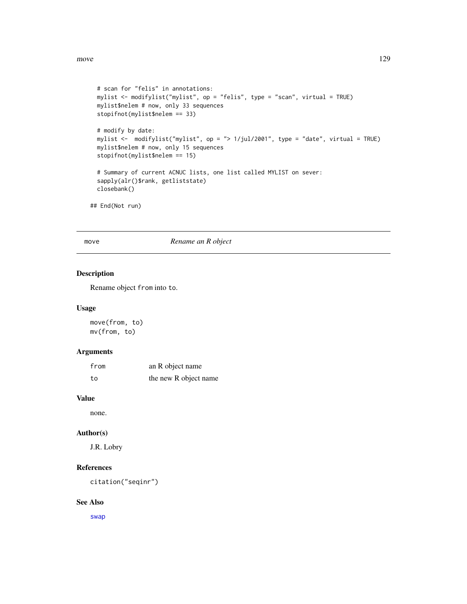```
# scan for "felis" in annotations:
mylist <- modifylist("mylist", op = "felis", type = "scan", virtual = TRUE)
mylist$nelem # now, only 33 sequences
stopifnot(mylist$nelem == 33)
# modify by date:
mylist <- modifylist("mylist", op = "> 1/jul/2001", type = "date", virtual = TRUE)
mylist$nelem # now, only 15 sequences
stopifnot(mylist$nelem == 15)
# Summary of current ACNUC lists, one list called MYLIST on sever:
sapply(alr()$rank, getliststate)
closebank()
```
## End(Not run)

move *Rename an R object*

### Description

Rename object from into to.

#### Usage

move(from, to) mv(from, to)

### Arguments

| from | an R object name      |
|------|-----------------------|
| to   | the new R object name |

### Value

none.

# Author(s)

J.R. Lobry

## References

citation("seqinr")

# See Also

[swap](#page-193-0)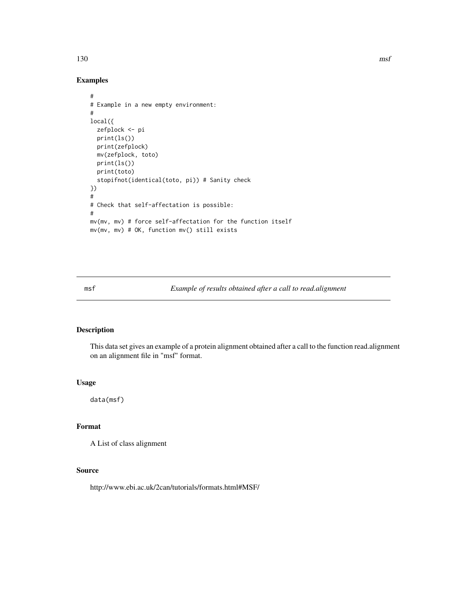130 msf

```
#
# Example in a new empty environment:
#
local({
  zefplock <- pi
  print(ls())
  print(zefplock)
  mv(zefplock, toto)
  print(ls())
  print(toto)
  stopifnot(identical(toto, pi)) # Sanity check
})
#
# Check that self-affectation is possible:
#
mv(mv, mv) # force self-affectation for the function itself
mv(mv, mv) # OK, function mv() still exists
```
msf *Example of results obtained after a call to read.alignment*

### Description

This data set gives an example of a protein alignment obtained after a call to the function read.alignment on an alignment file in "msf" format.

### Usage

data(msf)

#### Format

A List of class alignment

# Source

http://www.ebi.ac.uk/2can/tutorials/formats.html#MSF/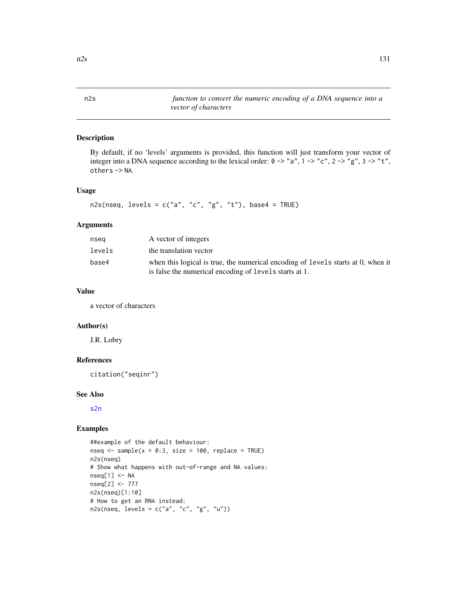n2s *function to convert the numeric encoding of a DNA sequence into a vector of characters*

# Description

By default, if no 'levels' arguments is provided, this function will just transform your vector of integer into a DNA sequence according to the lexical order:  $0 \rightarrow$  "a",  $1 \rightarrow$  "c",  $2 \rightarrow$  "g",  $3 \rightarrow$  "t", others -> NA.

### Usage

```
n2s(nseq, levels = c("a", "c", "g", "t"), base4 = TRUE)
```
#### Arguments

| nsea   | A vector of integers                                                                                                                       |
|--------|--------------------------------------------------------------------------------------------------------------------------------------------|
| levels | the translation vector                                                                                                                     |
| base4  | when this logical is true, the numerical encoding of levels starts at 0, when it<br>is false the numerical encoding of levels starts at 1. |

### Value

a vector of characters

#### Author(s)

J.R. Lobry

### References

```
citation("seqinr")
```
### See Also

[s2n](#page-180-0)

```
##example of the default behaviour:
nseq \le sample(x = 0:3, size = 100, replace = TRUE)
n2s(nseq)
# Show what happens with out-of-range and NA values:
nseq[1] < -NAnseq[2] <- 777
n2s(nseq)[1:10]
# How to get an RNA instead:
n2s(nseq, levels = c("a", "c", "g", "u"))
```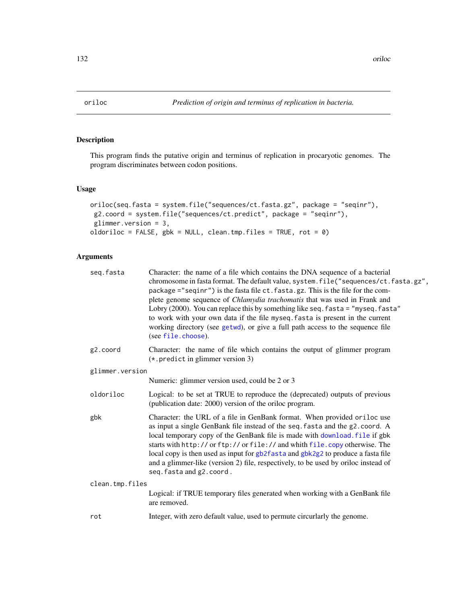# Description

This program finds the putative origin and terminus of replication in procaryotic genomes. The program discriminates between codon positions.

### Usage

```
oriloc(seq.fasta = system.file("sequences/ct.fasta.gz", package = "seqinr"),
g2.coord = system.file("sequences/ct.predict", package = "seqinr"),
glimmer.version = 3,
oldoriloc = FALSE, gbk = NULL, clean.tmp.files = TRUE, rot = 0)
```
### Arguments

| seg.fasta       | Character: the name of a file which contains the DNA sequence of a bacterial<br>chromosome in fasta format. The default value, system. file("sequences/ct.fasta.gz",<br>package ="seqinr") is the fasta file ct. fasta.gz. This is the file for the com-<br>plete genome sequence of <i>Chlamydia trachomatis</i> that was used in Frank and<br>Lobry (2000). You can replace this by something like seq. fasta = "myseq. fasta"<br>to work with your own data if the file myseq. fasta is present in the current<br>working directory (see getwd), or give a full path access to the sequence file<br>(see file.choose). |  |  |
|-----------------|---------------------------------------------------------------------------------------------------------------------------------------------------------------------------------------------------------------------------------------------------------------------------------------------------------------------------------------------------------------------------------------------------------------------------------------------------------------------------------------------------------------------------------------------------------------------------------------------------------------------------|--|--|
| g2.coord        | Character: the name of file which contains the output of glimmer program<br>$(*.$ predict in glimmer version 3)                                                                                                                                                                                                                                                                                                                                                                                                                                                                                                           |  |  |
| glimmer.version |                                                                                                                                                                                                                                                                                                                                                                                                                                                                                                                                                                                                                           |  |  |
|                 | Numeric: glimmer version used, could be 2 or 3                                                                                                                                                                                                                                                                                                                                                                                                                                                                                                                                                                            |  |  |
| oldoriloc       | Logical: to be set at TRUE to reproduce the (deprecated) outputs of previous<br>(publication date: 2000) version of the oriloc program.                                                                                                                                                                                                                                                                                                                                                                                                                                                                                   |  |  |
| gbk             | Character: the URL of a file in GenBank format. When provided oriloc use<br>as input a single GenBank file instead of the seq. fasta and the g2. coord. A<br>local temporary copy of the GenBank file is made with download. file if gbk<br>starts with http:// or ftp:// or file:// and whith file.copy otherwise. The<br>local copy is then used as input for gb2fasta and gbk2g2 to produce a fasta file<br>and a glimmer-like (version 2) file, respectively, to be used by oriloc instead of<br>seq. fasta and g2. coord.                                                                                            |  |  |
| clean.tmp.files |                                                                                                                                                                                                                                                                                                                                                                                                                                                                                                                                                                                                                           |  |  |
|                 | Logical: if TRUE temporary files generated when working with a GenBank file<br>are removed.                                                                                                                                                                                                                                                                                                                                                                                                                                                                                                                               |  |  |
| rot             | Integer, with zero default value, used to permute circurlarly the genome.                                                                                                                                                                                                                                                                                                                                                                                                                                                                                                                                                 |  |  |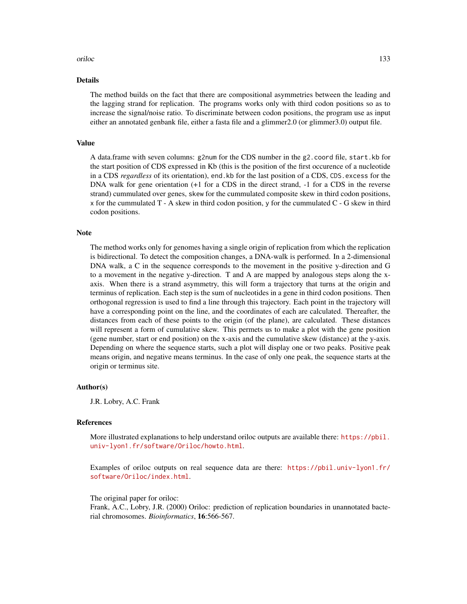#### oriloc 133

### Details

The method builds on the fact that there are compositional asymmetries between the leading and the lagging strand for replication. The programs works only with third codon positions so as to increase the signal/noise ratio. To discriminate between codon positions, the program use as input either an annotated genbank file, either a fasta file and a glimmer2.0 (or glimmer3.0) output file.

#### Value

A data.frame with seven columns: g2num for the CDS number in the g2.coord file, start.kb for the start position of CDS expressed in Kb (this is the position of the first occurence of a nucleotide in a CDS *regardless* of its orientation), end.kb for the last position of a CDS, CDS.excess for the DNA walk for gene orientation (+1 for a CDS in the direct strand, -1 for a CDS in the reverse strand) cummulated over genes, skew for the cummulated composite skew in third codon positions, x for the cummulated T - A skew in third codon position, y for the cummulated C - G skew in third codon positions.

#### Note

The method works only for genomes having a single origin of replication from which the replication is bidirectional. To detect the composition changes, a DNA-walk is performed. In a 2-dimensional DNA walk, a C in the sequence corresponds to the movement in the positive y-direction and G to a movement in the negative y-direction. T and A are mapped by analogous steps along the xaxis. When there is a strand asymmetry, this will form a trajectory that turns at the origin and terminus of replication. Each step is the sum of nucleotides in a gene in third codon positions. Then orthogonal regression is used to find a line through this trajectory. Each point in the trajectory will have a corresponding point on the line, and the coordinates of each are calculated. Thereafter, the distances from each of these points to the origin (of the plane), are calculated. These distances will represent a form of cumulative skew. This permets us to make a plot with the gene position (gene number, start or end position) on the x-axis and the cumulative skew (distance) at the y-axis. Depending on where the sequence starts, such a plot will display one or two peaks. Positive peak means origin, and negative means terminus. In the case of only one peak, the sequence starts at the origin or terminus site.

#### Author(s)

J.R. Lobry, A.C. Frank

### References

More illustrated explanations to help understand oriloc outputs are available there: [https://pbil.](https://pbil.univ-lyon1.fr/software/Oriloc/howto.html) [univ-lyon1.fr/software/Oriloc/howto.html](https://pbil.univ-lyon1.fr/software/Oriloc/howto.html).

Examples of oriloc outputs on real sequence data are there: [https://pbil.univ-lyon1.fr/](https://pbil.univ-lyon1.fr/software/Oriloc/index.html) [software/Oriloc/index.html](https://pbil.univ-lyon1.fr/software/Oriloc/index.html).

#### The original paper for oriloc:

Frank, A.C., Lobry, J.R. (2000) Oriloc: prediction of replication boundaries in unannotated bacterial chromosomes. *Bioinformatics*, 16:566-567.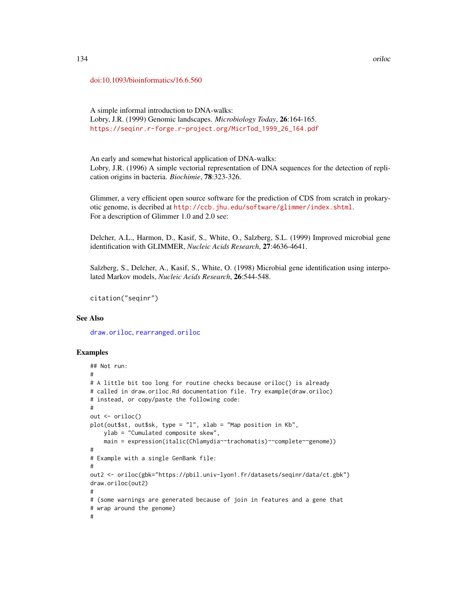#### [doi:10.1093/bioinformatics/16.6.560](https://doi.org/10.1093/bioinformatics/16.6.560)

A simple informal introduction to DNA-walks: Lobry, J.R. (1999) Genomic landscapes. *Microbiology Today*, 26:164-165. [https://seqinr.r-forge.r-project.org/MicrTod\\_1999\\_26\\_164.pdf](https://seqinr.r-forge.r-project.org/MicrTod_1999_26_164.pdf)

An early and somewhat historical application of DNA-walks: Lobry, J.R. (1996) A simple vectorial representation of DNA sequences for the detection of replication origins in bacteria. *Biochimie*, 78:323-326.

Glimmer, a very efficient open source software for the prediction of CDS from scratch in prokaryotic genome, is decribed at <http://ccb.jhu.edu/software/glimmer/index.shtml>. For a description of Glimmer 1.0 and 2.0 see:

Delcher, A.L., Harmon, D., Kasif, S., White, O., Salzberg, S.L. (1999) Improved microbial gene identification with GLIMMER, *Nucleic Acids Research*, 27:4636-4641.

Salzberg, S., Delcher, A., Kasif, S., White, O. (1998) Microbial gene identification using interpolated Markov models, *Nucleic Acids Research*, 26:544-548.

```
citation("seqinr")
```
### See Also

[draw.oriloc](#page-67-0), [rearranged.oriloc](#page-170-0)

```
## Not run:
#
# A little bit too long for routine checks because oriloc() is already
# called in draw.oriloc.Rd documentation file. Try example(draw.oriloc)
# instead, or copy/paste the following code:
#
out <- oriloc()
plot(out$st, out$sk, type = "l", xlab = "Map position in Kb",
   ylab = "Cumulated composite skew",
    main = expression(italic(Chlamydia~~trachomatis)~~complete~~genome))
#
# Example with a single GenBank file:
#
out2 <- oriloc(gbk="https://pbil.univ-lyon1.fr/datasets/seqinr/data/ct.gbk")
draw.oriloc(out2)
#
# (some warnings are generated because of join in features and a gene that
# wrap around the genome)
#
```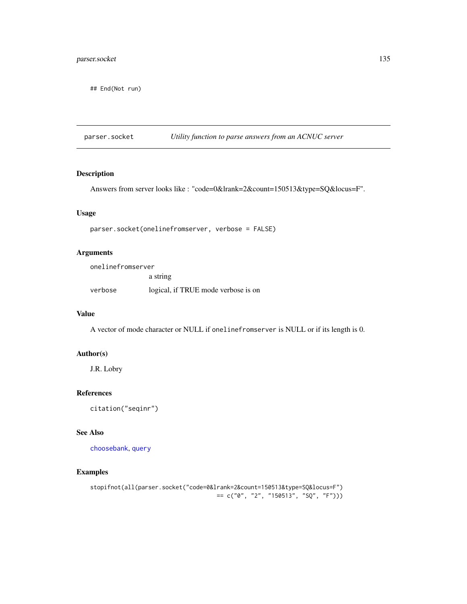# parser.socket 135

## End(Not run)

parser.socket *Utility function to parse answers from an ACNUC server*

### Description

Answers from server looks like : "code=0&lrank=2&count=150513&type=SQ&locus=F".

### Usage

parser.socket(onelinefromserver, verbose = FALSE)

## Arguments

| onelinefromserver |                                     |
|-------------------|-------------------------------------|
|                   | a string                            |
| verbose           | logical, if TRUE mode verbose is on |

#### Value

A vector of mode character or NULL if onelinefromserver is NULL or if its length is 0.

# Author(s)

J.R. Lobry

### References

citation("seqinr")

### See Also

[choosebank](#page-41-0), [query](#page-153-0)

```
stopifnot(all(parser.socket("code=0&lrank=2&count=150513&type=SQ&locus=F")
                                    = c("0", "2", "150513", "SQ", "F"))
```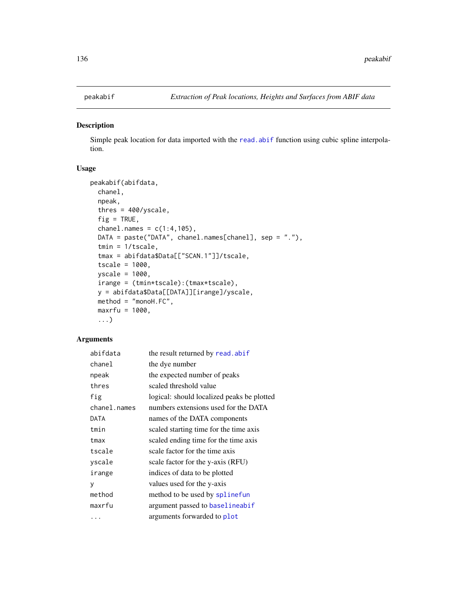<span id="page-135-0"></span>

# Description

Simple peak location for data imported with the [read.abif](#page-156-0) function using cubic spline interpolation.

# Usage

```
peakabif(abifdata,
  chanel,
  npeak,
  thres = 400/yscale,
  fig = TRUE,channel.name = c(1:4,105),
  DATA = paste("DATA", chanel.names[chanel], sep = "."),
  tmin = 1/tscale,
  tmax = abifdata$Data[["SCAN.1"]]/tscale,
  tscale = 1000,
 yscale = 1000,
  irange = (tmin*tscale):(tmax*tscale),
 y = abifdata$Data[[DATA]][irange]/yscale,
 method = "monoH.FC",
 maxrfu = 1000,
  ...)
```
# Arguments

| abifdata     | the result returned by read.abif           |
|--------------|--------------------------------------------|
| chanel       | the dye number                             |
| npeak        | the expected number of peaks               |
| thres        | scaled threshold value                     |
| fig          | logical: should localized peaks be plotted |
| chanel.names | numbers extensions used for the DATA       |
| DATA         | names of the DATA components               |
| tmin         | scaled starting time for the time axis     |
| tmax         | scaled ending time for the time axis       |
| tscale       | scale factor for the time axis             |
| yscale       | scale factor for the y-axis (RFU)          |
| irange       | indices of data to be plotted              |
| V            | values used for the y-axis                 |
| method       | method to be used by splinefun             |
| maxrfu       | argument passed to baselineabif            |
| $\cdots$     | arguments forwarded to plot                |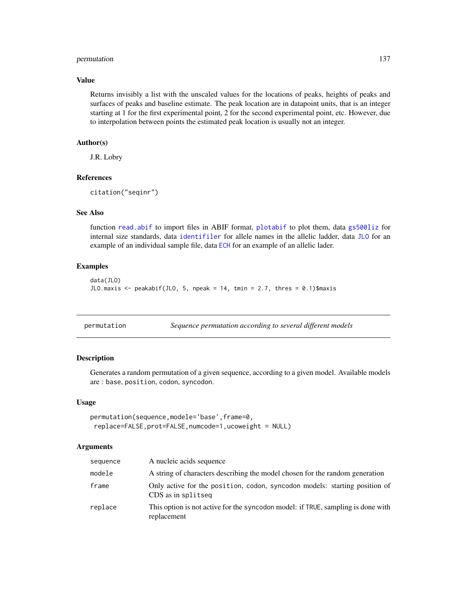### permutation 137

### Value

Returns invisibly a list with the unscaled values for the locations of peaks, heights of peaks and surfaces of peaks and baseline estimate. The peak location are in datapoint units, that is an integer starting at 1 for the first experimental point, 2 for the second experimental point, etc. However, due to interpolation between points the estimated peak location is usually not an integer.

### Author(s)

J.R. Lobry

# References

```
citation("seqinr")
```
# See Also

function [read.abif](#page-156-0) to import files in ABIF format, [plotabif](#page-141-0) to plot them, data [gs500liz](#page-113-0) for internal size standards, data [identifiler](#page-114-0) for allele names in the allelic ladder, data [JLO](#page-116-0) for an example of an individual sample file, data [ECH](#page-72-0) for an example of an allelic lader.

### Examples

```
data(JLO)
JLO.maxis <- peakabif(JLO, 5, npeak = 14, tmin = 2.7, thres = 0.1)$maxis
```

| permutation | Sequence permutation according to several different models |  |
|-------------|------------------------------------------------------------|--|
|             |                                                            |  |

### Description

Generates a random permutation of a given sequence, according to a given model. Available models are : base, position, codon, syncodon.

#### Usage

```
permutation(sequence,modele='base',frame=0,
replace=FALSE,prot=FALSE,numcode=1,ucoweight = NULL)
```
### Arguments

| sequence | A nucleic acids sequence                                                                         |
|----------|--------------------------------------------------------------------------------------------------|
| modele   | A string of characters describing the model chosen for the random generation                     |
| frame    | Only active for the position, codon, syncodon models: starting position of<br>CDS as in splitseq |
| replace  | This option is not active for the syncodon model: if TRUE, sampling is done with<br>replacement  |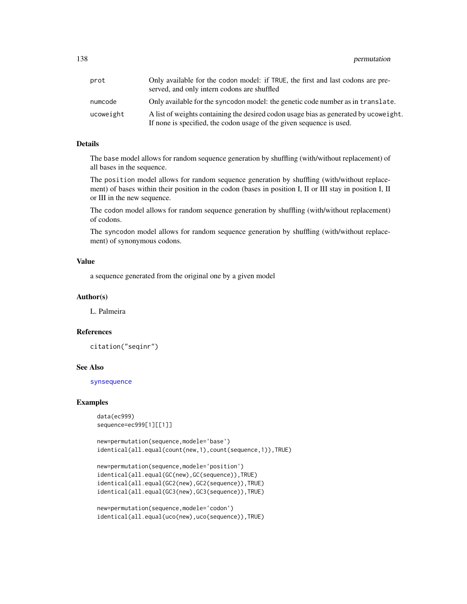138 permutation control and the set of the set of the set of the set of the set of the set of the set of the set of the set of the set of the set of the set of the set of the set of the set of the set of the set of the set

| prot      | Only available for the codon model: if TRUE, the first and last codons are pre-<br>served, and only intern codons are shuffled                               |
|-----------|--------------------------------------------------------------------------------------------------------------------------------------------------------------|
| numcode   | Only available for the syncodon model: the genetic code number as in translate.                                                                              |
| ucoweight | A list of weights containing the desired codon usage bias as generated by ucoweight.<br>If none is specified, the codon usage of the given sequence is used. |

# Details

The base model allows for random sequence generation by shuffling (with/without replacement) of all bases in the sequence.

The position model allows for random sequence generation by shuffling (with/without replacement) of bases within their position in the codon (bases in position I, II or III stay in position I, II or III in the new sequence.

The codon model allows for random sequence generation by shuffling (with/without replacement) of codons.

The syncodon model allows for random sequence generation by shuffling (with/without replacement) of synonymous codons.

#### Value

a sequence generated from the original one by a given model

#### Author(s)

L. Palmeira

#### References

citation("seqinr")

#### See Also

[synsequence](#page-196-0)

```
data(ec999)
sequence=ec999[1][[1]]
```

```
new=permutation(sequence,modele='base')
identical(all.equal(count(new,1),count(sequence,1)),TRUE)
```

```
new=permutation(sequence,modele='position')
identical(all.equal(GC(new),GC(sequence)),TRUE)
identical(all.equal(GC2(new),GC2(sequence)),TRUE)
identical(all.equal(GC3(new),GC3(sequence)),TRUE)
```

```
new=permutation(sequence,modele='codon')
identical(all.equal(uco(new),uco(sequence)),TRUE)
```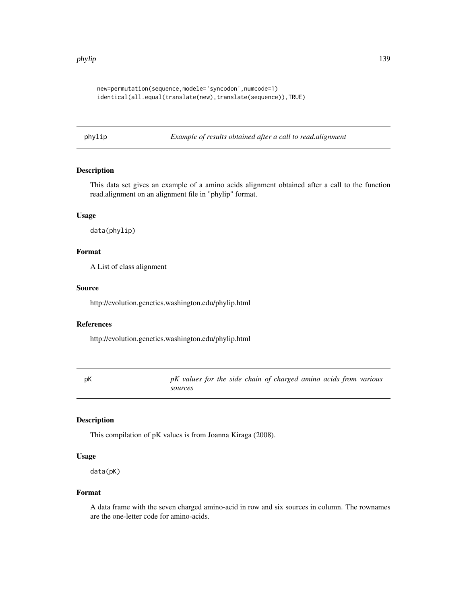#### phylip 139

```
new=permutation(sequence,modele='syncodon',numcode=1)
identical(all.equal(translate(new),translate(sequence)),TRUE)
```
phylip *Example of results obtained after a call to read.alignment*

# Description

This data set gives an example of a amino acids alignment obtained after a call to the function read.alignment on an alignment file in "phylip" format.

### Usage

data(phylip)

### Format

A List of class alignment

### Source

http://evolution.genetics.washington.edu/phylip.html

#### References

http://evolution.genetics.washington.edu/phylip.html

pK *pK values for the side chain of charged amino acids from various sources*

## Description

This compilation of pK values is from Joanna Kiraga (2008).

#### Usage

data(pK)

### Format

A data frame with the seven charged amino-acid in row and six sources in column. The rownames are the one-letter code for amino-acids.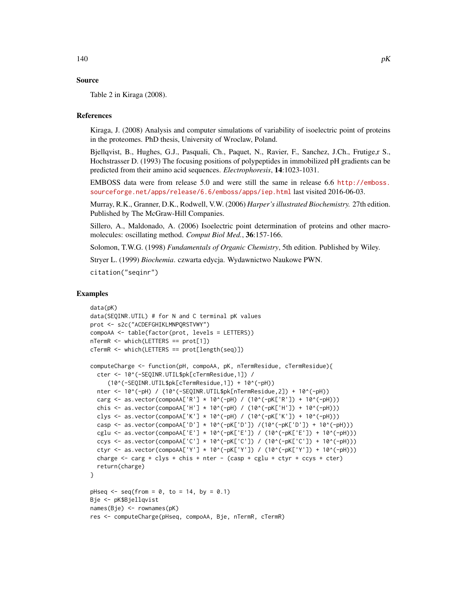## Source

Table 2 in Kiraga (2008).

#### References

Kiraga, J. (2008) Analysis and computer simulations of variability of isoelectric point of proteins in the proteomes. PhD thesis, University of Wroclaw, Poland.

Bjellqvist, B., Hughes, G.J., Pasquali, Ch., Paquet, N., Ravier, F., Sanchez, J.Ch., Frutige,r S., Hochstrasser D. (1993) The focusing positions of polypeptides in immobilized pH gradients can be predicted from their amino acid sequences. *Electrophoresis*, 14:1023-1031.

EMBOSS data were from release 5.0 and were still the same in release 6.6 [http://emboss.](http://emboss.sourceforge.net/apps/release/6.6/emboss/apps/iep.html) [sourceforge.net/apps/release/6.6/emboss/apps/iep.html](http://emboss.sourceforge.net/apps/release/6.6/emboss/apps/iep.html) last visited 2016-06-03.

Murray, R.K., Granner, D.K., Rodwell, V.W. (2006) *Harper's illustrated Biochemistry.* 27th edition. Published by The McGraw-Hill Companies.

Sillero, A., Maldonado, A. (2006) Isoelectric point determination of proteins and other macromolecules: oscillating method. *Comput Biol Med.*, 36:157-166.

Solomon, T.W.G. (1998) *Fundamentals of Organic Chemistry*, 5th edition. Published by Wiley.

Stryer L. (1999) *Biochemia*. czwarta edycja. Wydawnictwo Naukowe PWN.

citation("seqinr")

```
data(pK)
data(SEQINR.UTIL) # for N and C terminal pK values
prot <- s2c("ACDEFGHIKLMNPQRSTVWY")
compoAA <- table(factor(prot, levels = LETTERS))
nTermR <- which(LETTERS == prot[1])
cTermR <- which(LETTERS == prot[length(seq)])
computeCharge <- function(pH, compoAA, pK, nTermResidue, cTermResidue){
 cter <- 10^(-SEQINR.UTIL$pk[cTermResidue,1]) /
     (10^(-SEQINR.UTIL$pk[cTermResidue,1]) + 10^(-pH))
 nter <- 10^(-pH) / (10^(-SEQINR.UTIL$pk[nTermResidue,2]) + 10^(-pH))
 carg <- as.vector(compoAA['R'] * 10^(-pH) / (10^(-pK['R']) + 10^(-pH)))
 chis <- as.vector(compoAA['H'] * 10^(-pH) / (10^(-pK['H']) + 10^(-pH)))
 clys <- as.vector(compoAA['K'] * 10^(-pH) / (10^(-pK['K']) + 10^(-pH)))
 casp <- as.vector(compoAA['D'] * 10^(-pK['D']) /(10^(-pK['D']) + 10^(-pH)))
 cglu <- as.vector(compoAA['E'] * 10^(-pK['E']) / (10^(-pK['E']) + 10^(-pH)))
 ccys <- as.vector(compoAA['C'] * 10^(-pK['C']) / (10^(-pK['C']) + 10^(-pH)))
 ctyr <- as.vector(compoAA['Y'] * 10^(-pK['Y']) / (10^(-pK['Y']) + 10^(-pH)))
 charge \le - carg + clys + chis + nter - (casp + cglu + ctyr + ccys + cter)
 return(charge)
}
pHseq \leq seq(from = 0, to = 14, by = 0.1)
Bje <- pK$Bjellqvist
names(Bje) <- rownames(pK)
res <- computeCharge(pHseq, compoAA, Bje, nTermR, cTermR)
```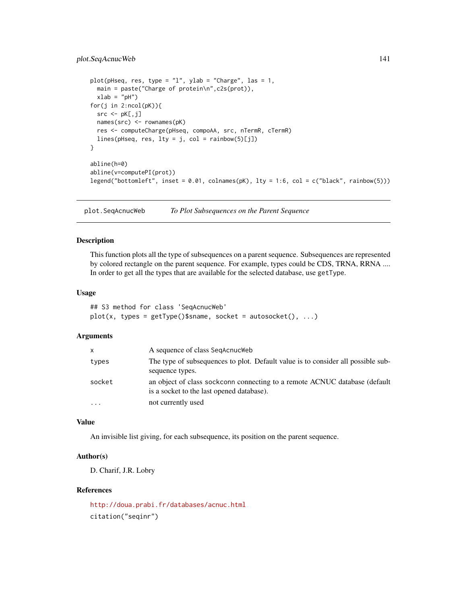## plot.SeqAcnucWeb 141

```
plot(pHseq, res, type = "l", ylab = "Charge", las = 1,
  main = paste("Charge of protein\n",c2s(prot)),
  xlab = "pH")for(j in 2:ncol(pK)){
 src < - pK[, j]names(src) <- rownames(pK)
  res <- computeCharge(pHseq, compoAA, src, nTermR, cTermR)
  lines(pHseq, res, lty = j, col = rainbow(5)[j])
}
abline(h=0)
abline(v=computePI(prot))
legend("bottomleft", inset = 0.01, colnames(pK), lty = 1:6, col = c("black", rainbow(5)))
```
plot.SeqAcnucWeb *To Plot Subsequences on the Parent Sequence*

#### Description

This function plots all the type of subsequences on a parent sequence. Subsequences are represented by colored rectangle on the parent sequence. For example, types could be CDS, TRNA, RRNA .... In order to get all the types that are available for the selected database, use getType.

### Usage

```
## S3 method for class 'SeqAcnucWeb'
plot(x, types = getType()$sname, socket = autosocket(), ...)
```
#### Arguments

| x         | A sequence of class SeqAcnucWeb                                                                                         |
|-----------|-------------------------------------------------------------------------------------------------------------------------|
| types     | The type of subsequences to plot. Default value is to consider all possible sub-<br>sequence types.                     |
| socket    | an object of class sockconn connecting to a remote ACNUC database (default<br>is a socket to the last opened database). |
| $\ddotsc$ | not currently used                                                                                                      |

### Value

An invisible list giving, for each subsequence, its position on the parent sequence.

## Author(s)

D. Charif, J.R. Lobry

### References

<http://doua.prabi.fr/databases/acnuc.html> citation("seqinr")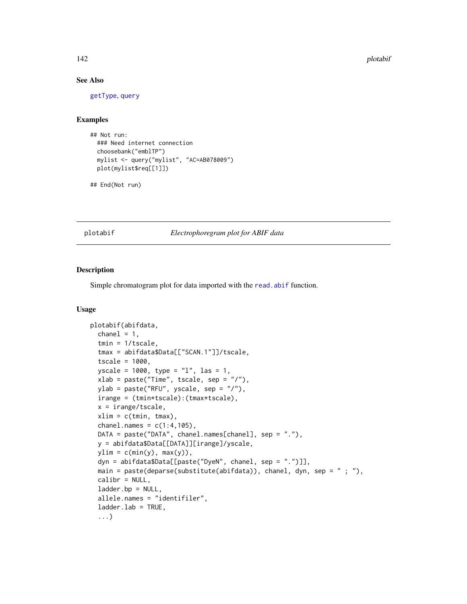## See Also

[getType](#page-110-0), [query](#page-153-0)

### Examples

```
## Not run:
 ### Need internet connection
 choosebank("emblTP")
 mylist <- query("mylist", "AC=AB078009")
 plot(mylist$req[[1]])
```

```
## End(Not run)
```
### <span id="page-141-0"></span>plotabif *Electrophoregram plot for ABIF data*

#### Description

Simple chromatogram plot for data imported with the [read.abif](#page-156-0) function.

#### Usage

```
plotabif(abifdata,
  channel = 1,
  tmin = 1/tscale,
  tmax = abifdata$Data[["SCAN.1"]]/tscale,
  tscale = 1000,yscale = 1000, type = "l", las = 1,
  xlab = paste("Time", tscale, sep = "/"),
 ylab = paste("RFU", yscale, sep = "/"),
  irange = (tmin*tscale):(tmax*tscale),
  x = irange/tscale,
  xlim = c(tmin, tmax),
  chanel.names = c(1:4,105),
 DATA = paste("DATA", chanel.names[chanel], sep = "."),
 y = abifdata$Data[[DATA]][irange]/yscale,
 ylim = c(min(y), max(y)),dyn = abifdata$Data[[paste("DyeN", chanel, sep = ".")]],
 main = paste(deparse(substitute(abifdata)), chanel, dyn, sep = " ; "),
  calibr = NULL,
  ladder.bp = NULL,allele.names = "identifiler",
  ladder.lab = TRUE,
  ...)
```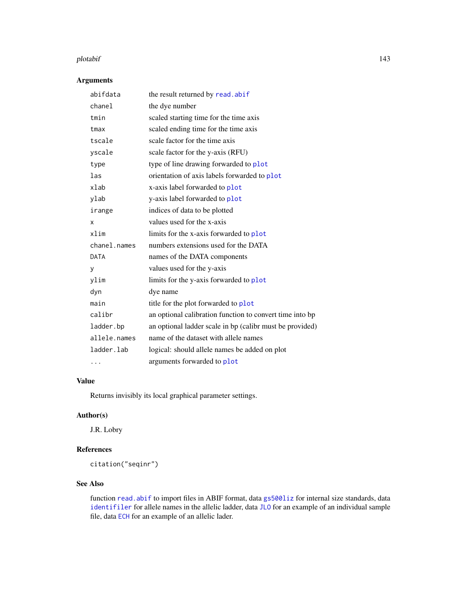#### plotabif the contract of the contract of the contract of the contract of the contract of the contract of the contract of the contract of the contract of the contract of the contract of the contract of the contract of the c

# Arguments

| abifdata     | the result returned by read.abif                         |
|--------------|----------------------------------------------------------|
| chanel       | the dye number                                           |
| tmin         | scaled starting time for the time axis                   |
| tmax         | scaled ending time for the time axis                     |
| tscale       | scale factor for the time axis                           |
| yscale       | scale factor for the y-axis (RFU)                        |
| type         | type of line drawing forwarded to plot                   |
| las          | orientation of axis labels forwarded to plot             |
| xlab         | x-axis label forwarded to plot                           |
| ylab         | y-axis label forwarded to plot                           |
| irange       | indices of data to be plotted                            |
| x            | values used for the x-axis                               |
| xlim         | limits for the x-axis forwarded to plot                  |
| chanel.names | numbers extensions used for the DATA                     |
| DATA         | names of the DATA components                             |
| у            | values used for the y-axis                               |
| ylim         | limits for the y-axis forwarded to plot                  |
| dyn          | dye name                                                 |
| main         | title for the plot forwarded to plot                     |
| calibr       | an optional calibration function to convert time into bp |
| ladder.bp    | an optional ladder scale in bp (calibr must be provided) |
| allele.names | name of the dataset with allele names                    |
| ladder.lab   | logical: should allele names be added on plot            |
| .            | arguments forwarded to plot                              |
|              |                                                          |

# Value

Returns invisibly its local graphical parameter settings.

# Author(s)

J.R. Lobry

### References

citation("seqinr")

## See Also

function [read.abif](#page-156-0) to import files in ABIF format, data gs5001iz for internal size standards, data [identifiler](#page-114-0) for allele names in the allelic ladder, data [JLO](#page-116-0) for an example of an individual sample file, data [ECH](#page-72-0) for an example of an allelic lader.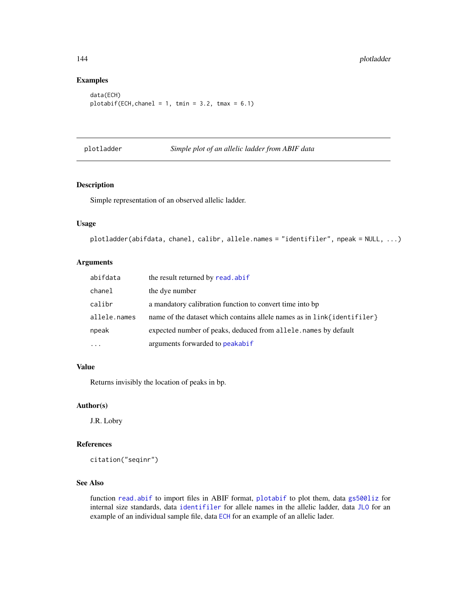### Examples

```
data(ECH)
plotabit(ECH, channel = 1, tmin = 3.2, tmax = 6.1)
```
plotladder *Simple plot of an allelic ladder from ABIF data*

|  |  |  |  | Simple plot of an allelic ladder from ABIF data |  |  |
|--|--|--|--|-------------------------------------------------|--|--|
|--|--|--|--|-------------------------------------------------|--|--|

### Description

Simple representation of an observed allelic ladder.

### Usage

```
plotladder(abifdata, chanel, calibr, allele.names = "identifiler", npeak = NULL, ...)
```
## Arguments

| abifdata     | the result returned by read. abif                                       |
|--------------|-------------------------------------------------------------------------|
| chanel       | the dye number                                                          |
| calibr       | a mandatory calibration function to convert time into bp                |
| allele.names | name of the dataset which contains allele names as in link{identifiler} |
| npeak        | expected number of peaks, deduced from allele. names by default         |
| $\cdots$     | arguments forwarded to peakabif                                         |

### Value

Returns invisibly the location of peaks in bp.

#### Author(s)

J.R. Lobry

### References

citation("seqinr")

# See Also

function [read.abif](#page-156-0) to import files in ABIF format, [plotabif](#page-141-0) to plot them, data [gs500liz](#page-113-0) for internal size standards, data [identifiler](#page-114-0) for allele names in the allelic ladder, data [JLO](#page-116-0) for an example of an individual sample file, data [ECH](#page-72-0) for an example of an allelic lader.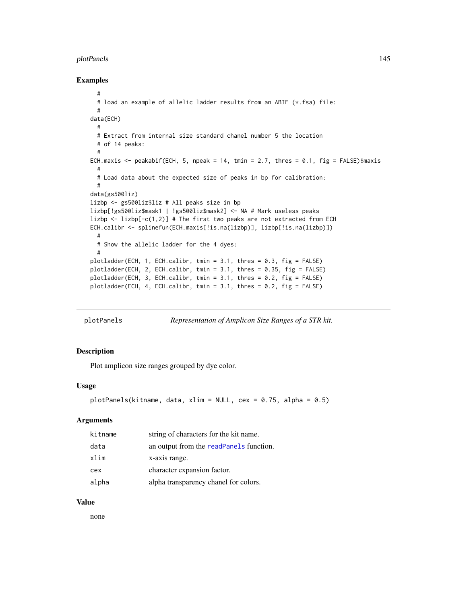#### plotPanels 145

### Examples

```
#
  # load an example of allelic ladder results from an ABIF (*.fsa) file:
  #
data(ECH)
  #
  # Extract from internal size standard chanel number 5 the location
  # of 14 peaks:
  #
ECH.maxis \leq peakabif(ECH, 5, npeak = 14, tmin = 2.7, thres = 0.1, fig = FALSE)$maxis
  #
  # Load data about the expected size of peaks in bp for calibration:
  #
data(gs500liz)
lizbp <- gs500liz$liz # All peaks size in bp
lizbp[!gs500liz$mask1 | !gs500liz$mask2] <- NA # Mark useless peaks
lizbp \leftarrow lizbp[-c(1,2)] # The first two peaks are not extracted from ECH
ECH.calibr <- splinefun(ECH.maxis[!is.na(lizbp)], lizbp[!is.na(lizbp)])
  #
  # Show the allelic ladder for the 4 dyes:
  #
plotladder(ECH, 1, ECH.calibr, tmin = 3.1, thres = 0.3, fig = FALSE)
plotladder(ECH, 2, ECH.calibr, tmin = 3.1, thres = 0.35, fig = FALSE)
plotladder(ECH, 3, ECH.calibr, tmin = 3.1, thres = 0.2, fig = FALSE)
plotladder(ECH, 4, ECH.calibr, tmin = 3.1, thres = 0.2, fig = FALSE)
```

```
plotPanels Representation of Amplicon Size Ranges of a STR kit.
```
# Description

Plot amplicon size ranges grouped by dye color.

#### Usage

```
plotPanels(kitname, data, xlim = NULL, cex = 0.75, alpha = 0.5)
```
### Arguments

| kitname | string of characters for the kit name.  |
|---------|-----------------------------------------|
| data    | an output from the readPanels function. |
| xlim    | x-axis range.                           |
| cex     | character expansion factor.             |
| alpha   | alpha transparency chanel for colors.   |

#### Value

none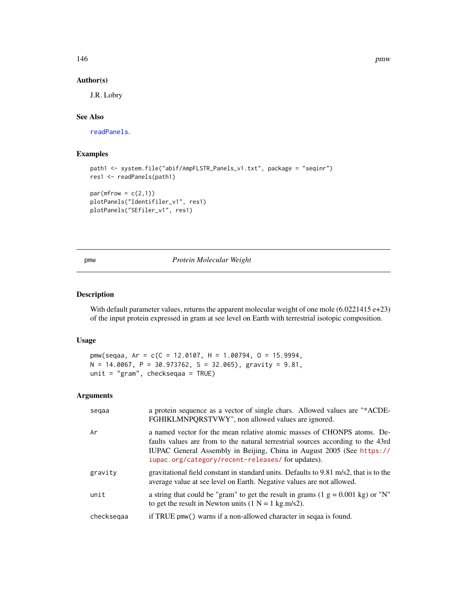146 **pmw** 

### Author(s)

J.R. Lobry

## See Also

[readPanels](#page-167-0).

## Examples

```
path1 <- system.file("abif/AmpFLSTR_Panels_v1.txt", package = "seqinr")
res1 <- readPanels(path1)
```

```
par(mfrow = c(2,1))plotPanels("Identifiler_v1", res1)
plotPanels("SEfiler_v1", res1)
```
## pmw *Protein Molecular Weight*

## Description

With default parameter values, returns the apparent molecular weight of one mole (6.0221415 e+23) of the input protein expressed in gram at see level on Earth with terrestrial isotopic composition.

## Usage

```
pmw(seqaa, Ar = c(C = 12.0107, H = 1.00794, O = 15.9994,
N = 14.0067, P = 30.973762, S = 32.065), gravity = 9.81,
unit = "gram", checkseqaa = TRUE)
```
## Arguments

| segaa      | a protein sequence as a vector of single chars. Allowed values are "*ACDE-<br>FGHIKLMNPQRSTVWY", non allowed values are ignored.                                                                                                                                                       |
|------------|----------------------------------------------------------------------------------------------------------------------------------------------------------------------------------------------------------------------------------------------------------------------------------------|
| Ar         | a named vector for the mean relative atomic masses of CHONPS atoms. De-<br>faults values are from to the natural terrestrial sources according to the 43rd<br>IUPAC General Assembly in Beijing, China in August 2005 (See https://<br>iupac.org/category/recent-releases/forupdates). |
| gravity    | gravitational field constant in standard units. Defaults to $9.81 \text{ m/s}$ , that is to the<br>average value at see level on Earth. Negative values are not allowed.                                                                                                               |
| unit       | a string that could be "gram" to get the result in grams $(1 g = 0.001 kg)$ or "N"<br>to get the result in Newton units $(1 N = 1 kg.m/s2)$ .                                                                                                                                          |
| checksegaa | if TRUE pmw() warns if a non-allowed character in sequal is found.                                                                                                                                                                                                                     |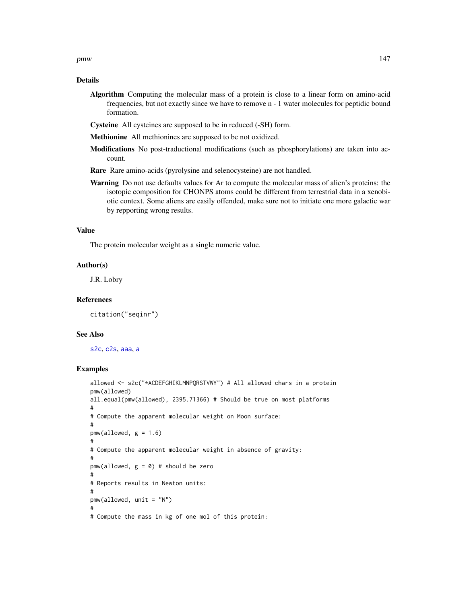### Details

- Algorithm Computing the molecular mass of a protein is close to a linear form on amino-acid frequencies, but not exactly since we have to remove n - 1 water molecules for peptidic bound formation.
- Cysteine All cysteines are supposed to be in reduced (-SH) form.
- Methionine All methionines are supposed to be not oxidized.
- Modifications No post-traductional modifications (such as phosphorylations) are taken into account.
- Rare Rare amino-acids (pyrolysine and selenocysteine) are not handled.
- **Warning** Do not use defaults values for Ar to compute the molecular mass of alien's proteins: the isotopic composition for CHONPS atoms could be different from terrestrial data in a xenobiotic context. Some aliens are easily offended, make sure not to initiate one more galactic war by repporting wrong results.

### Value

The protein molecular weight as a single numeric value.

#### Author(s)

J.R. Lobry

#### References

citation("seqinr")

#### See Also

[s2c](#page-179-0), [c2s](#page-34-0), [aaa](#page-5-0), [a](#page-4-0)

```
allowed <- s2c("*ACDEFGHIKLMNPQRSTVWY") # All allowed chars in a protein
pmw(allowed)
all.equal(pmw(allowed), 2395.71366) # Should be true on most platforms
#
# Compute the apparent molecular weight on Moon surface:
#
pmw(allowed, g = 1.6#
# Compute the apparent molecular weight in absence of gravity:
#
pmw(allowed, g = 0) # should be zero
#
# Reports results in Newton units:
#
pmw(allowed, unit = "N")
#
# Compute the mass in kg of one mol of this protein:
```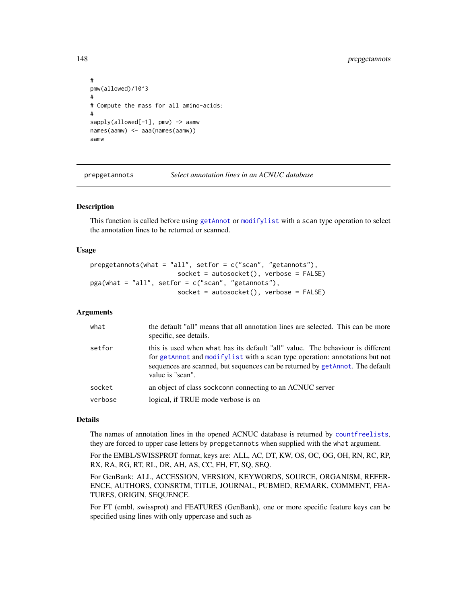```
#
pmw(allowed)/10^3
#
# Compute the mass for all amino-acids:
#
sapply(allowed[-1], pmw) -> aamw
names(aamw) <- aaa(names(aamw))
aamw
```
prepgetannots *Select annotation lines in an ACNUC database*

### Description

This function is called before using [getAnnot](#page-95-0) or [modifylist](#page-126-0) with a scan type operation to select the annotation lines to be returned or scanned.

#### Usage

```
prepgetannots(what = "all", setfor = c("scan", "getannots"),
                       socket = autosocket(), verbose = FALSE)
pga(what = "all", setfor = c("scan", "getannots"),
                       socket = autosocket(), verbose = FALSE)
```
#### Arguments

| what    | the default "all" means that all annotation lines are selected. This can be more<br>specific, see details.                                                                                                                                                         |
|---------|--------------------------------------------------------------------------------------------------------------------------------------------------------------------------------------------------------------------------------------------------------------------|
| setfor  | this is used when what has its default "all" value. The behaviour is different<br>for getAnnot and modifylist with a scan type operation: annotations but not<br>sequences are scanned, but sequences can be returned by getAnnot. The default<br>value is "scan". |
| socket  | an object of class sockconn connecting to an ACNUC server                                                                                                                                                                                                          |
| verbose | logical, if TRUE mode verbose is on                                                                                                                                                                                                                                |

## Details

The names of annotation lines in the opened ACNUC database is returned by [countfreelists](#page-53-0), they are forced to upper case letters by prepgetannots when supplied with the what argument.

For the EMBL/SWISSPROT format, keys are: ALL, AC, DT, KW, OS, OC, OG, OH, RN, RC, RP, RX, RA, RG, RT, RL, DR, AH, AS, CC, FH, FT, SQ, SEQ.

For GenBank: ALL, ACCESSION, VERSION, KEYWORDS, SOURCE, ORGANISM, REFER-ENCE, AUTHORS, CONSRTM, TITLE, JOURNAL, PUBMED, REMARK, COMMENT, FEA-TURES, ORIGIN, SEQUENCE.

For FT (embl, swissprot) and FEATURES (GenBank), one or more specific feature keys can be specified using lines with only uppercase and such as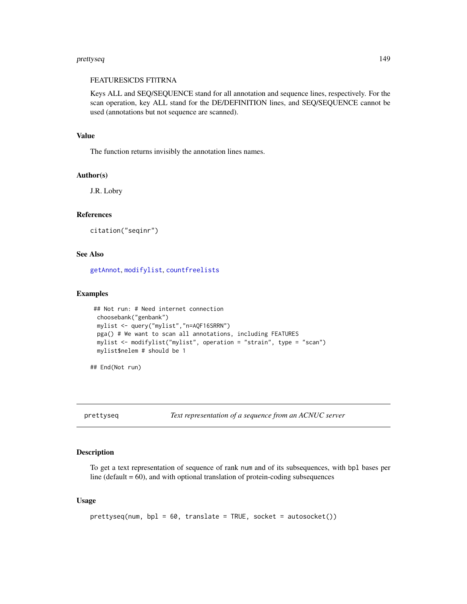#### prettyseq 149

## FEATURESICDS FTITRNA

Keys ALL and SEQ/SEQUENCE stand for all annotation and sequence lines, respectively. For the scan operation, key ALL stand for the DE/DEFINITION lines, and SEQ/SEQUENCE cannot be used (annotations but not sequence are scanned).

#### Value

The function returns invisibly the annotation lines names.

## Author(s)

J.R. Lobry

## References

```
citation("seqinr")
```
## See Also

[getAnnot](#page-95-0), [modifylist](#page-126-0), [countfreelists](#page-53-0)

## Examples

```
## Not run: # Need internet connection
choosebank("genbank")
mylist <- query("mylist","n=AQF16SRRN")
pga() # We want to scan all annotations, including FEATURES
mylist <- modifylist("mylist", operation = "strain", type = "scan")
mylist$nelem # should be 1
```
## End(Not run)

prettyseq *Text representation of a sequence from an ACNUC server*

## Description

To get a text representation of sequence of rank num and of its subsequences, with bpl bases per line (default  $= 60$ ), and with optional translation of protein-coding subsequences

#### Usage

```
prettyseq(num, bpl = 60, translate = TRUE, socket = autosocket())
```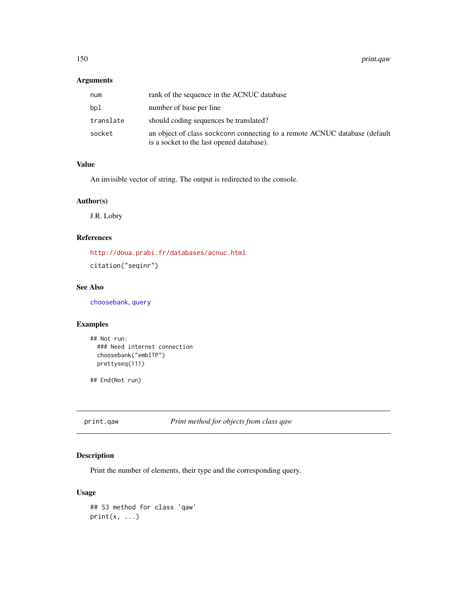## Arguments

| num       | rank of the sequence in the ACNUC database                                                                              |
|-----------|-------------------------------------------------------------------------------------------------------------------------|
| bpl       | number of base per line                                                                                                 |
| translate | should coding sequences be translated?                                                                                  |
| socket    | an object of class sockconn connecting to a remote ACNUC database (default<br>is a socket to the last opened database). |

# Value

An invisible vector of string. The output is redirected to the console.

## Author(s)

J.R. Lobry

## References

<http://doua.prabi.fr/databases/acnuc.html> citation("seqinr")

## See Also

[choosebank](#page-41-0), [query](#page-153-0)

## Examples

```
## Not run:
  ### Need internet connection
  choosebank("emblTP")
  prettyseq(111)
```
## End(Not run)

print.qaw *Print method for objects from class qaw*

## Description

Print the number of elements, their type and the corresponding query.

## Usage

```
## S3 method for class 'qaw'
print(x, \ldots)
```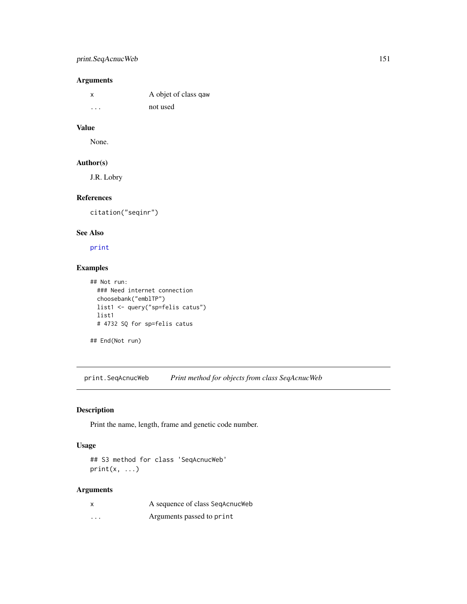## print.SeqAcnucWeb 151

# Arguments

| X       | A objet of class gaw |
|---------|----------------------|
| $\cdot$ | not used             |

## Value

None.

## Author(s)

J.R. Lobry

# References

citation("seqinr")

## See Also

[print](#page-0-0)

# Examples

```
## Not run:
  ### Need internet connection
 choosebank("emblTP")
 list1 <- query("sp=felis catus")
 list1
  # 4732 SQ for sp=felis catus
```
## End(Not run)

print.SeqAcnucWeb *Print method for objects from class SeqAcnucWeb*

## Description

Print the name, length, frame and genetic code number.

## Usage

```
## S3 method for class 'SeqAcnucWeb'
print(x, \ldots)
```
## Arguments

|          | A sequence of class SeqAcnucWeb |
|----------|---------------------------------|
| $\cdots$ | Arguments passed to print       |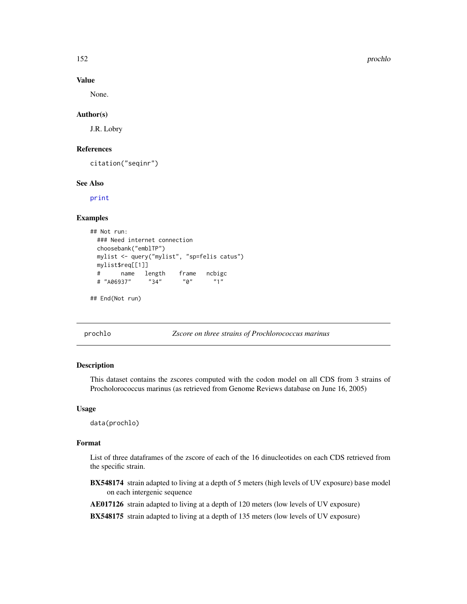152 prochlo and the contract of the contract of the contract of the contract of the prochlo

## Value

None.

### Author(s)

J.R. Lobry

## References

citation("seqinr")

#### See Also

[print](#page-0-0)

## Examples

```
## Not run:
 ### Need internet connection
 choosebank("emblTP")
 mylist <- query("mylist", "sp=felis catus")
 mylist$req[[1]]
 # name length frame ncbigc
 # "A06937" "34" "0" "1"
```
## End(Not run)

#### prochlo *Zscore on three strains of Prochlorococcus marinus*

## Description

This dataset contains the zscores computed with the codon model on all CDS from 3 strains of Procholorococcus marinus (as retrieved from Genome Reviews database on June 16, 2005)

#### Usage

data(prochlo)

#### Format

List of three dataframes of the zscore of each of the 16 dinucleotides on each CDS retrieved from the specific strain.

- BX548174 strain adapted to living at a depth of 5 meters (high levels of UV exposure) base model on each intergenic sequence
- AE017126 strain adapted to living at a depth of 120 meters (low levels of UV exposure)

BX548175 strain adapted to living at a depth of 135 meters (low levels of UV exposure)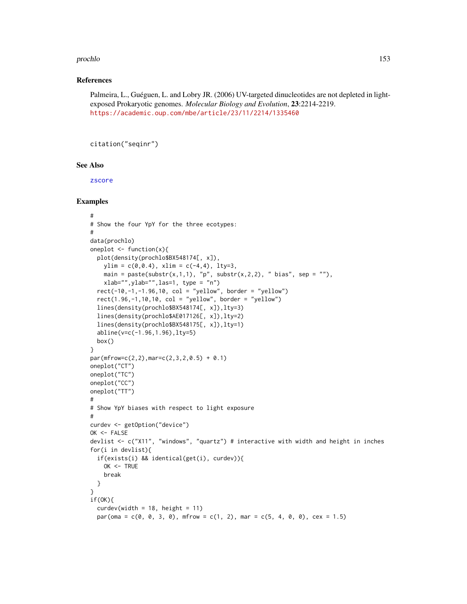#### prochlo that the contract of the contract of the contract of the contract of the contract of the contract of the contract of the contract of the contract of the contract of the contract of the contract of the contract of t

### References

Palmeira, L., Guéguen, L. and Lobry JR. (2006) UV-targeted dinucleotides are not depleted in lightexposed Prokaryotic genomes. *Molecular Biology and Evolution*, 23:2214-2219. <https://academic.oup.com/mbe/article/23/11/2214/1335460>

```
citation("seqinr")
```
#### See Also

[zscore](#page-61-0)

```
#
# Show the four YpY for the three ecotypes:
#
data(prochlo)
oneplot \leq function(x){
 plot(density(prochlo$BX548174[, x]),
   ylim = c(0, 0.4), xlim = c(-4, 4), 1ty=3,main = paste(substr(x,1,1), "p", substr(x,2,2), " bias", sep = ""),
   xlab="",ylab="",las=1, type = "n")
  rect(-10,-1,-1.96,10, col = "yellow", border = "yellow")
  rect(1.96, -1, 10, 10, col = "yellow", border = "yellow")lines(density(prochlo$BX548174[, x]),lty=3)
  lines(density(prochlo$AE017126[, x]),lty=2)
  lines(density(prochlo$BX548175[, x]),lty=1)
  abline(v=c(-1.96,1.96),lty=5)
  box()
}
par(mfrow=c(2,2),mar=c(2,3,2,0.5) + 0.1)oneplot("CT")
oneplot("TC")
oneplot("CC")
oneplot("TT")
#
# Show YpY biases with respect to light exposure
#
curdev <- getOption("device")
OK <- FALSE
devlist <- c("X11", "windows", "quartz") # interactive with width and height in inches
for(i in devlist){
  if(exists(i) && identical(get(i), curdev)){
   OK <- TRUE
    break
  }
}
if(OK){
  curdevwidth = 18, height = 11)
  par(oma = c(0, 0, 3, 0), mfrow = c(1, 2), mar = c(5, 4, 0, 0), cex = 1.5)
```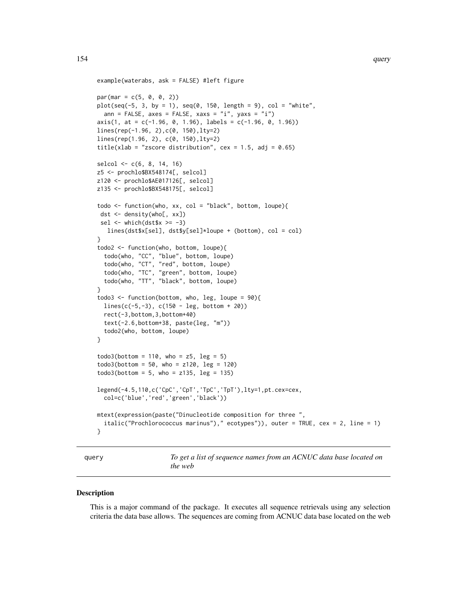```
example(waterabs, ask = FALSE) #left figure
par(max = c(5, 0, 0, 2))plot(seq(-5, 3, by = 1), seq(0, 150, length = 9), col = "white",ann = FALSE, axes = FALSE, xaxs = "i", yaxs = "i")
axis(1, at = c(-1.96, 0, 1.96), labels = c(-1.96, 0, 1.96))lines(rep(-1.96, 2),c(0, 150),lty=2)
lines(rep(1.96, 2), c(0, 150),lty=2)
title(xlab = "zscore distribution", cex = 1.5, adj = 0.65)
selcol <- c(6, 8, 14, 16)
z5 <- prochlo$BX548174[, selcol]
z120 <- prochlo$AE017126[, selcol]
z135 <- prochlo$BX548175[, selcol]
todo <- function(who, xx, col = "black", bottom, loupe){
 dst <- density(who[, xx])
 sel \le which(dst$x \ge -3)
   lines(dst$x[sel], dst$y[sel]*loupe + (bottom), col = col)
}
todo2 <- function(who, bottom, loupe){
  todo(who, "CC", "blue", bottom, loupe)
  todo(who, "CT", "red", bottom, loupe)
  todo(who, "TC", "green", bottom, loupe)
  todo(who, "TT", "black", bottom, loupe)
}
todo3 \le function(bottom, who, leg, loupe = 90){
  lines(c(-5,-3), c(150 - leg, bottom + 20))
  rect(-3,bottom,3,bottom+40)
  text(-2.6,bottom+38, paste(leg, "m"))
  todo2(who, bottom, loupe)
}
todo3(bottom = 110, who = z5, leg = 5)todo3(bottom = 50, who = z120, leg = 120)todo3(bottom = 5, who = z135, leg = 135)legend(-4.5,110,c('CpC','CpT','TpC','TpT'),lty=1,pt.cex=cex,
  col=c('blue','red','green','black'))
mtext(expression(paste("Dinucleotide composition for three ",
  italic("Prochlorococcus marinus")," ecotypes")), outer = TRUE, cex = 2, line = 1)
}
```
<span id="page-153-0"></span>query *To get a list of sequence names from an ACNUC data base located on the web*

#### **Description**

This is a major command of the package. It executes all sequence retrievals using any selection criteria the data base allows. The sequences are coming from ACNUC data base located on the web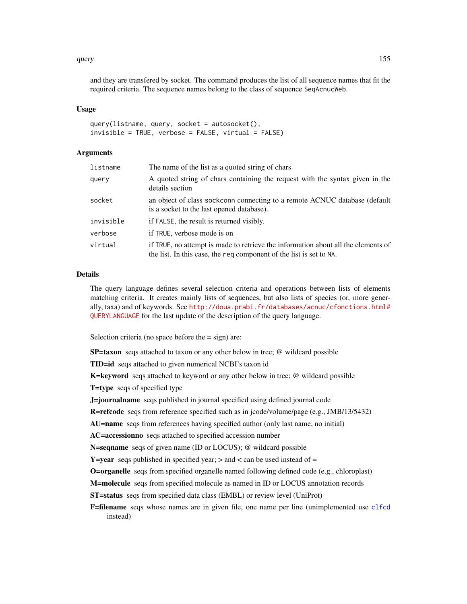#### query and the contract of the contract of the contract of the contract of the contract of the contract of the contract of the contract of the contract of the contract of the contract of the contract of the contract of the

and they are transfered by socket. The command produces the list of all sequence names that fit the required criteria. The sequence names belong to the class of sequence SeqAcnucWeb.

### Usage

```
query(listname, query, socket = autosocket(),
invisible = TRUE, verbose = FALSE, virtual = FALSE)
```
### Arguments

| listname  | The name of the list as a quoted string of chars                                                                                                         |
|-----------|----------------------------------------------------------------------------------------------------------------------------------------------------------|
| querv     | A quoted string of chars containing the request with the syntax given in the<br>details section                                                          |
| socket    | an object of class sockconn connecting to a remote ACNUC database (default<br>is a socket to the last opened database).                                  |
| invisible | if FALSE, the result is returned visibly.                                                                                                                |
| verbose   | if TRUE, verbose mode is on                                                                                                                              |
| virtual   | if TRUE, no attempt is made to retrieve the information about all the elements of<br>the list. In this case, the req component of the list is set to NA. |

## Details

The query language defines several selection criteria and operations between lists of elements matching criteria. It creates mainly lists of sequences, but also lists of species (or, more generally, taxa) and of keywords. See [http://doua.prabi.fr/databases/acnuc/cfonctions.html#](http://doua.prabi.fr/databases/acnuc/cfonctions.html#QUERYLANGUAGE) [QUERYLANGUAGE](http://doua.prabi.fr/databases/acnuc/cfonctions.html#QUERYLANGUAGE) for the last update of the description of the query language.

Selection criteria (no space before the  $=$  sign) are:

SP=taxon seqs attached to taxon or any other below in tree; @ wildcard possible

TID=id seqs attached to given numerical NCBI's taxon id

K=keyword seqs attached to keyword or any other below in tree; @ wildcard possible

T=type seqs of specified type

**J=journalname** seqs published in journal specified using defined journal code

R=refcode seqs from reference specified such as in jcode/volume/page (e.g., JMB/13/5432)

AU=name seqs from references having specified author (only last name, no initial)

AC=accessionno seqs attached to specified accession number

N=seqname seqs of given name (ID or LOCUS); @ wildcard possible

**Y**=year seqs published in specified year;  $>$  and  $<$  can be used instead of  $=$ 

O=organelle seqs from specified organelle named following defined code (e.g., chloroplast)

M=molecule seqs from specified molecule as named in ID or LOCUS annotation records

ST=status seqs from specified data class (EMBL) or review level (UniProt)

F=filename seqs whose names are in given file, one name per line (unimplemented use [clfcd](#page-56-0) instead)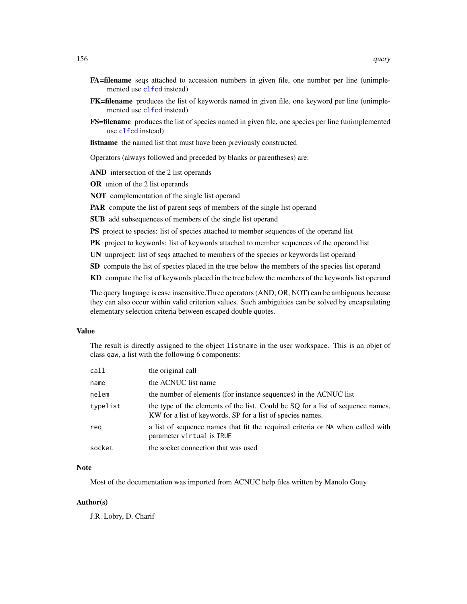- FA=filename seqs attached to accession numbers in given file, one number per line (unimplemented use [clfcd](#page-56-0) instead)
- FK=filename produces the list of keywords named in given file, one keyword per line (unimplemented use [clfcd](#page-56-0) instead)
- **FS=filename** produces the list of species named in given file, one species per line (unimplemented use [clfcd](#page-56-0) instead)
- listname the named list that must have been previously constructed

Operators (always followed and preceded by blanks or parentheses) are:

AND intersection of the 2 list operands

OR union of the 2 list operands

NOT complementation of the single list operand

PAR compute the list of parent seqs of members of the single list operand

SUB add subsequences of members of the single list operand

PS project to species: list of species attached to member sequences of the operand list

- PK project to keywords: list of keywords attached to member sequences of the operand list
- UN unproject: list of seqs attached to members of the species or keywords list operand
- SD compute the list of species placed in the tree below the members of the species list operand

KD compute the list of keywords placed in the tree below the members of the keywords list operand

The query language is case insensitive.Three operators (AND, OR, NOT) can be ambiguous because they can also occur within valid criterion values. Such ambiguities can be solved by encapsulating elementary selection criteria between escaped double quotes.

## Value

The result is directly assigned to the object listname in the user workspace. This is an objet of class qaw, a list with the following 6 components:

| call     | the original call                                                                                                                             |
|----------|-----------------------------------------------------------------------------------------------------------------------------------------------|
| name     | the ACNUC list name                                                                                                                           |
| nelem    | the number of elements (for instance sequences) in the ACNUC list                                                                             |
| typelist | the type of the elements of the list. Could be SQ for a list of sequence names,<br>KW for a list of keywords, SP for a list of species names. |
| reg      | a list of sequence names that fit the required criteria or NA when called with<br>parameter virtual is TRUE                                   |
| socket   | the socket connection that was used                                                                                                           |

#### **Note**

Most of the documentation was imported from ACNUC help files written by Manolo Gouy

#### Author(s)

J.R. Lobry, D. Charif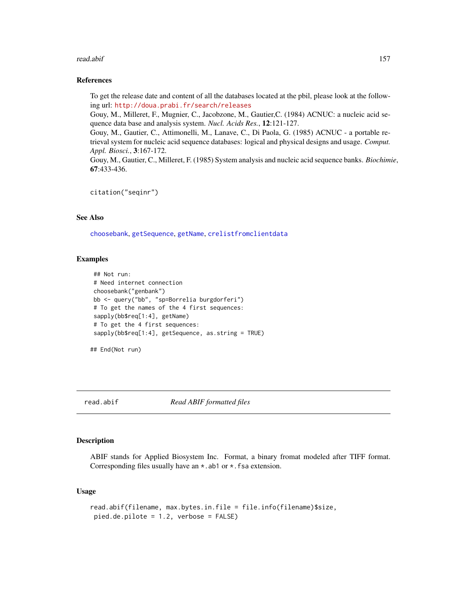#### read.abif 157

#### References

To get the release date and content of all the databases located at the pbil, please look at the following url: <http://doua.prabi.fr/search/releases>

Gouy, M., Milleret, F., Mugnier, C., Jacobzone, M., Gautier,C. (1984) ACNUC: a nucleic acid sequence data base and analysis system. *Nucl. Acids Res.*, 12:121-127.

Gouy, M., Gautier, C., Attimonelli, M., Lanave, C., Di Paola, G. (1985) ACNUC - a portable retrieval system for nucleic acid sequence databases: logical and physical designs and usage. *Comput. Appl. Biosci.*, 3:167-172.

Gouy, M., Gautier, C., Milleret, F. (1985) System analysis and nucleic acid sequence banks. *Biochimie*, 67:433-436.

```
citation("seqinr")
```
# See Also

[choosebank](#page-41-0), [getSequence](#page-105-0), [getName](#page-104-0), [crelistfromclientdata](#page-56-1)

#### Examples

```
## Not run:
# Need internet connection
choosebank("genbank")
bb <- query("bb", "sp=Borrelia burgdorferi")
# To get the names of the 4 first sequences:
sapply(bb$req[1:4], getName)
# To get the 4 first sequences:
sapply(bb$req[1:4], getSequence, as.string = TRUE)
```

```
## End(Not run)
```
read.abif *Read ABIF formatted files*

## **Description**

ABIF stands for Applied Biosystem Inc. Format, a binary fromat modeled after TIFF format. Corresponding files usually have an  $\star$ . ab1 or  $\star$ . fsa extension.

#### Usage

```
read.abif(filename, max.bytes.in.file = file.info(filename)$size,
pied.de.pilote = 1.2, verbose = FALSE)
```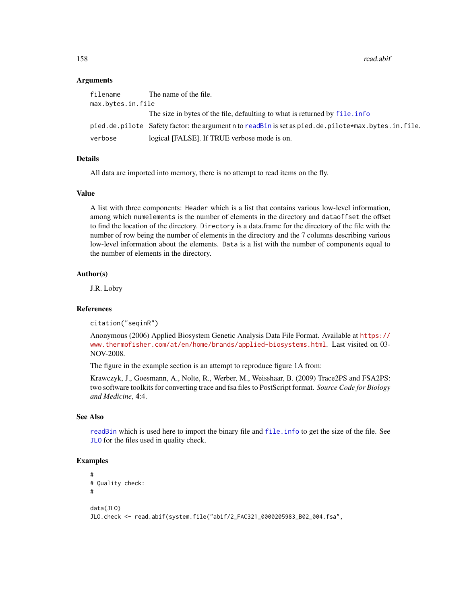158 read.abif **158** read.abif **158** read.abif **158** read.abif **158** read.abif **158** read.abif **158** read.abif **158** read.abif **158** read.abif **158** read.abif **158** read.abif **158** read.abif **158** read.abif **158** read.abif

### Arguments

| filename          | The name of the file.                                                                               |
|-------------------|-----------------------------------------------------------------------------------------------------|
| max.bytes.in.file |                                                                                                     |
|                   | The size in bytes of the file, defaulting to what is returned by file. info                         |
|                   | pied.de.pilote Safety factor: the argument n to readBin is set as pied.de.pilote*max.bytes.in.file. |
| verbose           | logical [FALSE]. If TRUE verbose mode is on.                                                        |

#### Details

All data are imported into memory, there is no attempt to read items on the fly.

## Value

A list with three components: Header which is a list that contains various low-level information, among which numelements is the number of elements in the directory and dataoffset the offset to find the location of the directory. Directory is a data.frame for the directory of the file with the number of row being the number of elements in the directory and the 7 columns describing various low-level information about the elements. Data is a list with the number of components equal to the number of elements in the directory.

#### Author(s)

J.R. Lobry

#### **References**

citation("seqinR")

Anonymous (2006) Applied Biosystem Genetic Analysis Data File Format. Available at [https://](https://www.thermofisher.com/at/en/home/brands/applied-biosystems.html) [www.thermofisher.com/at/en/home/brands/applied-biosystems.html](https://www.thermofisher.com/at/en/home/brands/applied-biosystems.html). Last visited on 03- NOV-2008.

The figure in the example section is an attempt to reproduce figure 1A from:

Krawczyk, J., Goesmann, A., Nolte, R., Werber, M., Weisshaar, B. (2009) Trace2PS and FSA2PS: two software toolkits for converting trace and fsa files to PostScript format. *Source Code for Biology and Medicine*, 4:4.

#### See Also

[readBin](#page-0-0) which is used here to import the binary file and [file.info](#page-0-0) to get the size of the file. See [JLO](#page-116-0) for the files used in quality check.

```
#
# Quality check:
#
data(JLO)
JLO.check <- read.abif(system.file("abif/2_FAC321_0000205983_B02_004.fsa",
```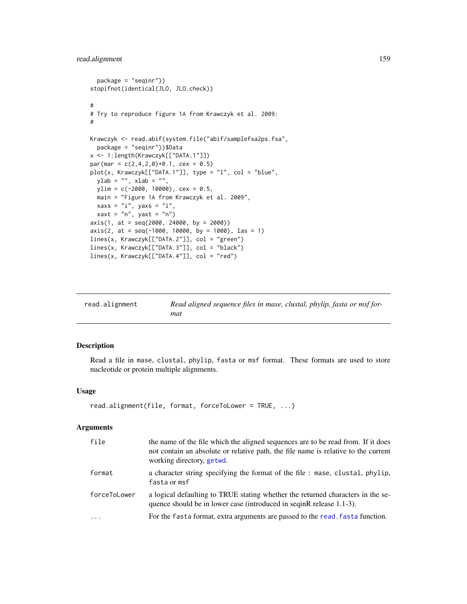## read.alignment 159

```
package = "seqinr"))
stopifnot(identical(JLO, JLO.check))
#
# Try to reproduce figure 1A from Krawczyk et al. 2009:
#
Krawczyk <- read.abif(system.file("abif/samplefsa2ps.fsa",
  package = "seqinr"))$Data
x <- 1:length(Krawczyk[["DATA.1"]])
par(max = c(2, 4, 2, 0)+0.1, cex = 0.5)plot(x, Krawczyk[["DATA.1"]], type = "l", col = "blue",
  ylab = "", xlab = "",ylim = c(-2000, 10000), cex = 0.5,main = "Figure 1A from Krawczyk et al. 2009",
  xaxs = "i", yaxs = "i",xaxt = "n", yaxt = "n")
axis(1, at = seq(2000, 24000, by = 2000))
axis(2, at = seq(-1000, 10000, by = 1000), las = 1)lines(x, Krawczyk[["DATA.2"]], col = "green")
lines(x, Krawczyk[["DATA.3"]], col = "black")
lines(x, Krawczyk[["DATA.4"]], col = "red")
```
<span id="page-158-0"></span>

| read.alignment | Read aligned sequence files in mase, clustal, phylip, fasta or msf for- |
|----------------|-------------------------------------------------------------------------|
|                | mat                                                                     |

## Description

Read a file in mase, clustal, phylip, fasta or msf format. These formats are used to store nucleotide or protein multiple alignments.

## Usage

```
read.alignment(file, format, forceToLower = TRUE, ...)
```
### Arguments

| file         | the name of the file which the aligned sequences are to be read from. If it does<br>not contain an absolute or relative path, the file name is relative to the current<br>working directory, getwd. |
|--------------|-----------------------------------------------------------------------------------------------------------------------------------------------------------------------------------------------------|
| format       | a character string specifying the format of the file : mase, clustal, phylip,<br>fasta or msf                                                                                                       |
| forceToLower | a logical defaulting to TRUE stating whether the returned characters in the se-<br>quence should be in lower case (introduced in seginR release 1.1-3).                                             |
| $\cdot$      | For the fasta format, extra arguments are passed to the read, fasta function.                                                                                                                       |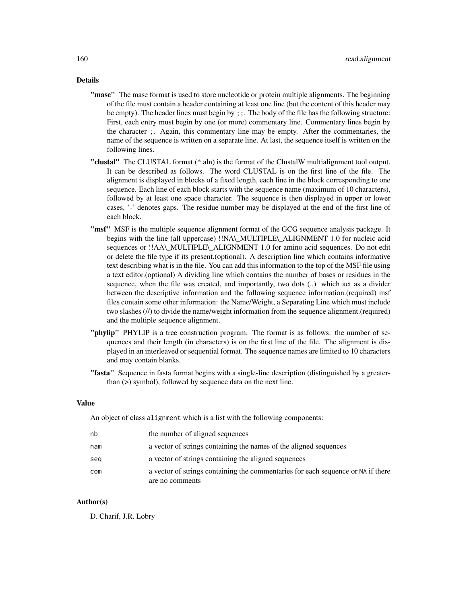## Details

- "mase" The mase format is used to store nucleotide or protein multiple alignments. The beginning of the file must contain a header containing at least one line (but the content of this header may be empty). The header lines must begin by ;;. The body of the file has the following structure: First, each entry must begin by one (or more) commentary line. Commentary lines begin by the character ;. Again, this commentary line may be empty. After the commentaries, the name of the sequence is written on a separate line. At last, the sequence itself is written on the following lines.
- "clustal" The CLUSTAL format (\*.aln) is the format of the ClustalW multialignment tool output. It can be described as follows. The word CLUSTAL is on the first line of the file. The alignment is displayed in blocks of a fixed length, each line in the block corresponding to one sequence. Each line of each block starts with the sequence name (maximum of 10 characters), followed by at least one space character. The sequence is then displayed in upper or lower cases, '-' denotes gaps. The residue number may be displayed at the end of the first line of each block.
- **"msf"** MSF is the multiple sequence alignment format of the GCG sequence analysis package. It begins with the line (all uppercase) !!NA\\_MULTIPLE\\_ALIGNMENT 1.0 for nucleic acid sequences or !!AA\\_MULTIPLE\\_ALIGNMENT 1.0 for amino acid sequences. Do not edit or delete the file type if its present.(optional). A description line which contains informative text describing what is in the file. You can add this information to the top of the MSF file using a text editor.(optional) A dividing line which contains the number of bases or residues in the sequence, when the file was created, and importantly, two dots (..) which act as a divider between the descriptive information and the following sequence information.(required) msf files contain some other information: the Name/Weight, a Separating Line which must include two slashes (//) to divide the name/weight information from the sequence alignment.(required) and the multiple sequence alignment.
- "phylip" PHYLIP is a tree construction program. The format is as follows: the number of sequences and their length (in characters) is on the first line of the file. The alignment is displayed in an interleaved or sequential format. The sequence names are limited to 10 characters and may contain blanks.
- "fasta" Sequence in fasta format begins with a single-line description (distinguished by a greaterthan (>) symbol), followed by sequence data on the next line.

## Value

An object of class alignment which is a list with the following components:

| nb  | the number of aligned sequences                                                  |
|-----|----------------------------------------------------------------------------------|
| nam | a vector of strings containing the names of the aligned sequences                |
| seg | a vector of strings containing the aligned sequences                             |
| com | a vector of strings containing the commentaries for each sequence or NA if there |
|     | are no comments                                                                  |

#### Author(s)

D. Charif, J.R. Lobry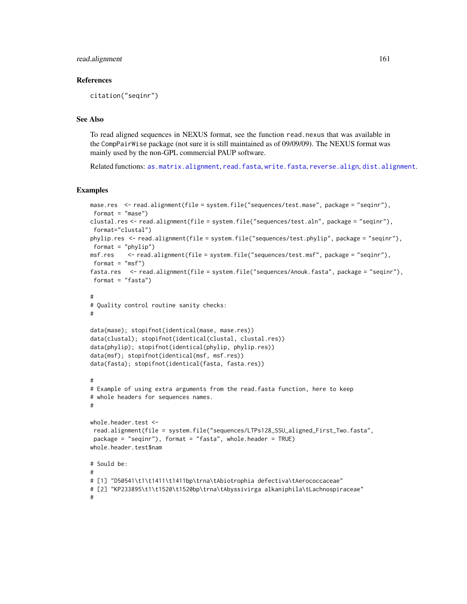### read.alignment 161

#### References

citation("seqinr")

## See Also

To read aligned sequences in NEXUS format, see the function read.nexus that was available in the CompPairWise package (not sure it is still maintained as of 09/09/09). The NEXUS format was mainly used by the non-GPL commercial PAUP software.

Related functions: [as.matrix.alignment](#page-30-0), [read.fasta](#page-161-0), [write.fasta](#page-217-0), [reverse.align](#page-175-0), [dist.alignment](#page-63-0).

```
mase.res <- read.alignment(file = system.file("sequences/test.mase", package = "seqinr"),
format = "mase")
clustal.res <- read.alignment(file = system.file("sequences/test.aln", package = "seqinr"),
format="clustal")
phylip.res <- read.alignment(file = system.file("sequences/test.phylip", package = "seqinr"),
format = "phylip")
msf.res <- read.alignment(file = system.file("sequences/test.msf", package = "seqinr"),
format = "msf")
fasta.res <- read.alignment(file = system.file("sequences/Anouk.fasta", package = "seqinr"),
format = "fasta")
#
# Quality control routine sanity checks:
#
data(mase); stopifnot(identical(mase, mase.res))
data(clustal); stopifnot(identical(clustal, clustal.res))
data(phylip); stopifnot(identical(phylip, phylip.res))
data(msf); stopifnot(identical(msf, msf.res))
data(fasta); stopifnot(identical(fasta, fasta.res))
#
# Example of using extra arguments from the read.fasta function, here to keep
# whole headers for sequences names.
#
whole.header.test <-
read.alignment(file = system.file("sequences/LTPs128_SSU_aligned_First_Two.fasta",
package = "seqinr"), format = "fasta", whole.header = TRUE)
whole.header.test$nam
# Sould be:
#
# [1] "D50541\t1\t1411\t1411bp\trna\tAbiotrophia defectiva\tAerococcaceae"
# [2] "KP233895\t1\t1520\t1520bp\trna\tAbyssivirga alkaniphila\tLachnospiraceae"
#
```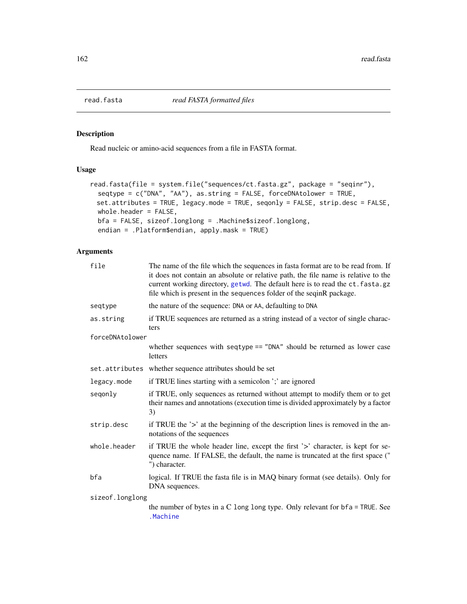<span id="page-161-0"></span>

## Description

Read nucleic or amino-acid sequences from a file in FASTA format.

### Usage

```
read.fasta(file = system.file("sequences/ct.fasta.gz", package = "seqinr"),
  seqtype = c("DNA", "AA"), as.string = FALSE, forceDNAtolower = TRUE,
 set.attributes = TRUE, legacy.mode = TRUE, seqonly = FALSE, strip.desc = FALSE,
 whole.header = FALSE,
 bfa = FALSE, sizeof.longlong = .Machine$sizeof.longlong,
  endian = .Platform$endian, apply.mask = TRUE)
```
# Arguments

| file            | The name of the file which the sequences in fasta format are to be read from. If<br>it does not contain an absolute or relative path, the file name is relative to the<br>current working directory, getwd. The default here is to read the ct. fasta.gz<br>file which is present in the sequences folder of the seqinR package. |
|-----------------|----------------------------------------------------------------------------------------------------------------------------------------------------------------------------------------------------------------------------------------------------------------------------------------------------------------------------------|
| seqtype         | the nature of the sequence: DNA or AA, defaulting to DNA                                                                                                                                                                                                                                                                         |
| as.string       | if TRUE sequences are returned as a string instead of a vector of single charac-<br>ters                                                                                                                                                                                                                                         |
| forceDNAtolower |                                                                                                                                                                                                                                                                                                                                  |
|                 | whether sequences with seqtype == "DNA" should be returned as lower case<br>letters                                                                                                                                                                                                                                              |
|                 | set.attributes whether sequence attributes should be set                                                                                                                                                                                                                                                                         |
| legacy.mode     | if TRUE lines starting with a semicolon ';' are ignored                                                                                                                                                                                                                                                                          |
| segonly         | if TRUE, only sequences as returned without attempt to modify them or to get<br>their names and annotations (execution time is divided approximately by a factor<br>3)                                                                                                                                                           |
| strip.desc      | if TRUE the '>' at the beginning of the description lines is removed in the an-<br>notations of the sequences                                                                                                                                                                                                                    |
| whole.header    | if TRUE the whole header line, except the first '>' character, is kept for se-<br>quence name. If FALSE, the default, the name is truncated at the first space ("<br>") character.                                                                                                                                               |
| bfa             | logical. If TRUE the fasta file is in MAQ binary format (see details). Only for<br>DNA sequences.                                                                                                                                                                                                                                |
| sizeof.longlong |                                                                                                                                                                                                                                                                                                                                  |
|                 | the number of bytes in a C long long type. Only relevant for $bf = TRUE$ . See<br>.Machine                                                                                                                                                                                                                                       |
|                 |                                                                                                                                                                                                                                                                                                                                  |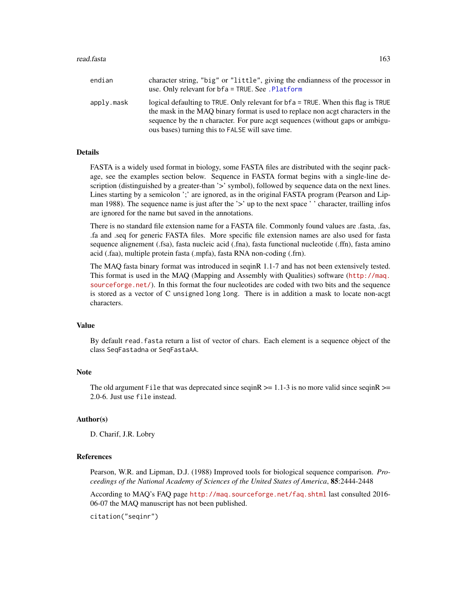#### read.fasta 163

| endian     | character string, "big" or "little", giving the endianness of the processor in<br>use. Only relevant for bfa = TRUE. See . Platform                                                                                                                                                                          |
|------------|--------------------------------------------------------------------------------------------------------------------------------------------------------------------------------------------------------------------------------------------------------------------------------------------------------------|
| apply.mask | logical defaulting to TRUE. Only relevant for $bf a = TRUE$ . When this flag is TRUE<br>the mask in the MAO binary format is used to replace non acgt characters in the<br>sequence by the n character. For pure acgt sequences (without gaps or ambigu-<br>ous bases) turning this to FALSE will save time. |

## Details

FASTA is a widely used format in biology, some FASTA files are distributed with the seqinr package, see the examples section below. Sequence in FASTA format begins with a single-line description (distinguished by a greater-than '>' symbol), followed by sequence data on the next lines. Lines starting by a semicolon ';' are ignored, as in the original FASTA program (Pearson and Lipman 1988). The sequence name is just after the '>' up to the next space ' ' character, trailling infos are ignored for the name but saved in the annotations.

There is no standard file extension name for a FASTA file. Commonly found values are .fasta, .fas, .fa and .seq for generic FASTA files. More specific file extension names are also used for fasta sequence alignement (.fsa), fasta nucleic acid (.fna), fasta functional nucleotide (.ffn), fasta amino acid (.faa), multiple protein fasta (.mpfa), fasta RNA non-coding (.frn).

The MAQ fasta binary format was introduced in seqinR 1.1-7 and has not been extensively tested. This format is used in the MAQ (Mapping and Assembly with Qualities) software ([http://maq.](http://maq.sourceforge.net/) [sourceforge.net/](http://maq.sourceforge.net/)). In this format the four nucleotides are coded with two bits and the sequence is stored as a vector of C unsigned long long. There is in addition a mask to locate non-acgt characters.

### Value

By default read.fasta return a list of vector of chars. Each element is a sequence object of the class SeqFastadna or SeqFastaAA.

### **Note**

The old argument File that was deprecated since seqinR  $\ge$  = 1.1-3 is no more valid since seqinR  $\ge$  = 2.0-6. Just use file instead.

#### Author(s)

D. Charif, J.R. Lobry

#### References

Pearson, W.R. and Lipman, D.J. (1988) Improved tools for biological sequence comparison. *Proceedings of the National Academy of Sciences of the United States of America*, 85:2444-2448

According to MAQ's FAQ page <http://maq.sourceforge.net/faq.shtml> last consulted 2016- 06-07 the MAQ manuscript has not been published.

citation("seqinr")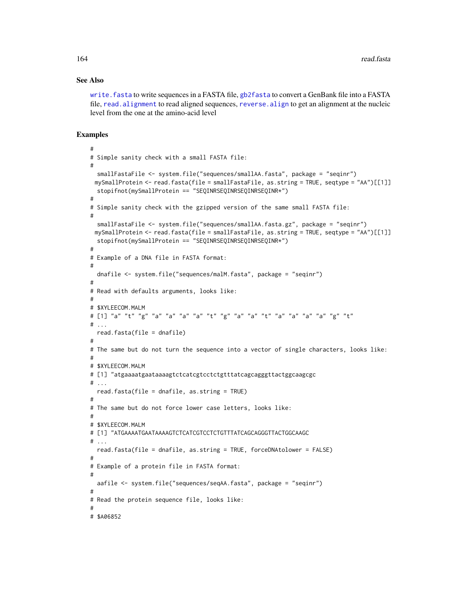### See Also

[write.fasta](#page-217-0) to write sequences in a FASTA file, [gb2fasta](#page-88-0) to convert a GenBank file into a FASTA file, read. alignment to read aligned sequences, reverse. align to get an alignment at the nucleic level from the one at the amino-acid level

```
#
# Simple sanity check with a small FASTA file:
#
 smallFastaFile <- system.file("sequences/smallAA.fasta", package = "seqinr")
 mySmallProtein <- read.fasta(file = smallFastaFile, as.string = TRUE, seqtype = "AA")[[1]]
 stopifnot(mySmallProtein == "SEQINRSEQINRSEQINRSEQINR*")
#
# Simple sanity check with the gzipped version of the same small FASTA file:
#
 smallFastaFile <- system.file("sequences/smallAA.fasta.gz", package = "seqinr")
 mySmallProtein <- read.fasta(file = smallFastaFile, as.string = TRUE, seqtype = "AA")[[1]]
 stopifnot(mySmallProtein == "SEQINRSEQINRSEQINRSEQINR*")
#
# Example of a DNA file in FASTA format:
#
 dnafile <- system.file("sequences/malM.fasta", package = "seqinr")
#
# Read with defaults arguments, looks like:
#
# $XYLEECOM.MALM
# [1] "a" "t" "g" "a" "a" "a" "a" "t" "g" "a" "a" "t" "a" "a" "a" "a" "g" "t"
# ...
 read.fasta(file = dnafile)
#
# The same but do not turn the sequence into a vector of single characters, looks like:
#
# $XYLEECOM.MALM
# [1] "atgaaaatgaataaaagtctcatcgtcctctgtttatcagcagggttactggcaagcgc
# ...
 read.fasta(file = dnafile, as.string = TRUE)
#
# The same but do not force lower case letters, looks like:
#
# $XYLEECOM.MALM
# [1] "ATGAAAATGAATAAAAGTCTCATCGTCCTCTGTTTATCAGCAGGGTTACTGGCAAGC
#...
 read.fasta(file = dnafile, as.string = TRUE, forceDNAtolower = FALSE)
#
# Example of a protein file in FASTA format:
#
 aafile <- system.file("sequences/seqAA.fasta", package = "seqinr")
#
# Read the protein sequence file, looks like:
#
# $A06852
```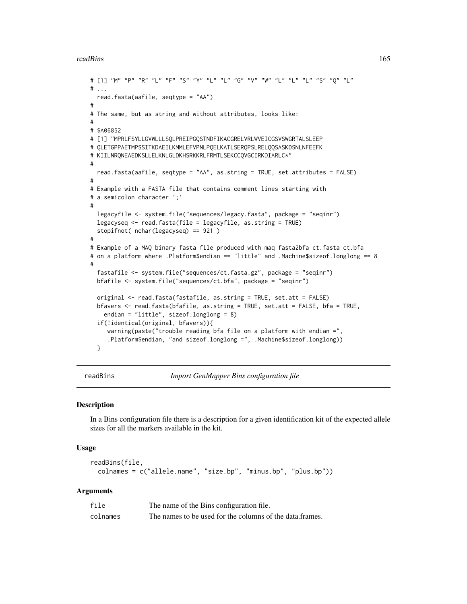#### readBins 165

```
# [1] "M" "P" "R" "L" "F" "S" "Y" "L" "L" "G" "V" "W" "L" "L" "L" "S" "Q" "L"
# ...
 read.fasta(aafile, seqtype = "AA")
#
# The same, but as string and without attributes, looks like:
#
# $A06852
# [1] "MPRLFSYLLGVWLLLSQLPREIPGQSTNDFIKACGRELVRLWVEICGSVSWGRTALSLEEP
# QLETGPPAETMPSSITKDAEILKMMLEFVPNLPQELKATLSERQPSLRELQQSASKDSNLNFEEFK
# KIILNRQNEAEDKSLLELKNLGLDKHSRKKRLFRMTLSEKCCQVGCIRKDIARLC*"
#
 read.fasta(aafile, seqtype = "AA", as.string = TRUE, set.attributes = FALSE)
#
# Example with a FASTA file that contains comment lines starting with
# a semicolon character ';'
#
 legacyfile <- system.file("sequences/legacy.fasta", package = "seqinr")
 legacyseq <- read.fasta(file = legacyfile, as.string = TRUE)
 stopifnot( nchar(legacyseq) == 921 )
#
# Example of a MAQ binary fasta file produced with maq fasta2bfa ct.fasta ct.bfa
# on a platform where .Platform$endian == "little" and .Machine$sizeof.longlong == 8
#
 fastafile <- system.file("sequences/ct.fasta.gz", package = "seqinr")
 bfafile <- system.file("sequences/ct.bfa", package = "seqinr")
 original <- read.fasta(fastafile, as.string = TRUE, set.att = FALSE)
 bfavers <- read.fasta(bfafile, as.string = TRUE, set.att = FALSE, bfa = TRUE,
    endian = "little", sizeof.longlong = 8)
 if(!identical(original, bfavers)){
    warning(paste("trouble reading bfa file on a platform with endian =",
     .Platform$endian, "and sizeof.longlong =", .Machine$sizeof.longlong))
 }
```
<span id="page-164-0"></span>

readBins *Import GenMapper Bins configuration file*

#### **Description**

In a Bins configuration file there is a description for a given identification kit of the expected allele sizes for all the markers available in the kit.

#### Usage

```
readBins(file,
  colnames = c("allele.name", "size.bp", "minus.bp", "plus.bp"))
```
#### Arguments

| file     | The name of the Bins configuration file.                 |
|----------|----------------------------------------------------------|
| colnames | The names to be used for the columns of the data.frames. |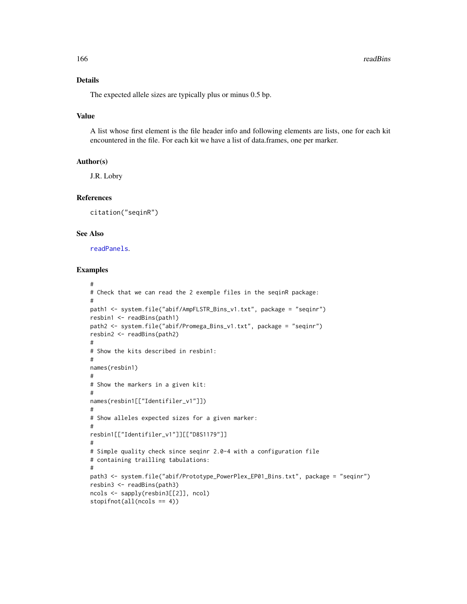## Details

The expected allele sizes are typically plus or minus 0.5 bp.

#### Value

A list whose first element is the file header info and following elements are lists, one for each kit encountered in the file. For each kit we have a list of data.frames, one per marker.

#### Author(s)

J.R. Lobry

## References

citation("seqinR")

#### See Also

[readPanels](#page-167-0).

```
#
# Check that we can read the 2 exemple files in the seqinR package:
#
path1 <- system.file("abif/AmpFLSTR_Bins_v1.txt", package = "seqinr")
resbin1 <- readBins(path1)
path2 <- system.file("abif/Promega_Bins_v1.txt", package = "seqinr")
resbin2 <- readBins(path2)
#
# Show the kits described in resbin1:
#
names(resbin1)
#
# Show the markers in a given kit:
#
names(resbin1[["Identifiler_v1"]])
#
# Show alleles expected sizes for a given marker:
#
resbin1[["Identifiler_v1"]][["D8S1179"]]
#
# Simple quality check since seqinr 2.0-4 with a configuration file
# containing trailling tabulations:
#
path3 <- system.file("abif/Prototype_PowerPlex_EP01_Bins.txt", package = "seqinr")
resbin3 <- readBins(path3)
ncols <- sapply(resbin3[[2]], ncol)
stopifnot(all(ncols == 4))
```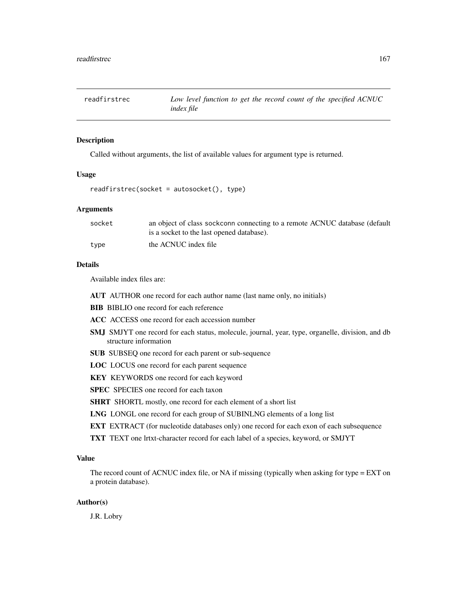<span id="page-166-0"></span>

#### Description

Called without arguments, the list of available values for argument type is returned.

#### Usage

```
readfirstrec(socket = autosocket(), type)
```
## Arguments

| socket | an object of class sockconn connecting to a remote ACNUC database (default |
|--------|----------------------------------------------------------------------------|
|        | is a socket to the last opened database).                                  |
| type   | the ACNUC index file                                                       |

# Details

Available index files are:

- AUT AUTHOR one record for each author name (last name only, no initials)
- BIB BIBLIO one record for each reference
- ACC ACCESS one record for each accession number
- SMJ SMJYT one record for each status, molecule, journal, year, type, organelle, division, and db structure information
- SUB SUBSEQ one record for each parent or sub-sequence
- LOC LOCUS one record for each parent sequence
- KEY KEYWORDS one record for each keyword
- SPEC SPECIES one record for each taxon

SHRT SHORTL mostly, one record for each element of a short list

- LNG LONGL one record for each group of SUBINLNG elements of a long list
- EXT EXTRACT (for nucleotide databases only) one record for each exon of each subsequence
- TXT TEXT one lrtxt-character record for each label of a species, keyword, or SMJYT

### Value

The record count of ACNUC index file, or NA if missing (typically when asking for type = EXT on a protein database).

### Author(s)

J.R. Lobry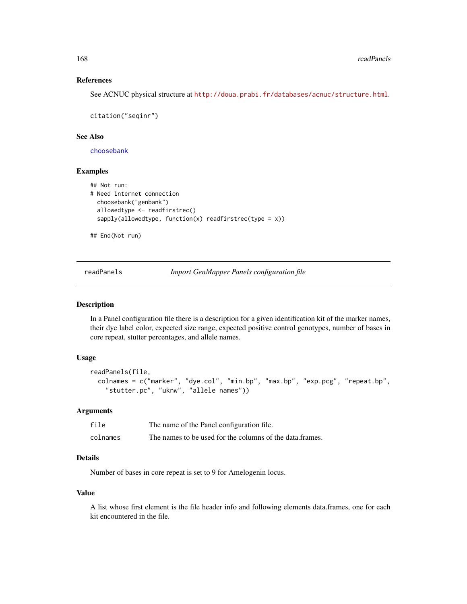#### References

See ACNUC physical structure at <http://doua.prabi.fr/databases/acnuc/structure.html>.

citation("seqinr")

#### See Also

[choosebank](#page-41-0)

## Examples

```
## Not run:
# Need internet connection
 choosebank("genbank")
 allowedtype <- readfirstrec()
 sapply(allowedtype, function(x) readfirstrec(type = x))
```
## End(Not run)

<span id="page-167-0"></span>readPanels *Import GenMapper Panels configuration file*

### Description

In a Panel configuration file there is a description for a given identification kit of the marker names, their dye label color, expected size range, expected positive control genotypes, number of bases in core repeat, stutter percentages, and allele names.

#### Usage

```
readPanels(file,
  colnames = c("marker", "dye.col", "min.bp", "max.bp", "exp.pcg", "repeat.bp",
    "stutter.pc", "uknw", "allele names"))
```
## Arguments

| file     | The name of the Panel configuration file.                |
|----------|----------------------------------------------------------|
| colnames | The names to be used for the columns of the data.frames. |

# Details

Number of bases in core repeat is set to 9 for Amelogenin locus.

#### Value

A list whose first element is the file header info and following elements data.frames, one for each kit encountered in the file.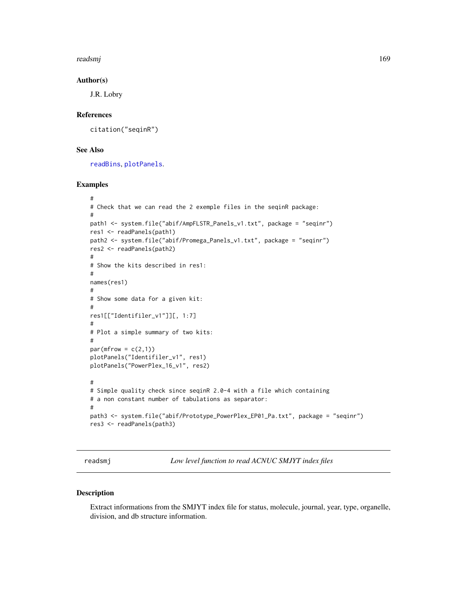readsmj 169

#### Author(s)

J.R. Lobry

### References

citation("seqinR")

## See Also

[readBins](#page-164-0), [plotPanels](#page-144-0).

## Examples

```
#
# Check that we can read the 2 exemple files in the seqinR package:
#
path1 <- system.file("abif/AmpFLSTR_Panels_v1.txt", package = "seqinr")
res1 <- readPanels(path1)
path2 <- system.file("abif/Promega_Panels_v1.txt", package = "seqinr")
res2 <- readPanels(path2)
#
# Show the kits described in res1:
#
names(res1)
#
# Show some data for a given kit:
#
res1[["Identifiler_v1"]][, 1:7]
#
# Plot a simple summary of two kits:
#
par(mfrow = c(2,1))plotPanels("Identifiler_v1", res1)
plotPanels("PowerPlex_16_v1", res2)
#
# Simple quality check since seqinR 2.0-4 with a file which containing
# a non constant number of tabulations as separator:
#
path3 <- system.file("abif/Prototype_PowerPlex_EP01_Pa.txt", package = "seqinr")
res3 <- readPanels(path3)
```
readsmj *Low level function to read ACNUC SMJYT index files*

#### Description

Extract informations from the SMJYT index file for status, molecule, journal, year, type, organelle, division, and db structure information.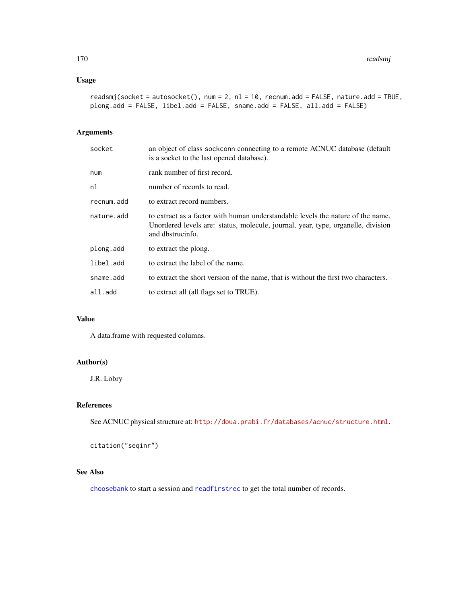## Usage

```
readsmj(sockets = autosocket(), num = 2, nl = 10, rernum.add = FALSE, nature.add = TRUE,plong.add = FALSE, libel.add = FALSE, sname.add = FALSE, all.add = FALSE)
```
## Arguments

| socket     | an object of class sockconn connecting to a remote ACNUC database (default<br>is a socket to the last opened database).                                                                 |
|------------|-----------------------------------------------------------------------------------------------------------------------------------------------------------------------------------------|
| num        | rank number of first record.                                                                                                                                                            |
| nl         | number of records to read.                                                                                                                                                              |
| recnum.add | to extract record numbers.                                                                                                                                                              |
| nature.add | to extract as a factor with human understandable levels the nature of the name.<br>Unordered levels are: status, molecule, journal, year, type, organelle, division<br>and dbstrucinfo. |
| plong.add  | to extract the plong.                                                                                                                                                                   |
| libel.add  | to extract the label of the name.                                                                                                                                                       |
| sname.add  | to extract the short version of the name, that is without the first two characters.                                                                                                     |
| all.add    | to extract all (all flags set to TRUE).                                                                                                                                                 |

# Value

A data.frame with requested columns.

## Author(s)

J.R. Lobry

### References

See ACNUC physical structure at: <http://doua.prabi.fr/databases/acnuc/structure.html>.

citation("seqinr")

# See Also

[choosebank](#page-41-0) to start a session and [readfirstrec](#page-166-0) to get the total number of records.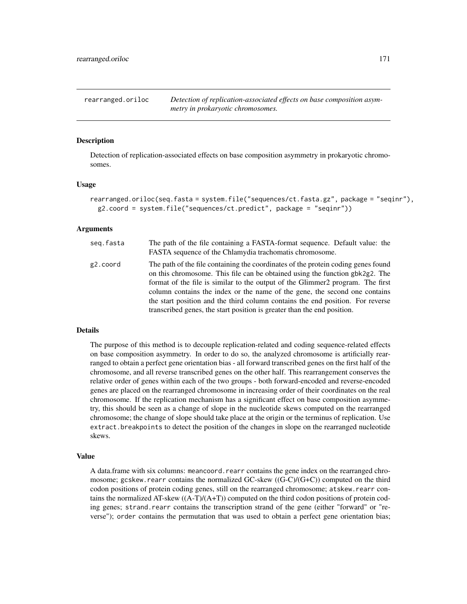rearranged.oriloc *Detection of replication-associated effects on base composition asymmetry in prokaryotic chromosomes.*

### **Description**

Detection of replication-associated effects on base composition asymmetry in prokaryotic chromosomes.

#### Usage

```
rearranged.oriloc(seq.fasta = system.file("sequences/ct.fasta.gz", package = "seqinr"),
 g2.coord = system.file("sequences/ct.predict", package = "seqinr"))
```
#### Arguments

| seg.fasta | The path of the file containing a FASTA-format sequence. Default value: the<br>FASTA sequence of the Chlamydia trachomatis chromosome.                                                                                                                                                                                                                                                                                                                                                         |
|-----------|------------------------------------------------------------------------------------------------------------------------------------------------------------------------------------------------------------------------------------------------------------------------------------------------------------------------------------------------------------------------------------------------------------------------------------------------------------------------------------------------|
| g2.coord  | The path of the file containing the coordinates of the protein coding genes found<br>on this chromosome. This file can be obtained using the function gbk2g2. The<br>format of the file is similar to the output of the Glimmer2 program. The first<br>column contains the index or the name of the gene, the second one contains<br>the start position and the third column contains the end position. For reverse<br>transcribed genes, the start position is greater than the end position. |

#### Details

The purpose of this method is to decouple replication-related and coding sequence-related effects on base composition asymmetry. In order to do so, the analyzed chromosome is artificially rearranged to obtain a perfect gene orientation bias - all forward transcribed genes on the first half of the chromosome, and all reverse transcribed genes on the other half. This rearrangement conserves the relative order of genes within each of the two groups - both forward-encoded and reverse-encoded genes are placed on the rearranged chromosome in increasing order of their coordinates on the real chromosome. If the replication mechanism has a significant effect on base composition asymmetry, this should be seen as a change of slope in the nucleotide skews computed on the rearranged chromosome; the change of slope should take place at the origin or the terminus of replication. Use extract.breakpoints to detect the position of the changes in slope on the rearranged nucleotide skews.

#### Value

A data.frame with six columns: meancoord.rearr contains the gene index on the rearranged chromosome; gcskew.rearr contains the normalized  $GC$ -skew  $((G-C)/(G+C))$  computed on the third codon positions of protein coding genes, still on the rearranged chromosome; atskew.rearr contains the normalized AT-skew ((A-T)/(A+T)) computed on the third codon positions of protein coding genes; strand.rearr contains the transcription strand of the gene (either "forward" or "reverse"); order contains the permutation that was used to obtain a perfect gene orientation bias;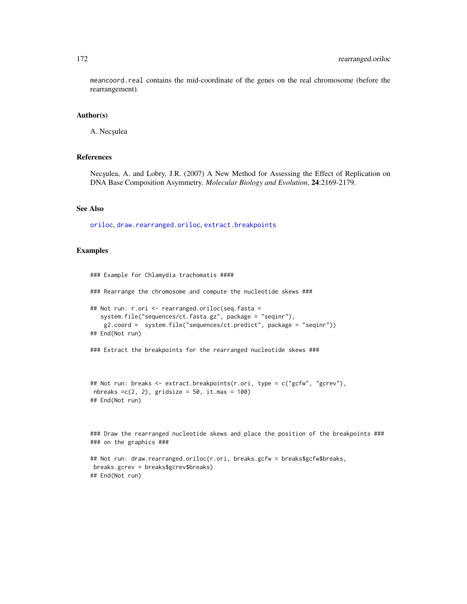meancoord.real contains the mid-coordinate of the genes on the real chromosome (before the rearrangement).

#### Author(s)

A. Necșulea

#### References

Nec<sub>sulea</sub>, A. and Lobry, J.R. (2007) A New Method for Assessing the Effect of Replication on DNA Base Composition Asymmetry. *Molecular Biology and Evolution*, 24:2169-2179.

#### See Also

[oriloc](#page-131-0), [draw.rearranged.oriloc](#page-69-0), [extract.breakpoints](#page-76-0)

## Examples

### Example for Chlamydia trachomatis ####

### Rearrange the chromosome and compute the nucleotide skews ###

```
## Not run: r.ori <- rearranged.oriloc(seq.fasta =
  system.file("sequences/ct.fasta.gz", package = "seqinr"),
   g2.coord = system.file("sequences/ct.predict", package = "seqinr"))
## End(Not run)
```
### Extract the breakpoints for the rearranged nucleotide skews ###

```
## Not run: breaks <- extract.breakpoints(r.ori, type = c("gcfw", "gcrev"),
nbreaks =c(2, 2), gridsize = 50, it.max = 100)
## End(Not run)
```
### Draw the rearranged nucleotide skews and place the position of the breakpoints ### ### on the graphics ###

```
## Not run: draw.rearranged.oriloc(r.ori, breaks.gcfw = breaks$gcfw$breaks,
breaks.gcrev = breaks$gcrev$breaks)
## End(Not run)
```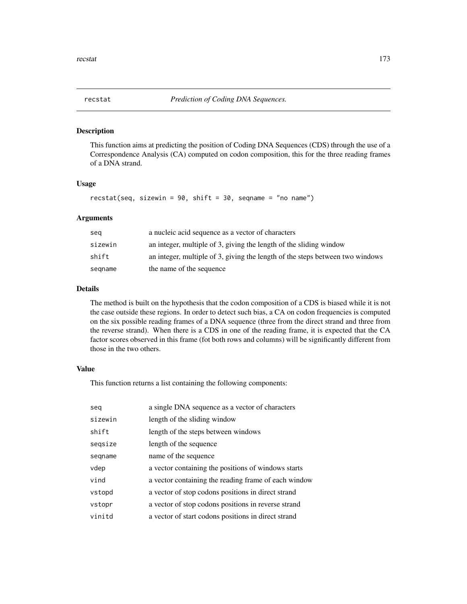#### Description

This function aims at predicting the position of Coding DNA Sequences (CDS) through the use of a Correspondence Analysis (CA) computed on codon composition, this for the three reading frames of a DNA strand.

#### Usage

recstat(seq, sizewin =  $90$ , shift =  $30$ , seqname = "no name")

## Arguments

| seg     | a nucleic acid sequence as a vector of characters                             |
|---------|-------------------------------------------------------------------------------|
| sizewin | an integer, multiple of 3, giving the length of the sliding window            |
| shift   | an integer, multiple of 3, giving the length of the steps between two windows |
| segname | the name of the sequence                                                      |

## Details

The method is built on the hypothesis that the codon composition of a CDS is biased while it is not the case outside these regions. In order to detect such bias, a CA on codon frequencies is computed on the six possible reading frames of a DNA sequence (three from the direct strand and three from the reverse strand). When there is a CDS in one of the reading frame, it is expected that the CA factor scores observed in this frame (fot both rows and columns) will be significantly different from those in the two others.

## Value

This function returns a list containing the following components:

| seg     | a single DNA sequence as a vector of characters      |
|---------|------------------------------------------------------|
| sizewin | length of the sliding window                         |
| shift   | length of the steps between windows                  |
| segsize | length of the sequence                               |
| segname | name of the sequence                                 |
| vdep    | a vector containing the positions of windows starts  |
| vind    | a vector containing the reading frame of each window |
| vstopd  | a vector of stop codons positions in direct strand   |
| vstopr  | a vector of stop codons positions in reverse strand  |
| vinitd  | a vector of start codons positions in direct strand  |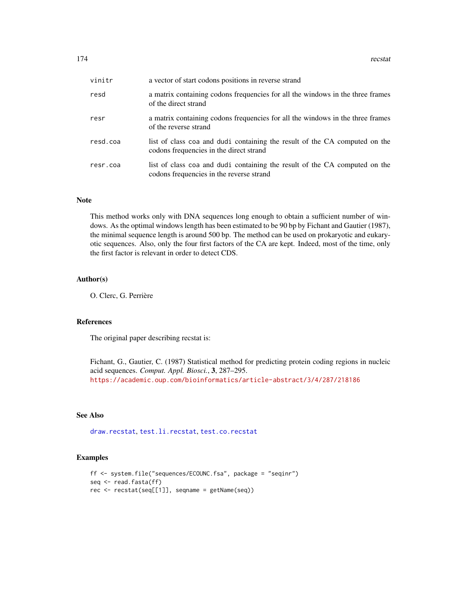| vinitr   | a vector of start codons positions in reverse strand                                                                   |
|----------|------------------------------------------------------------------------------------------------------------------------|
| resd     | a matrix containing codons frequencies for all the windows in the three frames<br>of the direct strand                 |
| resr     | a matrix containing codons frequencies for all the windows in the three frames<br>of the reverse strand                |
| resd.coa | list of class coa and dudi containing the result of the CA computed on the<br>codons frequencies in the direct strand  |
| resr.coa | list of class coa and dudi containing the result of the CA computed on the<br>codons frequencies in the reverse strand |

## Note

This method works only with DNA sequences long enough to obtain a sufficient number of windows. As the optimal windows length has been estimated to be 90 bp by Fichant and Gautier (1987), the minimal sequence length is around 500 bp. The method can be used on prokaryotic and eukaryotic sequences. Also, only the four first factors of the CA are kept. Indeed, most of the time, only the first factor is relevant in order to detect CDS.

## Author(s)

O. Clerc, G. Perrière

### References

The original paper describing recstat is:

Fichant, G., Gautier, C. (1987) Statistical method for predicting protein coding regions in nucleic acid sequences. *Comput. Appl. Biosci.*, 3, 287–295. <https://academic.oup.com/bioinformatics/article-abstract/3/4/287/218186>

## See Also

[draw.recstat](#page-70-0), [test.li.recstat](#page-200-0), [test.co.recstat](#page-199-0)

```
ff <- system.file("sequences/ECOUNC.fsa", package = "seqinr")
seq <- read.fasta(ff)
rec <- recstat(seq[[1]], seqname = getName(seq))
```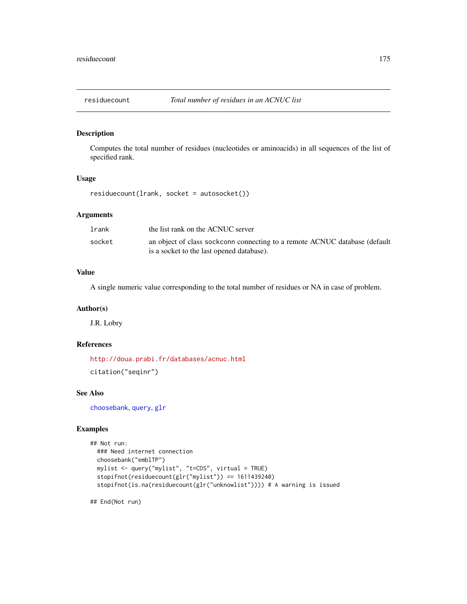## Description

Computes the total number of residues (nucleotides or aminoacids) in all sequences of the list of specified rank.

### Usage

residuecount(lrank, socket = autosocket())

## Arguments

| lrank  | the list rank on the ACNUC server                                                                                       |
|--------|-------------------------------------------------------------------------------------------------------------------------|
| socket | an object of class sockconn connecting to a remote ACNUC database (default<br>is a socket to the last opened database). |

# Value

A single numeric value corresponding to the total number of residues or NA in case of problem.

#### Author(s)

J.R. Lobry

## References

<http://doua.prabi.fr/databases/acnuc.html> citation("seqinr")

#### See Also

[choosebank](#page-41-0), [query](#page-153-0), [glr](#page-100-0)

### Examples

```
## Not run:
 ### Need internet connection
 choosebank("emblTP")
 mylist <- query("mylist", "t=CDS", virtual = TRUE)
 stopifnot(residuecount(glr("mylist")) == 1611439240)
 stopifnot(is.na(residuecount(glr("unknowlist")))) # A warning is issued
```
## End(Not run)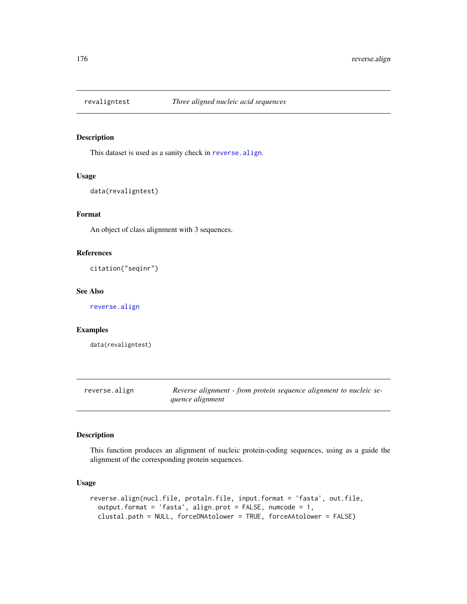## Description

This dataset is used as a sanity check in [reverse.align](#page-175-0).

### Usage

```
data(revaligntest)
```
# Format

An object of class alignment with 3 sequences.

#### References

citation("seqinr")

#### See Also

[reverse.align](#page-175-0)

#### Examples

data(revaligntest)

<span id="page-175-0"></span>reverse.align *Reverse alignment - from protein sequence alignment to nucleic sequence alignment*

### Description

This function produces an alignment of nucleic protein-coding sequences, using as a guide the alignment of the corresponding protein sequences.

## Usage

```
reverse.align(nucl.file, protaln.file, input.format = 'fasta', out.file,
 output.format = 'fasta', align.prot = FALSE, numcode = 1,
  clustal.path = NULL, forceDNAtolower = TRUE, forceAAtolower = FALSE)
```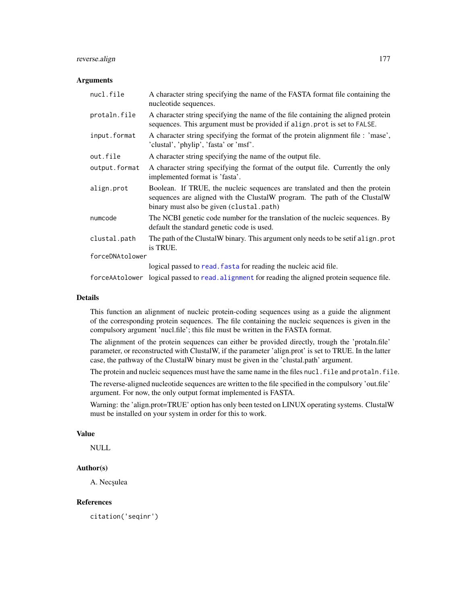## reverse.align 177

#### **Arguments**

| nucl.file       | A character string specifying the name of the FASTA format file containing the<br>nucleotide sequences.                                                                                              |
|-----------------|------------------------------------------------------------------------------------------------------------------------------------------------------------------------------------------------------|
| protaln.file    | A character string specifying the name of the file containing the aligned protein<br>sequences. This argument must be provided if align prot is set to FALSE.                                        |
| input.format    | A character string specifying the format of the protein alignment file : 'mase',<br>'clustal', 'phylip', 'fasta' or 'msf'.                                                                           |
| out.file        | A character string specifying the name of the output file.                                                                                                                                           |
| output.format   | A character string specifying the format of the output file. Currently the only<br>implemented format is 'fasta'.                                                                                    |
| align.prot      | Boolean. If TRUE, the nucleic sequences are translated and then the protein<br>sequences are aligned with the ClustalW program. The path of the ClustalW<br>binary must also be given (clustal.path) |
| numcode         | The NCBI genetic code number for the translation of the nucleic sequences. By<br>default the standard genetic code is used.                                                                          |
| clustal.path    | The path of the ClustalW binary. This argument only needs to be setif align. prot<br>is TRUE.                                                                                                        |
| forceDNAtolower |                                                                                                                                                                                                      |
|                 | logical passed to read. fasta for reading the nucleic acid file.                                                                                                                                     |
|                 |                                                                                                                                                                                                      |

forceAAtolower logical passed to [read.alignment](#page-158-0) for reading the aligned protein sequence file.

#### Details

This function an alignment of nucleic protein-coding sequences using as a guide the alignment of the corresponding protein sequences. The file containing the nucleic sequences is given in the compulsory argument 'nucl.file'; this file must be written in the FASTA format.

The alignment of the protein sequences can either be provided directly, trough the 'protaln.file' parameter, or reconstructed with ClustalW, if the parameter 'align.prot' is set to TRUE. In the latter case, the pathway of the ClustalW binary must be given in the 'clustal.path' argument.

The protein and nucleic sequences must have the same name in the files nucl. file and protaln. file.

The reverse-aligned nucleotide sequences are written to the file specified in the compulsory 'out.file' argument. For now, the only output format implemented is FASTA.

Warning: the 'align.prot=TRUE' option has only been tested on LINUX operating systems. ClustalW must be installed on your system in order for this to work.

## Value

NULL

# Author(s)

A. Necșulea

### References

citation('seqinr')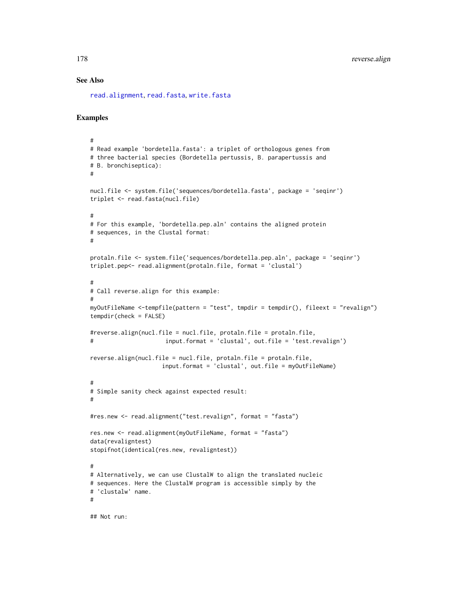### See Also

[read.alignment](#page-158-0), [read.fasta](#page-161-0), [write.fasta](#page-217-0)

### Examples

```
#
# Read example 'bordetella.fasta': a triplet of orthologous genes from
# three bacterial species (Bordetella pertussis, B. parapertussis and
# B. bronchiseptica):
#
nucl.file <- system.file('sequences/bordetella.fasta', package = 'seqinr')
triplet <- read.fasta(nucl.file)
#
# For this example, 'bordetella.pep.aln' contains the aligned protein
# sequences, in the Clustal format:
#
protaln.file <- system.file('sequences/bordetella.pep.aln', package = 'seqinr')
triplet.pep<- read.alignment(protaln.file, format = 'clustal')
#
# Call reverse.align for this example:
#
myOutFileName <-tempfile(pattern = "test", tmpdir = tempdir(), fileext = "revalign")
tempdir(check = FALSE)
#reverse.align(nucl.file = nucl.file, protaln.file = protaln.file,
# input.format = 'clustal', out.file = 'test.revalign')
reverse.align(nucl.file = nucl.file, protaln.file = protaln.file,
                     input.format = 'clustal', out.file = myOutFileName)
#
# Simple sanity check against expected result:
#
#res.new <- read.alignment("test.revalign", format = "fasta")
res.new <- read.alignment(myOutFileName, format = "fasta")
data(revaligntest)
stopifnot(identical(res.new, revaligntest))
#
# Alternatively, we can use ClustalW to align the translated nucleic
# sequences. Here the ClustalW program is accessible simply by the
# 'clustalw' name.
#
```
## Not run: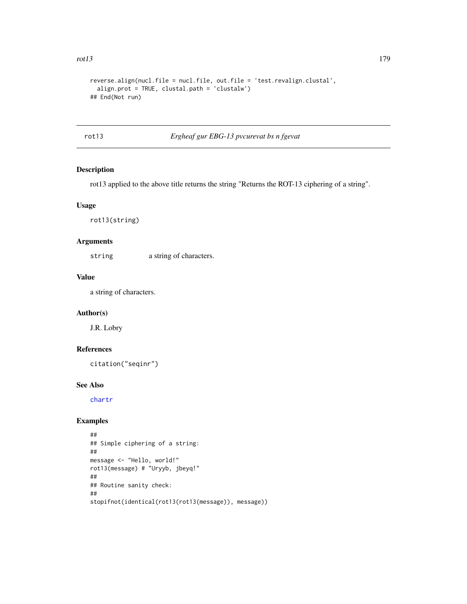```
reverse.align(nucl.file = nucl.file, out.file = 'test.revalign.clustal',
  align.prot = TRUE, clustal.path = 'clustalw')
## End(Not run)
```
rot13 *Ergheaf gur EBG-13 pvcurevat bs n fgevat*

## Description

rot13 applied to the above title returns the string "Returns the ROT-13 ciphering of a string".

### Usage

rot13(string)

#### Arguments

string a string of characters.

# Value

a string of characters.

## Author(s)

J.R. Lobry

## References

citation("seqinr")

### See Also

[chartr](#page-0-0)

```
##
## Simple ciphering of a string:
##
message <- "Hello, world!"
rot13(message) # "Uryyb, jbeyq!"
##
## Routine sanity check:
##
stopifnot(identical(rot13(rot13(message)), message))
```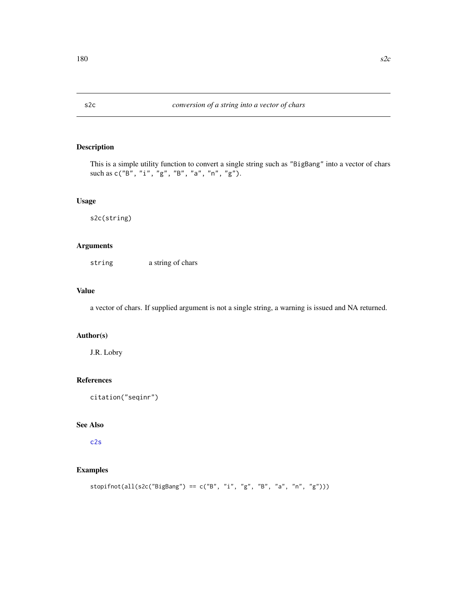<span id="page-179-0"></span>

## Description

This is a simple utility function to convert a single string such as "BigBang" into a vector of chars such as c("B", "i", "g", "B", "a", "n", "g").

## Usage

s2c(string)

## Arguments

string a string of chars

# Value

a vector of chars. If supplied argument is not a single string, a warning is issued and NA returned.

# Author(s)

J.R. Lobry

#### References

citation("seqinr")

# See Also

[c2s](#page-34-0)

# Examples

stopifnot(all(s2c("BigBang") == c("B", "i", "g", "B", "a", "n", "g")))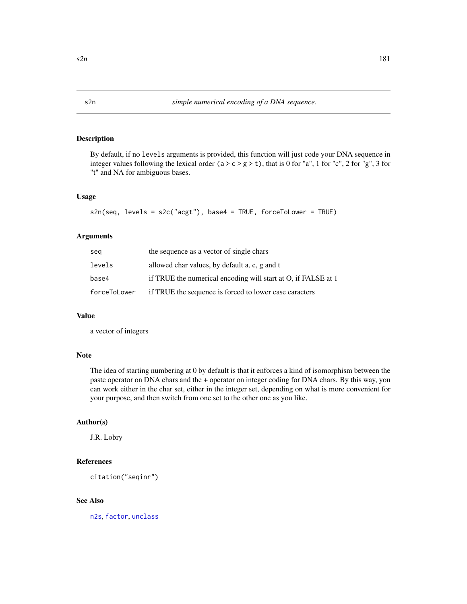By default, if no levels arguments is provided, this function will just code your DNA sequence in integer values following the lexical order ( $a > c > g > t$ ), that is 0 for "a", 1 for "c", 2 for "g", 3 for "t" and NA for ambiguous bases.

## Usage

```
s2n(seq, levels = s2c("acgt"), base4 = TRUE, forceToLower = TRUE)
```
## Arguments

| seg          | the sequence as a vector of single chars                      |
|--------------|---------------------------------------------------------------|
| levels       | allowed char values, by default a, c, g and t                 |
| base4        | if TRUE the numerical encoding will start at O, if FALSE at 1 |
| forceToLower | if TRUE the sequence is forced to lower case caracters        |

#### Value

a vector of integers

# Note

The idea of starting numbering at 0 by default is that it enforces a kind of isomorphism between the paste operator on DNA chars and the + operator on integer coding for DNA chars. By this way, you can work either in the char set, either in the integer set, depending on what is more convenient for your purpose, and then switch from one set to the other one as you like.

#### Author(s)

J.R. Lobry

# References

citation("seqinr")

## See Also

[n2s](#page-130-0), [factor](#page-0-0), [unclass](#page-0-0)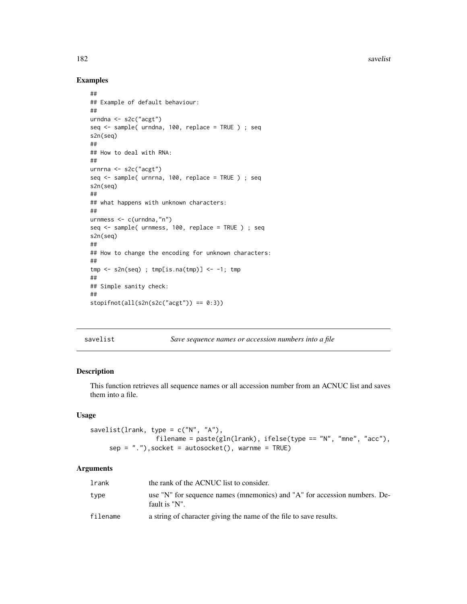182 savelist and the same state of the same state of the same state of the same state of the same state of the same state of the same state of the same state of the same state of the same state of the same state of the sam

# Examples

```
##
## Example of default behaviour:
##
urndna <- s2c("acgt")
seq <- sample( urndna, 100, replace = TRUE ) ; seq
s2n(seq)
##
## How to deal with RNA:
##
urnrna <- s2c("acgt")
seq <- sample( urnrna, 100, replace = TRUE ) ; seq
s2n(seq)
##
## what happens with unknown characters:
##
urnmess <- c(urndna,"n")
seq <- sample( urnmess, 100, replace = TRUE ) ; seq
s2n(seq)
##
## How to change the encoding for unknown characters:
##
tmp \leftarrow s2n(seq); tmp[i s .na(tmp)] \leftarrow -1; tmp##
## Simple sanity check:
##
stopifnot(all(s2n(s2c("acgt")) == 0:3))
```
savelist *Save sequence names or accession numbers into a file*

## Description

This function retrieves all sequence names or all accession number from an ACNUC list and saves them into a file.

# Usage

```
savelist(lrank, type = c("N", "A"),
                 filename = paste(gln(lrank), ifelse(type == "N", "mne", "acc"),
     sep = "."), socket = autosocket(), warnme = TRUE)
```
## Arguments

| lrank    | the rank of the ACNUC list to consider.                                                    |
|----------|--------------------------------------------------------------------------------------------|
| type     | use "N" for sequence names (mnemonics) and "A" for accession numbers. De-<br>fault is "N". |
| filename | a string of character giving the name of the file to save results.                         |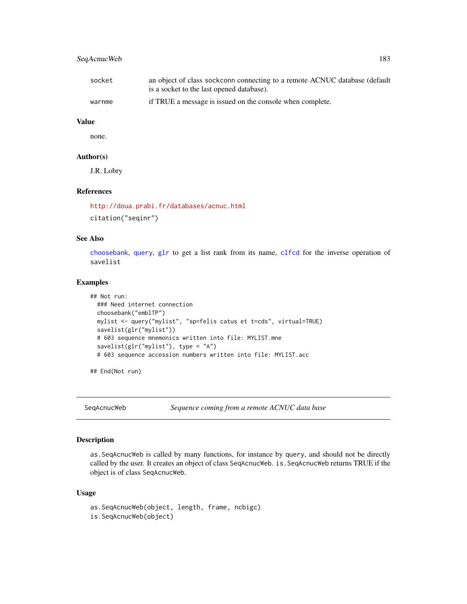# SeqAcnucWeb 183

| socket | an object of class sockconn connecting to a remote ACNUC database (default |
|--------|----------------------------------------------------------------------------|
|        | is a socket to the last opened database).                                  |
| warnme | if TRUE a message is issued on the console when complete.                  |

# Value

none.

#### Author(s)

J.R. Lobry

## References

<http://doua.prabi.fr/databases/acnuc.html> citation("seqinr")

# See Also

[choosebank](#page-41-0), [query](#page-153-0), [glr](#page-100-0) to get a list rank from its name, [clfcd](#page-56-0) for the inverse operation of savelist

# Examples

```
## Not run:
 ### Need internet connection
 choosebank("emblTP")
 mylist <- query("mylist", "sp=felis catus et t=cds", virtual=TRUE)
 savelist(glr("mylist"))
 # 603 sequence mnemonics written into file: MYLIST.mne
 savelist(glr("mylist"), type = "A")
 # 603 sequence accession numbers written into file: MYLIST.acc
```
## End(Not run)

SeqAcnucWeb *Sequence coming from a remote ACNUC data base*

# Description

as.SeqAcnucWeb is called by many functions, for instance by query, and should not be directly called by the user. It creates an object of class SeqAcnucWeb. is.SeqAcnucWeb returns TRUE if the object is of class SeqAcnucWeb.

```
as.SeqAcnucWeb(object, length, frame, ncbigc)
is.SeqAcnucWeb(object)
```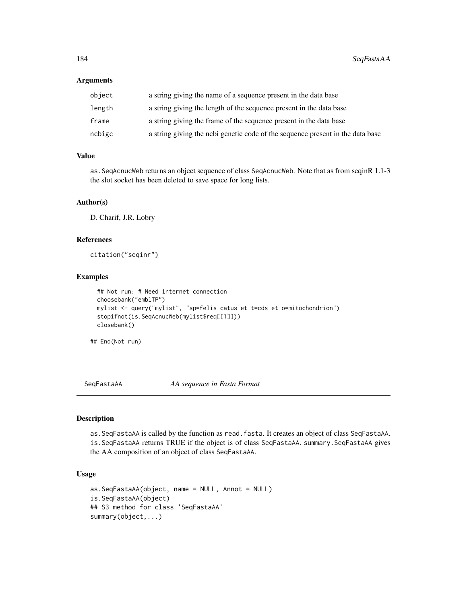#### Arguments

| object | a string giving the name of a sequence present in the data base                |
|--------|--------------------------------------------------------------------------------|
| length | a string giving the length of the sequence present in the data base            |
| frame  | a string giving the frame of the sequence present in the data base             |
| ncbigc | a string giving the nobi genetic code of the sequence present in the data base |

## Value

as.SeqAcnucWeb returns an object sequence of class SeqAcnucWeb. Note that as from seqinR 1.1-3 the slot socket has been deleted to save space for long lists.

## Author(s)

D. Charif, J.R. Lobry

#### References

citation("seqinr")

#### Examples

```
## Not run: # Need internet connection
choosebank("emblTP")
mylist <- query("mylist", "sp=felis catus et t=cds et o=mitochondrion")
stopifnot(is.SeqAcnucWeb(mylist$req[[1]]))
closebank()
```
## End(Not run)

SeqFastaAA *AA sequence in Fasta Format*

#### Description

as.SeqFastaAA is called by the function as read.fasta. It creates an object of class SeqFastaAA. is.SeqFastaAA returns TRUE if the object is of class SeqFastaAA. summary.SeqFastaAA gives the AA composition of an object of class SeqFastaAA.

```
as.SeqFastaAA(object, name = NULL, Annot = NULL)
is.SeqFastaAA(object)
## S3 method for class 'SeqFastaAA'
summary(object,...)
```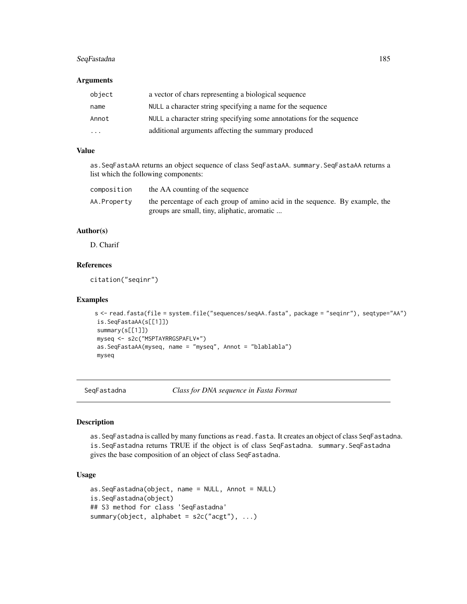# SeqFastadna 185

#### **Arguments**

| object                  | a vector of chars representing a biological sequence                 |
|-------------------------|----------------------------------------------------------------------|
| name                    | NULL a character string specifying a name for the sequence           |
| Annot                   | NULL a character string specifying some annotations for the sequence |
| $\cdot$ $\cdot$ $\cdot$ | additional arguments affecting the summary produced                  |

# Value

as.SeqFastaAA returns an object sequence of class SeqFastaAA. summary.SeqFastaAA returns a list which the following components:

| composition | the AA counting of the sequence                                                                                            |  |
|-------------|----------------------------------------------------------------------------------------------------------------------------|--|
| AA.Property | the percentage of each group of amino acid in the sequence. By example, the<br>groups are small, tiny, aliphatic, aromatic |  |

# Author(s)

D. Charif

# References

citation("seqinr")

#### Examples

```
s <- read.fasta(file = system.file("sequences/seqAA.fasta", package = "seqinr"), seqtype="AA")
is.SeqFastaAA(s[[1]])
summary(s[[1]])
myseq <- s2c("MSPTAYRRGSPAFLV*")
as.SeqFastaAA(myseq, name = "myseq", Annot = "blablabla")
myseq
```
SeqFastadna *Class for DNA sequence in Fasta Format*

#### Description

as.SeqFastadna is called by many functions as read.fasta. It creates an object of class SeqFastadna. is.SeqFastadna returns TRUE if the object is of class SeqFastadna. summary.SeqFastadna gives the base composition of an object of class SeqFastadna.

```
as.SeqFastadna(object, name = NULL, Annot = NULL)
is.SeqFastadna(object)
## S3 method for class 'SeqFastadna'
summary(object, alphabet = s2c("acgt"), ...)
```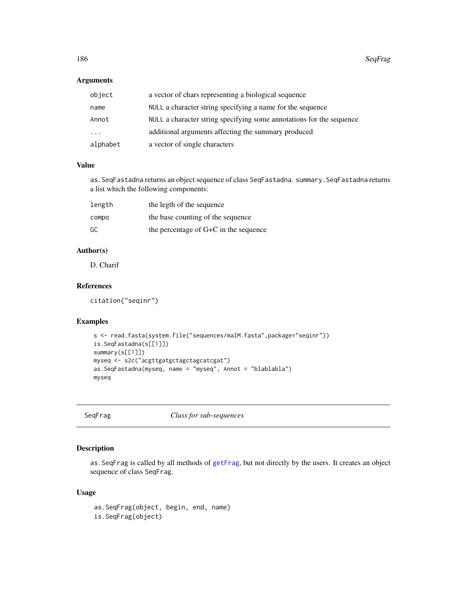# Arguments

| object   | a vector of chars representing a biological sequence                 |
|----------|----------------------------------------------------------------------|
| name     | NULL a character string specifying a name for the sequence           |
| Annot    | NULL a character string specifying some annotations for the sequence |
| .        | additional arguments affecting the summary produced                  |
| alphabet | a vector of single characters                                        |

## Value

as.SeqFastadna returns an object sequence of class SeqFastadna. summary.SeqFastadna returns a list which the following components:

| length | the legth of the sequence             |
|--------|---------------------------------------|
| compo  | the base counting of the sequence     |
| GC     | the percentage of G+C in the sequence |

# Author(s)

D. Charif

# References

citation("seqinr")

# Examples

```
s <- read.fasta(system.file("sequences/malM.fasta",package="seqinr"))
is.SeqFastadna(s[[1]])
summary(s[[1]])
myseq <- s2c("acgttgatgctagctagcatcgat")
as.SeqFastadna(myseq, name = "myseq", Annot = "blablabla")
myseq
```

|  | Segrrag |
|--|---------|
|  |         |

Class for sub-sequences

## Description

as.SeqFrag is called by all methods of [getFrag](#page-96-0), but not directly by the users. It creates an object sequence of class SeqFrag.

```
as.SeqFrag(object, begin, end, name)
is.SeqFrag(object)
```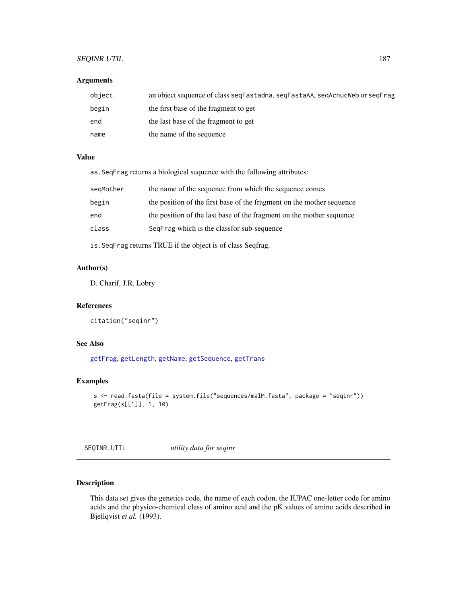# SEQINR.UTIL 187

## Arguments

| object | an object sequence of class seqFastadna, seqFastaAA, seqAcnucWeb or seqFrag |
|--------|-----------------------------------------------------------------------------|
| begin  | the first base of the fragment to get                                       |
| end    | the last base of the fragment to get                                        |
| name   | the name of the sequence                                                    |

#### Value

as.SeqFrag returns a biological sequence with the following attributes:

| segMother | the name of the sequence from which the sequence comes                |
|-----------|-----------------------------------------------------------------------|
| begin     | the position of the first base of the fragment on the mother sequence |
| end       | the position of the last base of the fragment on the mother sequence  |
| class     | SeqFrag which is the classfor sub-sequence                            |

is.SeqFrag returns TRUE if the object is of class Seqfrag.

# Author(s)

D. Charif, J.R. Lobry

## References

citation("seqinr")

# See Also

[getFrag](#page-96-0), [getLength](#page-99-0), [getName](#page-104-0), [getSequence](#page-105-0), [getTrans](#page-107-0)

## Examples

```
s <- read.fasta(file = system.file("sequences/malM.fasta", package = "seqinr"))
getFrag(s[[1]], 1, 10)
```
<span id="page-186-0"></span>SEQINR.UTIL *utility data for seqinr*

# Description

This data set gives the genetics code, the name of each codon, the IUPAC one-letter code for amino acids and the physico-chemical class of amino acid and the pK values of amino acids described in Bjellqvist *et al.* (1993).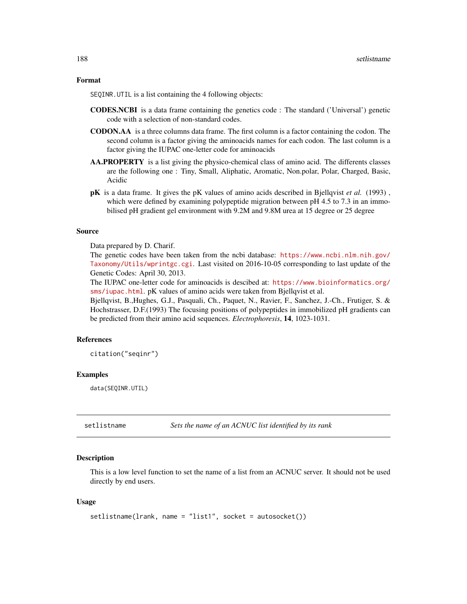#### Format

SEQINR.UTIL is a list containing the 4 following objects:

- CODES.NCBI is a data frame containing the genetics code : The standard ('Universal') genetic code with a selection of non-standard codes.
- CODON.AA is a three columns data frame. The first column is a factor containing the codon. The second column is a factor giving the aminoacids names for each codon. The last column is a factor giving the IUPAC one-letter code for aminoacids
- AA.PROPERTY is a list giving the physico-chemical class of amino acid. The differents classes are the following one : Tiny, Small, Aliphatic, Aromatic, Non.polar, Polar, Charged, Basic, Acidic
- pK is a data frame. It gives the pK values of amino acids described in Bjellqvist *et al.* (1993) , which were defined by examining polypeptide migration between pH 4.5 to 7.3 in an immobilised pH gradient gel environment with 9.2M and 9.8M urea at 15 degree or 25 degree

#### Source

Data prepared by D. Charif.

The genetic codes have been taken from the ncbi database: [https://www.ncbi.nlm.nih.gov/](https://www.ncbi.nlm.nih.gov/Taxonomy/Utils/wprintgc.cgi) [Taxonomy/Utils/wprintgc.cgi](https://www.ncbi.nlm.nih.gov/Taxonomy/Utils/wprintgc.cgi). Last visited on 2016-10-05 corresponding to last update of the Genetic Codes: April 30, 2013.

The IUPAC one-letter code for aminoacids is descibed at: [https://www.bioinformatics.org/](https://www.bioinformatics.org/sms/iupac.html) [sms/iupac.html](https://www.bioinformatics.org/sms/iupac.html). pK values of amino acids were taken from Bjellqvist et al.

Bjellqvist, B.,Hughes, G.J., Pasquali, Ch., Paquet, N., Ravier, F., Sanchez, J.-Ch., Frutiger, S. & Hochstrasser, D.F.(1993) The focusing positions of polypeptides in immobilized pH gradients can be predicted from their amino acid sequences. *Electrophoresis*, 14, 1023-1031.

## References

citation("seqinr")

#### Examples

data(SEQINR.UTIL)

setlistname *Sets the name of an ACNUC list identified by its rank*

#### Description

This is a low level function to set the name of a list from an ACNUC server. It should not be used directly by end users.

```
setlistname(lrank, name = "list1", socket = autosocket())
```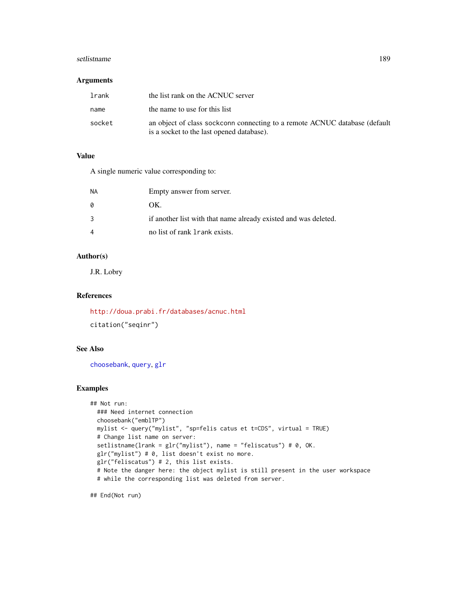#### setlistname and the setler of the setler of the set of the set of the set of the set of the set of the set of the set of the set of the set of the set of the set of the set of the set of the set of the set of the set of th

## Arguments

| lrank  | the list rank on the ACNUC server                                                                                       |
|--------|-------------------------------------------------------------------------------------------------------------------------|
| name   | the name to use for this list                                                                                           |
| socket | an object of class sockconn connecting to a remote ACNUC database (default<br>is a socket to the last opened database). |

# Value

A single numeric value corresponding to:

| <b>NA</b>      | Empty answer from server.                                       |
|----------------|-----------------------------------------------------------------|
| 0              | OK.                                                             |
| 3              | if another list with that name already existed and was deleted. |
| $\overline{4}$ | no list of rank 1 rank exists.                                  |

# Author(s)

J.R. Lobry

# References

<http://doua.prabi.fr/databases/acnuc.html> citation("seqinr")

# See Also

[choosebank](#page-41-0), [query](#page-153-0), [glr](#page-100-0)

# Examples

```
## Not run:
  ### Need internet connection
  choosebank("emblTP")
  mylist <- query("mylist", "sp=felis catus et t=CDS", virtual = TRUE)
  # Change list name on server:
  setlistname(lrank = glr("mylist"), name = "feliscatus") # 0, OK.
  glr("mylist") # 0, list doesn't exist no more.
  glr("feliscatus") # 2, this list exists.
  # Note the danger here: the object mylist is still present in the user workspace
  # while the corresponding list was deleted from server.
```
## End(Not run)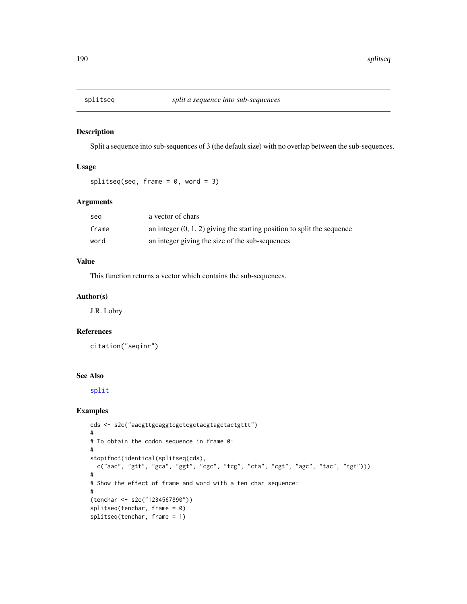Split a sequence into sub-sequences of 3 (the default size) with no overlap between the sub-sequences.

## Usage

```
splitseq(seq, frame = 0, word = 3)
```
# Arguments

| sea   | a vector of chars                                                         |
|-------|---------------------------------------------------------------------------|
| frame | an integer $(0, 1, 2)$ giving the starting position to split the sequence |
| word  | an integer giving the size of the sub-sequences                           |

# Value

This function returns a vector which contains the sub-sequences.

## Author(s)

J.R. Lobry

# References

citation("seqinr")

# See Also

[split](#page-0-0)

```
cds <- s2c("aacgttgcaggtcgctcgctacgtagctactgttt")
#
# To obtain the codon sequence in frame 0:
#
stopifnot(identical(splitseq(cds),
  c("aac", "gtt", "gca", "ggt", "cgc", "tcg", "cta", "cgt", "agc", "tac", "tgt")))
#
# Show the effect of frame and word with a ten char sequence:
#
(tenchar <- s2c("1234567890"))
splitseq(tenchar, frame = 0)
splitseq(tenchar, frame = 1)
```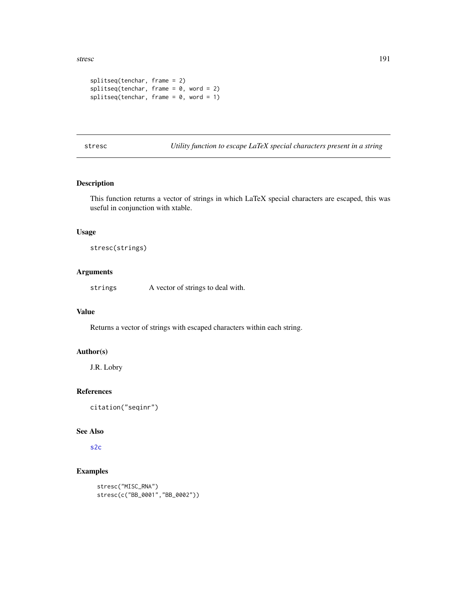stresc and the stress of the stress of the stress of the stress of the stress of the stress of the stress of the stress of the stress of the stress of the stress of the stress of the stress of the stress of the stress of t

```
splitseq(tenchar, frame = 2)
splitseq(tenchar, frame = 0, word = 2)splitseq(tenchar, frame = 0, word = 1)
```
stresc *Utility function to escape LaTeX special characters present in a string*

# Description

This function returns a vector of strings in which LaTeX special characters are escaped, this was useful in conjunction with xtable.

# Usage

stresc(strings)

# Arguments

strings A vector of strings to deal with.

#### Value

Returns a vector of strings with escaped characters within each string.

# Author(s)

J.R. Lobry

# References

citation("seqinr")

#### See Also

[s2c](#page-179-0)

```
stresc("MISC_RNA")
stresc(c("BB_0001","BB_0002"))
```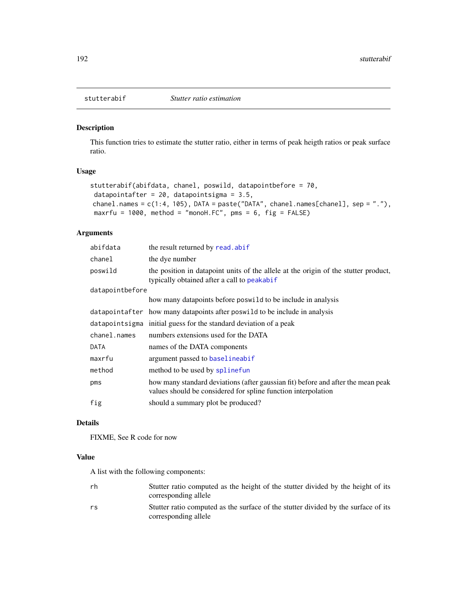This function tries to estimate the stutter ratio, either in terms of peak heigth ratios or peak surface ratio.

# Usage

```
stutterabif(abifdata, chanel, poswild, datapointbefore = 70,
datapointafter = 20, datapointsigma = 3.5,
chanel.names = c(1:4, 105), DATA = paste("DATA", chanel.names[chanel], sep = "."),
maxrfu = 1000, method = "monoH.FC", pms = 6, fig = FALSE)
```
# Arguments

| abifdata        | the result returned by read. abif                                                                                                                 |
|-----------------|---------------------------------------------------------------------------------------------------------------------------------------------------|
| chanel          | the dye number                                                                                                                                    |
| poswild         | the position in datapoint units of the allele at the origin of the stutter product,<br>typically obtained after a call to peakabif                |
| datapointbefore |                                                                                                                                                   |
|                 | how many datapoints before poswilld to be include in analysis                                                                                     |
|                 | datapointafter how many datapoints after poswild to be include in analysis                                                                        |
|                 | datapointsigma initial guess for the standard deviation of a peak                                                                                 |
| chanel.names    | numbers extensions used for the DATA                                                                                                              |
| DATA            | names of the DATA components                                                                                                                      |
| maxrfu          | argument passed to baselineabif                                                                                                                   |
| method          | method to be used by splinefun                                                                                                                    |
| pms             | how many standard deviations (after gaussian fit) before and after the mean peak<br>values should be considered for spline function interpolation |
| fig             | should a summary plot be produced?                                                                                                                |

### Details

FIXME, See R code for now

# Value

A list with the following components:

| rh | Stutter ratio computed as the height of the stutter divided by the height of its<br>corresponding allele   |
|----|------------------------------------------------------------------------------------------------------------|
| rs | Stutter ratio computed as the surface of the stutter divided by the surface of its<br>corresponding allele |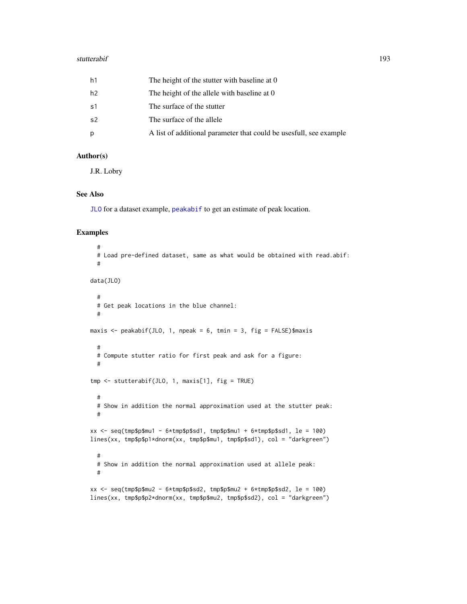#### stutterabif 193

| h1 | The height of the stutter with baseline at 0                       |
|----|--------------------------------------------------------------------|
| h2 | The height of the allele with baseline at 0                        |
| s1 | The surface of the stutter                                         |
| s2 | The surface of the allele                                          |
| p  | A list of additional parameter that could be usesfull, see example |

# Author(s)

J.R. Lobry

# See Also

[JLO](#page-116-0) for a dataset example, [peakabif](#page-135-0) to get an estimate of peak location.

```
#
 # Load pre-defined dataset, same as what would be obtained with read.abif:
 #
data(JLO)
 #
 # Get peak locations in the blue channel:
 #
maxis <- peakabif(JLO, 1, npeak = 6, tmin = 3, fig = FALSE)$maxis
 #
 # Compute stutter ratio for first peak and ask for a figure:
 #
tmp <- stutterabif(JLO, 1, maxis[1], fig = TRUE)
 #
 # Show in addition the normal approximation used at the stutter peak:
 #
xx < - seq(tmp$p$mu1 - 6*tmp$p$sd1, tmp$p$mu1 + 6*tmp$p$sd1, le = 100)
lines(xx, tmp$p$p1*dnorm(xx, tmp$p$mu1, tmp$p$sd1), col = "darkgreen")
 #
 # Show in addition the normal approximation used at allele peak:
 #
xx <- seq(tmp$p$mu2 - 6*tmp$p$sd2, tmp$p$mu2 + 6*tmp$p$sd2, le = 100)
lines(xx, tmp$p$p2*dnorm(xx, tmp$p$mu2, tmp$p$sd2), col = "darkgreen")
```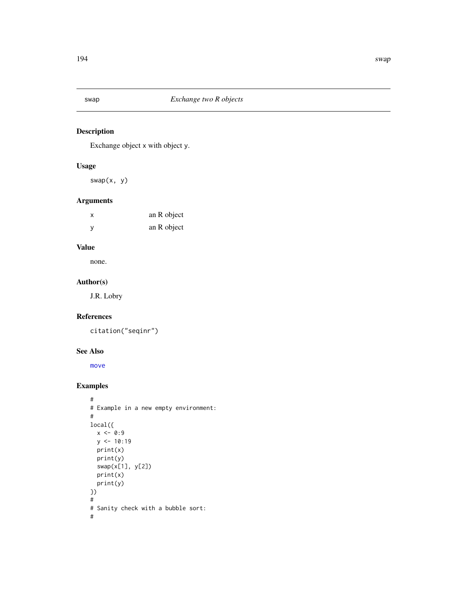Exchange object x with object y.

# Usage

swap(x, y)

# Arguments

| X        | an R object |
|----------|-------------|
| <b>V</b> | an R object |

# Value

none.

## Author(s)

J.R. Lobry

## References

citation("seqinr")

# See Also

[move](#page-128-0)

```
#
# Example in a new empty environment:
#
local({
 x < -0.9y \le -10:19print(x)
  print(y)
  swap(x[1], y[2])
  print(x)
  print(y)
})
#
# Sanity check with a bubble sort:
#
```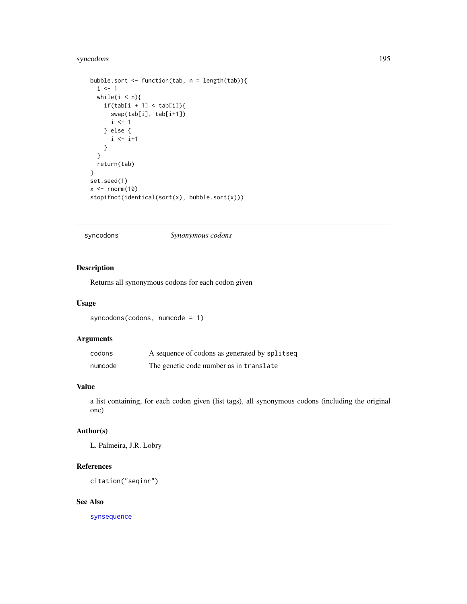# syncodons 195

```
bubble.sort <- function(tab, n = length(tab)){
  i \leq 1while(i < n){
    if(tab[i + 1] < tab[i]){
      swap(tab[i], tab[i+1])
      i \leq 1} else {
      i \leftarrow i+1}
  }
  return(tab)
}
set.seed(1)
x \leftarrow \text{norm}(10)stopifnot(identical(sort(x), bubble.sort(x)))
```
#### <span id="page-194-0"></span>syncodons *Synonymous codons*

# Description

Returns all synonymous codons for each codon given

#### Usage

syncodons(codons, numcode = 1)

# Arguments

| codons  | A sequence of codons as generated by splitseq |
|---------|-----------------------------------------------|
| numcode | The genetic code number as in translate       |

# Value

a list containing, for each codon given (list tags), all synonymous codons (including the original one)

#### Author(s)

L. Palmeira, J.R. Lobry

# References

citation("seqinr")

# See Also

[synsequence](#page-196-0)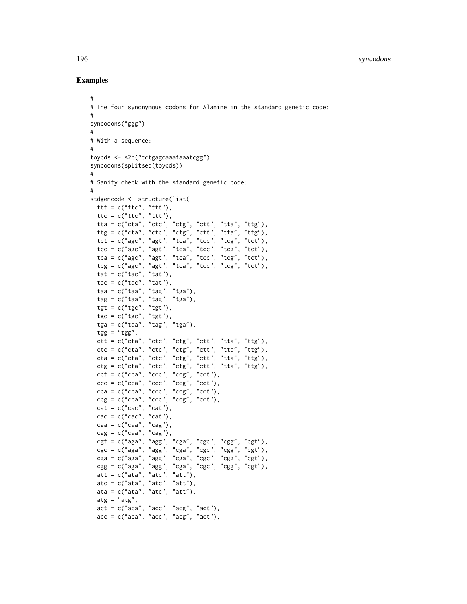```
#
# The four synonymous codons for Alanine in the standard genetic code:
#
syncodons("ggg")
#
# With a sequence:
#
toycds <- s2c("tctgagcaaataaatcgg")
syncodons(splitseq(toycds))
#
# Sanity check with the standard genetic code:
#
stdgencode <- structure(list(
 ttt = c("ttc", "ttt"),ttc = c("ttc", "ttt"),tta = c("cta", "ctc", "ctg", "ctt", "tta", "ttg"),
  ttg = c("cta", "ctc", "ctg", "ctt", "tta", "ttg"),
  \text{tct} = c("age", "agt", "tca", "tcc", "tcg", "tct"),tcc = c("agc", "agt", "tca", "tcc", "tcg", "tct"),
  tca = c("agc", "agt", "tca", "tcc", "tcg", "tct"),
  tcg = c("agc", "agt", "tca", "tcc", "tcg", "tct"),
  tat = c("tac", "tat"),tac = c("tac", "tat"),taa = c("taa", "tag", "tga"),
  tag = c("taa", "tag", "tga"),tgt = c("tgc", "tgt"),tgc = c("tgc", "tgt").tga = c("taa", "tag", "tga"),
  tgg = "tgg",ctt = c("cta", "ctc", "ctg", "ctt", "tta", "ttg"),
  ctc = c("cta", "ctc", "ctg", "ctt", "tta", "ttg"),
  cta = c("cta", "ctc", "ctg", "ctt", "tta", "ttg"),
  ctg = c("cta", "ctc", "ctg", "ctt", "tta", "ttg"),
  cct = c("cca", "ccc", "ccg", "cct"),ccc = c("cca", "ccc", "ccg", "cct"),cca = c("cca", "ccc", "ccg", "cct"),ccg = c("cca", "ccc", "ccg", "cct"),cat = c("cac", "cat"),\text{cac} = \text{c}("\text{cac}'', "\text{cat}''),caa = c("caa", "cag"),cag = c("caa", "cag"),cgt = c("aga", "agg", "cga", "cgc", "cgg", "cgt"),
  cgc = c("aga", "agg", "cga", "cgc", "cgg", "cgt"),
  cga = c("aga", "agg", "cga", "cgc", "cgg", "cgt"),
  cgg = c("aga", "agg", "cga", "cgc", "cgg", "cgt"),
  att = c("ata", "atc", "att"),
  atc = c("ata", "atc", "att"),
  ata = c("ata", "atc", "att"),
  \text{atg} = " \text{atg}'',act = c("aca", "acc", "acg", "act"),acc = c("aca", "acc", "acg", "act"),
```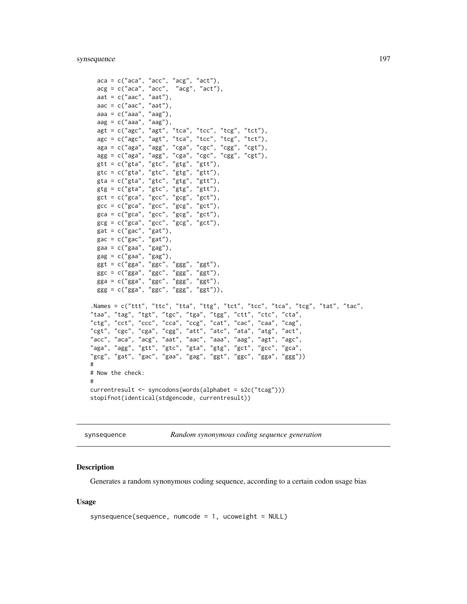```
aca = c("aca", "acc", "acg", "act"),\text{arg} = \text{c}(" \text{aca}", " \text{acc}", " \text{agg}", " \text{act}"),aat = c("aac", "aat"),
  \text{aac} = \text{c}(" \text{aac}'', " \text{aat}''),aaa = c("aaa", "aag"),
  aag = c("aaa", "aag"),agt = c("age", "agt", "tca", "tcc", "tcg", "tct"),\text{age} = \text{c("age", "agt", "tca", "tcc", "tcg", "tct"),}aga = c("aga", "agg", "cga", "cgc", "cgg", "cgt"),
  agg = c("aga", "agg", "cga", "cgc", "cgg", "cgt"),
  gtt = c("gta", "gtc", "gtg", "gtt"),
  gtc = c("gta", "gtc", "gtg", "gtt"),
  gta = c("gta", "gtc", "gtg", "gtt"),
  gtg = c("gta", "gtc", "gtg", "gtt"),
  \text{gct} = c("gca", "gcc", "gcg", "gct"),gcc = c("gca", "gcc", "gcg", "gct"),
  gca = c("gca", "gcc", "gcg", "gct"),
  gcg = c("gca", "gcc", "gcg", "gct"),gat = c("gac", "gat"),\text{gac} = \text{c}(' \text{gac}'', ' \text{gat}''),gaa = c("gaa", "gag"),
  gag = c("gaa", "gag"),ggt = c("gga", "ggc", "ggg", "ggt"),ggc = c("gga", "ggc", "ggg", "ggt"),
  gga = c("gga", "ggc", "ggg", "ggt"),
  ggg = c("gga", "ggc", "ggg", "ggt")),
.Names = c("ttt", "ttc", "tta", "ttg", "tct", "tcc", "tca", "tcg", "tat", "tac",
"taa", "tag", "tgt", "tgc", "tga", "tgg", "ctt", "ctc", "cta",
"ctg", "cct", "ccc", "cca", "ccg", "cat", "cac", "caa", "cag",
"cgt", "cgc", "cga", "cgg", "att", "atc", "ata", "atg", "act",
"acc", "aca", "acg", "aat", "aac", "aaa", "aag", "agt", "agc",
"aga", "agg", "gtt", "gtc", "gta", "gtg", "gct", "gcc", "gca",
"gcg", "gat", "gac", "gaa", "gag", "ggt", "ggc", "gga", "ggg"))
#
# Now the check:
#
currentresult <- syncodons(words(alphabet = s2c("tcag")))
stopifnot(identical(stdgencode, currentresult))
```
<span id="page-196-0"></span>synsequence *Random synonymous coding sequence generation*

#### **Description**

Generates a random synonymous coding sequence, according to a certain codon usage bias

```
synsequence(sequence, numcode = 1, ucoveright = NULL)
```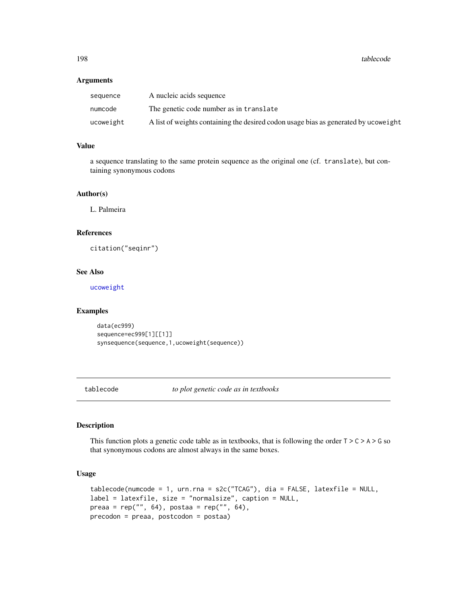#### Arguments

| sequence  | A nucleic acids sequence                                                            |
|-----------|-------------------------------------------------------------------------------------|
| numcode   | The genetic code number as in translate                                             |
| ucoweight | A list of weights containing the desired codon usage bias as generated by ucoweight |

# Value

a sequence translating to the same protein sequence as the original one (cf. translate), but containing synonymous codons

## Author(s)

L. Palmeira

#### References

citation("seqinr")

## See Also

[ucoweight](#page-210-0)

# Examples

```
data(ec999)
sequence=ec999[1][[1]]
synsequence(sequence,1,ucoweight(sequence))
```
<span id="page-197-0"></span>tablecode *to plot genetic code as in textbooks*

## Description

This function plots a genetic code table as in textbooks, that is following the order  $T > C > A > G$  so that synonymous codons are almost always in the same boxes.

```
tablecode(numcode = 1, urn.rna = s2c("TCAG"), dia = FALSE, latexfile = NULL,
label = latexfile, size = "normalsize", caption = NULL,
preaa = rep("", 64), postaa = rep("", 64),
precodon = preaa, postcodon = postaa)
```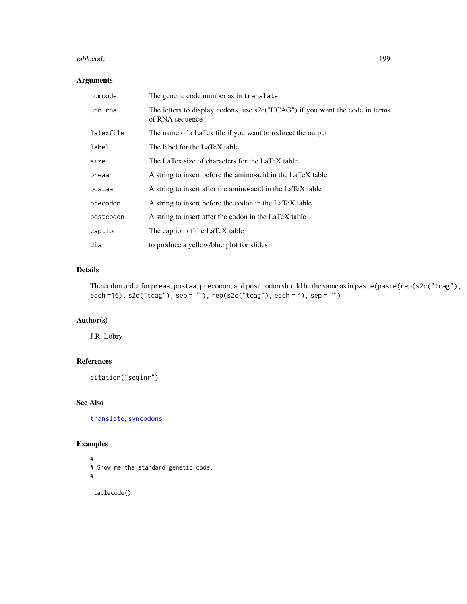#### tablecode the contract of the contract of the contract of the contract of the contract of the contract of the contract of the contract of the contract of the contract of the contract of the contract of the contract of the

## Arguments

| numcode   | The genetic code number as in translate                                                         |
|-----------|-------------------------------------------------------------------------------------------------|
| urn.rna   | The letters to display codons, use s2c("UCAG") if you want the code in terms<br>of RNA sequence |
| latexfile | The name of a LaTex file if you want to redirect the output                                     |
| label     | The label for the LaTeX table                                                                   |
| size      | The LaTex size of characters for the LaTeX table                                                |
| preaa     | A string to insert before the amino-acid in the LaTeX table                                     |
| postaa    | A string to insert after the amino-acid in the LaTeX table                                      |
| precodon  | A string to insert before the codon in the LaTeX table                                          |
| postcodon | A string to insert after the codon in the LaTeX table                                           |
| caption   | The caption of the LaTeX table                                                                  |
| dia       | to produce a yellow/blue plot for slides                                                        |

# Details

The codon order for preaa, postaa, precodon, and postcodon should be the same as in paste(paste(rep(s2c("tcag"), each =16), s2c("tcag"), sep = ""), rep(s2c("tcag"), each = 4), sep = "")

# Author(s)

J.R. Lobry

# References

```
citation("seqinr")
```
# See Also

[translate](#page-203-0), [syncodons](#page-194-0)

```
#
# Show me the standard genetic code:
#
 tablecode()
```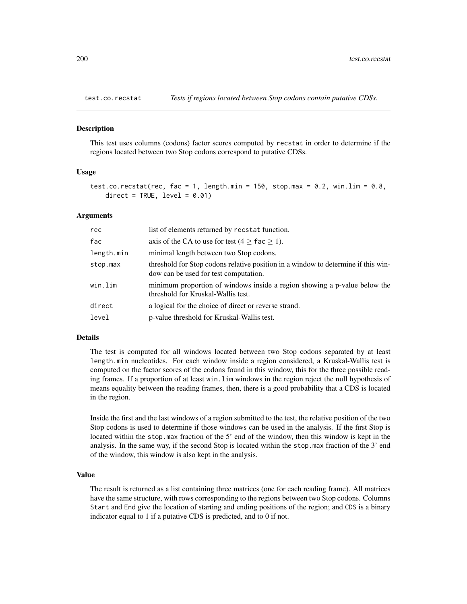<span id="page-199-0"></span>

This test uses columns (codons) factor scores computed by recstat in order to determine if the regions located between two Stop codons correspond to putative CDSs.

#### Usage

```
test.co.recstat(rec, fac = 1, length.min = 150, stop.max = 0.2, win.lim = 0.8,
   direct = TRUE, level = 0.01)
```
#### **Arguments**

| rec        | list of elements returned by recstat function.                                                                             |
|------------|----------------------------------------------------------------------------------------------------------------------------|
| fac        | axis of the CA to use for test (4 $\geq$ fac $\geq$ 1).                                                                    |
| length.min | minimal length between two Stop codons.                                                                                    |
| stop.max   | threshold for Stop codons relative position in a window to determine if this win-<br>dow can be used for test computation. |
| win.lim    | minimum proportion of windows inside a region showing a p-value below the<br>threshold for Kruskal-Wallis test.            |
| direct     | a logical for the choice of direct or reverse strand.                                                                      |
| level      | p-value threshold for Kruskal-Wallis test.                                                                                 |

# Details

The test is computed for all windows located between two Stop codons separated by at least length.min nucleotides. For each window inside a region considered, a Kruskal-Wallis test is computed on the factor scores of the codons found in this window, this for the three possible reading frames. If a proportion of at least win.lim windows in the region reject the null hypothesis of means equality between the reading frames, then, there is a good probability that a CDS is located in the region.

Inside the first and the last windows of a region submitted to the test, the relative position of the two Stop codons is used to determine if those windows can be used in the analysis. If the first Stop is located within the stop.max fraction of the 5' end of the window, then this window is kept in the analysis. In the same way, if the second Stop is located within the stop.max fraction of the 3' end of the window, this window is also kept in the analysis.

## Value

The result is returned as a list containing three matrices (one for each reading frame). All matrices have the same structure, with rows corresponding to the regions between two Stop codons. Columns Start and End give the location of starting and ending positions of the region; and CDS is a binary indicator equal to 1 if a putative CDS is predicted, and to 0 if not.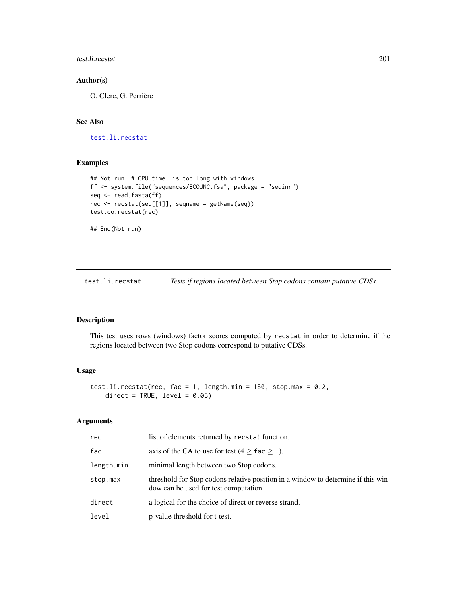## test.li.recstat 201

# Author(s)

O. Clerc, G. Perrière

# See Also

[test.li.recstat](#page-200-0)

# Examples

```
## Not run: # CPU time is too long with windows
ff <- system.file("sequences/ECOUNC.fsa", package = "seqinr")
seq <- read.fasta(ff)
rec <- recstat(seq[[1]], seqname = getName(seq))
test.co.recstat(rec)
## End(Not run)
```
<span id="page-200-0"></span>test.li.recstat *Tests if regions located between Stop codons contain putative CDSs.*

## Description

This test uses rows (windows) factor scores computed by recstat in order to determine if the regions located between two Stop codons correspond to putative CDSs.

#### Usage

```
test.li.recstat(rec, fac = 1, length.min = 150, stop.max = 0.2,
   direct = TRUE, level = 0.05)
```
#### Arguments

| rec        | list of elements returned by recstat function.                                                                             |
|------------|----------------------------------------------------------------------------------------------------------------------------|
| fac        | axis of the CA to use for test $(4 >$ fac $> 1$ ).                                                                         |
| length.min | minimal length between two Stop codons.                                                                                    |
| stop.max   | threshold for Stop codons relative position in a window to determine if this win-<br>dow can be used for test computation. |
| direct     | a logical for the choice of direct or reverse strand.                                                                      |
| level      | p-value threshold for t-test.                                                                                              |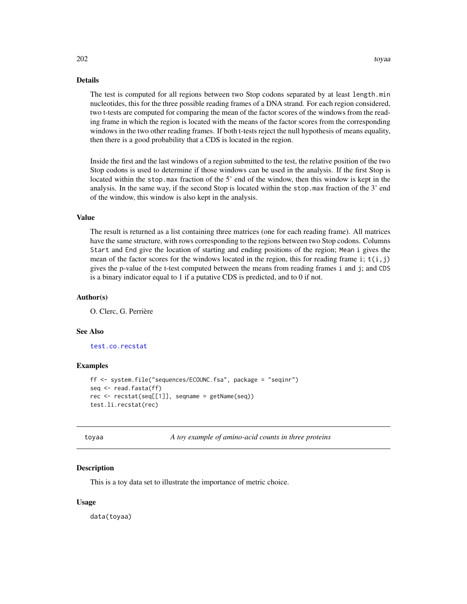## Details

The test is computed for all regions between two Stop codons separated by at least length.min nucleotides, this for the three possible reading frames of a DNA strand. For each region considered, two t-tests are computed for comparing the mean of the factor scores of the windows from the reading frame in which the region is located with the means of the factor scores from the corresponding windows in the two other reading frames. If both t-tests reject the null hypothesis of means equality, then there is a good probability that a CDS is located in the region.

Inside the first and the last windows of a region submitted to the test, the relative position of the two Stop codons is used to determine if those windows can be used in the analysis. If the first Stop is located within the stop.max fraction of the 5' end of the window, then this window is kept in the analysis. In the same way, if the second Stop is located within the stop.max fraction of the 3' end of the window, this window is also kept in the analysis.

# Value

The result is returned as a list containing three matrices (one for each reading frame). All matrices have the same structure, with rows corresponding to the regions between two Stop codons. Columns Start and End give the location of starting and ending positions of the region; Mean i gives the mean of the factor scores for the windows located in the region, this for reading frame i;  $t(i,j)$ gives the p-value of the t-test computed between the means from reading frames i and j; and CDS is a binary indicator equal to 1 if a putative CDS is predicted, and to 0 if not.

#### Author(s)

O. Clerc, G. Perrière

## See Also

[test.co.recstat](#page-199-0)

#### Examples

```
ff <- system.file("sequences/ECOUNC.fsa", package = "seqinr")
seq \leq read. fasta(ff)
rec \leq recstat(seq[[1]], seqname = getName(seq))
test.li.recstat(rec)
```
toyaa *A toy example of amino-acid counts in three proteins*

#### Description

This is a toy data set to illustrate the importance of metric choice.

#### Usage

data(toyaa)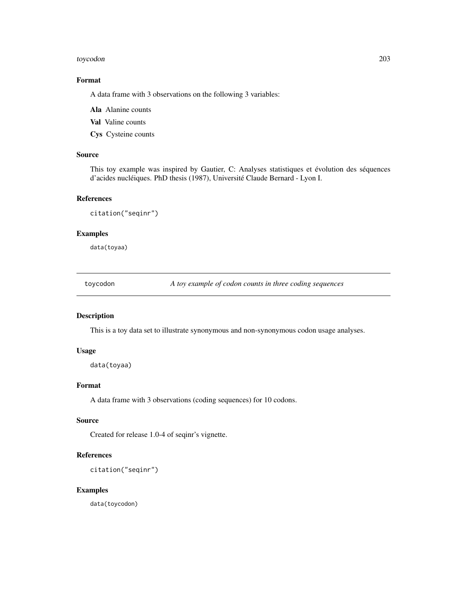#### toycodon 203

# Format

A data frame with 3 observations on the following 3 variables:

Ala Alanine counts

Val Valine counts

Cys Cysteine counts

# Source

This toy example was inspired by Gautier, C: Analyses statistiques et évolution des séquences d'acides nucléiques. PhD thesis (1987), Université Claude Bernard - Lyon I.

#### References

citation("seqinr")

#### Examples

data(toyaa)

toycodon *A toy example of codon counts in three coding sequences*

#### Description

This is a toy data set to illustrate synonymous and non-synonymous codon usage analyses.

#### Usage

data(toyaa)

# Format

A data frame with 3 observations (coding sequences) for 10 codons.

#### Source

Created for release 1.0-4 of seqinr's vignette.

## References

citation("seqinr")

# Examples

data(toycodon)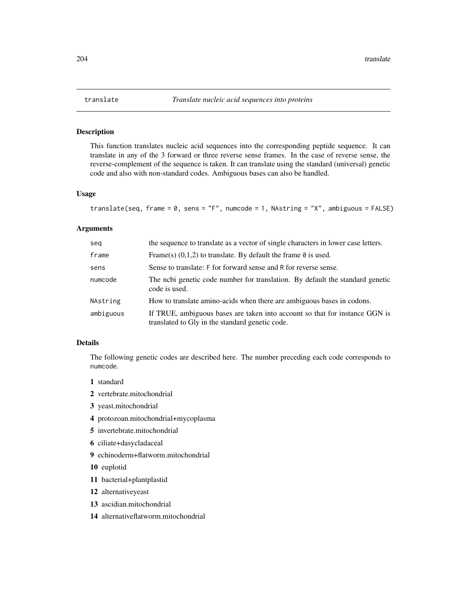<span id="page-203-0"></span>

This function translates nucleic acid sequences into the corresponding peptide sequence. It can translate in any of the 3 forward or three reverse sense frames. In the case of reverse sense, the reverse-complement of the sequence is taken. It can translate using the standard (universal) genetic code and also with non-standard codes. Ambiguous bases can also be handled.

## Usage

```
translate(seq, frame = 0, sens = "F", numcode = 1, NAstring = "X", ambiguous = FALSE)
```
#### Arguments

| seg       | the sequence to translate as a vector of single characters in lower case letters.                                              |
|-----------|--------------------------------------------------------------------------------------------------------------------------------|
| frame     | Frame(s) $(0,1,2)$ to translate. By default the frame $\theta$ is used.                                                        |
| sens      | Sense to translate: F for forward sense and R for reverse sense.                                                               |
| numcode   | The nobi genetic code number for translation. By default the standard genetic<br>code is used.                                 |
| NAstring  | How to translate amino-acids when there are ambiguous bases in codons.                                                         |
| ambiguous | If TRUE, ambiguous bases are taken into account so that for instance GGN is<br>translated to Gly in the standard genetic code. |

## Details

The following genetic codes are described here. The number preceding each code corresponds to numcode.

- 1 standard
- 2 vertebrate.mitochondrial
- 3 yeast.mitochondrial
- 4 protozoan.mitochondrial+mycoplasma
- 5 invertebrate.mitochondrial
- 6 ciliate+dasycladaceal
- 9 echinoderm+flatworm.mitochondrial

10 euplotid

- 11 bacterial+plantplastid
- 12 alternativeyeast
- 13 ascidian.mitochondrial
- 14 alternativeflatworm.mitochondrial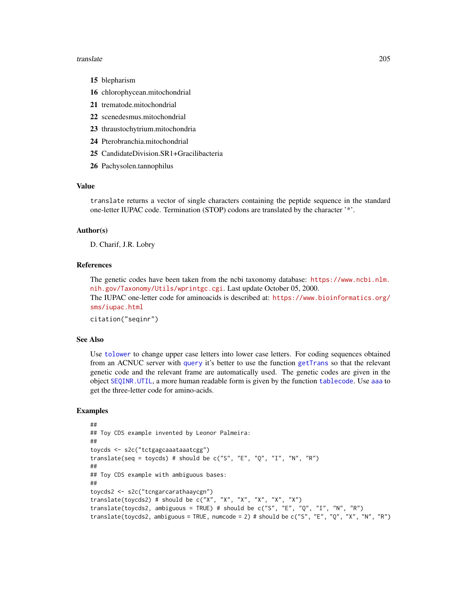#### translate 205

- 15 blepharism
- 16 chlorophycean.mitochondrial
- 21 trematode.mitochondrial
- 22 scenedesmus.mitochondrial
- 23 thraustochytrium.mitochondria
- 24 Pterobranchia.mitochondrial
- 25 CandidateDivision.SR1+Gracilibacteria
- 26 Pachysolen.tannophilus

## Value

translate returns a vector of single characters containing the peptide sequence in the standard one-letter IUPAC code. Termination (STOP) codons are translated by the character '\*'.

# Author(s)

D. Charif, J.R. Lobry

#### References

The genetic codes have been taken from the ncbi taxonomy database: [https://www.ncbi.nlm.](https://www.ncbi.nlm.nih.gov/Taxonomy/Utils/wprintgc.cgi) [nih.gov/Taxonomy/Utils/wprintgc.cgi](https://www.ncbi.nlm.nih.gov/Taxonomy/Utils/wprintgc.cgi). Last update October 05, 2000. The IUPAC one-letter code for aminoacids is described at: [https://www.bioinformatics.org/](https://www.bioinformatics.org/sms/iupac.html) [sms/iupac.html](https://www.bioinformatics.org/sms/iupac.html)

citation("seqinr")

#### See Also

Use [tolower](#page-0-0) to change upper case letters into lower case letters. For coding sequences obtained from an ACNUC server with [query](#page-153-0) it's better to use the function [getTrans](#page-107-0) so that the relevant genetic code and the relevant frame are automatically used. The genetic codes are given in the object [SEQINR.UTIL](#page-186-0), a more human readable form is given by the function [tablecode](#page-197-0). Use [aaa](#page-5-0) to get the three-letter code for amino-acids.

```
##
## Toy CDS example invented by Leonor Palmeira:
##
toycds <- s2c("tctgagcaaataaatcgg")
translate(seq = toycds) # should be c("S", "E", "Q", "I", "N", "R")##
## Toy CDS example with ambiguous bases:
##
toycds2 <- s2c("tcngarcarathaaycgn")
translate(toycds2) # should be c("X", "X", "X", "X", "X", "X")translate(toycds2, ambiguous = TRUE) # should be c("S", "E", "Q", "I", "N", "R")
translate(toycds2, ambiguous = TRUE, numcode = 2) # should be c("S", "E", "Q", "X", "N", "R")
```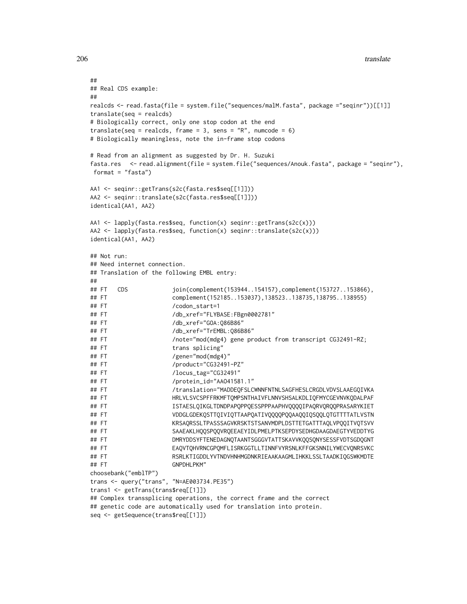```
##
## Real CDS example:
##
realcds <- read.fasta(file = system.file("sequences/malM.fasta", package ="seqinr"))[[1]]
translate(seq = realcds)
# Biologically correct, only one stop codon at the end
translate(seq = realcds, frame = 3, sens = "R", numcode = 6)
# Biologically meaningless, note the in-frame stop codons
# Read from an alignment as suggested by Dr. H. Suzuki
fasta.res <- read.alignment(file = system.file("sequences/Anouk.fasta", package = "seqinr"),
format = "fasta")
AA1 <- seqinr::getTrans(s2c(fasta.res$seq[[1]]))
AA2 <- seqinr::translate(s2c(fasta.res$seq[[1]]))
identical(AA1, AA2)
AA1 <- lapply(fasta.res$seq, function(x) seqinr::getTrans(s2c(x)))
AA2 <- lapply(fasta.res$seq, function(x) seqinr::translate(s2c(x)))
identical(AA1, AA2)
## Not run:
## Need internet connection.
## Translation of the following EMBL entry:
##
## FT CDS join(complement(153944..154157),complement(153727..153866),
## FT complement(152185..153037),138523..138735,138795..138955)
## FT /codon_start=1
## FT /db_xref="FLYBASE:FBgn0002781"
## FT /db_xref="GOA:Q86B86"
## FT /db_xref="TrEMBL:Q86B86"
## FT /note="mod(mdg4) gene product from transcript CG32491-RZ;
## FT trans splicing"
## FT /gene="mod(mdg4)"
## FT /product="CG32491-PZ"
## FT /locus_tag="CG32491"
## FT /protein_id="AAO41581.1"
## FT /translation="MADDEQFSLCWNNFNTNLSAGFHESLCRGDLVDVSLAAEGQIVKA
## FT HRLVLSVCSPFFRKMFTQMPSNTHAIVFLNNVSHSALKDLIQFMYCGEVNVKQDALPAF
## FT ISTAESLQIKGLTDNDPAPQPPQESSPPPAAPHVQQQQIPAQRVQRQQPRASARYKIET
## FT VDDGLGDEKQSTTQIVIQTTAAPQATIVQQQQPQQAAQQIQSQQLQTGTTTTATLVSTN
## FT KRSAQRSSLTPASSSAGVKRSKTSTSANVMDPLDSTTETGATTTAQLVPQQITVQTSVV
## FT SAAEAKLHQQSPQQVRQEEAEYIDLPMELPTKSEPDYSEDHGDAAGDAEGTYVEDDTYG
## FT DMRYDDSYFTENEDAGNQTAANTSGGGVTATTSKAVVKQQSQNYSESSFVDTSGDQGNT
## FT EAQVTQHVRNCGPQMFLISRKGGTLLTINNFVYRSNLKFFGKSNNILYWECVQNRSVKC
## FT RSRLKTIGDDLYVTNDVHNHMGDNKRIEAAKAAGMLIHKKLSSLTAADKIQGSWKMDTE
## FT GNPDHLPKM"
choosebank("emblTP")
trans <- query("trans", "N=AE003734.PE35")
trans1 <- getTrans(trans$req[[1]])
## Complex transsplicing operations, the correct frame and the correct
## genetic code are automatically used for translation into protein.
seq <- getSequence(trans$req[[1]])
```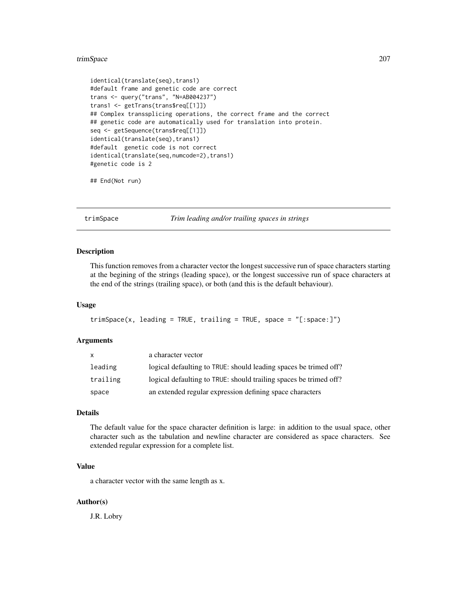#### trimSpace 207

```
identical(translate(seq),trans1)
#default frame and genetic code are correct
trans <- query("trans", "N=AB004237")
trans1 <- getTrans(trans$req[[1]])
## Complex transsplicing operations, the correct frame and the correct
## genetic code are automatically used for translation into protein.
seq <- getSequence(trans$req[[1]])
identical(translate(seq),trans1)
#default genetic code is not correct
identical(translate(seq,numcode=2),trans1)
#genetic code is 2
```

```
## End(Not run)
```
trimSpace *Trim leading and/or trailing spaces in strings*

#### Description

This function removes from a character vector the longest successive run of space characters starting at the begining of the strings (leading space), or the longest successive run of space characters at the end of the strings (trailing space), or both (and this is the default behaviour).

#### Usage

```
trimSpace(x, leading = TRUE, trailing = TRUE, space = "[:space:]")
```
## Arguments

| X        | a character vector                                                |
|----------|-------------------------------------------------------------------|
| leading  | logical defaulting to TRUE: should leading spaces be trimed off?  |
| trailing | logical defaulting to TRUE: should trailing spaces be trimed off? |
| space    | an extended regular expression defining space characters          |

#### Details

The default value for the space character definition is large: in addition to the usual space, other character such as the tabulation and newline character are considered as space characters. See extended regular expression for a complete list.

# Value

a character vector with the same length as x.

## Author(s)

J.R. Lobry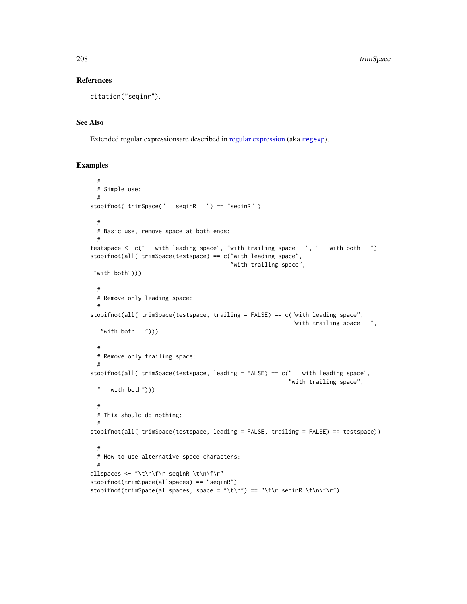#### References

```
citation("seqinr").
```
#### See Also

Extended regular expressionsare described in [regular expression](#page-0-0) (aka [regexp](#page-0-0)).

```
#
 # Simple use:
 #
stopifnot( trimSpace(" seqinR ") == "seqinR" )
 #
 # Basic use, remove space at both ends:
 #
testspace <- c(" with leading space", "with trailing space ", " with both ")
stopifnot(all( trimSpace(testspace) == c("with leading space",
                                        "with trailing space",
 "with both")))
 #
 # Remove only leading space:
  #
stopifnot(all( trimSpace(testspace, trailing = FALSE) == c("with leading space",
                                                          "with trailing space ",
   "with both ")))
 #
 # Remove only trailing space:
  #
stopifnot(all( trimSpace(testspace, leading = FALSE) == c(" with leading space",
                                                         "with trailing space",
 " with both")))
 #
 # This should do nothing:
  #
stopifnot(all( trimSpace(testspace, leading = FALSE, trailing = FALSE) == testspace))
 #
 # How to use alternative space characters:
 #
allspaces <- "\t\n\f\r seqinR \t\n\f\r"
stopifnot(trimSpace(allspaces) == "seqinR")
stopifnot(trimSpace(allspaces, space = "\t\n") == "\f\r seqinR \t\n\f\r")
```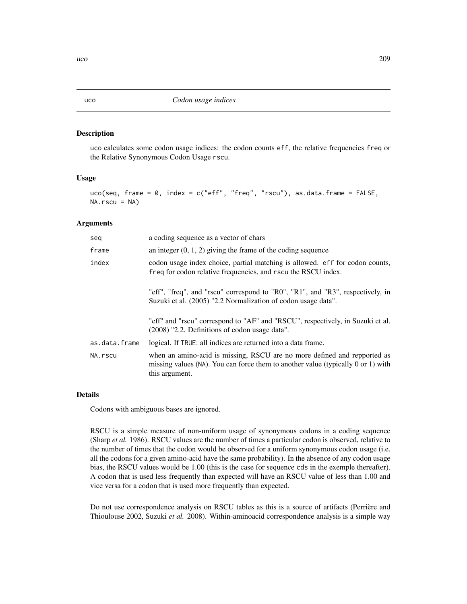uco calculates some codon usage indices: the codon counts eff, the relative frequencies freq or the Relative Synonymous Codon Usage rscu.

#### Usage

```
uco(seq, frame = 0, index = c("eff", "freq", "rscu"), as.data.frame = FALSE,
NA.rscu = NA)
```
#### Arguments

| seq           | a coding sequence as a vector of chars                                                                                                                                            |
|---------------|-----------------------------------------------------------------------------------------------------------------------------------------------------------------------------------|
| frame         | an integer $(0, 1, 2)$ giving the frame of the coding sequence                                                                                                                    |
| index         | codon usage index choice, partial matching is allowed. eff for codon counts,<br>freq for codon relative frequencies, and r scu the RSCU index.                                    |
|               | "eff", "freq", and "rscu" correspond to "R0", "R1", and "R3", respectively, in<br>Suzuki et al. (2005) "2.2 Normalization of codon usage data".                                   |
|               | "eff" and "rscu" correspond to "AF" and "RSCU", respectively, in Suzuki et al.<br>$(2008)$ "2.2. Definitions of codon usage data".                                                |
| as.data.frame | logical. If TRUE: all indices are returned into a data frame.                                                                                                                     |
| NA.rscu       | when an amino-acid is missing, RSCU are no more defined and repported as<br>missing values $(NA)$ . You can force them to another value (typically 0 or 1) with<br>this argument. |

## Details

Codons with ambiguous bases are ignored.

RSCU is a simple measure of non-uniform usage of synonymous codons in a coding sequence (Sharp *et al.* 1986). RSCU values are the number of times a particular codon is observed, relative to the number of times that the codon would be observed for a uniform synonymous codon usage (i.e. all the codons for a given amino-acid have the same probability). In the absence of any codon usage bias, the RSCU values would be 1.00 (this is the case for sequence cds in the exemple thereafter). A codon that is used less frequently than expected will have an RSCU value of less than 1.00 and vice versa for a codon that is used more frequently than expected.

Do not use correspondence analysis on RSCU tables as this is a source of artifacts (Perrière and Thioulouse 2002, Suzuki *et al.* 2008). Within-aminoacid correspondence analysis is a simple way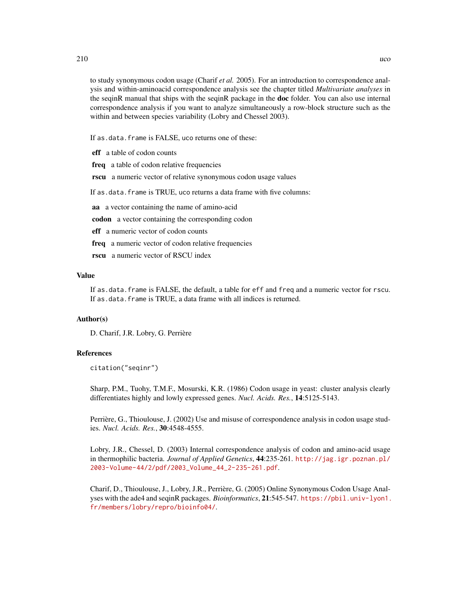to study synonymous codon usage (Charif *et al.* 2005). For an introduction to correspondence analysis and within-aminoacid correspondence analysis see the chapter titled *Multivariate analyses* in the seqinR manual that ships with the seqinR package in the **doc** folder. You can also use internal correspondence analysis if you want to analyze simultaneously a row-block structure such as the within and between species variability (Lobry and Chessel 2003).

If as.data.frame is FALSE, uco returns one of these:

eff a table of codon counts

freq a table of codon relative frequencies

rscu a numeric vector of relative synonymous codon usage values

If as.data.frame is TRUE, uco returns a data frame with five columns:

aa a vector containing the name of amino-acid

codon a vector containing the corresponding codon

eff a numeric vector of codon counts

freq a numeric vector of codon relative frequencies

rscu a numeric vector of RSCU index

#### Value

If as.data.frame is FALSE, the default, a table for eff and freq and a numeric vector for rscu. If as.data.frame is TRUE, a data frame with all indices is returned.

## Author(s)

D. Charif, J.R. Lobry, G. Perrière

#### References

citation("seqinr")

Sharp, P.M., Tuohy, T.M.F., Mosurski, K.R. (1986) Codon usage in yeast: cluster analysis clearly differentiates highly and lowly expressed genes. *Nucl. Acids. Res.*, 14:5125-5143.

Perrière, G., Thioulouse, J. (2002) Use and misuse of correspondence analysis in codon usage studies. *Nucl. Acids. Res.*, 30:4548-4555.

Lobry, J.R., Chessel, D. (2003) Internal correspondence analysis of codon and amino-acid usage in thermophilic bacteria. *Journal of Applied Genetics*, 44:235-261. [http://jag.igr.poznan.pl/](http://jag.igr.poznan.pl/2003-Volume-44/2/pdf/2003_Volume_44_2-235-261.pdf) [2003-Volume-44/2/pdf/2003\\_Volume\\_44\\_2-235-261.pdf](http://jag.igr.poznan.pl/2003-Volume-44/2/pdf/2003_Volume_44_2-235-261.pdf).

Charif, D., Thioulouse, J., Lobry, J.R., Perrière, G. (2005) Online Synonymous Codon Usage Analyses with the ade4 and seqinR packages. *Bioinformatics*, 21:545-547. [https://pbil.univ-lyon1.](https://pbil.univ-lyon1.fr/members/lobry/repro/bioinfo04/) [fr/members/lobry/repro/bioinfo04/](https://pbil.univ-lyon1.fr/members/lobry/repro/bioinfo04/).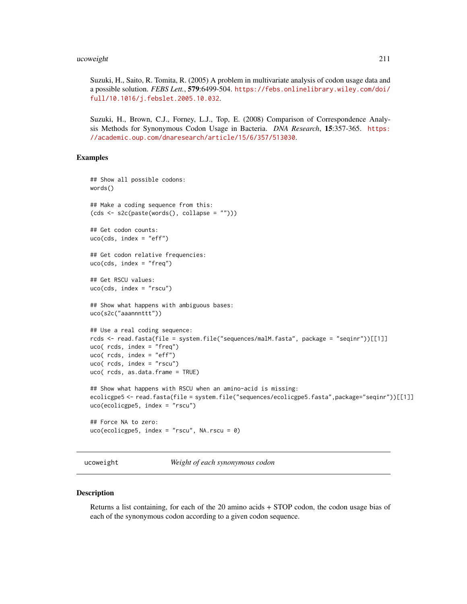#### ucoweight 211

Suzuki, H., Saito, R. Tomita, R. (2005) A problem in multivariate analysis of codon usage data and a possible solution. *FEBS Lett.*, 579:6499-504. [https://febs.onlinelibrary.wiley.com/doi/](https://febs.onlinelibrary.wiley.com/doi/full/10.1016/j.febslet.2005.10.032) [full/10.1016/j.febslet.2005.10.032](https://febs.onlinelibrary.wiley.com/doi/full/10.1016/j.febslet.2005.10.032).

Suzuki, H., Brown, C.J., Forney, L.J., Top, E. (2008) Comparison of Correspondence Analysis Methods for Synonymous Codon Usage in Bacteria. *DNA Research*, 15:357-365. [https:](https://academic.oup.com/dnaresearch/article/15/6/357/513030) [//academic.oup.com/dnaresearch/article/15/6/357/513030](https://academic.oup.com/dnaresearch/article/15/6/357/513030).

#### Examples

```
## Show all possible codons:
words()
## Make a coding sequence from this:
(cds <- s2c(paste(words(), collapse = "")))
## Get codon counts:
uco(cds, index = "eff")## Get codon relative frequencies:
uco(cds, index = "freq")
## Get RSCU values:
uco(cds, index = "rscu")## Show what happens with ambiguous bases:
uco(s2c("aaannnttt"))
## Use a real coding sequence:
rcds <- read.fasta(file = system.file("sequences/malM.fasta", package = "seqinr"))[[1]]
uco( rcds, index = "freq")
uco( rcds, index = "eff")
uco( rcds, index = "rscu")
uco( rcds, as.data.frame = TRUE)
## Show what happens with RSCU when an amino-acid is missing:
ecolicgpe5 <- read.fasta(file = system.file("sequences/ecolicgpe5.fasta",package="seqinr"))[[1]]
uco(ecolicgpe5, index = "rscu")
## Force NA to zero:
uco(ecolicgpe5, index = "rscu", NA.rscu = 0)
```
<span id="page-210-0"></span>ucoweight *Weight of each synonymous codon*

# Description

Returns a list containing, for each of the 20 amino acids + STOP codon, the codon usage bias of each of the synonymous codon according to a given codon sequence.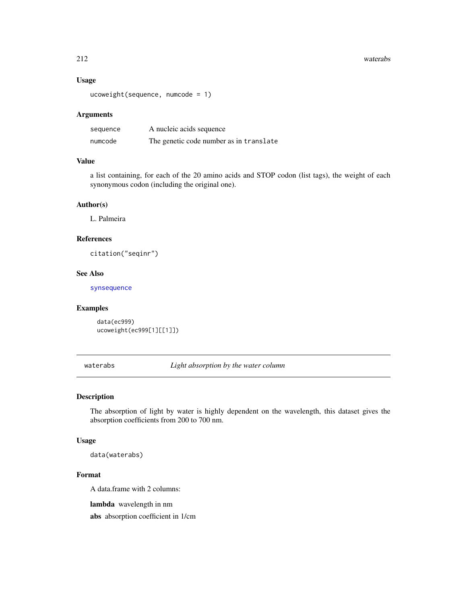#### 212 waterabs

# Usage

```
ucoweight(sequence, numcode = 1)
```
## Arguments

| sequence | A nucleic acids sequence                |
|----------|-----------------------------------------|
| numcode  | The genetic code number as in translate |

#### Value

a list containing, for each of the 20 amino acids and STOP codon (list tags), the weight of each synonymous codon (including the original one).

#### Author(s)

L. Palmeira

# References

citation("seqinr")

#### See Also

[synsequence](#page-196-0)

#### Examples

data(ec999) ucoweight(ec999[1][[1]])

waterabs *Light absorption by the water column*

#### Description

The absorption of light by water is highly dependent on the wavelength, this dataset gives the absorption coefficients from 200 to 700 nm.

## Usage

data(waterabs)

## Format

A data.frame with 2 columns:

lambda wavelength in nm

abs absorption coefficient in 1/cm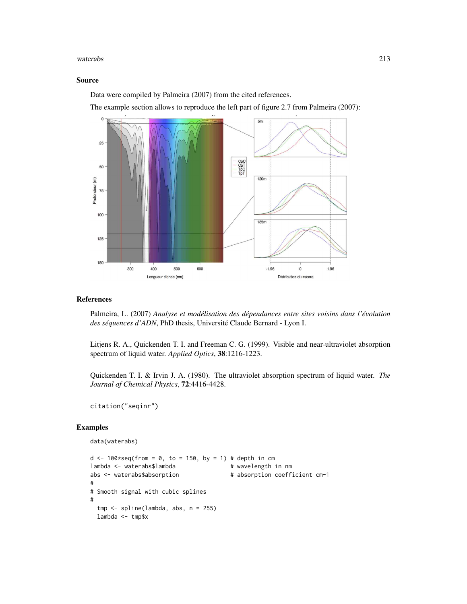#### waterabs 213

## Source

Data were compiled by Palmeira (2007) from the cited references.

The example section allows to reproduce the left part of figure 2.7 from Palmeira (2007):



## References

Palmeira, L. (2007) *Analyse et modélisation des dépendances entre sites voisins dans l'évolution des séquences d'ADN*, PhD thesis, Université Claude Bernard - Lyon I.

Litjens R. A., Quickenden T. I. and Freeman C. G. (1999). Visible and near-ultraviolet absorption spectrum of liquid water. *Applied Optics*, 38:1216-1223.

Quickenden T. I. & Irvin J. A. (1980). The ultraviolet absorption spectrum of liquid water. *The Journal of Chemical Physics*, 72:4416-4428.

```
citation("seqinr")
```

```
data(waterabs)
d \le 100*seq(from = 0, to = 150, by = 1) # depth in cm
lambda <- waterabs$lambda # wavelength in nm
abs <- waterabs$absorption # absorption coefficient cm-1
#
# Smooth signal with cubic splines
#
 tmp <- spline(lambda, abs, n = 255)
 lambda <- tmp$x
```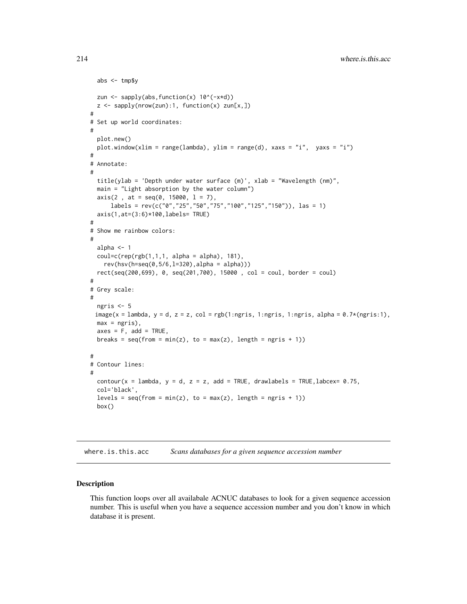```
abs <- tmp$y
 zun \leq sapply(abs, function(x) 10^(-x*d))
 z \leq sapply(nrow(zun):1, function(x) zun[x,])
#
# Set up world coordinates:
#
 plot.new()
 plot.window(xlim = range(lambda), ylim = range(d), xaxs = "i", yaxs = "i")
#
# Annotate:
#
 title(ylab = 'Depth under water surface (m)', xlab = "Wavelength (nm)",
 main = "Light absorption by the water column")
 axis(2, at = seq(0, 15000, 1 = 7),labels = rev(c("0","25","50","75","100","125","150")), las = 1)
 axis(1,at=(3:6)*100,labels= TRUE)
#
# Show me rainbow colors:
#
 alpha <- 1
 coul=c(rep(rgb(1,1,1, 1, alpha = alpha), 181),rev(hsv(h=seq(0,5/6,l=320),alpha = alpha)))
 rect(seq(200,699), 0, seq(201,700), 15000 , col = coul, border = coul)
#
# Grey scale:
#
 ngris <- 5
 image(x = lambda, y = d, z = z, col = rgb(1:ngris, 1:ngris, 1:ngris, alpha = 0.7*(ngris:1),max = ngris,
 axes = F, add = TRUE,
 breaks = seq(from = min(z), to = max(z), length = ngris + 1)#
# Contour lines:
#
 contour(x = lambda, y = d, z = z, add = TRUE, drawlabels = TRUE, labcex= 0.75,
 col='black',
 levels = seq(from = min(z), to = max(z), length = ngris + 1)box()
```
where.is.this.acc *Scans databases for a given sequence accession number*

#### Description

This function loops over all availabale ACNUC databases to look for a given sequence accession number. This is useful when you have a sequence accession number and you don't know in which database it is present.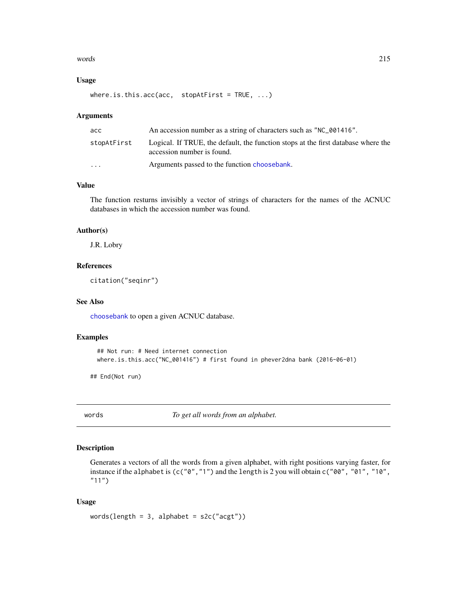#### words 215

#### Usage

where.is.this.acc(acc, stopAtFirst = TRUE, ...)

#### Arguments

| acc                     | An accession number as a string of characters such as "NC_001416".                                              |
|-------------------------|-----------------------------------------------------------------------------------------------------------------|
| stopAtFirst             | Logical. If TRUE, the default, the function stops at the first database where the<br>accession number is found. |
| $\cdot$ $\cdot$ $\cdot$ | Arguments passed to the function choosebank.                                                                    |

# Value

The function resturns invisibly a vector of strings of characters for the names of the ACNUC databases in which the accession number was found.

# Author(s)

J.R. Lobry

# References

citation("seqinr")

## See Also

[choosebank](#page-41-0) to open a given ACNUC database.

## Examples

```
## Not run: # Need internet connection
where.is.this.acc("NC_001416") # first found in phever2dna bank (2016-06-01)
```
## End(Not run)

words *To get all words from an alphabet.*

# Description

Generates a vectors of all the words from a given alphabet, with right positions varying faster, for instance if the alphabet is (c("0","1") and the length is 2 you will obtain c("00", "01", "10", "11")

```
words(length = 3, alphabet = s2c("acyt"))
```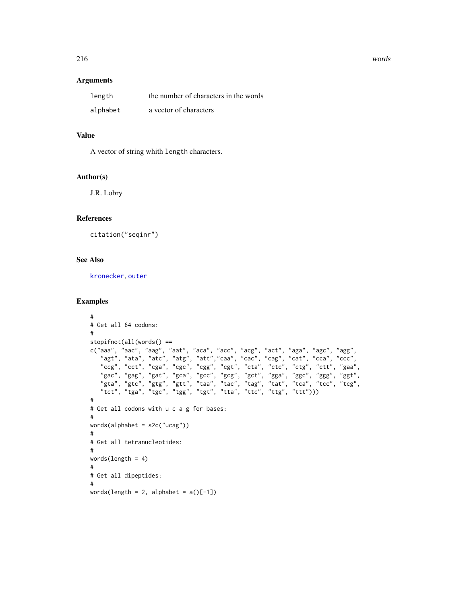## Arguments

| length   | the number of characters in the words |
|----------|---------------------------------------|
| alphabet | a vector of characters                |

# Value

A vector of string whith length characters.

### Author(s)

J.R. Lobry

# References

citation("seqinr")

# See Also

[kronecker](#page-0-0), [outer](#page-0-0)

```
#
# Get all 64 codons:
#
stopifnot(all(words() ==
c("aaa", "aac", "aag", "aat", "aca", "acc", "acg", "act", "aga", "agc", "agg",
   "agt", "ata", "atc", "atg", "att","caa", "cac", "cag", "cat", "cca", "ccc",
   "ccg", "cct", "cga", "cgc", "cgg", "cgt", "cta", "ctc", "ctg", "ctt", "gaa",
   "gac", "gag", "gat", "gca", "gcc", "gcg", "gct", "gga", "ggc", "ggg", "ggt",
   "gta", "gtc", "gtg", "gtt", "taa", "tac", "tag", "tat", "tca", "tcc", "tcg",
   "tct", "tga", "tgc", "tgg", "tgt", "tta", "ttc", "ttg", "ttt")))
#
# Get all codons with u c a g for bases:
#
words(alphabet = s2c("ucag"))
#
# Get all tetranucleotides:
#
words(length = 4)#
# Get all dipeptides:
#
words(length = 2, alphabet = a()[-1])
```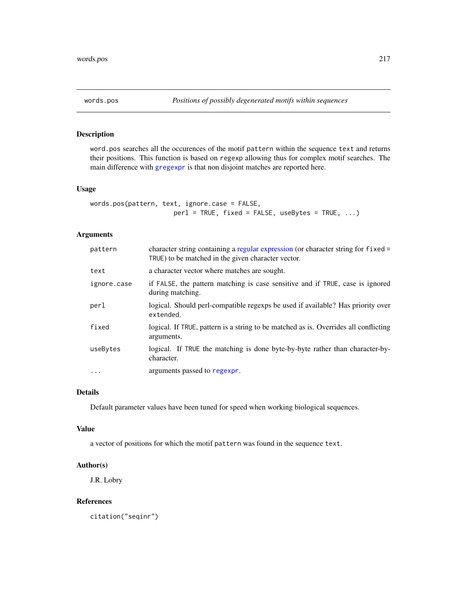<span id="page-216-0"></span>

# Description

word.pos searches all the occurences of the motif pattern within the sequence text and returns their positions. This function is based on regexp allowing thus for complex motif searches. The main difference with [gregexpr](#page-0-0) is that non disjoint matches are reported here.

## Usage

```
words.pos(pattern, text, ignore.case = FALSE,
                     perl = TRUE, fixed = FALSE, useBytes = TRUE, ...
```
# Arguments

| pattern     | character string containing a regular expression (or character string for fixed =<br>TRUE) to be matched in the given character vector. |
|-------------|-----------------------------------------------------------------------------------------------------------------------------------------|
| text        | a character vector where matches are sought.                                                                                            |
| ignore.case | if FALSE, the pattern matching is case sensitive and if TRUE, case is ignored<br>during matching.                                       |
| perl        | logical. Should perl-compatible regexps be used if available? Has priority over<br>extended.                                            |
| fixed       | logical. If TRUE, pattern is a string to be matched as is. Overrides all conflicting<br>arguments.                                      |
| useBytes    | logical. If TRUE the matching is done byte-by-byte rather than character-by-<br>character.                                              |
| $\ddotsc$   | arguments passed to regexpr.                                                                                                            |

## Details

Default parameter values have been tuned for speed when working biological sequences.

#### Value

a vector of positions for which the motif pattern was found in the sequence text.

#### Author(s)

J.R. Lobry

#### References

citation("seqinr")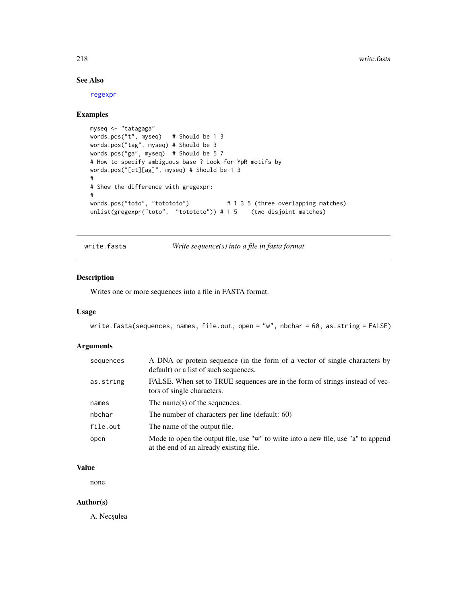# See Also

[regexpr](#page-0-0)

# Examples

```
myseq <- "tatagaga"
words.pos("t", myseq) # Should be 1 3
words.pos("tag", myseq) # Should be 3
words.pos("ga", myseq) # Should be 5 7
# How to specify ambiguous base ? Look for YpR motifs by
words.pos("[ct][ag]", myseq) # Should be 1 3
#
# Show the difference with gregexpr:
#
words.pos("toto", "totototo") # 1 3 5 (three overlapping matches)
unlist(gregexpr("toto", "totototo")) # 1 5 (two disjoint matches)
```
write.fasta *Write sequence(s) into a file in fasta format*

# Description

Writes one or more sequences into a file in FASTA format.

#### Usage

```
write.fasta(sequences, names, file.out, open = "w", nbchar = 60, as.string = FALSE)
```
#### Arguments

| sequences | A DNA or protein sequence (in the form of a vector of single characters by<br>default) or a list of such sequences.          |
|-----------|------------------------------------------------------------------------------------------------------------------------------|
| as.string | FALSE. When set to TRUE sequences are in the form of strings instead of vec-<br>tors of single characters.                   |
| names     | The name(s) of the sequences.                                                                                                |
| nbchar    | The number of characters per line (default: 60)                                                                              |
| file.out  | The name of the output file.                                                                                                 |
| open      | Mode to open the output file, use "w" to write into a new file, use "a" to append<br>at the end of an already existing file. |

# Value

none.

### Author(s)

A. Necșulea

<span id="page-217-0"></span>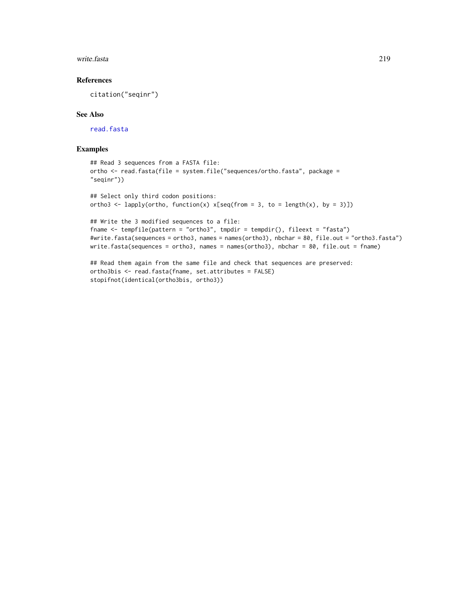#### <span id="page-218-0"></span>write.fasta 219

# References

citation("seqinr")

#### See Also

[read.fasta](#page-161-0)

#### Examples

```
## Read 3 sequences from a FASTA file:
ortho <- read.fasta(file = system.file("sequences/ortho.fasta", package =
"seqinr"))
## Select only third codon positions:
ortho3 <- lapply(ortho, function(x) x[seq(from = 3, to = length(x), by = 3)])
## Write the 3 modified sequences to a file:
fname <- tempfile(pattern = "ortho3", tmpdir = tempdir(), fileext = "fasta")
#write.fasta(sequences = ortho3, names = names(ortho3), nbchar = 80, file.out = "ortho3.fasta")
write.fasta(sequences = ortho3, names = names(ortho3), nbchar = 80, file.out = fname)
## Read them again from the same file and check that sequences are preserved:
ortho3bis <- read.fasta(fname, set.attributes = FALSE)
stopifnot(identical(ortho3bis, ortho3))
```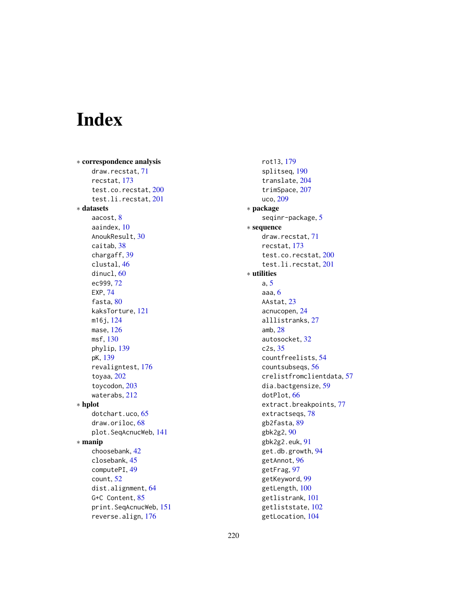# Index

∗ correspondence analysis draw.recstat, [71](#page-70-0) recstat, [173](#page-172-0) test.co.recstat, [200](#page-199-0) test.li.recstat, [201](#page-200-0) ∗ datasets aacost, [8](#page-7-0) aaindex, [10](#page-9-0) AnoukResult, [30](#page-29-0) caitab, [38](#page-37-0) chargaff, [39](#page-38-0) clustal, [46](#page-45-0) dinucl, [60](#page-59-0) ec999, [72](#page-71-0) EXP, [74](#page-73-0) fasta, [80](#page-79-0) kaksTorture, [121](#page-120-0) m16j, [124](#page-123-0) mase, [126](#page-125-0) msf, [130](#page-129-0) phylip, [139](#page-138-0) pK, [139](#page-138-0) revaligntest, [176](#page-175-0) toyaa, [202](#page-201-0) toycodon, [203](#page-202-0) waterabs, [212](#page-211-0) ∗ hplot dotchart.uco, [65](#page-64-0) draw.oriloc, [68](#page-67-0) plot.SeqAcnucWeb, [141](#page-140-0) ∗ manip choosebank, [42](#page-41-0) closebank, [45](#page-44-0) computePI, [49](#page-48-0) count, [52](#page-51-0) dist.alignment, [64](#page-63-0) G+C Content, [85](#page-84-0) print.SeqAcnucWeb, [151](#page-150-0) reverse.align, [176](#page-175-0)

rot13, [179](#page-178-0) splitseq, [190](#page-189-0) translate, [204](#page-203-0) trimSpace, [207](#page-206-0) uco, [209](#page-208-0) ∗ package seqinr-package, [5](#page-4-0) ∗ sequence draw.recstat, [71](#page-70-0) recstat, [173](#page-172-0) test.co.recstat, [200](#page-199-0) test.li.recstat, [201](#page-200-0) ∗ utilities a, [5](#page-4-0) aaa, [6](#page-5-0) AAstat, [23](#page-22-0) acnucopen, [24](#page-23-0) alllistranks, [27](#page-26-0) amb, [28](#page-27-0) autosocket, [32](#page-31-0) c2s, [35](#page-34-0) countfreelists, [54](#page-53-0) countsubseqs, [56](#page-55-0) crelistfromclientdata, [57](#page-56-0) dia.bactgensize, [59](#page-58-0) dotPlot, [66](#page-65-0) extract.breakpoints, [77](#page-76-0) extractseqs, [78](#page-77-0) gb2fasta, [89](#page-88-0) gbk2g2, [90](#page-89-0) gbk2g2.euk, [91](#page-90-0) get.db.growth, [94](#page-93-0) getAnnot, [96](#page-95-0) getFrag, [97](#page-96-0) getKeyword, [99](#page-98-0) getLength, [100](#page-99-0) getlistrank, [101](#page-100-0) getliststate, [102](#page-101-0) getLocation, [104](#page-103-0)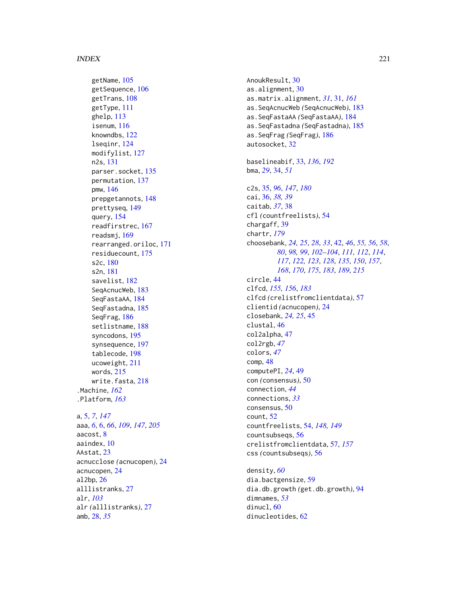#### INDEX  $221$

getName, [105](#page-104-0) getSequence , [106](#page-105-0) getTrans, [108](#page-107-0) getType , [111](#page-110-0) ghelp , [113](#page-112-0) isenum, [116](#page-115-0) knowndbs , [122](#page-121-0) lseqinr , [124](#page-123-0) modifylist , [127](#page-126-0) n2s , [131](#page-130-0) parser.socket , [135](#page-134-0) permutation , [137](#page-136-0) pmw , [146](#page-145-0) prepgetannots , [148](#page-147-0) prettyseq , [149](#page-148-0) query , [154](#page-153-0) readfirstrec , [167](#page-166-0) readsmj , [169](#page-168-0) rearranged.oriloc , [171](#page-170-0) residuecount , [175](#page-174-0) s2c , [180](#page-179-0) s2n , [181](#page-180-0) savelist , [182](#page-181-0) SeqAcnucWeb, [183](#page-182-0) SeqFastaAA , [184](#page-183-0) SeqFastadna , [185](#page-184-0) SeqFrag , [186](#page-185-0) setlistname , [188](#page-187-0) syncodons , [195](#page-194-0) synsequence , [197](#page-196-0) tablecode , [198](#page-197-0) ucoweight , [211](#page-210-0) words , [215](#page-214-0) write.fasta , [218](#page-217-0) .Machine , *[162](#page-161-1)* .Platform , *[163](#page-162-0)* a , [5](#page-4-0) , *[7](#page-6-0)* , *[147](#page-146-0)* aaa , *[6](#page-5-0)* , [6](#page-5-0) , *[66](#page-65-0)* , *[109](#page-108-0)* , *[147](#page-146-0)* , *[205](#page-204-0)* aacost , [8](#page-7-0) aaindex , [10](#page-9-0) AAstat , [23](#page-22-0) acnucclose *(*acnucopen *)* , [24](#page-23-0) acnucopen , [24](#page-23-0) al2bp , [26](#page-25-0) alllistranks , [27](#page-26-0) alr , *[103](#page-102-0)* alr *(*alllistranks *)* , [27](#page-26-0) amb , [28](#page-27-0) , *[35](#page-34-0)*

AnoukResult, [30](#page-29-0) as.alignment, [30](#page-29-0) as.matrix.alignment , *[31](#page-30-0)* , [31](#page-30-0) , *[161](#page-160-0)* as.SeqAcnucWeb *(*SeqAcnucWeb *)* , [183](#page-182-0) as.SeqFastaAA *(*SeqFastaAA *)* , [184](#page-183-0) as.SeqFastadna *(*SeqFastadna *)* , [185](#page-184-0) as.SeqFrag *(*SeqFrag *)* , [186](#page-185-0) autosocket , [32](#page-31-0) baselineabif , [33](#page-32-0) , *[136](#page-135-0)* , *[192](#page-191-0)* bma , *[29](#page-28-0)* , [34](#page-33-0) , *[51](#page-50-0)* c2s , [35](#page-34-0) , *[96](#page-95-0)* , *[147](#page-146-0)* , *[180](#page-179-0)* cai , [36](#page-35-0) , *[38](#page-37-0) , [39](#page-38-0)* caitab , *[37](#page-36-0)* , [38](#page-37-0) cfl *(*countfreelists *)* , [54](#page-53-0) chargaff , [39](#page-38-0) chartr , *[179](#page-178-0)* choosebank , *[24](#page-23-0) , [25](#page-24-0)* , *[28](#page-27-0)* , *[33](#page-32-0)* , [42](#page-41-0) , *[46](#page-45-0)* , *[55](#page-54-0) , [56](#page-55-0)* , *[58](#page-57-0)* , *[80](#page-79-0)* , *[98](#page-97-0) , [99](#page-98-0)* , *[102](#page-101-0) [–104](#page-103-0)* , *[111](#page-110-0) , [112](#page-111-0)* , *[114](#page-113-0)* , *[117](#page-116-0)* , *[122](#page-121-0) , [123](#page-122-0)* , *[128](#page-127-0)* , *[135](#page-134-0)* , *[150](#page-149-0)* , *[157](#page-156-0)* , *[168](#page-167-0)* , *[170](#page-169-0)* , *[175](#page-174-0)* , *[183](#page-182-0)* , *[189](#page-188-0)* , *[215](#page-214-0)* circle , [44](#page-43-0) clfcd , *[155](#page-154-0) , [156](#page-155-0)* , *[183](#page-182-0)* clfcd *(*crelistfromclientdata *)* , [57](#page-56-0) clientid *(*acnucopen *)* , [24](#page-23-0) closebank , *[24](#page-23-0) , [25](#page-24-0)* , [45](#page-44-0) clustal , [46](#page-45-0) col2alpha , [47](#page-46-0) col2rgb , *[47](#page-46-0)* colors , *[47](#page-46-0)* comp , [48](#page-47-0) computePI , *[24](#page-23-0)* , [49](#page-48-0) con *(*consensus *)* , [50](#page-49-0) connection , *[44](#page-43-0)* connections , *[33](#page-32-0)* consensus , [50](#page-49-0) count , [52](#page-51-0) countfreelists , [54](#page-53-0) , *[148](#page-147-0) , [149](#page-148-0)* countsubseqs , [56](#page-55-0) crelistfromclientdata , [57](#page-56-0) , *[157](#page-156-0)* css *(*countsubseqs *)* , [56](#page-55-0) density , *[60](#page-59-0)* dia.bactgensize , [59](#page-58-0) dia.db.growth *(*get.db.growth *)* , [94](#page-93-0)

dimnames , *[53](#page-52-0)* dinucl,  $60$ 

dinucleotides , [62](#page-61-0)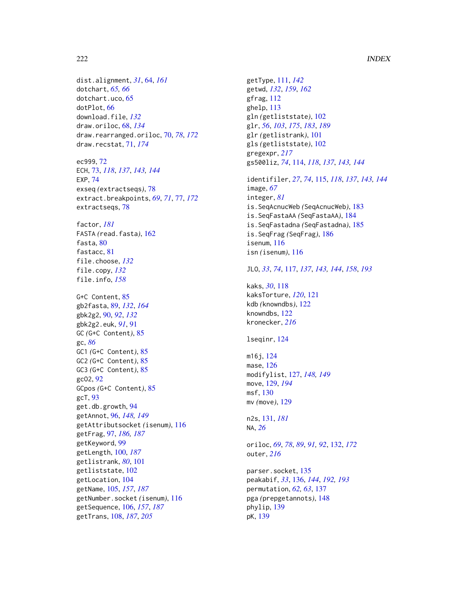#### 222 INDEX

dist.alignment, *[31](#page-30-0)*, [64,](#page-63-0) *[161](#page-160-0)* dotchart, *[65,](#page-64-0) [66](#page-65-0)* dotchart.uco, [65](#page-64-0) dotPlot, [66](#page-65-0) download.file, *[132](#page-131-0)* draw.oriloc, [68,](#page-67-0) *[134](#page-133-0)* draw.rearranged.oriloc, [70,](#page-69-0) *[78](#page-77-0)*, *[172](#page-171-0)* draw.recstat, [71,](#page-70-0) *[174](#page-173-0)*

ec999, [72](#page-71-0) ECH, [73,](#page-72-0) *[118](#page-117-0)*, *[137](#page-136-0)*, *[143,](#page-142-0) [144](#page-143-0)* EXP, [74](#page-73-0) exseq *(*extractseqs*)*, [78](#page-77-0) extract.breakpoints, *[69](#page-68-0)*, *[71](#page-70-0)*, [77,](#page-76-0) *[172](#page-171-0)* extractseqs, [78](#page-77-0)

factor, *[181](#page-180-0)* FASTA *(*read.fasta*)*, [162](#page-161-1) fasta, [80](#page-79-0) fastacc, [81](#page-80-0) file.choose, *[132](#page-131-0)* file.copy, *[132](#page-131-0)* file.info, *[158](#page-157-0)*

G+C Content, [85](#page-84-0) gb2fasta, [89,](#page-88-0) *[132](#page-131-0)*, *[164](#page-163-0)* gbk2g2, [90,](#page-89-0) *[92](#page-91-0)*, *[132](#page-131-0)* gbk2g2.euk, *[91](#page-90-0)*, [91](#page-90-0) GC *(*G+C Content*)*, [85](#page-84-0) gc, *[86](#page-85-0)* GC1 *(*G+C Content*)*, [85](#page-84-0) GC2 *(*G+C Content*)*, [85](#page-84-0) GC3 *(*G+C Content*)*, [85](#page-84-0) gcO2, [92](#page-91-0) GCpos *(*G+C Content*)*, [85](#page-84-0) gcT, [93](#page-92-0) get.db.growth, [94](#page-93-0) getAnnot, [96,](#page-95-0) *[148,](#page-147-0) [149](#page-148-0)* getAttributsocket *(*isenum*)*, [116](#page-115-0) getFrag, [97,](#page-96-0) *[186,](#page-185-0) [187](#page-186-0)* getKeyword, [99](#page-98-0) getLength, [100,](#page-99-0) *[187](#page-186-0)* getlistrank, *[80](#page-79-0)*, [101](#page-100-0) getliststate, [102](#page-101-0) getLocation, [104](#page-103-0) getName, [105,](#page-104-0) *[157](#page-156-0)*, *[187](#page-186-0)* getNumber.socket *(*isenum*)*, [116](#page-115-0) getSequence, [106,](#page-105-0) *[157](#page-156-0)*, *[187](#page-186-0)* getTrans, [108,](#page-107-0) *[187](#page-186-0)*, *[205](#page-204-0)*

getType, [111,](#page-110-0) *[142](#page-141-0)* getwd, *[132](#page-131-0)*, *[159](#page-158-0)*, *[162](#page-161-1)* gfrag, [112](#page-111-0) ghelp, [113](#page-112-0) gln *(*getliststate*)*, [102](#page-101-0) glr, *[56](#page-55-0)*, *[103](#page-102-0)*, *[175](#page-174-0)*, *[183](#page-182-0)*, *[189](#page-188-0)* glr *(*getlistrank*)*, [101](#page-100-0) gls *(*getliststate*)*, [102](#page-101-0) gregexpr, *[217](#page-216-0)* gs500liz, *[74](#page-73-0)*, [114,](#page-113-0) *[118](#page-117-0)*, *[137](#page-136-0)*, *[143,](#page-142-0) [144](#page-143-0)*

identifiler, *[27](#page-26-0)*, *[74](#page-73-0)*, [115,](#page-114-0) *[118](#page-117-0)*, *[137](#page-136-0)*, *[143,](#page-142-0) [144](#page-143-0)* image, *[67](#page-66-0)* integer, *[81](#page-80-0)* is.SeqAcnucWeb *(*SeqAcnucWeb*)*, [183](#page-182-0) is.SeqFastaAA *(*SeqFastaAA*)*, [184](#page-183-0) is.SeqFastadna *(*SeqFastadna*)*, [185](#page-184-0) is.SeqFrag *(*SeqFrag*)*, [186](#page-185-0) isenum, [116](#page-115-0) isn *(*isenum*)*, [116](#page-115-0)

# JLO, *[33](#page-32-0)*, *[74](#page-73-0)*, [117,](#page-116-0) *[137](#page-136-0)*, *[143,](#page-142-0) [144](#page-143-0)*, *[158](#page-157-0)*, *[193](#page-192-0)*

kaks, *[30](#page-29-0)*, [118](#page-117-0) kaksTorture, *[120](#page-119-0)*, [121](#page-120-0) kdb *(*knowndbs*)*, [122](#page-121-0) knowndbs, [122](#page-121-0) kronecker, *[216](#page-215-0)*

lseqinr, [124](#page-123-0)

m16j, [124](#page-123-0) mase, [126](#page-125-0) modifylist, [127,](#page-126-0) *[148,](#page-147-0) [149](#page-148-0)* move, [129,](#page-128-0) *[194](#page-193-0)* msf, [130](#page-129-0) mv *(*move*)*, [129](#page-128-0)

n2s, [131,](#page-130-0) *[181](#page-180-0)* NA, *[26](#page-25-0)*

oriloc, *[69](#page-68-0)*, *[78](#page-77-0)*, *[89](#page-88-0)*, *[91,](#page-90-0) [92](#page-91-0)*, [132,](#page-131-0) *[172](#page-171-0)* outer, *[216](#page-215-0)*

parser.socket, [135](#page-134-0) peakabif, *[33](#page-32-0)*, [136,](#page-135-0) *[144](#page-143-0)*, *[192,](#page-191-0) [193](#page-192-0)* permutation, *[62,](#page-61-0) [63](#page-62-0)*, [137](#page-136-0) pga *(*prepgetannots*)*, [148](#page-147-0) phylip, [139](#page-138-0) pK, [139](#page-138-0)